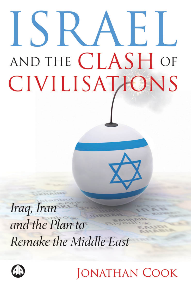# l.  $\blacksquare$ AND THE CLASH OF CIVILISATIONS

Iraq, Iran and the Plan to Remake the Middle East



**ONATHAN COOK**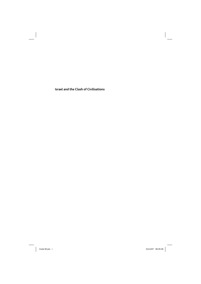**Israel and the Clash of Civilisations**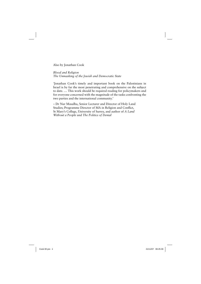Also by Jonathan Cook

*Blood and Religion The Unmasking of the Jewish and Democratic State*

'Jonathan Cook's timely and important book on the Palestinians in Israel is by far the most penetrating and comprehensive on the subject to date. … This work should be required reading for policymakers and for everyone concerned with the magnitude of the tasks confronting the two parties and the international community.'

– Dr Nur Masalha, Senior Lecturer and Director of Holy Land Studies; Programme Director of MA in Religion and Conflict, St Mary's College, University of Surrey, and author of *A Land Without a People* and *The Politics of Denial*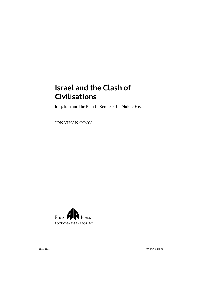## **Israel and the Clash of Civilisations**

Iraq, Iran and the Plan to Remake the Middle East

JONATHAN COOK

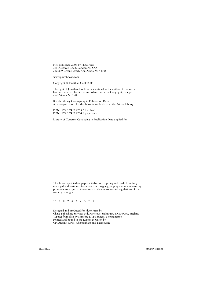First published 2008 by Pluto Press 345 Archway Road, London N6 5AA and 839 Greene Street, Ann Arbor, MI 48106

www.plutobooks.com

Copyright © Jonathan Cook 2008

The right of Jonathan Cook to be identified as the author of this work has been asserted by him in accordance with the Copyright, Designs and Patents Act 1988.

British Library Cataloguing in Publication Data A catalogue record for this book is available from the British Library

ISBN 978 0 7453 2755 6 hardback ISBN 978 0 7453 2754 9 paperback

Library of Congress Cataloging in Publication Data applied for

This book is printed on paper suitable for recycling and made from fully managed and sustained forest sources. Logging, pulping and manufacturing processes are expected to conform to the environmental regulations of the country of origin.

#### 10 9 8 7 6 5 4 3 2 1

Designed and produced for Pluto Press by Chase Publishing Services Ltd, Fortescue, Sidmouth, EX10 9QG, England Typeset from disk by Stanford DTP Services, Northampton Printed and bound in the European Union by CPI Antony Rowe, Chippenham and Eastbourne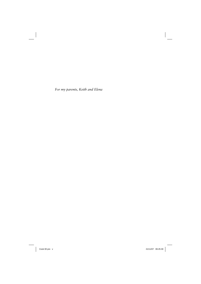*For my parents, Keith and Elena*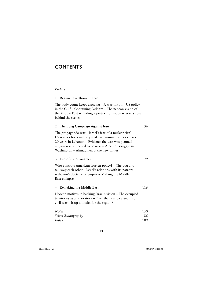### **CONTENTS**

| Preface                                                                                                                                                                                                                                                                         | x            |
|---------------------------------------------------------------------------------------------------------------------------------------------------------------------------------------------------------------------------------------------------------------------------------|--------------|
| Regime Overthrow in Iraq<br>$\mathbf{1}$                                                                                                                                                                                                                                        | $\mathbf{1}$ |
| The body count keeps growing $-A$ war for oil $-$ US policy<br>in the Gulf – Containing Saddam – The neocon vision of<br>the Middle East - Finding a pretext to invade - Israel's role<br>behind the scenes                                                                     |              |
| 2 The Long Campaign Against Iran                                                                                                                                                                                                                                                | 36           |
| The propaganda war – Israel's fear of a nuclear rival –<br>US readies for a military strike – Turning the clock back<br>20 years in Lebanon - Evidence the war was planned<br>- Syria was supposed to be next - A power struggle in<br>Washington - Ahmadinejad: the new Hitler |              |
| 3 End of the Strongmen                                                                                                                                                                                                                                                          | 79           |
| Who controls American foreign policy? – The dog and<br>tail wag each other - Israel's relations with its patrons<br>- Sharon's doctrine of empire - Making the Middle<br>East collapse                                                                                          |              |
| 4 Remaking the Middle East                                                                                                                                                                                                                                                      | 116          |
| Neocon motives in backing Israel's vision – The occupied<br>territories as a laboratory – Over the precipice and into<br>civil war – Iraq: a model for the region?                                                                                                              |              |
| Notes                                                                                                                                                                                                                                                                           | 1.50         |
| Select Bibliography                                                                                                                                                                                                                                                             | 186          |
| Index                                                                                                                                                                                                                                                                           | 189          |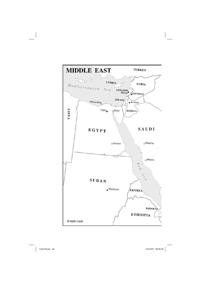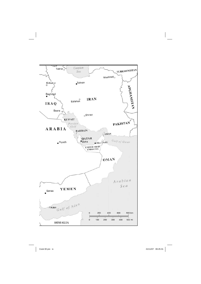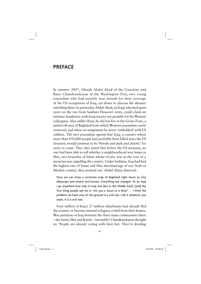### **PREFACE**

In summer 2007, Ghaith Abdul Ahad of the *Guardian* and Rajiv Chandrasekaran of the *Washington Post*, two young journalists who had recently won awards for their coverage of the US occupation of Iraq, sat down to discuss the disaster unfolding there. In particular, Abdul Ahad, an Iraqi who had spent years on the run from Saddam Hussein's army, could claim an intimate familiarity with Iraqi society not possible for his Western colleagues. Also unlike them, he did not live in the Green Zone, a sealed-off area of Baghdad from which Western journalists rarely ventured, and when on assignment he never 'embedded' with US soldiers. The two journalists agreed that Iraq, a country where more than 650,000 people had probably been killed since the US invasion, would continue to be 'bloody and dark and chaotic' for years to come. They also noted that before the US invasion, no one had been able to tell whether a neighbourhood was Sunni or Shia, two branches of Islam whose rivalry was at the root of a sectarian war engulfing the country. Under Saddam, Iraq had had the highest rate of Sunni and Shia intermarriage of any Arab or Muslim country, they pointed out. Abdul Ahad observed:

Now we can draw a sectarian map of Baghdad right down to tiny alleyways and streets and houses. Everything has changed. As an Iraqi I go anywhere (not only in Iraq, but also in the Middle East), [and] the first thing people ask me is: 'Are you a Sunni or a Shia?' ... I think the problem we have now on the ground is a civil war. Call it whatever you want, it is a civil war.

Four million of Iraq's 27 million inhabitants had already fled the country or become internal refugees, exiled from their homes. Was partition of Iraq between the three main communities there – the Sunni, Shia and Kurds – inevitable? Chandrasekaran thought so: 'People are already voting with their feet. They're dividing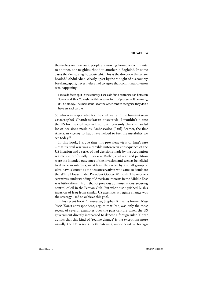themselves on their own, people are moving from one community to another, one neighbourhood to another in Baghdad. In some cases they're leaving Iraq outright. This is the direction things are headed.' Abdul Ahad, clearly upset by the thought of his country breaking apart, nevertheless had to agree that communal division was happening:

I see a de facto split in the country, I see a de facto cantonisation between Sunnis and Shia. To enshrine this in some form of process will be messy, it'll be bloody. The main issue is for the Americans to recognise they don't have an Iraqi partner.

So who was responsible for the civil war and the humanitarian catastrophe? Chandrasekaran answered: 'I wouldn't blame the US for the civil war in Iraq, but I certainly think an awful lot of decisions made by Ambassador [Paul] Bremer, the first American viceroy to Iraq, have helped to fuel the instability we see today.'1

In this book, I argue that this prevalent view of Iraq's fate – that its civil war was a terrible unforeseen consequence of the US invasion and a series of bad decisions made by the occupation regime – is profoundly mistaken. Rather, civil war and partition were the intended outcomes of the invasion and seen as beneficial to American interests, or at least they were by a small group of ultra-hawks known as the neoconservatives who came to dominate the White House under President George W. Bush. The neoconservatives' understanding of American interests in the Middle East was little different from that of previous administrations: securing control of oil in the Persian Gulf. But what distinguished Bush's invasion of Iraq from similar US attempts at regime change was the strategy used to achieve this goal.

In his recent book *Overthrow*, Stephen Kinzer, a former *New York Times* correspondent, argues that Iraq was only the most recent of several examples over the past century when the US government directly intervened to depose a foreign ruler. Kinzer admits that this kind of 'regime change' is the exception: more usually the US resorts to threatening uncooperative foreign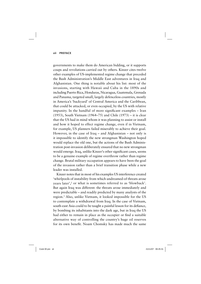governments to make them do American bidding, or it supports coups and revolutions carried out by others. Kinzer cites twelve other examples of US-implemented regime change that preceded the Bush Administration's Middle East adventures in Iraq and Afghanistan. One thing is notable about his list: most of the invasions, starting with Hawaii and Cuba in the 1890s and including Puerto Rica, Honduras, Nicaragua, Guatemala, Grenada and Panama, targeted small, largely defenceless countries, mostly in America's 'backyard' of Central America and the Caribbean, that could be attacked, or even occupied, by the US with relative impunity. In the handful of more significant examples – Iran (1953), South Vietnam (1964–75) and Chile (1973) – it is clear that the US had in mind whom it was planning to assist or install and how it hoped to effect regime change, even if in Vietnam, for example, US planners failed miserably to achieve their goal. However, in the case of Iraq – and Afghanistan – not only is it impossible to identify the new strongman Washington hoped would replace the old one, but the actions of the Bush Administration post-invasion deliberately ensured that no new strongman would emerge. Iraq, unlike Kinzer's other significant cases, seems to be a genuine example of regime overthrow rather than regime change. Brutal military occupation appears to have been the goal of the invasion rather than a brief transition phase while a new leader was installed.

Kinzer notes that in most of his examples US interference created 'whirlpools of instability from which undreamed-of threats arose years later',<sup>2</sup> or what is sometimes referred to as 'blowback'. But again Iraq was different: the threats arose immediately and were predictable – and readily predicted by many analysts of the region.3 Also, unlike Vietnam, it looked impossible for the US to contemplate a withdrawal from Iraq. In the case of Vietnam, south-east Asia could to be taught a painful lesson for its defiance, by bombing its inhabitants into the dark age, but in Iraq the US had either to remain in place as the occupier or find a suitable alternative way of controlling the country's huge oil reserves for its own benefit. Noam Chomsky has made much the same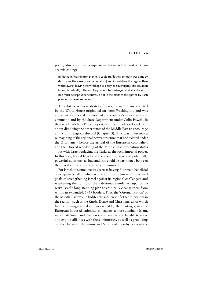point, observing that comparisons between Iraq and Vietnam are misleading:

In Vietnam, Washington planners could fulfill their primary war aims by destroying the virus [local nationalism] and inoculating the region, then withdrawing, leaving the wreckage to enjoy its sovereignty. The situation in Iraq is radically different. Iraq cannot be destroyed and abandoned … Iraq must be kept under control, if not in the manner anticipated by Bush planners, at least somehow.4

This distinctive new strategy for regime overthrow adopted by the White House originated far from Washington, and was apparently opposed by most of the country's senior military command and by the State Department under Colin Powell. In the early 1980s Israel's security establishment had developed ideas about dissolving the other states of the Middle East to encourage ethnic and religious discord (Chapter 3). This was in essence a reimagining of the regional power structure that had existed under the Ottomans – before the arrival of the European colonialists and their forced reordering of the Middle East into nation states – but with Israel replacing the Turks as the local imperial power. In this way, hoped Israel and the neocons, large and potentially powerful states such as Iraq and Iran could be partitioned between their rival ethnic and sectarian communities.

For Israel, this outcome was seen as having four main beneficial consequences, all of which would contribute towards the related goals of strengthening Israel against its regional challengers and weakening the ability of the Palestinians under occupation to resist Israel's long-standing plan to ethnically cleanse them from within its expanded, 1967 borders. First, the 'Ottomanisation' of the Middle East would bolster the influence of other minorities in the region – such as the Kurds, Druze and Christians, all of which had been marginalised and weakened by the existing system of European-imposed nation states – against a more dominant Islam, in both its Sunni and Shia varieties. Israel would be able to make and exploit alliances with these minorities, as well as provoking conflict between the Sunni and Shia, and thereby prevent the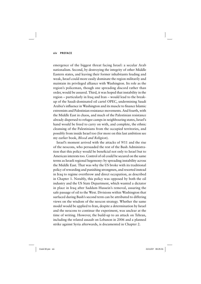emergence of the biggest threat facing Israel: a secular Arab nationalism. Second, by destroying the integrity of other Middle Eastern states, and leaving their former inhabitants feuding and weak, Israel could more easily dominate the region militarily and maintain its privileged alliance with Washington. Its role as the region's policeman, though one spreading discord rather than order, would be assured. Third, it was hoped that instability in the region – particularly in Iraq and Iran – would lead to the breakup of the Saudi-dominated oil cartel OPEC, undermining Saudi Arabia's influence in Washington and its muscle to finance Islamic extremists and Palestinian resistance movements. And fourth, with the Middle East in chaos, and much of the Palestinian resistance already dispersed to refugee camps in neighbouring states, Israel's hand would be freed to carry on with, and complete, the ethnic cleansing of the Palestinians from the occupied territories, and possibly from inside Israel too (for more on this last ambition see my earlier book, *Blood and Religion*).

Israel's moment arrived with the attacks of 9/11 and the rise of the neocons, who persuaded the rest of the Bush Administration that this policy would be beneficial not only to Israel but to American interests too. Control of oil could be secured on the same terms as Israeli regional hegemony: by spreading instability across the Middle East. That was why the US broke with its traditional policy of rewarding and punishing strongmen, and resorted instead in Iraq to regime overthrow and direct occupation, as described in Chapter 1. Notably, this policy was opposed by both the oil industry and the US State Department, which wanted a dictator in place in Iraq after Saddam Hussein's removal, assuring the safe passage of oil to the West. Divisions within Washington that surfaced during Bush's second term can be attributed to differing views on the wisdom of the neocon strategy. Whether the same model would be applied to Iran, despite a determination by Israel and the neocons to continue the experiment, was unclear at the time of writing. However, the build-up to an attack on Tehran, including the related assault on Lebanon in 2006 and a planned strike against Syria afterwards, is documented in Chapter 2.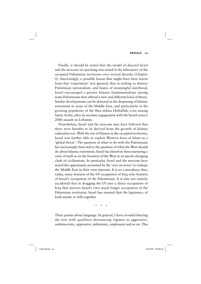Finally, it should be noted that the model of discord Israel and the neocons are pursuing was tested in the laboratory of the occupied Palestinian territories over several decades (Chapter 4). Interestingly, a possible lesson that might have been learnt from that 'experiment' was ignored: that in seeking to destroy Palestinian nationalism, and hopes of meaningful statehood, Israel encouraged a greater Islamic fundamentalism among some Palestinians that offered a new and different kind of threat. Similar developments can be detected in the deepening of Islamic extremism in areas of the Middle East, and particularly in the growing popularity of the Shia militia Hizbullah, even among Sunni Arabs, after its resolute engagement with the Israeli army's 2006 assault on Lebanon.

Nonetheless, Israel and the neocons may have believed that there were benefits to be derived from the growth of Islamic radicalism too. With the rise of Hamas in the occupied territories, Israel was further able to exploit Western fears of Islam as a 'global threat'. The question of what to do with the Palestinians has increasingly been tied to the question of what the West should do about Islamic extremism. Israel has therefore been nurturing a view of itself as on the frontiers of the West in an epoch-changing clash of civilisations. In particular, Israel and the neocons have seized the opportunity presented by the 'war on terror' to reshape the Middle East in their own interests. It is no coincidence that, today, many features of the US occupation of Iraq echo features of Israel's occupation of the Palestinians. It is also not entirely accidental that in dragging the US into a direct occupation of Iraq that mirrors Israel's own much longer occupation of the Palestinian territories, Israel has ensured that the legitimacy of both stands or falls together.

\* \* \*

Three points about language. In general, I have avoided littering the text with qualifiers denouncing regimes as aggressive, undemocratic, oppressive, militaristic, unpleasant and so on. This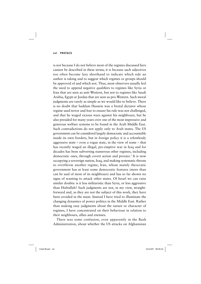is not because I do not believe most of the regimes discussed here cannot be described in these terms; it is because such adjectives too often become lazy shorthand to indicate which side an author is taking and to suggest which regimes or groups should be approved of and which not. Thus, most observers usually feel the need to append negative qualifiers to regimes like Syria or Iran that are seen as anti-Western, but not to regimes like Saudi Arabia, Egypt or Jordan that are seen as pro-Western. Such moral judgments are rarely as simple as we would like to believe. There is no doubt that Saddam Hussein was a brutal dictator whose regime used terror and fear to ensure his rule was not challenged, and that he waged vicious wars against his neighbours, but he also presided for many years over one of the most impressive and generous welfare systems to be found in the Arab Middle East. Such contradictions do not apply only to Arab states. The US government can be considered largely democratic and accountable inside its own borders, but in foreign policy it is a relentlessly aggressive state – even a rogue state, in the view of some – that has recently waged an illegal, pre-emptive war in Iraq and for decades has been subverting numerous other regimes, including democratic ones, through covert action and proxies.<sup>5</sup> It is now occupying a sovereign nation, Iraq, and making systematic threats to overthrow another regime, Iran, whose mainly theocratic government has at least some democratic features (more than can be said of most of its neighbours) and has so far shown no signs of wanting to attack other states. Of Israel we can raise similar doubts: is it less militaristic than Syria, or less aggressive than Hizbullah? Such judgments are not, in my view, straightforward and, as they are not the subject of this work, they have been avoided in the main. Instead I have tried to illuminate the changing dynamics of power politics in the Middle East. Rather than making easy judgments about the nature or character of regimes, I have concentrated on their behaviour in relation to their neighbours, allies and enemies.

There was some confusion, even apparently in the Bush Administration, about whether the US attacks on Afghanistan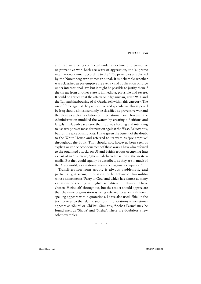and Iraq were being conducted under a doctrine of pre-emptive or preventive war. Both are wars of aggression, the 'supreme international crime', according to the 1950 principles established by the Nuremberg war crimes tribunal. It is debatable whether wars classified as pre-emptive are ever a valid application of force under international law, but it might be possible to justify them if the threat from another state is immediate, plausible and severe. It could be argued that the attack on Afghanistan, given 9/11 and the Taliban's harbouring of al-Qaeda, fell within this category. The use of force against the prospective and speculative threat posed by Iraq should almost certainly be classified as preventive war and therefore as a clear violation of international law. However, the Administration muddied the waters by creating a fictitious and largely implausible scenario that Iraq was holding and intending to use weapons of mass destruction against the West. Reluctantly, but for the sake of simplicity, I have given the benefit of the doubt to the White House and referred to its wars as 'pre-emptive' throughout the book. That should not, however, been seen as explicit or implicit condonement of these wars. I have also referred to the organised attacks on US and British troops occupying Iraq as part of an 'insurgency', the usual characterisation in the Western media. But they could equally be described, as they are in much of the Arab world, as a national resistance against occupation.<sup>6</sup>

Transliteration from Arabic is always problematic and particularly, it seems, in relation to the Lebanese Shia militia whose name means 'Party of God' and which has almost as many variations of spelling in English as fighters in Lebanon. I have chosen 'Hizbullah' throughout, but the reader should appreciate that the same organisation is being referred to when a different spelling appears within quotations. I have also used 'Shia' in the text to refer to the Islamic sect, but in quotations it sometimes appears as 'Shiite' or 'Shi'ite'. Similarly, 'Shebaa Farms' may be found spelt as 'Shaba' and 'Sheba'. There are doubtless a few other examples.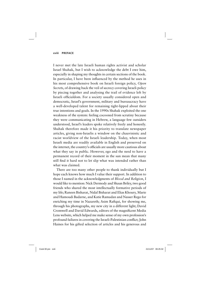I never met the late Israeli human rights activist and scholar Israel Shahak, but I wish to acknowledge the debt I owe him, especially in shaping my thoughts in certain sections of the book. In particular, I have been influenced by the method he uses in his most comprehensive book on Israeli foreign policy, *Open Secrets*, of drawing back the veil of secrecy covering Israeli policy by piecing together and analysing the trail of evidence left by Israeli officialdom. For a society usually considered open and democratic, Israel's government, military and bureaucracy have a well-developed talent for remaining tight-lipped about their true intentions and goals. In the 1990s Shahak exploited the one weakness of the system: feeling cocooned from scrutiny because they were communicating in Hebrew, a language few outsiders understood, Israel's leaders spoke relatively freely and honestly. Shahak therefore made it his priority to translate newspaper articles, giving non-Israelis a window on the chauvinistic and racist worldview of the Israeli leadership. Today, when most Israeli media are readily available in English and preserved on the internet, the country's officials are usually more cautious about what they say in public. However, ego and the need to have a permanent record of their moment in the sun mean that many still find it hard not to let slip what was intended rather than what was claimed.

There are too many other people to thank individually but I hope each knows how much I value their support. In addition to those I named in the acknowledgments of *Blood and Religion*, I would like to mention: Nick Dermody and Shaun Briley, two good friends who shared the most intellectually formative periods of my life; Raneen Bisharat, Nidal Bisharat and Elias Khoury, Marie and Hamoudi Badarne, and Katie Ramadan and Nasser Rego for enriching my time in Nazareth; Asim Rafiqui, for showing me, through his photographs, my new city in a different light; David Cromwell and David Edwards, editors of the magnificent Media Lens website, which helped me make sense of my own profession's profound failures in covering the Israeli-Palestinian conflict; John Haines for his gifted selection of articles and his generous and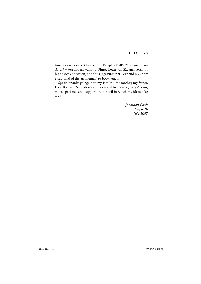timely donation of George and Douglas Ball's *The Passionate Attachment*; and my editor at Pluto, Roger van Zwanenberg, for his advice and vision, and for suggesting that I expand my short essay 'End of the Strongmen' to book length.

Special thanks go again to my family – my mother, my father, Clea, Richard, Sue, Aliona and Joe – and to my wife, Sally Azzam, whose patience and support are the soil in which my ideas take root.

> *Jonathan Cook Nazareth July 2007*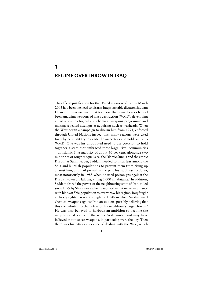# **REGIME OVERTHROW IN IRAQ**

**1**

The official justification for the US-led invasion of Iraq in March 2003 had been the need to disarm Iraq's unstable dictator, Saddam Hussein. It was assumed that for more than two decades he had been amassing weapons of mass destruction (WMD), developing an advanced biological and chemical weapons programme and making repeated attempts at acquiring nuclear warheads. When the West began a campaign to disarm him from 1991, enforced through United Nations inspections, many reasons were cited for why he might try to evade the inspectors and hold on to his WMD. One was his undoubted need to use coercion to hold together a state that embraced three large, rival communities – an Islamic Shia majority of about 60 per cent, alongside two minorities of roughly equal size, the Islamic Sunnis and the ethnic Kurds.1 A Sunni leader, Saddam needed to instil fear among the Shia and Kurdish populations to prevent them from rising up against him, and had proved in the past his readiness to do so, most notoriously in 1988 when he used poison gas against the Kurdish town of Halabja, killing 5,000 inhabitants.2 In addition, Saddam feared the power of the neighbouring state of Iran, ruled since 1979 by Shia clerics who he worried might make an alliance with his own Shia population to overthrow his regime. Iraq fought a bloody eight-year war through the 1980s in which Saddam used chemical weapons against Iranian soldiers, possibly believing that this contributed to the defeat of his neighbour's larger forces.<sup>3</sup> He was also believed to harbour an ambition to become the unquestioned leader of the wider Arab world, and may have believed that nuclear weapons, in particular, were the key. Then there was his bitter experience of dealing with the West, which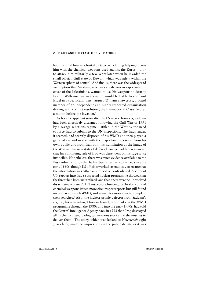had nurtured him as a brutal dictator – including helping to arm him with the chemical weapons used against the Kurds – only to attack him militarily a few years later when he invaded the small oil-rich Gulf state of Kuwait, which was safely within the Western sphere of control. And finally, there was the widespread assumption that Saddam, who was vociferous in espousing the cause of the Palestinians, wanted to use his weapons to destroy Israel. 'With nuclear weapons he would feel able to confront Israel in a spectacular way', argued William Shawcross, a board member of an independent and highly respected organisation dealing with conflict resolution, the International Crisis Group, a month before the invasion.4

As became apparent soon after the US attack, however, Saddam had been effectively disarmed following the Gulf War of 1991 by a savage sanctions regime justified in the West by the need to force Iraq to submit to the UN inspections. The Iraqi leader, it seemed, had secretly disposed of his WMD and then played a game of cat and mouse with the inspectors to conceal from his own public and from Iran both his humiliation at the hands of the West and his new state of defencelessness. Saddam was aware that his continuing rule of Iraq was dependent on his *appearing*  invincible. Nonetheless, there was much evidence available to the Bush Administration that he had been effectively disarmed since the early 1990s, though US officials worked strenuously to ensure that the information was either suppressed or contradicted. A series of UN reports into Iraq's suspected nuclear programme showed that the threat had been 'neutralized' and that 'there were no unresolved disarmament issues'. UN inspectors hunting for biological and chemical weapons issued more circumspect reports but still found no evidence of such WMD, and argued for more time to complete their searches.<sup>5</sup> Also, the highest-profile defector from Saddam's regime, his son-in-law, Hussein Kamel, who had run the WMD programme through the 1980s and into the early 1990s, had told the Central Intelligence Agency back in 1995 that 'Iraq destroyed all its chemical and biological weapons stocks and the missiles to deliver them'. The story, which was leaked to *Newsweek* eight years later, made no impression on the public debate as it was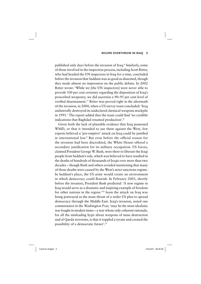published only days before the invasion of Iraq.6 Similarly, some of those involved in the inspection process, including Scott Ritter, who had headed the UN inspectors in Iraq for a time, concluded before the invasion that Saddam was as good as disarmed, though they made almost no impression on the public debate. In 2002 Ritter wrote: 'While we [the UN inspectors] were never able to provide 100 per cent certainty regarding the disposition of Iraq's proscribed weaponry, we did ascertain a 90–95 per cent level of verified disarmament.'<sup>7</sup> Ritter was proved right in the aftermath of the invasion, in 2004, when a US survey team concluded: 'Iraq unilaterally destroyed its undeclared chemical weapons stockpile in 1991.' The report added that the team could find 'no credible indications that Baghdad resumed production'.8

Given both the lack of plausible evidence that Iraq possessed WMD, or that it intended to use them against the West, few experts believed a 'pre-emptive' attack on Iraq could be justified in international law.<sup>9</sup> But even before the official reason for the invasion had been discredited, the White House offered a secondary justification for its military occupation. US forces, claimed President George W. Bush, were there to liberate the Iraqi people from Saddam's rule, which was believed to have resulted in the deaths of hundreds of thousands of Iraqis over more than two decades – though Bush and others avoided mentioning that many of those deaths were caused by the West's strict sanctions regime. In Saddam's place, the US army would create an environment in which democracy could flourish. In February 2003, shortly before the invasion, President Bush predicted: 'A new regime in Iraq would serve as a dramatic and inspiring example of freedom for other nations in the region.'10 Soon the attack on Iraq was being portrayed as the main thrust of a wider US plan to spread democracy through the Middle East. Iraq's invasion, noted one commentator in the *Washington Post*, 'may be the most idealistic war fought in modern times – a war whose only coherent rationale, for all the misleading hype about weapons of mass destruction and al Qaeda terrorists, is that it toppled a tyrant and created the possibility of a democratic future'.11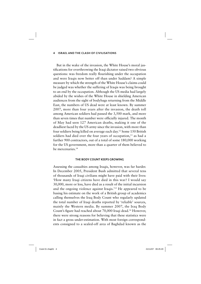#### **4 ISRAEL AND THE CLASH OF CIVILISATIONS**

But in the wake of the invasion, the White House's moral justifications for overthrowing the Iraqi dictator raised two obvious questions: was freedom really flourishing under the occupation and were Iraqis now better off than under Saddam? A simple measure by which the strength of the White House's claims could be judged was whether the suffering of Iraqis was being brought to an end by the occupation. Although the US media had largely abided by the wishes of the White House in shielding American audiences from the sight of bodybags returning from the Middle East, the numbers of US dead were at least known. By summer 2007, more than four years after the invasion, the death toll among American soldiers had passed the 3,500 mark, and more than seven times that number were officially injured. The month of May had seen 127 American deaths, making it one of the deadliest faced by the US army since the invasion, with more than four soldiers being killed on average each day.12 Some 150 British soldiers had died over the four years of occupation,<sup>13</sup> as had a further 900 contractors, out of a total of some 180,000 working for the US government, more than a quarter of them believed to be mercenaries.14

#### **THE BODY COUNT KEEPS GROWING**

Assessing the casualties among Iraqis, however, was far harder. In December 2005, President Bush admitted that several tens of thousands of Iraqi civilians might have paid with their lives: 'How many Iraqi citizens have died in this war? I would say 30,000, more or less, have died as a result of the initial incursion and the ongoing violence against Iraqis.'15 He appeared to be basing his estimate on the work of a British group of academics calling themselves the Iraq Body Count who regularly updated the total number of Iraqi deaths reported by 'reliable' sources, mainly the Western media. By summer 2007, the Iraq Body Count's figure had reached about 70,000 Iraqi dead.<sup>16</sup> However, there were strong reasons for believing that these statistics were in fact a gross under-estimation. With most foreign correspondents consigned to a sealed-off area of Baghdad known as the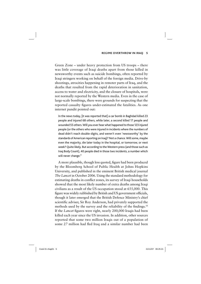Green Zone – under heavy protection from US troops – there was little coverage of Iraqi deaths apart from those killed in newsworthy events such as suicide bombings, often reported by Iraqi stringers working on behalf of the foreign media. Drive-by shootings, atrocities happening in remoter parts of Iraq, and the deaths that resulted from the rapid deterioration in sanitation, access to water and electricity, and the closure of hospitals, were not normally reported by the Western media. Even in the case of large-scale bombings, there were grounds for suspecting that the reported casualty figures under-estimated the fatalities. As one internet pundit pointed out:

In the news today, [it was reported that] a car bomb in Baghdad killed 23 people and injured 68 others, while later, a second killed 17 people and wounded 55 others. Will you ever hear what happened to those 123 injured people (or the others who were injured in incidents where the numbers of dead didn't reach double-digits, and weren't even 'newsworthy' by the standards of American reporting on Iraq)? Not a chance. Will some, maybe even the majority, die later today in the hospital, or tomorrow, or next week? Quite likely. But according to the Western press (and those such as Iraq Body Count), 40 people died in those two incidents, a number which will never change.<sup>17</sup>

A more plausible, though less quoted, figure had been produced by the Bloomberg School of Public Health at Johns Hopkins University, and published in the eminent British medical journal *The Lancet* in October 2006. Using the standard methodology for estimating deaths in conflict zones, its survey of Iraqi households showed that the most likely number of extra deaths among Iraqi civilians as a result of the US occupation stood at 655,000. This figure was widely rubbished by British and US government officials, though it later emerged that the British Defence Ministry's chief scientific adviser, Sir Roy Anderson, had privately supported the methods used by the survey and the reliability of the findings.<sup>18</sup> If the *Lancet* figures were right, nearly 200,000 Iraqis had been killed each year since the US invasion. In addition, other sources reported that some two million Iraqis out of a population of some 27 million had fled Iraq and a similar number had been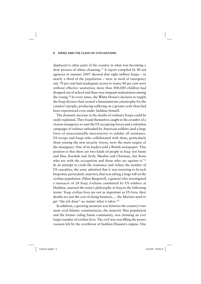displaced to other parts of the country in what was becoming a slow process of ethnic cleansing.19 A report compiled by 80 aid agencies in summer 2007 showed that eight million Iraqis – or nearly a third of the population – were in need of emergency aid, 70 per cent had inadequate access to water, 80 per cent were without effective sanitation, more than 800,000 children had dropped out of school and there was rampant malnutrition among the young.20 In every sense, the White House's decision to topple the Iraqi dictator had created a humanitarian catastrophe for the country's people, producing suffering on a greater scale than had been experienced even under Saddam himself.

The dramatic increase in the deaths of ordinary Iraqis could be easily explained. They found themselves caught in the crossfire of a vicious insurgency to oust the US occupying forces and a relentless campaign of violence unleashed by American soldiers (and a large force of unaccountable mercenaries) to subdue all resistance. US troops and Iraqis who collaborated with them, particularly those joining the new security forces, were the main targets of the insurgency. One of its leaders told a British newspaper: 'Our position is that there are two kinds of people in Iraq: not Sunni and Shia, Kurdish and Arab, Muslim and Christian, but those who are with the occupation and those who are against it.<sup>21</sup> In an attempt to crush the resistance and reduce the number of US casualties, the army admitted that it was resorting to hi-tech firepower, particularly airpower, that was taking a large toll on the civilian population. Eldon Bargewell, a general who investigated a massacre of 24 Iraqi civilians committed by US soldiers at Haditha, assessed the army's philosophy in Iraq in the following terms: 'Iraqi civilian lives are not as important as US lives, their deaths are just the cost of doing business, ... the Marines need to get "the job done" no matter what it takes.'22

In addition, a growing sectarian war between the country's two main rival Islamic constituencies, the majority Shia population and the former ruling Sunni community, was claiming an ever larger number of civilian lives. The civil war was filling the power vacuum left by the overthrow of Saddam Hussein's regime. One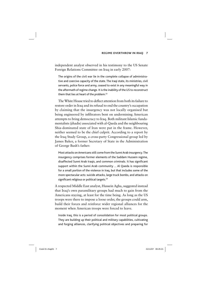independent analyst observed in his testimony to the US Senate Foreign Relations Committee on Iraq in early 2007:

The origins of the civil war lie in the complete collapse of administrative and coercive capacity of the state. The Iraqi state, its ministries, civil servants, police force and army, ceased to exist in any meaningful way in the aftermath of regime change. It is the inability of the US to reconstruct them that lies at heart of the problem.<sup>23</sup>

The White House tried to deflect attention from both its failure to restore order in Iraq and its refusal to end the country's occupation by claiming that the insurgency was not locally organised but being engineered by infiltrators bent on undermining American attempts to bring democracy to Iraq. Both militant Islamic fundamentalists (jihadis) associated with al-Qaeda and the neighbouring Shia-dominated state of Iran were put in the frame. However, neither seemed to be the chief culprit. According to a report by the Iraq Study Group, a cross-party Congressional group led by James Baker, a former Secretary of State in the Administration of George Bush's father:

Most attacks on Americans still come from the Sunni Arab insurgency. The insurgency comprises former elements of the Saddam Hussein regime, disaffected Sunni Arab Iraqis, and common criminals. It has significant support within the Sunni Arab community ... Al Qaeda is responsible for a small portion of the violence in Iraq, but that includes some of the more spectacular acts: suicide attacks, large truck bombs, and attacks on significant religious or political targets.<sup>24</sup>

A respected Middle East analyst, Hussein Agha, suggested instead that Iraq's own paramilitary groups had much to gain from the Americans staying, at least for the time being. As long as the US troops were there to impose a loose order, the groups could arm, build their forces and reinforce wider regional alliances for the moment when American troops were forced to leave.

Inside Iraq, this is a period of consolidation for most political groups. They are building up their political and military capabilities, cultivating and forging alliances, clarifying political objectives and preparing for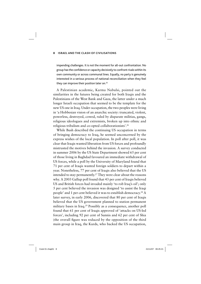impending challenges. It is not the moment for all-out confrontation. No group has the confidence or capacity decisively to confront rivals within its own community or across communal lines. Equally, no party is genuinely interested in a serious process of national reconciliation when they feel they can improve their position later on.<sup>25</sup>

A Palestinian academic, Karma Nabulsi, pointed out the similarities in the futures being created for both Iraqis and the Palestinians of the West Bank and Gaza, the latter under a much longer Israeli occupation that seemed to be the template for the new US one in Iraq. Under occupation, the two peoples were living in 'a Hobbesian vision of an anarchic society: truncated, violent, powerless, destroyed, cowed, ruled by disparate militias, gangs, religious ideologues and extremists, broken up into ethnic and religious tribalism and co-opted collaborationists'.26

While Bush described the continuing US occupation in terms of bringing democracy to Iraq, he seemed unconcerned by the express wishes of the local population. In poll after poll, it was clear that Iraqis wanted liberation from US forces and profoundly mistrusted the motives behind the invasion. A survey conducted in summer 2006 by the US State Department showed 65 per cent of those living in Baghdad favoured an immediate withdrawal of US forces, while a poll by the University of Maryland found that 71 per cent of Iraqis wanted foreign soldiers to depart within a year. Nonetheless, 77 per cent of Iraqis also believed that the US intended to stay permanently.27 They were clear about the reasons why. A 2003 Gallup poll found that 43 per cent of Iraqis believed US and British forces had invaded mainly 'to rob Iraq's oil'; only 5 per cent believed the invasion was designed 'to assist the Iraqi people' and 1 per cent believed it was to establish democracy.28 A later survey, in early 2006, discovered that 80 per cent of Iraqis believed that the US government planned to station permanent military bases in Iraq.29 Possibly as a consequence, another poll found that 61 per cent of Iraqis approved of 'attacks on US-led forces', including 92 per cent of Sunnis and 62 per cent of Shia (the overall figure was reduced by the opposition of the third main group in Iraq, the Kurds, who backed the US occupation,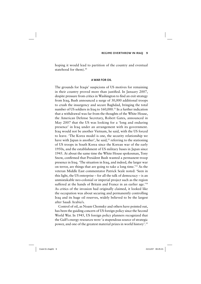hoping it would lead to partition of the country and eventual statehood for them).<sup>30</sup>

#### **A WAR FOR OIL**

The grounds for Iraqis' suspicions of US motives for remaining in their country proved more than justified. In January 2007, despite pressure from critics in Washington to find an exit strategy from Iraq, Bush announced a surge of 30,000 additional troops to crush the insurgency and secure Baghdad, bringing the total number of US soldiers in Iraq to 160,000.<sup>31</sup> In a further indication that a withdrawal was far from the thoughts of the White House, the American Defense Secretary, Robert Gates, announced in May 2007 that the US was looking for a 'long and enduring presence' in Iraq under an arrangement with its government. Iraq would not be another Vietnam, he said, with the US forced to leave. 'The Korea model is one, the security relationship we have with Japan is another', he said,  $32$  referring to the stationing of US troops in South Korea since the Korean war of the early 1950s, and the establishment of US military bases in Japan since 1945. At about the same time the White House spokesman, Tony Snow, confirmed that President Bush wanted a permanent troop presence in Iraq. 'The situation in Iraq, and indeed, the larger war on terror, are things that are going to take a long time.'33 As the veteran Middle East commentator Patrick Seale noted: 'Seen in this light, the US enterprise – for all the talk of democracy – is an unmistakable neo-colonial or imperial project such as the region suffered at the hands of Britain and France in an earlier age.<sup>34</sup> As critics of the invasion had originally claimed, it looked like the occupation was about securing and permanently controlling Iraq and its huge oil reserves, widely believed to be the largest after Saudi Arabia's.

Control of oil, as Noam Chomsky and others have pointed out, has been the guiding concern of US foreign policy since the Second World War. In 1945, US foreign policy planners recognized that the Gulf's energy resources were 'a stupendous source of strategic power, and one of the greatest material prizes in world history'.35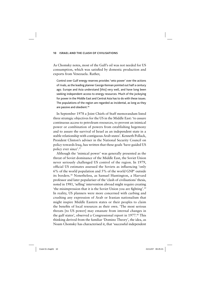As Chomsky notes, most of the Gulf's oil was not needed for US consumption, which was satisfied by domestic production and exports from Venezuela. Rather,

Control over Gulf energy reserves provides 'veto power' over the actions of rivals, as the leading planner George Kennan pointed out half a century ago. Europe and Asia understand [this] very well, and have long been seeking independent access to energy resources. Much of the jockeying for power in the Middle East and Central Asia has to do with these issues. The populations of the region are regarded as incidental, as long as they are passive and obedient.<sup>36</sup>

In September 1978 a Joint Chiefs of Staff memorandum listed three strategic objectives for the US in the Middle East: 'to assure continuous access to petroleum resources, to prevent an inimical power or combination of powers from establishing hegemony and to assure the survival of Israel as an independent state in a stable relationship with contiguous Arab states'. Kenneth Pollack, President Clinton's adviser in the National Security Council on policy towards Iraq, has written that these goals 'have guided US policy ever since'.37

Although the 'inimical power' was generally presented as the threat of Soviet dominance of the Middle East, the Soviet Union never seriously challenged US control of the region. In 1979, official US estimates assessed the Soviets as influencing 'only 6% of the world population and 5% of the world GNP' outside its borders.38 Nonetheless, as Samuel Huntington, a Harvard professor and later populariser of the 'clash of civilisations' thesis, noted in 1981, 'selling' intervention abroad might require creating 'the misimpression that it is the Soviet Union you are fighting'.<sup>39</sup> In reality, US planners were more concerned with curbing and crushing any expression of Arab or Iranian nationalism that might inspire Middle Eastern states or their peoples to claim the benefits of local resources as their own. 'The most serious threats [to US power] may emanate from internal changes in the gulf states', observed a Congressional report in 1977.40 This thinking derived from the familiar 'Domino Theory', the idea, as Noam Chomsky has characterised it, that 'successful independent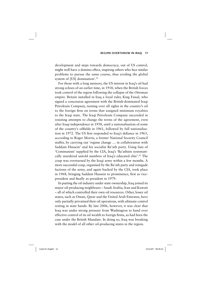development and steps towards democracy, out of US control, might well have a domino effect, inspiring others who face similar problems to pursue the same course, thus eroding the global system of [US] domination'.<sup>41</sup>

For those with a long memory, the US interest in Iraq's oil had strong echoes of an earlier time, in 1918, when the British forces took control of the region following the collapse of the Ottoman empire. Britain installed in Iraq a loyal ruler, King Faisal, who signed a concession agreement with the British-dominated Iraqi Petroleum Company, turning over all rights in the country's oil to the foreign firm on terms that assigned minimum royalties to the Iraqi state. The Iraqi Petroleum Company succeeded in resisting attempts to change the terms of the agreement, even after Iraqi independence in 1958, until a nationalisation of some of the country's oilfields in 1961, followed by full nationalisation in 1972. The US first responded to Iraq's defiance in 1963, according to Roger Morris, a former National Security Council staffer, by carrying out 'regime change … in collaboration with Saddam Hussein' and his socialist Ba'ath party. Using lists of 'Communists' supplied by the CIA, Iraq's 'Ba'athists systematically murdered untold numbers of Iraq's educated elite'.42 The coup was overturned by the Iraqi army within a few months. A more successful coup, organised by the Ba'ath party and renegade factions of the army, and again backed by the CIA, took place in 1968, bringing Saddam Hussein to prominence, first as vicepresident and finally as president in 1979.

In putting the oil industry under state ownership, Iraq joined its major oil-producing neighbours – Saudi Arabia, Iran and Kuwait – all of which controlled their own oil resources. Other, lesser oil states, such as Oman, Qatar and the United Arab Emirates, have only partially privatised their oil operations, with ultimate control resting in state hands. By late 2006, however, it was clear that Iraq was under strong pressure from Washington to hand over effective control of its oil wealth to foreign firms, as had been the case under the British Mandate. In doing so, Iraq was breaking with the model of all other oil-producing states in the region.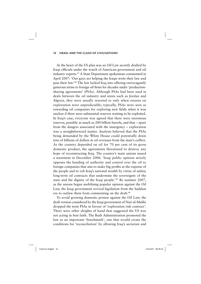#### **12 ISRAEL AND THE CLASH OF CIVILISATIONS**

At the heart of the US plan was an Oil Law secretly drafted by Iraqi officials under the watch of American government and oil industry experts.43 A State Department spokesman commented in April 2007: 'Our guys are helping the Iraqis write their law and pass their law.'44 The law locked Iraq into offering extravagantly generous terms to foreign oil firms for decades under 'productionsharing agreements' (PSAs). Although PSAs had been used in deals between the oil industry and states such as Jordan and Algeria, they were usually resorted to only when returns on exploration were unpredictable; typically, PSAs were seen as rewarding oil companies for exploring new fields when it was unclear if there were substantial reserves waiting to be exploited. In Iraq's case, everyone was agreed that there were enormous reserves, possibly as much as 200 billion barrels, and that – apart from the dangers associated with the insurgency – exploration was a straightforward matter. Analysts believed that the PSAs being demanded by the White House could potentially drain tens of billions of dollars in oil revenues from the state's coffers. As the country depended on oil for 70 per cent of its gross domestic product, the agreements threatened to destroy any hope of reconstructing Iraq. The country's main unions issued a statement in December 2006: 'Iraqi public opinion strictly opposes the handing of authority and control over the oil to foreign companies that aim to make big profits at the expense of the people and to rob Iraq's national wealth by virtue of unfair, long-term oil contracts that undermine the sovereignty of the state and the dignity of the Iraqi people.'45 By summer 2007, as the unions began mobilising popular opinion against the Oil Law, the Iraqi government revived legislation from the Saddam era to outlaw them from commenting on the draft.<sup>46</sup>

To avoid growing domestic protest against the Oil Law, the draft version considered by the Iraqi government of Nuri al-Maliki dropped the term PSAs in favour of 'exploration risk contract'. There were other sleights of hand that suggested the US was not acting in best faith. The Bush Administration promoted the law as an important 'benchmark', one that would create the conditions for 'reconciliation' by allowing Iraq's sectarian and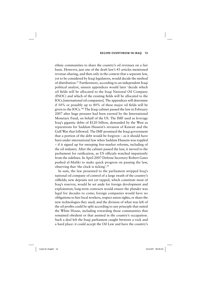ethnic communities to share the country's oil revenues on a fair basis. However, just one of the draft law's 43 articles mentioned revenue-sharing, and then only in the context that a separate law, yet to be considered by Iraqi legislators, would decide the method of distribution.47 Furthermore, according to an independent Iraqi political analyst, unseen appendices would later 'decide which oil fields will be allocated to the Iraqi National Oil Company (INOC) and which of the existing fields will be allocated to the IOCs [international oil companies]. The appendices will determine if  $10\%$  or possibly up to  $80\%$  of these major oil fields will be given to the IOCs.'48 The Iraqi cabinet passed the law in February 2007 after huge pressure had been exerted by the International Monetary Fund, on behalf of the US. The IMF used as leverage Iraq's gigantic debts of \$120 billion, demanded by the West as reparations for Saddam Hussein's invasion of Kuwait and the Gulf War that followed. The IMF promised the Iraqi government that a portion of the debt would be forgiven – as it should have been under international law when Saddam Hussein was toppled – if it signed up for sweeping free-market reforms, including of the oil industry. After the cabinet passed the law, it moved to the parliament for ratification, as US officials watched impatiently from the sidelines. In April 2007 Defense Secretary Robert Gates pushed al-Maliki to make quick progress on passing the law, observing that 'the clock is ticking'.49

In sum, the law presented to the parliament stripped Iraq's national oil company of control of a large swath of the country's oilfields; new deposits not yet tapped, which constitute most of Iraq's reserves, would be set aside for foreign development and exploitation; long-term contracts would ensure the plunder was legal for decades to come; foreign companies would have no obligations to hire local workers, respect union rights, or share the new technologies they used; and the division of what was left of the oil profits could be split according to any principle that suited the White House, including rewarding those communities that remained obedient or that assisted in the country's occupation. Such a deal left the Iraqi parliament caught between a rock and a hard place: it could accept the Oil Law and have the country's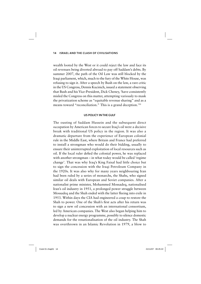wealth looted by the West or it could reject the law and face its oil revenues being diverted abroad to pay off Saddam's debts. By summer 2007, the path of the Oil Law was still blocked by the Iraqi parliament, which, much to the fury of the White House, was refusing to sign it. After a speech by Bush on the law, a rare critic in the US Congress, Dennis Kucinich, issued a statement observing that Bush and his Vice-President, Dick Cheney, 'have consistently misled the Congress on this matter, attempting variously to mask the privatization scheme as "equitable revenue sharing" and as a means toward "reconciliation." This is a grand deception.'50

#### **US POLICY IN THE GULF**

The ousting of Saddam Hussein and the subsequent direct occupation by American forces to secure Iraq's oil were a decisive break with traditional US policy in the region. It was also a dramatic departure from the experience of European colonial rule in the Middle East, where Britain and France had preferred to install a strongman who would do their bidding, usually to ensure their uninterrupted exploitation of local resources such as oil. If the local ruler defied the colonial power, he was replaced with another strongman – in what today would be called 'regime change'. That was why Iraq's King Faisal had little choice but to sign the concession with the Iraqi Petroleum Company in the 1920s. It was also why for many years neighbouring Iran had been ruled by a series of monarchs, the Shahs, who signed similar oil deals with European and Soviet companies. After a nationalist prime minister, Mohammed Mossadeq, nationalised Iran's oil industry in 1951, a prolonged power struggle between Mossadeq and the Shah ended with the latter fleeing into exile in 1953. Within days the CIA had engineered a coup to restore the Shah to power. One of the Shah's first acts after his return was to sign a new oil concession with an international consortium, led by American companies. The West also began helping him to develop a nuclear energy programme, possibly to silence domestic demands for the renationalisation of the oil industry. The Shah was overthrown in an Islamic Revolution in 1979, a blow to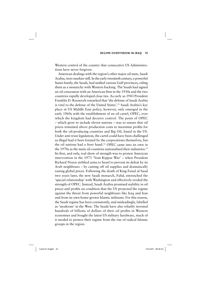Western control of the country that consecutive US Administrations have never forgiven.

American dealings with the region's other major oil state, Saudi Arabia, were murkier still. In the early twentieth century, a powerful Sunni family, the Sauds, had unified various Gulf provinces, ruling them as a monarchy with Western backing. The Sauds had signed an oil concession with an American firm in the 1930s and the two countries rapidly developed close ties. As early as 1943 President Franklin D. Roosevelt remarked that 'the defense of Saudi Arabia is vital to the defense of the United States'.51 Saudi Arabia's key place in US Middle East policy, however, only emerged in the early 1960s with the establishment of an oil cartel, OPEC, over which the kingdom had decisive control. The point of OPEC – which grew to include eleven nations – was to ensure that oil prices remained above production costs to maximise profits for both the oil-producing countries and Big Oil, based in the US. Under anti-trust legislation, the cartel could have been challenged as illegal had it been formed by the corporations themselves, but the oil nations had a freer hand.<sup>52</sup> OPEC came into its own in the 1970s as the main oil countries nationalised their industries.<sup>53</sup> Its first, and only, real show of strength was to protest American intervention in the 1973 'Yom Kippur War' – when President Richard Nixon airlifted arms to Israel to prevent its defeat by its Arab neighbours – by cutting off oil supplies and dramatically raising global prices. Following the death of King Faisal al-Saud two years later, the new Saudi monarch, Fahd, entrenched the 'special relationship' with Washington and effectively eroded the strength of OPEC. Instead, Saudi Arabia promised stability in oil prices and profits on condition that the US protected the regime against the threat from powerful neighbours like Iraq and Iran and from its own home-grown Islamic militants. For this reason, the Saudi regime has been consistently, and misleadingly, labelled as 'moderate' in the West. The Sauds have also reliably invested hundreds of billions of dollars of their oil profits in Western economies and bought the latest US military hardware, much of it needed to protect their regime from the rise of radical Islamic groups in the region.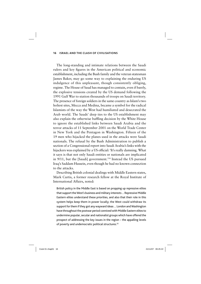### **16 ISRAEL AND THE CLASH OF CIVILISATIONS**

The long-standing and intimate relations between the Saudi rulers and key figures in the American political and economic establishment, including the Bush family and the veteran statesman James Baker, may go some way to explaining the enduring US indulgence of this unpleasant, though consistently obliging, regime. The House of Saud has managed to contain, even if barely, the explosive tensions created by the US demand following the 1991 Gulf War to station thousands of troops on Saudi territory. The presence of foreign soldiers in the same country as Islam's two holiest sites, Mecca and Medina, became a symbol for the radical Islamists of the way the West had humiliated and desecrated the Arab world. The Sauds' deep ties to the US establishment may also explain the otherwise baffling decision by the White House to ignore the established links between Saudi Arabia and the terror attacks of 11 September 2001 on the World Trade Center in New York and the Pentagon in Washington. Fifteen of the 19 men who hijacked the planes used in the attacks were Saudi nationals. The refusal by the Bush Administration to publish a section of a Congressional report into Saudi Arabia's links with the hijackers was explained by a US official: 'It's really damning. What it says is that not only Saudi entities or nationals are implicated in 9/11, but the [Saudi] government.'<sup>54</sup> Instead the US pursued Iraq's Saddam Hussein, even though he had no known connection to the attacks.

Describing British colonial dealings with Middle Eastern states, Mark Curtis, a former research fellow at the Royal Institute of International Affairs, noted:

British policy in the Middle East is based on propping up repressive elites that support the West's business and military interests ... Repressive Middle Eastern elites understand these priorities, and also that their role in this system helps keep them in power locally; the West could withdraw its support for them if they got any wayward ideas ... London and Washington have throughout the postwar period connived with Middle Eastern elites to undermine popular, secular and nationalist groups which have offered the prospect of addressing the key issues in the region – the appalling levels of poverty and undemocratic political structures.<sup>55</sup>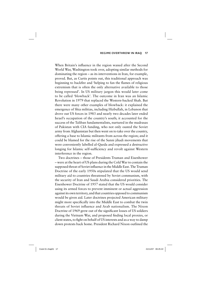When Britain's influence in the region waned after the Second World War, Washington took over, adopting similar methods for dominating the region – as its interventions in Iran, for example, proved. But, as Curtis points out, this traditional approach was beginning to backfire and 'helping to fan the flames of religious extremism that is often the only alternative available to those being repressed'. In US military jargon this would later come to be called 'blowback'. The outcome in Iran was an Islamic Revolution in 1979 that replaced the Western-backed Shah. But there were many other examples of blowback: it explained the emergence of Shia militias, including Hizbullah, in Lebanon that drove out US forces in 1983 and nearly two decades later ended Israel's occupation of the country's south; it accounted for the success of the Taliban fundamentalists, nurtured in the madrasas of Pakistan with CIA funding, who not only ousted the Soviet army from Afghanistan but then went on to take over the country, offering a base to Islamic militants from across the region; and it could be blamed for the rise of the Sunni jihadi movements that were conveniently labelled al-Qaeda and expressed a destructive longing for Islamic self-sufficiency and revolt against Western interference in the region.

Two doctrines – those of Presidents Truman and Eisenhower – were at the heart of US plans during the Cold War to contain the supposed threat of Soviet influence in the Middle East. The Truman Doctrine of the early 1950s stipulated that the US would send military aid to countries threatened by Soviet communism, with the security of Iran and Saudi Arabia considered priorities. The Eisenhower Doctrine of 1957 stated that the US would consider using its armed forces to prevent imminent or actual aggression against its own territory, and that countries opposed to communism would be given aid. Later doctrines projected American military might more specifically into the Middle East to combat the twin threats of Soviet influence and Arab nationalism. The Nixon Doctrine of 1969 grew out of the significant losses of US soldiers during the Vietnam War, and proposed finding local proxies, or client states, to fight on behalf of US interests and as a way to damp down protests back home. President Richard Nixon outlined the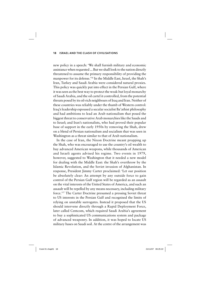new policy in a speech: 'We shall furnish military and economic assistance when requested ... But we shall look to the nation directly threatened to assume the primary responsibility of providing the manpower for its defense.'56 In the Middle East, Israel, the Shah's Iran, Turkey and Saudi Arabia were considered natural proxies. This policy was quickly put into effect in the Persian Gulf, where it was seen as the best way to protect the weak but loyal monarchy of Saudi Arabia, and the oil cartel it controlled, from the potential threats posed by its oil-rich neighbours of Iraq and Iran. Neither of these countries was reliably under the thumb of Western control: Iraq's leadership espoused a secular socialist Ba'athist philosophy and had ambitions to lead an Arab nationalism that posed the biggest threat to conservative Arab monarchies like the Sauds and to Israel; and Iran's nationalists, who had proved their popular base of support in the early 1950s by removing the Shah, drew on a blend of Persian nationalism and socialism that was seen in Washington as a threat similar to that of Arab nationalism.

In the case of Iran, the Nixon Doctrine meant propping up the Shah, who was encouraged to use the country's oil wealth to buy advanced American weapons, while thousands of American and Israeli agents advised his regime. Two events in 1979, however, suggested to Washington that it needed a new model for dealing with the Middle East: the Shah's overthrow by the Islamic Revolution, and the Soviet invasion of Afghanistan. In response, President Jimmy Carter proclaimed: 'Let our position be absolutely clear: An attempt by any outside force to gain control of the Persian Gulf region will be regarded as an assault on the vital interests of the United States of America, and such an assault will be repelled by any means necessary, including military force.'57 The Carter Doctrine presumed a pressing Soviet threat to US interests in the Persian Gulf and recognised the limits of relying on unstable surrogates. Instead it proposed that the US should intervene directly through a Rapid Deployment Force, later called Centcom, which required Saudi Arabia's agreement to buy a sophisticated US communications system and package of advanced weaponry. In addition, it was hoped to locate US military bases on Saudi soil. At the centre of the arrangement was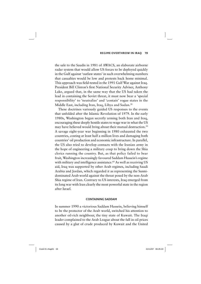the sale to the Saudis in 1981 of AWACS, an elaborate airborne radar system that would allow US forces to be deployed quickly in the Gulf against 'outlaw states' in such overwhelming numbers that casualties would be low and protests back home minimal. This approach was field-tested in the 1991 Gulf War against Iraq. President Bill Clinton's first National Security Adviser, Anthony Lake, argued that, in the same way that the US had taken the lead in containing the Soviet threat, it must now bear a 'special responsibility' to 'neutralize' and 'contain' rogue states in the Middle East, including Iran, Iraq, Libya and Sudan.<sup>58</sup>

These doctrines variously guided US responses to the events that unfolded after the Islamic Revolution of 1979. In the early 1980s, Washington began secretly arming both Iran and Iraq, encouraging these deeply hostile states to wage war in what the US may have believed would bring about their mutual destruction.<sup>59</sup> A savage eight-year war beginning in 1980 exhausted the two countries, costing at least half a million lives and damaging both countries' oil production and economic infrastructure. In parallel, the US also tried to develop contacts with the Iranian army in the hope of engineering a military coup to bring down the Shia clerics running the country. But, as that policy failed to bear fruit, Washington increasingly favoured Saddam Hussein's regime with military and intelligence assistance.<sup>60</sup> As well as receiving US aid, Iraq was supported by other Arab regimes, including Saudi Arabia and Jordan, which regarded it as representing the Sunnidominated Arab world against the threat posed by the non-Arab Shia regime of Iran. Contrary to US interests, Iraq emerged from its long war with Iran clearly the most powerful state in the region after Israel.

### **CONTAINING SADDAM**

In summer 1990 a victorious Saddam Hussein, believing himself to be the protector of the Arab world, switched his attention to another oil-rich neighbour, the tiny state of Kuwait. The Iraqi leader complained to the Arab League about the fall in oil prices caused by a glut of crude produced by Kuwait and the United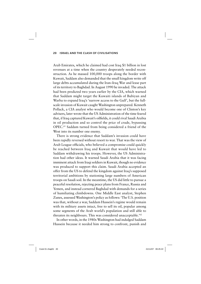Arab Emirates, which he claimed had cost Iraq \$1 billion in lost revenues at a time when the country desperately needed reconstruction. As he massed 100,000 troops along the border with Kuwait, Saddam also demanded that the small kingdom write off large debts accumulated during the Iran–Iraq War and lease part of its territory to Baghdad. In August 1990 he invaded. The attack had been predicted two years earlier by the CIA, which warned that Saddam might target the Kuwaiti islands of Bubiyan and Warba to expand Iraq's 'narrow access to the Gulf', but the fullscale invasion of Kuwait caught Washington unprepared. Kenneth Pollack, a CIA analyst who would become one of Clinton's key advisers, later wrote that the US Administration of the time feared that, if Iraq captured Kuwait's oilfields, it could rival Saudi Arabia in oil production and so control the price of crude, bypassing OPEC.61 Saddam turned from being considered a friend of the West into its number one enemy.

There is strong evidence that Saddam's invasion could have been rapidly reversed without resort to war. That was the view of Arab League officials, who believed a compromise could quickly be reached between Iraq and Kuwait that would have led to Saddam withdrawing his troops. However, the US Administration had other ideas. It warned Saudi Arabia that it was facing imminent attack from Iraqi soldiers in Kuwait, though no evidence was produced to support this claim. Saudi Arabia accepted an offer from the US to defend the kingdom against Iraq's supposed territorial ambitions by stationing large numbers of American troops on Saudi soil. In the meantime, the US did little to pursue a peaceful resolution, rejecting peace plans from France, Russia and Yemen, and instead cornered Baghdad with demands for a series of humiliating climbdowns. One Middle East analyst, Stephen Zunes, assessed Washington's policy as follows: 'The U.S. position was that, without a war, Saddam Hussein's regime would remain with its military assets intact, free to sell its oil, popular among some segments of the Arab world's population and still able to threaten its neighbours. This was considered unacceptable.'<sup>62</sup>

In other words, in the 1980s Washington had indulged Saddam Hussein because it needed him strong to confront, punish and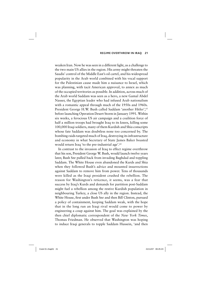weaken Iran. Now he was seen in a different light, as a challenge to the two main US allies in the region. His army might threaten the Saudis' control of the Middle East's oil cartel, and his widespread popularity in the Arab world combined with his vocal support for the Palestinian cause made him a nuisance to Israel, which was planning, with tacit American approval, to annex as much of the occupied territories as possible. In addition, across much of the Arab world Saddam was seen as a hero, a new Gamal Abdel Nasser, the Egyptian leader who had infused Arab nationalism with a romantic appeal through much of the 1950s and 1960s. President George H.W. Bush called Saddam 'another Hitler', 63 before launching Operation Desert Storm in January 1991. Within six weeks, a ferocious US air campaign and a coalition force of half a million troops had brought Iraq to its knees, killing some 100,000 Iraqi soldiers, many of them Kurdish and Shia conscripts whose fate Saddam was doubtless none too concerned by. The bombing raids targeted much of Iraq, destroying its infrastructure and economy in what Secretary of State James Baker boasted would return Iraq 'to the pre-industrial age'.64

In contrast to the invasion of Iraq to effect regime overthrow that his son, President George W. Bush, would launch twelve years later, Bush Snr pulled back from invading Baghdad and toppling Saddam. The White House even abandoned the Kurds and Shia when they followed Bush's advice and mounted insurrections against Saddam to remove him from power. Tens of thousands were killed as the Iraqi president crushed the rebellion. The reason for Washington's reticence, it seems, was a fear that success by Iraq's Kurds and demands for partition post-Saddam might fuel a rebellion among the restive Kurdish population in neighbouring Turkey, a close US ally in the region. Instead, the White House, first under Bush Snr and then Bill Clinton, pursued a policy of containment, keeping Saddam weak, with the hope that in the long run an Iraqi rival would come to power by engineering a coup against him. The goal was explained by the then chief diplomatic correspondent of the *New York Times*, Thomas Friedman. He observed that Washington was hoping to induce Iraqi generals to topple Saddam Hussein, 'and then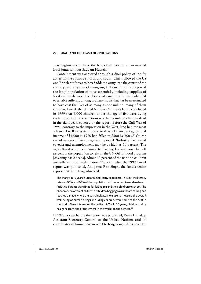Washington would have the best of all worlds: an iron-fisted Iraqi junta without Saddam Hussein'.65

Containment was achieved through a dual policy of 'no-fly zones' in the country's north and south, which allowed the US and British air forces to box Saddam's army into the centre of the country, and a system of swingeing UN sanctions that deprived the Iraqi population of most essentials, including supplies of food and medicines. The decade of sanctions, in particular, led to terrible suffering among ordinary Iraqis that has been estimated to have cost the lives of as many as one million, many of them children. Unicef, the United Nations Children's Fund, concluded in 1999 that  $4,000$  children under the age of five were dying each month from the sanctions – or half a million children dead in the eight years covered by the report. Before the Gulf War of 1991, contrary to the impression in the West, Iraq had the most advanced welfare system in the Arab world. An average annual income of \$4,000 in 1980 had fallen to \$500 by 2003.<sup>66</sup> On the eve of invasion, *Time* magazine reported: 'Industry has ceased to exist and unemployment may be as high as 50 percent. The agricultural sector is in complete disarray, leaving more than 60 percent of the population to rely on the UN Oil for Food program [covering basic needs]. About 40 percent of the nation's children are suffering from malnutrition.'67 Shortly after the 1999 Unicef report was published, Anupama Rao Singh, the fund's senior representative in Iraq, observed:

The change in 10 years is unparalleled, in my experience. In 1989, the literacy rate was 95%; and 93% of the population had free access to modern health facilities. Parents were fined for failing to send their children to school. The phenomenon of street children or children begging was unheard of. Iraq had reached a stage where the basic indicators we use to measure the overall well-being of human beings, including children, were some of the best in the world. Now it is among the bottom 20%. In 10 years, child mortality has gone from one of the lowest in the world, to the highest.<sup>68</sup>

In 1998, a year before the report was published, Denis Halliday, Assistant Secretary-General of the United Nations and its coordinator of humanitarian relief to Iraq, resigned his post. He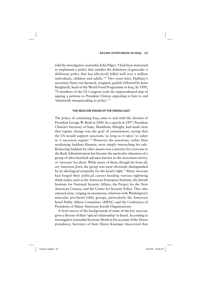told the investigative journalist John Pilger: 'I had been instructed to implement a policy that satisfies the definition of genocide: a deliberate policy that has effectively killed well over a million individuals, children and adults.'69 Two years later, Halliday's successor, Hans von Sponeck, resigned, quickly followed by Jutta Burghardt, head of the World Food Programme in Iraq. In 1999, 70 members of the US Congress took the unprecedented step of signing a petition to President Clinton appealing to him to end 'infanticide masquerading as policy'.70

### **THE NEOCON VISION OF THE MIDDLE EAST**

The policy of containing Iraq came to end with the election of President George W. Bush in 2000. In a speech in 1997, President Clinton's Secretary of State, Madeleine Albright, had made clear that regime change was the goal of containment, saying that the US would support sanctions 'as long as it takes' to usher in 'a successor regime'.71 However, the sanctions, rather than weakening Saddam Hussein, were simply entrenching his rule. Removing Saddam by other means was a priority for everyone in the Bush Administration but became the particular obsession of a group of ultra-hawkish advisers known as the neoconservatives, or 'neocons' for short. While many of them, though far from all, are American Jews, the group was most obviously distinguished by its ideological sympathy for the Israeli right.72 Many neocons had forged their political careers heading various rightwing think-tanks, such as the American Enterprise Institute, the Jewish Institute for National Security Affairs, the Project for the New American Century, and the Center for Security Policy. They also enjoyed close, verging on incestuous, relations with Washington's muscular pro-Israel lobby groups, particularly the American Israel Public Affairs Committee (AIPAC) and the Conference of Presidents of Major American Jewish Organizations.

A brief survey of the backgrounds of some of the key neocons gives a flavour of their 'special relationship' to Israel. According to investigative journalist Seymour Hersh in his account of the Nixon presidency, Secretary of State Henry Kissinger discovered that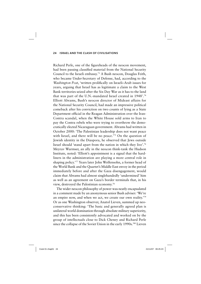Richard Perle, one of the figureheads of the neocon movement, had been passing classified material from the National Security Council to the Israeli embassy.73 A Bush neocon, Douglas Feith, who became Under-Secretary of Defense, had, according to the *Washington Post*, 'written prolifically on Israeli–Arab issues for years, arguing that Israel has as legitimate a claim to the West Bank territories seized after the Six Day War as it has to the land that was part of the U.N.-mandated Israel created in 1948'.74 Elliott Abrams, Bush's neocon director of Mideast affairs for the National Security Council, had made an impressive political comeback after his conviction on two counts of lying as a State Department official in the Reagan Administration over the Iran-Contra scandal, when the White House sold arms to Iran to pay the Contra rebels who were trying to overthrow the democratically elected Nicaraguan government. Abrams had written in October 2000: 'The Palestinian leadership does not want peace with Israel, and there will be no peace.<sup>'75</sup> On the question of Jewish identity in the Diaspora, he observed that Jews outside Israel should 'stand apart from the nation in which they live'.76 Meyrav Wurmser, an ally in the neocon think-tank the Hudson Institute, noted: 'Elliott's appointment is a signal that the hardliners in the administration are playing a more central role in shaping policy.'77 Years later John Wolfensohn, a former head of the World Bank and the Quartet's Middle East envoy in the period immediately before and after the Gaza disengagement, would claim that Abrams had almost singlehandedly 'undermined' him as well as an agreement on Gaza's border terminals that, in his view, destroyed the Palestinian economy.78

The wider neocon philosophy of power was neatly encapsulated in a comment made by an anonymous senior Bush adviser: 'We're an empire now, and when we act, we create our own reality.'79 Or as one Washington observer, Anatol Lieven, summed up neoconservative thinking: 'The basic and generally agreed plan is unilateral world domination through absolute military superiority, and this has been consistently advocated and worked on by the group of intellectuals close to Dick Cheney and Richard Perle since the collapse of the Soviet Union in the early 1990s.'80 Lieven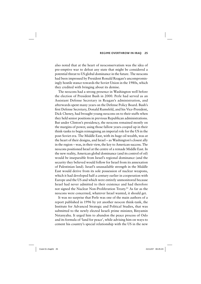also noted that at the heart of neoconservatism was the idea of pre-emptive war to defeat any state that might be considered a potential threat to US global dominance in the future. The neocons had been impressed by President Ronald Reagan's uncompromisingly hostile stance towards the Soviet Union in the 1980s, which they credited with bringing about its demise.

The neocons had a strong presence in Washington well before the election of President Bush in 2000. Perle had served as an Assistant Defense Secretary in Reagan's administration, and afterwards spent many years on the Defense Policy Board. Bush's first Defense Secretary, Donald Rumsfeld, and his Vice-President, Dick Cheney, had brought young neocons on to their staffs when they held senior positions in previous Republican administrations. But under Clinton's presidency, the neocons remained mostly on the margins of power, using those fallow years cooped up in their think-tanks to begin reimagining an imperial role for the US in the post-Soviet era. The Middle East, with its huge oil wealth, was at the heart of their designs, and Israel – as Washington's closest ally in the region – was, in their view, the key to American success. The neocons positioned Israel at the centre of a remade Middle East. In the new reality, American global dominance (and its control of oil) would be inseparable from Israel's regional dominance (and the security they believed would follow for Israel from its annexation of Palestinian land). Israel's unassailable strength in the Middle East would derive from its sole possession of nuclear weapons, which it had developed half a century earlier in cooperation with Europe and the US and which were entirely unmonitored because Israel had never admitted to their existence and had therefore not signed the Nuclear Non-Proliferation Treaty.81 As far as the neocons were concerned, whatever Israel wanted, it should get.

It was no surprise that Perle was one of the main authors of a report published in 1996 by yet another neocon think-tank, the Institute for Advanced Strategic and Political Studies, that was submitted to the newly elected Israeli prime minister, Binyamin Netanyahu. It urged him to abandon the peace process of Oslo and its formula of 'land for peace', while advising him on ways to cement his country's special relationship with the US in the new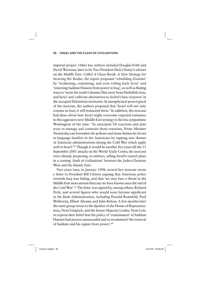imperial project. Other key authors included Douglas Feith and David Wurmser, later to be Vice-President Dick Cheney's adviser on the Middle East. Called *A Clean Break: A New Strategy for Securing the Realm*, the report proposed 'rebuilding Zionism' by 'weakening, containing, and even rolling back Syria' and 'removing Saddam Hussein from power in Iraq', as well as finding ways to 'wean the south Lebanese Shia away from Hizballah, Iran, and Syria' and 'cultivate alternatives to Arafat's base of power' in the occupied Palestinian territories. In metaphysical prose typical of the neocons, the authors proposed that 'Israel will not only contain its foes; it will transcend them.' In addition, the neocons had ideas about how Israel might overcome expected resistance to this aggressive new Middle East strategy in the less sympathetic Washington of the time: 'To anticipate US reactions and plan ways to manage and constrain those reactions, Prime Minister Netanyahu can formulate the policies and stress themes he favors in language familiar to the Americans by tapping into themes of American administrations during the Cold War which apply well to Israel.'<sup>82</sup> Though it would be another five years till the 11 September 2001 attacks on the World Trade Center, the neocons were already proposing, in embryo, selling Israel's central place in a coming 'clash of civilisations' between the Judeo-Christian West and the Islamic East.

Two years later, in January 1998, several key neocons wrote a letter to President Bill Clinton arguing that American policy towards Iraq was failing, and that 'we may face a threat in the Middle East more serious than any we have known since the end of the Cold War'.<sup>83</sup> The letter was signed by, among others, Richard Perle, and several figures who would soon become significant in the Bush Administration, including Donald Rumsfeld, Paul Wolfowitz, Elliott Abrams and John Bolton. A few months later the same group wrote to the Speaker of the House of Representatives, Newt Gingrich, and the Senate Majority Leader, Trent Lott, to express their belief that the policy of 'containment' of Saddam Hussein had proven unsuccessful and to recommend 'the removal of Saddam and his regime from power'.84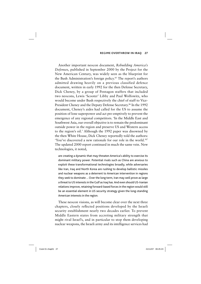Another important neocon document, *Rebuilding America's Defenses*, published in September 2000 by the Project for the New American Century, was widely seen as the blueprint for the Bush Administration's foreign policy.<sup>85</sup> The report's authors admitted drawing heavily on a previous classified defence document, written in early 1992 for the then Defense Secretary, Dick Cheney, by a group of Pentagon staffers that included two neocons, Lewis 'Scooter' Libby and Paul Wolfowitz, who would become under Bush respectively the chief of staff to Vice-President Cheney and the Deputy Defense Secretary.<sup>86</sup> In the 1992 document, Cheney's aides had called for the US to assume the position of lone superpower and act pre-emptively to prevent the emergence of any regional competitors. 'In the Middle East and Southwest Asia, our overall objective is to remain the predominant outside power in the region and preserve US and Western access to the region's oil.' Although the 1992 paper was disowned by the then White House, Dick Cheney reportedly told the authors: 'You've discovered a new rationale for our role in the world.'87 The updated 2000 report continued in much the same vein. New technologies, it noted,

are creating a dynamic that may threaten America's ability to exercise its dominant military power. Potential rivals such as China are anxious to exploit these transformational technologies broadly, while adversaries like Iran, Iraq and North Korea are rushing to develop ballistic missiles and nuclear weapons as a deterrent to American intervention in regions they seek to dominate ... Over the long term, Iran may well prove as large a threat to US interests in the Gulf as Iraq has. And even should US-Iranian relations improve, retaining forward-based forces in the region would still be an essential element in US security strategy given the long-standing American interests in the region.

These neocon visions, as will become clear over the next three chapters, closely reflected positions developed by the Israeli security establishment nearly two decades earlier. To prevent Middle Eastern states from accreting military strength that might rival Israel's, and in particular to stop them developing nuclear weapons, the Israeli army and its intelligence services had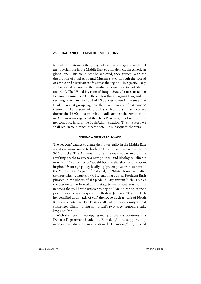formulated a strategy that, they believed, would guarantee Israel an imperial role in the Middle East to complement the American global one. This could best be achieved, they argued, with the dissolution of rival Arab and Muslim states through the spread of ethnic and sectarian strife across the region – in a particularly sophisticated version of the familiar colonial practice of 'divide and rule'. The US-led invasion of Iraq in 2003, Israel's attack on Lebanon in summer 2006, the endless threats against Iran, and the seeming revival in late 2006 of US policies to fund militant Sunni fundamentalist groups against the new 'Shia arc of extremism' (ignoring the lessons of 'blowback' from a similar exercise during the 1980s in supporting jihadis against the Soviet army in Afghanistan) suggested that Israel's strategy had seduced the neocons and, in turn, the Bush Administration. This is a story we shall return to in much greater detail in subsequent chapters.

### **FINDING A PRETEXT TO INVADE**

The neocons' chance to create their own reality in the Middle East – and one more suited to both the US and Israel – came with the 9/11 attacks. The Administration's first task was to exploit the resulting deaths to create a new political and ideological climate in which a 'war on terror' would become the alibi for a neoconinspired US foreign policy, justifying 'pre-emptive' wars to remake the Middle East. As part of that goal, the White House went after the most likely culprits for 9/11, 'smoking out', as President Bush phrased it, the jihadis of al-Qaeda in Afghanistan.<sup>88</sup> Plausible as the war on terror looked at this stage to many observers, for the neocons the real battle was yet to begin.89 An indication of their priorities came with a speech by Bush in January 2002 in which he identified as an 'axis of evil' the rogue nuclear state of North Korea – a potential Far Eastern ally of America's only global challenger, China – along with Israel's two large, regional rivals, Iraq and Iran.<sup>90</sup>

With the neocons occupying many of the key positions in a Defense Department headed by Rumsfeld,<sup>91</sup> and supported by neocon journalists in senior posts in the US media,<sup>92</sup> they pushed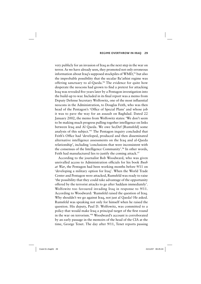very publicly for an invasion of Iraq as the next step in the war on terror. As we have already seen, they promoted not only erroneous information about Iraq's supposed stockpiles of WMD,<sup>93</sup> but also the improbable possibility that the secular Ba'athist regime was offering sanctuary to al-Qaeda.<sup>94</sup> The evidence for quite how desperate the neocons had grown to find a pretext for attacking Iraq was revealed five years later by a Pentagon investigation into the build-up to war. Included in its final report was a memo from Deputy Defense Secretary Wolfowitz, one of the most influential neocons in the Administration, to Douglas Feith, who was then head of the Pentagon's 'Office of Special Plans' and whose job it was to pave the way for an assault on Baghdad. Dated 22 January 2002, the memo from Wolfowitz states: 'We don't seem to be making much progress pulling together intelligence on links between Iraq and Al Qaeda. We owe SecDef [Rumsfeld] some analysis of this subject.'95 The Pentagon inquiry concluded that Feith's Office had 'developed, produced and then disseminated alternative intelligence assessments on the Iraq and al-Qaeda relationship', including 'conclusions that were inconsistent with the consensus of the Intelligence Community'.<sup>96</sup> In other words, Feith had manufactured lies to justify the coming attack.<sup>97</sup>

According to the journalist Bob Woodward, who was given unrivalled access to Administration officials for his book *Bush at War*, the Pentagon had been working months before 9/11 on 'developing a military option for Iraq'. When the World Trade Center and Pentagon were attacked, Rumsfeld was ready to raise 'the possibility that they could take advantage of the opportunity offered by the terrorist attacks to go after Saddam immediately'. Wolfowitz too favoured invading Iraq in response to 9/11. According to Woodward: 'Rumsfeld raised the question of Iraq. Why shouldn't we go against Iraq, not just al Qaeda? He asked. Rumsfeld was speaking not only for himself when he raised the question. His deputy, Paul D. Wolfowitz, was committed to a policy that would make Iraq a principal target of the first round in the war on terrorism.'98 Woodward's account is corroborated by an early passage in the memoirs of the head of the CIA at the time, George Tenet. The day after 9/11, Tenet reports passing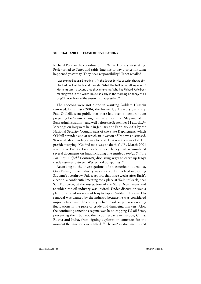Richard Perle in the corridors of the White House's West Wing. Perle turned to Tenet and said: 'Iraq has to pay a price for what happened yesterday. They bear responsibility.' Tenet recalled:

I was stunned but said nothing … At the Secret Service security checkpoint, I looked back at Perle and thought: What the hell is he talking about? Moments later, a second thought came to me: Who has Richard Perle been meeting with in the White House so early in the morning on today of all days? I never learned the answer to that question.<sup>99</sup>

The neocons were not alone in wanting Saddam Hussein removed. In January 2004, the former US Treasury Secretary, Paul O'Neill, went public that there had been a memorandum preparing for 'regime change' in Iraq almost from 'day one' of the Bush Administration – and well before the September 11 attacks.<sup>100</sup> Meetings on Iraq were held in January and February 2001 by the National Security Council, part of the State Department, which O'Neill attended and at which an invasion of Iraq was discussed. 'It was all about finding a way to do it. That was the tone of it. The president saying "Go find me a way to do this".' By March 2001 a secretive Energy Task Force under Cheney had accumulated several documents on Iraq, including one entitled *Foreign Suitors For Iraqi Oilfield Contracts*, discussing ways to carve up Iraq's crude reserves between Western oil companies.101

According to the investigations of an American journalist, Greg Palast, the oil industry was also deeply involved in plotting Saddam's overthrow. Palast reports that three weeks after Bush's election, a confidential meeting took place at Walnut Creek, near San Francisco, at the instigation of the State Department and to which the oil industry was invited. Under discussion was a plan for a rapid invasion of Iraq to topple Saddam Hussein. His removal was wanted by the industry because he was considered unpredictable and the country's chaotic oil output was creating fluctuations in the price of crude and damaging markets. Also, the continuing sanctions regime was handicapping US oil firms, preventing them but not their counterparts in Europe, China, Russia and India, from signing exploration contracts for the moment the sanctions were lifted.102 The *Suitors* document listed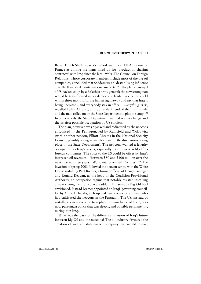Royal Dutch Shell, Russia's Lukoil and Total Elf Aquitaine of France as among the firms lined up for 'production-sharing contracts' with Iraq since the late 1990s. The Council on Foreign Relations, whose corporate members include most of the big oil companies, concluded that Saddam was a 'destabilising influence  $\ldots$  to the flow of oil to international markets'.<sup>103</sup> The plan envisaged a US-backed coup by a Ba'athist army general; the new strongman would be transformed into a democratic leader by elections held within three months. 'Bring him in right away and say that Iraq is being liberated – and everybody stay in office ... *everything as is*', recalled Falah Aljibury, an Iraqi exile, friend of the Bush family and the man called on by the State Department to plot the coup.104 In other words, the State Department wanted regime change and the briefest possible occupation by US soldiers.

The plan, however, was hijacked and redirected by the neocons ensconsed in the Pentagon, led by Rumsfeld and Wolfowitz (with another neocon, Elliott Abrams in the National Security Council, possibly acting as an informant on the discussions taking place in the State Department). The neocons wanted a lengthy occupation as Iraq's assets, especially its oil, were sold off to foreign companies. The costs to the US could be offset by Iraq's increased oil revenues – 'between \$50 and \$100 million over the next two to three years', Wolfowitz promised Congress.105 The invasion of spring 2003 followed the neocon script, with the White House installing Paul Bremer, a former official of Henry Kissinger and Ronald Reagan, as the head of the Coalition Provisional Authority, an occupation regime that notably resisted installing a new strongman to replace Saddam Hussein, as Big Oil had envisioned. Instead Bremer appointed an Iraqi 'governing council' led by Ahmed Chalabi, an Iraqi exile and convicted conman who had cultivated the neocons in the Pentagon. The US, instead of installing a new dictator to replace the unreliable old one, was now pursuing a policy that was deeply, and possibly permanently, miring it in Iraq.

What was the basis of the difference in vision of Iraq's future between Big Oil and the neocons? The oil industry favoured the creation of an Iraqi state-owned company that would restrict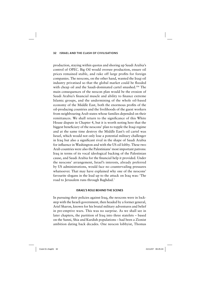production, staying within quotas and shoring up Saudi Arabia's control of OPEC. Big Oil would oversee production, ensure oil prices remained stable, and rake off large profits for foreign companies. The neocons, on the other hand, wanted the Iraqi oil industry privatised so that the global market could be flooded with cheap oil and the Saudi-dominated cartel smashed.<sup>106</sup> The main consequences of the neocon plan would be the erosion of Saudi Arabia's financial muscle and ability to finance extreme Islamic groups, and the undermining of the whole oil-based economy of the Middle East, both the enormous profits of the oil-producing countries and the livelihoods of the guest workers from neighbouring Arab states whose families depended on their remittances. We shall return to the significance of this White House dispute in Chapter 4, but it is worth noting here that the biggest beneficiary of the neocons' plan to topple the Iraqi regime and at the same time destroy the Middle East's oil cartel was Israel, which would not only lose a potential military challenger in Iraq but also a significant rival in the shape of Saudi Arabia for influence in Washington and with the US oil lobby. These two Arab countries were also the Palestinians' most important patrons: Iraq in terms of its vocal ideological backing of the Palestinian cause, and Saudi Arabia for the financial help it provided. Under the neocons' arrangement, Israel's interests, already preferred by US administrations, would face no countervailing pressures whatsoever. That may have explained why one of the neocons' favourite slogans in the lead up to the attack on Iraq was: 'The road to Jerusalem runs through Baghdad.'

### **ISRAEL'S ROLE BEHIND THE SCENES**

In pursuing their policies against Iraq, the neocons were in lockstep with the Israeli government, then headed by a former general, Ariel Sharon, known for his brutal military adventures and belief in pre-emptive wars. This was no surprise. As we shall see in later chapters, the partition of Iraq into three statelets – based on the Sunni, Shia and Kurdish populations – had been a Zionist ambition dating back decades. One neocon lobbyist, Thomas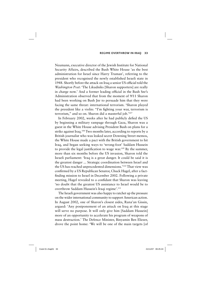Neumann, executive director of the Jewish Institute for National Security Affairs, described the Bush White House 'as the best administration for Israel since Harry Truman', referring to the president who recognised the newly established Israeli state in 1948. Shortly before the attack on Iraq a senior US official told the *Washington Post*: 'The Likudniks [Sharon supporters] are really in charge now.' And a former leading official in the Bush Snr's Administration observed that from the moment of 9/11 Sharon had been working on Bush Jnr to persuade him that they were facing the same threat: international terrorism. 'Sharon played the president like a violin: "I'm fighting your war, terrorism is terrorism," and so on. Sharon did a masterful job.'107

In February 2002, weeks after he had publicly defied the US by beginning a military rampage through Gaza, Sharon was a guest in the White House advising President Bush on plans for a strike against Iraq.108 Two months later, according to reports by a British journalist who was leaked secret Downing Street memos, the White House made a pact with the British government to hit Iraq, and began seeking ways to 'wrong-foot' Saddam Hussein to provide the legal justification to wage war.<sup>109</sup> By the summer, more than six months before the US invasion, Sharon told the Israeli parliament: 'Iraq is a great danger. It could be said it is the greatest danger ... Strategic coordination between Israel and the US has reached unprecedented dimensions.'110 That view was confirmed by a US Republican Senator, Chuck Hagel, after a factfinding mission to Israel in December 2002. Following a private meeting, Hagel revealed to a confidant that Sharon was leaving 'no doubt that the greatest US assistance to Israel would be to overthrow Saddam Hussein's Iraqi regime'.111

The Israeli government was also happy to ratchet up the pressure on the wider international community to support American action. In August 2002, one of Sharon's closest aides, Rana'an Gissin, argued: 'Any postponement of an attack on Iraq at this stage will serve no purpose. It will only give him [Saddam Hussein] more of an opportunity to accelerate his program of weapons of mass destruction.' The Defence Minister, Binyamin Ben Eliezer, drove the point home: 'We will be one of the main targets [of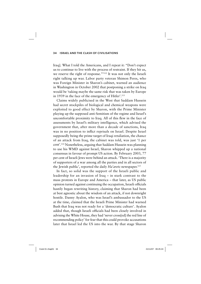Iraq]. What I told the Americans, and I repeat it: "Don't expect us to continue to live with the process of restraint. If they hit us, we reserve the right of response."'112 It was not only the Israeli right talking up war. Labor party veteran Shimon Peres, who was Foreign Minister in Sharon's cabinet, warned an audience in Washington in October 2002 that postponing a strike on Iraq would be 'taking maybe the same risk that was taken by Europe in 1939 in the face of the emergency of Hitler'.<sup>113</sup>

Claims widely publicised in the West that Saddam Hussein had secret stockpiles of biological and chemical weapons were exploited to good effect by Sharon, with the Prime Minister playing up the supposed anti-Semitism of the regime and Israel's uncomfortable proximity to Iraq. All of this flew in the face of assessments by Israel's military intelligence, which advised the government that, after more than a decade of sanctions, Iraq was in no position to inflict reprisals on Israel. Despite Israel supposedly being the prime target of Iraqi retaliation, the chance of an attack from Iraq, the cabinet was told, was just '1 per cent'.114 Nonetheless, arguing that Saddam Hussein was planning to use his WMD against Israel, Sharon whipped up a national consensus in favour of prompt US action. By February 2003, 77 per cent of Israeli Jews were behind an attack. 'There is a majority of supporters of a war among all the parties and in all sectors of the Jewish public', reported the daily *Ha'aretz* newspaper.<sup>115</sup>

In fact, so solid was the support of the Israeli public and leadership for an invasion of Iraq – in stark contrast to the mass protests in Europe and America – that later, as US public opinion turned against continuing the occupation, Israeli officials hastily began rewriting history, claiming that Sharon had been at best agnostic about the wisdom of an attack, if not downright hostile. Danny Ayalon, who was Israel's ambassador to the US at the time, claimed that the Israeli Prime Minister had warned Bush that Iraq was not ready for a 'democratic culture'. Ayalon added that, though Israeli officials had been closely involved in advising the White House, they had 'never cross[ed] the red line of recommending policy' for fear that this could provoke accusations later that Israel led the US into the war. By that stage Sharon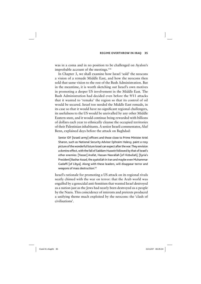was in a coma and in no position to be challenged on Ayalon's improbable account of the meetings.<sup>116</sup>

In Chapter 3, we shall examine how Israel 'sold' the neocons a vision of a remade Middle East, and how the neocons then sold that same vision to the rest of the Bush Administration. But in the meantime, it is worth sketching out Israel's own motives in promoting a deeper US involvement in the Middle East. The Bush Administration had decided even before the 9/11 attacks that it wanted to 'remake' the region so that its control of oil would be secured. Israel too needed the Middle East remade, in its case so that it would have no significant regional challengers, its usefulness to the US would be unrivalled by any other Middle Eastern state, and it would continue being rewarded with billions of dollars each year to ethnically cleanse the occupied territories of their Palestinian inhabitants. A senior Israeli commentator, Aluf Benn, explained days before the attack on Baghdad:

Senior IDF [Israeli army] officers and those close to Prime Minister Ariel Sharon, such as National Security Advisor Ephraim Halevy, paint a rosy picture of the wonderful future Israel can expect after the war. They envision a domino effect, with the fall of Saddam Hussein followed by that of Israel's other enemies: [Yasser] Arafat, Hassan Nasrallah [of Hizbullah], [Syria's President] Bashar Assad, the ayatollah in Iran and maybe even Muhammar Gadaffi [of Libya]. Along with these leaders, will disappear terror and weapons of mass destruction.<sup>117</sup>

Israel's rationale for promoting a US attack on its regional rivals neatly chimed with the war on terror: that the Arab world was engulfed by a genocidal anti-Semitism that wanted Israel destroyed as a nation just as the Jews had nearly been destroyed as a people by the Nazis. This coincidence of interests and pretexts produced a unifying theme much exploited by the neocons: the 'clash of civilisations'.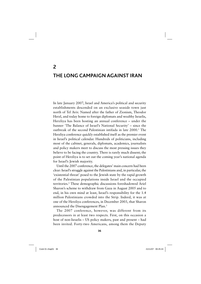# **THE LONG CAMPAIGN AGAINST IRAN**

In late January 2007, Israel and America's political and security establishments descended on an exclusive seaside town just north of Tel Aviv. Named after the father of Zionism, Theodor Herzl, and today home to foreign diplomats and wealthy Israelis, Herzliya has been hosting an annual conference – under the banner 'The Balance of Israel's National Security' – since the outbreak of the second Palestinian intifada in late 2000.1 The Herzliya conference quickly established itself as the premier event in Israel's political calendar. Hundreds of politicians, including most of the cabinet, generals, diplomats, academics, journalists and policy makers meet to discuss the most pressing issues they believe to be facing the country. There is rarely much dissent; the point of Herzliya is to set out the coming year's national agenda for Israel's Jewish majority.

Until the 2007 conference, the delegates' main concern had been clear: Israel's struggle against the Palestinians and, in particular, the 'existential threat' posed to the Jewish state by the rapid growth of the Palestinian populations inside Israel and the occupied territories.2 These demographic discussions foreshadowed Ariel Sharon's scheme to withdraw from Gaza in August 2005 and to end, in his own mind at least, Israel's responsibility for the 1.4 million Palestinians crowded into the Strip. Indeed, it was at one of the Herzliya conferences, in December 2003, that Sharon announced the Disengagement Plan.3

The 2007 conference, however, was different from its predecessors in at least two respects. First, on this occasion a host of non-Israelis – US policy makers, past and present – had been invited. Forty-two Americans, among them the Deputy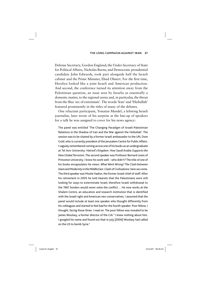Defense Secretary, Gordon England; the Under-Secretary of State for Political Affairs, Nicholas Burns; and Democratic presidential candidate John Edwards, took part alongside half the Israeli cabinet and the Prime Minister, Ehud Olmert. For the first time, Herzliya looked like a joint Israeli and American production. And second, the conference turned its attention away from the Palestinian question, an issue seen by Israelis as essentially a domestic matter, to the regional arena and, in particular, the threat from the Shia 'arc of extremism'. The words 'Iran' and 'Hizbullah' featured prominently in the titles of many of the debates.

One reluctant participant, Yonatan Mendel, a leftwing Israeli journalist, later wrote of his surprise at the line-up of speakers for a talk he was assigned to cover for his news agency:

The panel was entitled 'The Changing Paradigm of Israeli-Palestinian Relations in the Shadow of Iran and the War against the Hizbullah'. The session was to be chaired by a former Israeli ambassador to the UN, Dore Gold, who is currently president of the Jerusalem Centre for Public Affairs. I vaguely remembered coming across one of his books as an undergraduate at Tel Aviv University: *Hatred's Kingdom: How Saudi Arabia Supports the New Global Terrorism*. The second speaker was Professor Bernard Lewis of Princeton University. I knew his work well – who didn't? The title of one of his books encapsulates his views: *What Went Wrong? The Clash between Islam and Modernity in the Middle East*. Clash of Civilisations: here we come. The third speaker was Moshe Yaalon, the former Israeli chief of staff. After his retirement in 2005 he told *Haaretz* that the Palestinians were still looking for ways to exterminate Israel; therefore Israeli withdrawal to the 1967 borders would never solve the conflict . He now works at the Shalem Centre, an education and research institution that is identified with the Israeli right and American neo-conservatives. I assumed that the panel would include at least one speaker who thought differently from his colleagues and started to feel bad for the fourth speaker. Poor fellow, I thought, facing those three. I read on. The poor fellow was revealed to be James Woolsey, a former director of the CIA.<sup>4</sup> I knew nothing about him. I googled his name and found out that in July [2006] Woolsey had called on the US to bomb Syria.<sup>5</sup>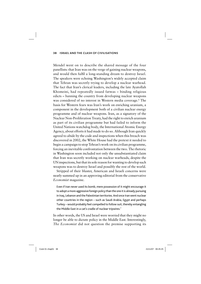Mendel went on to describe the shared message of the four panellists: that Iran was on the verge of gaining nuclear weapons, and would then fulfil a long-standing dream to destroy Israel. The speakers were echoing Washington's widely accepted claim that Tehran was secretly trying to develop a nuclear warhead. The fact that Iran's clerical leaders, including the late Ayatollah Khomeini, had repeatedly issued fatwas **–** binding religious edicts **–** banning the country from developing nuclear weapons was considered of no interest in Western media coverage.6 The basis for Western fears was Iran's work on enriching uranium, a component in the development both of a civilian nuclear energy programme and of nuclear weapons. Iran, as a signatory of the Nuclear Non-Proliferation Treaty, had the right to enrich uranium as part of its civilian programme but had failed to inform the United Nations watchdog body, the International Atomic Energy Agency, about efforts it had made to do so. Although Iran quickly agreed to abide by the code and inspections when this breach was discovered in 2002, the White House had the pretext it needed to begin a campaign to stop Tehran's work on its civilian programme, forcing an inevitable confrontation between the two. The rhetoric in Washington soon included not only the unsubstantiated claim that Iran was secretly working on nuclear warheads, despite the UN inspections, but that its sole reason for wanting to develop such weapons was to destroy Israel and possibly the rest of the world.

Stripped of their bluster, American and Israeli concerns were neatly summed up in an approving editorial from the conservative *Economist* magazine.

Even if Iran never used its bomb, mere possession of it might encourage it to adopt a more aggressive foreign policy than the one it is already pursuing in Iraq, Lebanon and the Palestinian territories. And once Iran went nuclear other countries in the region – such as Saudi Arabia, Egypt and perhaps Turkey – would probably feel compelled to follow suit, thereby entangling the Middle East in a cat's cradle of nuclear tripwires.<sup>7</sup>

In other words, the US and Israel were worried that they might no longer be able to dictate policy in the Middle East. Interestingly, *The Economist* did not question the premise supporting its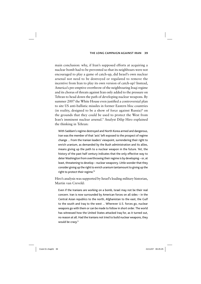main conclusion: why, if Iran's supposed efforts at acquiring a nuclear bomb had to be prevented so that its neighbours were not encouraged to play a game of catch-up, did Israel's own nuclear arsenal not need to be destroyed or regulated to remove the incentive from Iran to play its own version of catch-up? Instead, America's pre-emptive overthrow of the neighbouring Iraqi regime and its chorus of threats against Iran only added to the pressure on Tehran to head down the path of developing nuclear weapons. By summer 2007 the White House even justified a controversial plan to site US anti-ballistic missiles in former Eastern bloc countries (in reality, designed to be a show of force against Russia)<sup>8</sup> on the grounds that they could be used to protect the West from Iran's imminent nuclear arsenal.9 Analyst Dilip Hiro explained the thinking in Tehran:

With Saddam's regime destroyed and North Korea armed and dangerous, Iran was the member of that 'axis' left exposed to the prospect of regime change ... From the Iranian leaders' viewpoint, surrendering their right to enrich uranium, as demanded by the Bush administration and its allies, means giving up the path to a nuclear weapon in the future. Yet, the history of the past half century indicates that the only effective way to deter Washington from overthrowing their regime is by developing – or, at least, threatening to develop – nuclear weaponry. Little wonder that they consider giving up the right to enrich uranium tantamount to giving up the right to protect their regime.<sup>10</sup>

Hiro's analysis was supported by Israel's leading military historian, Martin van Creveld:

Even if the Iranians are working on a bomb, Israel may not be their real concern. Iran is now surrounded by American forces on all sides – in the Central Asian republics to the north, Afghanistan to the east, the Gulf to the south and Iraq to the west ... Wherever U.S. forces go, nuclear weapons go with them or can be made to follow in short order. The world has witnessed how the United States attacked Iraq for, as it turned out, no reason at all. Had the Iranians not tried to build nuclear weapons, they would be crazy.<sup>11</sup>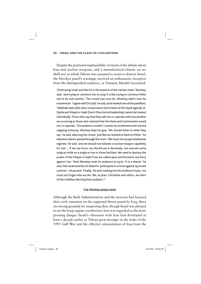### **40 ISRAEL AND THE CLASH OF CIVILISATIONS**

Despite the profound implausibility of much of the debate about Iran and nuclear weapons, and a manufactured climate (as we shall see) in which Tehran was assumed to want to destroy Israel, the Herzliya panel's warnings received an enthusiastic reception from the distinguished audience, as Yonatan Mendel recounted:

'Destroying Israel and the US is the essence of the Iranian state,' Woolsey said, 'and trying to convince Iran to stop it is like trying to convince Hitler not to be anti-semitic.' The crowd was now his. Woolsey didn't lose his momentum. 'I agree with Dr Gold,' he said, as he looked over at the panellists. 'Wahhabi Islam [the ultra-conservative Sunni Islam of the Saudi regime], al-Qaida and Vilayat e-Faqih [Iran's Shia clerical leadership] cannot be treated individually. Those who say that they will not co-operate with one another are as wrong as those who claimed that the Nazis and Communists would not co-operate.' The audience couldn't contain its excitement and started clapping riotously. Woolsey kept his grip. 'We should listen to what they say,' he said, silencing the crowd, 'just like we needed to listen to Hitler.' An attentive silence spread through the room. 'We must not accept totalitarian regimes,' he said, 'and we should not tolerate a nuclear weapon capability for Iran ... If we use force, we should use it decisively, not execute some surgical strike on a single or two or three facilities. We need to destroy the power of the Vilayat e-Faqih if we are called upon and forced to use force against Iran.' Next Woolsey took his audience to Syria. 'It is a shame,' he said, that Israel and the US failed to 'participate in a move against Syria last summer'. He paused. 'Finally,' he said, looking into his audience's eyes, 'we must not forget who we are. We, as Jews, Christians and others, are heirs of the tradition deriving from Judaism.'12

### **THE PROPAGANDA WAR**

Although the Bush Administration and the neocons had focused their early attention on the supposed threat posed by Iraq, there are strong grounds for suspecting that, though Israel was pleased to see the Iraqi regime overthrown, Iran was regarded as the more pressing danger. Israel's obsession with Iran had developed at least a decade earlier as Tehran grew stronger in the wake of the 1991 Gulf War and the effective emasculation of Iraq from the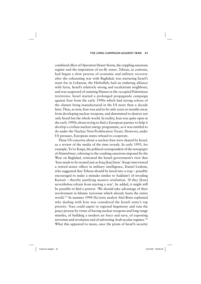combined effect of Operation Desert Storm, the crippling sanctions regime and the imposition of no-fly zones. Tehran, in contrast, had begun a slow process of economic and military recovery after the exhausting war with Baghdad; was nurturing Israel's main foe in Lebanon, the Hizbullah; had an enduring alliance with Syria, Israel's relatively strong and recalcitrant neighbour; and was suspected of assisting Hamas in the occupied Palestinian territories. Israel started a prolonged propaganda campaign against Iran from the early 1990s which had strong echoes of the climate being manufactured in the US more than a decade later. Then, as now, Iran was said to be only years or months away from developing nuclear weapons, and determined to destroy not only Israel but the whole world. In reality, Iran was quite open in the early 1990s about trying to find a European partner to help it develop a civilian nuclear energy programme, as it was entitled to do under the Nuclear Non-Proliferation Treaty. However, under US pressure, European states refused to cooperate.

These US concerns about a nuclear Iran were shared by Israel, as a review of the media of the time reveals. In early 1993, for example, Yo'av Kaspi, the political correspondent of the newspaper *al-Hamishmar*, referring to the crushing sanctions imposed by the West on Baghdad, reiterated the Israeli government's view that 'Iran needs to be treated just as Iraq [has] been'. Kaspi interviewed a retired senior officer in military intelligence, Daniel Leshem, who suggested that Tehran should be lured into a trap – possibly encouraged to make a mistake similar to Saddam's of invading Kuwait – thereby justifying massive retaliation. 'If they [Iran] nevertheless refrain from starting a war', he added, it might still be possible to find a pretext. 'We should take advantage of their involvement in Islamic terrorism which already hurts the entire world.'13 In summer 1994 *Ha'aretz* analyst Aluf Benn explained why dealing with Iran was considered the Israeli army's top priority: 'Iran could aspire to regional hegemony and ruin the peace process by virtue of having nuclear weapons and long-range missiles, of building a modern air force and navy, of exporting terrorism and revolution and of subverting Arab secular regimes.'14 What this appeared to mean, once the prism of Israel's security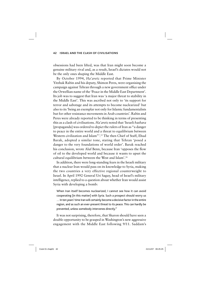obsessions had been lifted, was that Iran might soon become a genuine military rival and, as a result, Israel's dictates would not be the only ones shaping the Middle East.

By October 1994, *Ha'aretz* reported that Prime Minister Yitzhak Rabin and his deputy, Shimon Peres, were organising the campaign against Tehran through a new government office under the Orwellian name of the 'Peace in the Middle East Department'. Its job was to suggest that Iran was 'a major threat to stability in the Middle East'. This was ascribed not only to 'its support for terror and sabotage and its attempts to become nuclearized' but also to its 'being an exemplar not only for Islamic fundamentalists but for other resistance movements in Arab countries'. Rabin and Peres were already reported to be thinking in terms of presenting this as a clash of civilisations. *Ha'aretz* noted that 'Israeli *hasbara* [propaganda] was ordered to depict the rulers of Iran as "a danger to peace in the entire world and a threat to equilibrium between Western civilization and Islam"'.15 The then Chief of Staff, Ehud Barak, adopted a similar tone, stating that Tehran 'posed a danger to the very foundations of world order'. Barak reached his conclusion, wrote Aluf Benn, because Iran 'opposes the flow of oil to the developed world and because it wants to upset the cultural equilibrium between the West and Islam'.16

In addition, there were long-standing fears in the Israeli military that a nuclear Iran would pass on its knowledge to Syria, making the two countries a very effective regional counterweight to Israel. In April 1992 General Uri Saguy, head of Israel's military intelligence, replied to a question about whether Iran would assist Syria with developing a bomb:

When Iran itself becomes nuclearized, I cannot see how it can avoid cooperating [in this matter] with Syria. Such a prospect should worry us … In ten years' time Iran will certainly become a decisive factor in the entire region, and as such an ever-present threat to its peace. This can hardly be prevented, unless somebody intervenes directly.<sup>17</sup>

It was not surprising, therefore, that Sharon should have seen a double opportunity to be grasped in Washington's new aggressive engagement with the Middle East following 9/11. Saddam's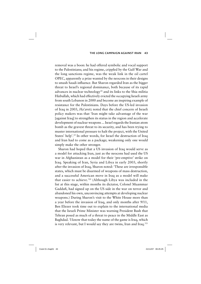removal was a boon: he had offered symbolic and vocal support to the Palestinians; and his regime, crippled by the Gulf War and the long sanctions regime, was the weak link in the oil cartel OPEC, apparently a prize wanted by the neocons in their designs to smash Saudi influence. But Sharon regarded Iran as the bigger threat to Israel's regional dominance, both because of its rapid advances in nuclear technology18 and its links to the Shia militia Hizbullah, which had effectively evicted the occupying Israeli army from south Lebanon in 2000 and become an inspiring example of resistance for the Palestinians. Days before the US-led invasion of Iraq in 2003, *Ha'aretz* noted that the chief concern of Israeli policy makers was that 'Iran might take advantage of the war [against Iraq] to strengthen its status in the region and accelerate development of nuclear weapons ... Israel regards the Iranian atom bomb as the gravest threat to its security, and has been trying to muster international pressure to halt the project, with the United States' help'.<sup>19</sup> In other words, for Israel the destruction of Iraq and Iran had to come as a package; weakening only one would simply make the other stronger.

Sharon had hoped that a US invasion of Iraq would serve as a model for attacking Iran, just as the neocons had used the US war in Afghanistan as a model for their 'pre-emptive' strike on Iraq. Speaking of Iran, Syria and Libya in early 2003, shortly after the invasion of Iraq, Sharon noted: 'These are irresponsible states, which must be disarmed of weapons of mass destruction, and a successful American move in Iraq as a model will make that easier to achieve.'20 (Although Libya was included in the list at this stage, within months its dictator, Colonel Muammar Gaddafi, had signed up on the US side in the war on terror and abandoned his own, unconvincing attempts at developing nuclear weapons.) During Sharon's visit to the White House more than a year before the invasion of Iraq, and only months after 9/11, Ben Eliezer took time out to explain to the international media that the Israeli Prime Minister was warning President Bush that Tehran posed as much of a threat to peace in the Middle East as Baghdad. 'I know that today the name of the game is Iraq, which is very relevant, but I would say they are twins, Iran and Iraq.'21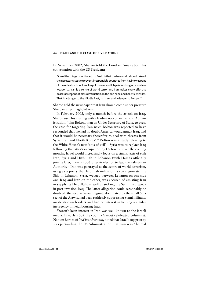In November 2002, Sharon told the London *Times* about his conversation with the US President:

One of the things I mentioned [to Bush] is that the free world should take all the necessary steps to prevent irresponsible countries from having weapons of mass destruction: Iran, Iraq of course, and Libya is working on a nuclear weapon … Iran is a centre of world terror and Iran makes every effort to possess weapons of mass destruction on the one hand and ballistic missiles. That is a danger to the Middle East, to Israel and a danger to Europe.<sup>22</sup>

Sharon told the newspaper that Iran should come under pressure 'the day after' Baghdad was hit.

In February 2003, only a month before the attack on Iraq, Sharon used his meeting with a leading neocon in the Bush Administration, John Bolton, then an Under-Secretary of State, to press the case for targeting Iran next. Bolton was reported to have responded that 'he had no doubt America would attack Iraq, and that it would be necessary thereafter to deal with threats from Syria, Iran and North Korea'.23 Bolton was already referring to the White House's new 'axis of evil' – Syria was to replace Iraq following the latter's occupation by US forces. Over the coming months, Israel would increasingly focus on a similar axis of evil: Iran, Syria and Hizbullah in Lebanon (with Hamas officially joining later, in early 2006, after its election to lead the Palestinian Authority). Iran was portrayed as the centre of world terrorism, using as a proxy the Hizbullah militia of its co-religionists, the Shia in Lebanon. Syria, wedged between Lebanon on one side and Iraq and Iran on the other, was accused of assisting Iran in supplying Hizbullah, as well as stoking the Sunni insurgency in post-invasion Iraq. The latter allegation could reasonably be doubted: the secular Syrian regime, dominated by the small Shia sect of the Alawis, had been ruthlessly suppressing Sunni militants inside its own borders and had no interest in helping a similar insurgency in neighbouring Iraq.

Sharon's keen interest in Iran was well known to the Israeli media. In early 2002 the country's most celebrated columnist, Nahum Barnea of *Yed'iot Aharonot*, noted that Israel's top priority was persuading the US Administration that Iran was 'the real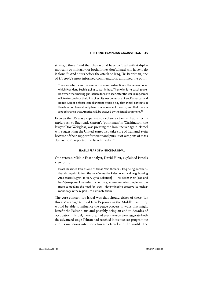strategic threat' and that they would have to 'deal with it diplomatically or militarily, or both. If they don't, Israel will have to do it alone.'24 And hours before the attack on Iraq, Uzi Benziman, one of *Ha'aretz's* most informed commentators, amplified the point:

The war on terror and on weapons of mass destruction is the banner under which President Bush is going to war in Iraq. Then why is he passing over Iran when the smoking gun is there for all to see? After the war in Iraq, Israel will try to convince the US to direct its war on terror at Iran, Damascus and Beirut. Senior defense establishment officials say that initial contacts in this direction have already been made in recent months, and that there is a good chance that America will be swayed by the Israeli argument.<sup>25</sup>

Even as the US was preparing to declare victory in Iraq after its rapid push to Baghdad, Sharon's 'point man' in Washington, the lawyer Dov Weisglass, was pressing the Iran line yet again. 'Israel will suggest that the United States also take care of Iran and Syria because of their support for terror and pursuit of weapons of mass destruction', reported the Israeli media.<sup>26</sup>

# **ISRAEL'S FEAR OF A NUCLEAR RIVAL**

One veteran Middle East analyst, David Hirst, explained Israel's view of Iran:

Israel classifies Iran as one of those 'far' threats - Iraq being another that distinguish it from the 'near' ones: the Palestinians and neighbouring Arab states [Egypt, Jordan, Syria, Lebanon] … The closer their [Iraq and Iran's] weapons of mass destruction programmes come to completion, the more compelling the need for Israel – determined to preserve its nuclear monopoly in the region – to eliminate them.<sup>27</sup>

The core concern for Israel was that should either of these 'far threats' manage to rival Israel's power in the Middle East, they would be able to influence the peace process in ways that might benefit the Palestinians and possibly bring an end to decades of occupation.28 Israel, therefore, had every reason to exaggerate both the advanced stage Tehran had reached in its nuclear programme and its malicious intentions towards Israel and the world. The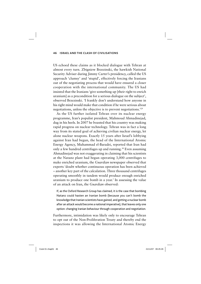US echoed these claims as it blocked dialogue with Tehran at almost every turn. Zbigniew Brzezinski, the hawkish National Security Adviser during Jimmy Carter's presidency, called the US approach 'clumsy' and 'stupid', effectively forcing the Iranians out of the negotiating process that would have ensured a closer cooperation with the international community. The US had insisted that the Iranians 'give something up [their right to enrich uranium] as a precondition for a serious dialogue on the subject', observed Brzezinski. 'I frankly don't understand how anyone in his right mind would make that condition if he were serious about negotiations, unless the objective is to prevent negotiations.'29

As the US further isolated Tehran over its nuclear energy programme, Iran's populist president, Mahmoud Ahmadinejad, dug in his heels. In 2007 he boasted that his country was making rapid progress on nuclear technology. Tehran was in fact a long way from its stated goal of achieving civilian nuclear energy, let alone nuclear weapons. Exactly 15 years after Israel's lobbying against Iran had begun, the head of the International Atomic Energy Agency, Muhammad el-Baradei, reported that Iran had only a few hundred centrifuges up and running.<sup>30</sup> Even assuming Ahmadinejad was not exaggerating in claiming that his scientists at the Natanz plant had begun operating 3,000 centrifuges to make enriched uranium, the *Guardian* newspaper observed that experts 'doubt whether continuous operation has been achieved – another key part of the calculation. Three thousand centrifuges operating smoothly in tandem would produce enough enriched uranium to produce one bomb in a year.' In assessing the value of an attack on Iran, the *Guardian* observed:

If, as the Oxford Research Group has claimed, it is the case that bombing Natanz could hasten an Iranian bomb (because you can't bomb the knowledge that Iranian scientists have gained, and getting a nuclear bomb after an attack would become a national imperative), that leaves only one option: changing Iranian behaviour through cooperation and negotiation.

Furthermore, intimidation was likely only to encourage Tehran to opt out of the Non-Proliferation Treaty and thereby end the inspections it was allowing the International Atomic Energy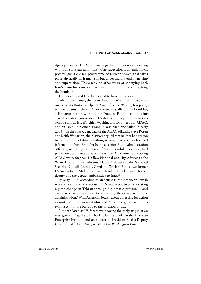Agency to make. The *Guardian* suggested another way of dealing with Iran's nuclear ambitions: 'One suggestion is an enrichment process [for a civilian programme of nuclear power] that takes place physically on Iranian soil but under multilateral ownership and supervision. There may be other ways of satisfying both Iran's claim for a nuclear cycle and our desire to stop it getting the bomb.'31

The neocons and Israel appeared to have other ideas.

Behind the scenes, the Israel lobby in Washington began its own covert efforts to help Tel Aviv influence Washington policy makers against Tehran. Most controversially, Larry Franklin, a Pentagon staffer working for Douglas Feith, began passing classified information about US defence policy on Iran to two senior staff at Israel's chief Washington lobby group, AIPAC, and an Israeli diplomat. Franklin was tried and jailed in early 2006.<sup>32</sup> In the subsequent trial of the AIPAC officials, Steve Rosen and Keith Weissman, their lawyer argued that neither had reason to believe he had done anything wrong in receiving classified information from Franklin because senior Bush Administration officials, including Secretary of State Condoleezza Rice, had passed on documents at least as sensitive. Also named as assisting AIPAC were: Stephen Hadley, National Security Adviser to the White House; Elliott Abrams, Hadley's deputy at the National Security Council; Anthony Zinni and William Burns, two former US envoys to the Middle East; and David Satterfield, Burns' former deputy and the deputy ambassador to Iraq.<sup>33</sup>

By May 2003, according to an article in the American Jewish weekly newspaper the *Forward*: 'Neoconservatives advocating regime change in Tehran through diplomatic pressure – and even covert action – appear to be winning the debate within the administration.' With American Jewish groups pressing for action against Iran, the *Forward* observed: 'The emerging coalition is reminiscent of the buildup to the invasion of Iraq.'34

A month later, as US forces were facing the early stages of an insurgency in Baghdad, Michael Ledeen, a scholar at the American Enterprise Institute and an adviser to President Bush's Deputy Chief of Staff, Karl Rove, wrote in the *Washington Post*: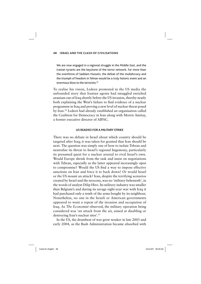We are now engaged in a regional struggle in the Middle East, and the Iranian tyrants are the keystone of the terror network. Far more than the overthrow of Saddam Hussein, the defeat of the mullahcracy and the triumph of freedom in Tehran would be a truly historic event and an enormous blow to the terrorists<sup>35</sup>

To realise his vision, Ledeen promoted in the US media the unfounded story that Iranian agents had smuggled enriched uranium out of Iraq shortly before the US invasion, thereby neatly both explaining the West's failure to find evidence of a nuclear programme in Iraq and proving a new level of nuclear threat posed by Iran.36 Ledeen had already established an organisation called the Coalition for Democracy in Iran along with Morris Amitay, a former executive director of AIPAC.

## **US READIES FOR A MILITARY STRIKE**

There was no debate in Israel about which country should be targeted after Iraq; it was taken for granted that Iran should be next. The question was simply one of how to isolate Tehran and neutralise its threat to Israel's regional hegemony, particularly its presumed quest for a nuclear arsenal to rival Israel's own. Would Europe shrink from the task and insist on negotiations with Tehran, especially as the latter appeared increasingly open to compromise? Would the US find a way to impose effective sanctions on Iran and force it to back down? Or would Israel or the US mount an attack? Iran, despite the terrifying scenarios created by Israel and the neocons, was no 'military behemoth', in the words of analyst Dilip Hiro. Its military industry was smaller than Belgium's and during its savage eight-year war with Iraq it had purchased only a tenth of the arms bought by its neighbour. Nonetheless, no one in the Israeli or American governments appeared to want a repeat of the invasion and occupation of Iraq. As *The Economist* observed, the military operation being considered was 'an attack from the air, aimed at disabling or destroying Iran's nuclear sites'.37

In the US, the drumbeat of war grew weaker in late 2003 and early 2004, as the Bush Administration became absorbed with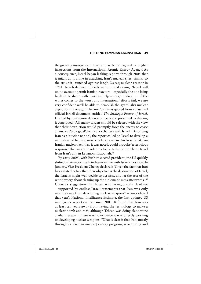the growing insurgency in Iraq, and as Tehran agreed to tougher inspections from the International Atomic Energy Agency. As a consequence, Israel began leaking reports through 2004 that it might go it alone in attacking Iran's nuclear sites, similar to the strike it launched against Iraq's Osiraq nuclear reactor in 1981. Israeli defence officials were quoted saving: 'Israel will on no account permit Iranian reactors – especially the one being built in Bushehr with Russian help – to go critical … If the worst comes to the worst and international efforts fail, we are very confident we'll be able to demolish the ayatollah's nuclear aspirations in one go.' The *Sunday Times* quoted from a classified official Israeli document entitled *The Strategic Future of Israel*. Drafted by four senior defence officials and presented to Sharon, it concluded: 'All enemy targets should be selected with the view that their destruction would promptly force the enemy to cease all nuclear/biological/chemical exchanges with Israel.' Describing Iran as a 'suicide nation', the report called on Israel to develop a multi-layered ballistic missile defence system. An Israeli strike on Iranian nuclear facilities, it was noted, could provoke 'a ferocious response' that might involve rocket attacks on northern Israel from Iran's ally in Lebanon, Hizbullah.<sup>38</sup>

By early 2005, with Bush re-elected president, the US quickly shifted its attention back to Iran – in line with Israel's position. In January, Vice-President Cheney declared: 'Given the fact that Iran has a stated policy that their objective is the destruction of Israel, the Israelis might well decide to act first, and let the rest of the world worry about cleaning up the diplomatic mess afterwards.'39 Cheney's suggestion that Israel was facing a tight deadline – supported by endless Israeli statements that Iran was only months away from developing nuclear weapons $40 -$ contradicted that year's National Intelligence Estimate, the first updated US intelligence report on Iran since 2001. It found that Iran was at least ten years away from having the technology to make a nuclear bomb and that, although Tehran was doing clandestine civilian research, there was no evidence it was directly working on developing nuclear weapons. 'What is clear is that Iran, mostly through its [civilian nuclear] energy program, is acquiring and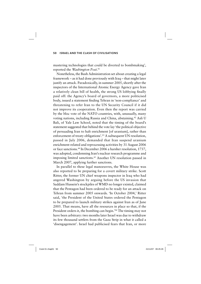mastering technologies that could be diverted to bombmaking', reported the *Washington Post*. 41

Nonetheless, the Bush Administration set about creating a legal framework – as it had done previously with Iraq – that might later justify an attack. Paradoxically, in summer 2005, shortly after the inspectors of the International Atomic Energy Agency gave Iran a relatively clean bill of health, the strong US lobbying finally paid off: the Agency's board of governors, a more politicised body, issued a statement finding Tehran in 'non-compliance' and threatening to refer Iran to the UN Security Council if it did not improve its cooperation. Even then the report was carried by the bloc vote of the NATO countries, with, unusually, many voting nations, including Russia and China, abstaining.42 Asli U Bali, of Yale Law School, noted that the timing of the board's statement suggested that behind the vote lay 'the political objective of persuading Iran to halt enrichment [of uranium], rather than enforcement of treaty obligations'.43 A subsequent UN resolution, passed in July 2006, demanded that Iran suspend uranium enrichment-related and reprocessing activities by 31 August 2006 or face sanctions.44 In December 2006 a harsher resolution, 1737, was adopted, condemning Iran's nuclear research programme and imposing limited sanctions.45 Another UN resolution passed in March 2007, applying further sanctions.

In parallel to these legal manoeuvres, the White House was also reported to be preparing for a covert military strike. Scott Ritter, the former UN chief weapons inspector in Iraq who had angered Washington by arguing before the US invasion that Saddam Hussein's stockpiles of WMD no longer existed, claimed that the Pentagon had been ordered to be ready for an attack on Tehran from summer 2005 onwards. 'In October 2004,' Ritter said, 'the President of the United States ordered the Pentagon to be prepared to launch military strikes against Iran as of June 2005. That means, have all the resources in place so that, if the President orders it, the bombing can begin.'46 The timing may not have been arbitrary: two months later Israel was due to withdraw its few thousand settlers from the Gaza Strip in what it called a 'disengagement'. Israel had publicised fears that Iran, or more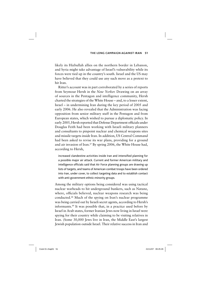likely its Hizbullah allies on the northern border in Lebanon, and Syria might take advantage of Israel's vulnerability while its forces were tied up in the country's south. Israel and the US may have believed that they could use any such move as a pretext to hit Iran.

Ritter's account was in part corroborated by a series of reports from Seymour Hersh in the *New Yorker.* Drawing on an array of sources in the Pentagon and intelligence community, Hersh charted the strategies of the White House – and, to a lesser extent, Israel – in undermining Iran during the key period of 2005 and early 2006. He also revealed that the Administration was facing opposition from senior military staff in the Pentagon and from European states, which wished to pursue a diplomatic policy. In early 2005, Hersh reported that Defense Department officials under Douglas Feith had been working with Israeli military planners and consultants to pinpoint nuclear and chemical weapons sites and missile targets inside Iran. In addition, US Central Command had been asked to revise its war plans, providing for a ground and air invasion of Iran.<sup>47</sup> By spring 2006, the White House had, according to Hersh,

increased clandestine activities inside Iran and intensified planning for a possible major air attack. Current and former American military and intelligence officials said that Air Force planning groups are drawing up lists of targets, and teams of American combat troops have been ordered into Iran, under cover, to collect targeting data and to establish contact with anti-government ethnic-minority groups.

Among the military options being considered was using tactical nuclear warheads to hit underground bunkers, such as Natanz, where, officials believed, nuclear weapons research was being conducted.48 Much of the spying on Iran's nuclear programme was being carried out by Israeli secret agents, according to Hersh's informants.49 It was possible that, in a practice used before by Israel in Arab states, former Iranian Jews now living in Israel were spying for their country while claiming to be visiting relatives in Iran. (Some 30,000 Jews live in Iran, the Middle East's largest Jewish population outside Israel. Their relative success in Iran and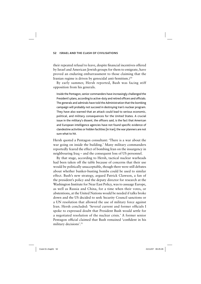### **52 ISRAEL AND THE CLASH OF CIVILISATIONS**

their repeated refusal to leave, despite financial incentives offered by Israel and American Jewish groups for them to emigrate, have proved an enduring embarrassment to those claiming that the Iranian regime is driven by genocidal anti-Semitism.)<sup>50</sup>

By early summer, Hersh reported, Bush was facing stiff opposition from his generals.

Inside the Pentagon, senior commanders have increasingly challenged the President's plans, according to active-duty and retired officers and officials. The generals and admirals have told the Administration that the bombing campaign will probably not succeed in destroying Iran's nuclear program. They have also warned that an attack could lead to serious economic, political, and military consequences for the United States. A crucial issue in the military's dissent, the officers said, is the fact that American and European intelligence agencies have not found specific evidence of clandestine activities or hidden facilities [in Iran]; the war planners are not sure what to hit.

Hersh quoted a Pentagon consultant: 'There is a war about the war going on inside the building.' Many military commanders reportedly feared the effect of bombing Iran on the insurgency in neighbouring Iraq – and the consequent loss of US personnel.

By that stage, according to Hersh, tactical nuclear warheads had been taken off the table because of concerns that their use would be politically unacceptable, though there were still debates about whether bunker-busting bombs could be used to similar effect. Bush's new strategy, argued Patrick Clawson, a fan of the president's policy and the deputy director for research at the Washington Institute for Near East Policy, was to assuage Europe, as well as Russia and China, for a time when their votes, or abstentions, at the United Nations would be needed if talks broke down and the US decided to seek Security Council sanctions or a UN resolution that allowed the use of military force against Iran. Hersh concluded: 'Several current and former officials I spoke to expressed doubt that President Bush would settle for a negotiated resolution of the nuclear crisis.' A former senior Pentagon official claimed that Bush remained 'confident in his military decisions'.51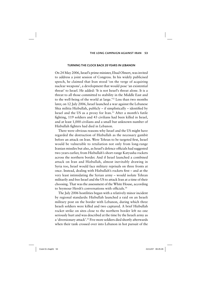## **TURNING THE CLOCK BACK 20 YEARS IN LEBANON**

On 24 May 2006, Israel's prime minister, Ehud Olmert, was invited to address a joint session of Congress. In his widely publicised speech, he claimed that Iran stood 'on the verge of acquiring nuclear weapons', a development that would pose 'an existential threat' to Israel. He added: 'It is not Israel's threat alone. It is a threat to all those committed to stability in the Middle East and to the well-being of the world at large.'52 Less than two months later, on 12 July 2006, Israel launched a war against the Lebanese Shia militia Hizbullah, publicly – if simplistically – identified by Israel and the US as a proxy for Iran.53 After a month's futile fighting, 119 soldiers and 43 civilians had been killed in Israel, and at least 1,000 civilians and a small but unknown number of Hizbullah fighters had died in Lebanon.

There were obvious reasons why Israel and the US might have regarded the destruction of Hizbullah as the necessary gambit before an attack on Iran. Were Tehran to be targeted first, Israel would be vulnerable to retaliation not only from long-range Iranian missiles but also, as Israel's defence officials had suggested two years earlier, from Hizbullah's short-range Katyusha rockets across the northern border. And if Israel launched a combined attack on Iran and Hizbullah, almost inevitably drawing in Syria too, Israel would face military reprisals on three fronts at once. Instead, dealing with Hizbullah's rockets first – and at the very least intimidating the Syrian army – would isolate Tehran militarily and free Israel and the US to attack Iran at a time of their choosing. That was the assessment of the White House, according to Seymour Hersh's conversations with officials.<sup>54</sup>

The July 2006 hostilities began with a relatively minor incident by regional standards: Hizbullah launched a raid on an Israeli military post on the border with Lebanon, during which three Israeli soldiers were killed and two captured. A brief Hizbullah rocket strike on sites close to the northern border left no one seriously hurt and was described at the time by the Israeli army as a 'diversionary attack'.55 Five more soldiers died shortly afterwards when their tank crossed over into Lebanon in hot pursuit of the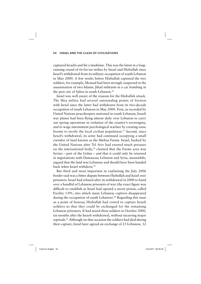captured Israelis and hit a landmine. This was the latest in a longrunning round of tit-for-tat strikes by Israel and Hizbullah since Israel's withdrawal from its military occupation of south Lebanon in May 2000. A few weeks before Hizbullah captured the two soldiers, for example, Mossad had been strongly suspected in the assassination of two Islamic Jihad militants in a car bombing in the port city of Sidon in south Lebanon.<sup>56</sup>

Israel was well aware of the reasons for the Hizbullah attack. The Shia militia had several outstanding points of friction with Israel since the latter had withdrawn from its two-decade occupation of south Lebanon in May 2000. First, as recorded by United Nations peacekeepers stationed in south Lebanon, Israeli war planes had been flying almost daily over Lebanon to carry out spying operations in violation of the country's sovereignty, and to wage intermittent psychological warfare by creating sonic booms to terrify the local civilian population.<sup>57</sup> Second, since Israel's withdrawal, its army had continued occupying a small corridor of land known as the Shebaa Farms. Israel, backed by the United Nations after Tel Aviv had exerted much pressure on the international body,58 claimed that the Farms area was Syrian – part of the Golan – and that it could only be returned in negotiations with Damascus; Lebanon and Syria, meanwhile, argued that the land was Lebanese and should have been handed back when Israel withdrew.59

But third and most important in explaining the July 2006 border raid was a bitter dispute between Hizbullah and Israel over prisoners. Israel had refused after its withdrawal in 2000 to hand over a handful of Lebanese prisoners of war (the exact figure was difficult to establish as Israel had opened a secret prison, called Facility 1391, into which many Lebanese captives disappeared during the occupation of south Lebanon).<sup>60</sup> Regarding this issue as a point of honour, Hizbullah had vowed to capture Israeli soldiers so that they could be exchanged for the remaining Lebanese prisoners. It had seized three soldiers in October 2000, six months after the Israeli withdrawal, without incurring major reprisals.61 Although on that occasion the soldiers had died during their capture, Israel later agreed an exchange of 23 Lebanese, 12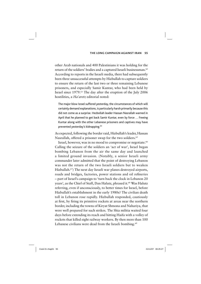other Arab nationals and 400 Palestinians it was holding for the return of the soldiers' bodies and a captured Israeli businessman.<sup>62</sup> According to reports in the Israeli media, there had subsequently been three unsuccessful attempts by Hizbullah to capture soldiers to ensure the return of the last two or three remaining Lebanese prisoners, and especially Samir Kuntar, who had been held by Israel since 1979.63 The day after the eruption of the July 2006 hostilities, a *Ha'aretz* editorial noted:

The major blow Israel suffered yesterday, the circumstances of which will certainly demand explanations, is particularly harsh primarily because this did not come as a surprise. Hezbollah leader Hassan Nasrallah warned in April that he planned to get back Samir Kuntar, even by force … Freeing Kuntar along with the other Lebanese prisoners and captives may have prevented yesterday's kidnapping.64

As expected, following the border raid, Hizbullah's leader, Hassan Nasrallah, offered a prisoner swap for the two soldiers.<sup>65</sup>

Israel, however, was in no mood to compromise or negotiate.<sup>66</sup> Calling the seizure of the soldiers an 'act of war', Israel began bombing Lebanon from the air the same day and launched a limited ground invasion. (Notably, a senior Israeli army commander later admitted that the point of destroying Lebanon was not the return of the two Israeli soldiers but to weaken Hizbullah.67) The next day Israeli war planes destroyed airports, roads and bridges, factories, power stations and oil refineries – part of Israel's campaign to 'turn back the clock in Lebanon 20 years', as the Chief of Staff, Dan Halutz, phrased it.<sup>68</sup> Was Halutz referring, even if unconsciously, to better times for Israel, before Hizbullah's establishment in the early 1980s? The civilian death toll in Lebanon rose rapidly. Hizbullah responded, cautiously at first, by firing its primitive rockets at areas near the northern border, including the towns of Kiryat Shmona and Nahariya, that were well prepared for such strikes. The Shia militia waited four days before extending its reach and hitting Haifa with a volley of rockets that killed eight railway workers. By then more than 100 Lebanese civilians were dead from the Israeli bombing.<sup>69</sup>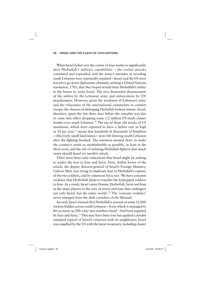#### **56 ISRAEL AND THE CLASH OF CIVILISATIONS**

When Israel failed over the course of four weeks to significantly dent Hizbullah's military capabilities – the rocket attacks continued and expanded, and the army's attempts at invading south Lebanon were repeatedly repulsed – Israel and the US were forced to go down diplomatic channels, seeking a United Nations resolution, 1701, that they hoped would limit Hizbullah's ability in the future to resist Israel. The two demanded disarmament of the militia by the Lebanese army and enforcement by UN peacekeepers. However, given the weakness of Lebanon's army and the reluctance of the international community to commit troops, the chances of defanging Hizbullah looked remote. Israel, therefore, spent the last three days before the ceasefire was due to come into effect dropping some 1.2 million US-made cluster bombs over south Lebanon.<sup>70</sup> The use of these old stocks of US munitions, which were reported to have a failure rate as high as 50 per cent, $71$  meant that hundreds of thousands of bomblets – effectively small land mines – were left littering south Lebanon after the fighting finished. The intention seemed clear: to make the country's south as uninhabitable as possible, at least in the short term, and the job of isolating Hizbullah fighters that much easier should Israel try another attack.

There were three early indications that Israel might be seeking to widen the war to Iran and Syria. First, within hours of the attack, the deputy director-general of Israel's Foreign Ministry, Gideon Meir, was trying to implicate Iran in Hizbullah's capture of the two soldiers, and by extension Syria too: 'We have concrete evidence that Hezbollah plans to transfer the kidnapped soldiers to Iran. As a result, Israel views Hamas, Hezbollah, Syria and Iran as the main players in the axis of terror and hate that endangers not only Israel, but the entire world.'72 The 'concrete evidence' never emerged from the dark corridors of the Mossad.

Second, Israel claimed that Hizbullah's arsenal of some 12,000 rockets hidden across south Lebanon – from which it managed to fire as many as 200 a day into northern Israel – had been supplied by Iran and Syria.73 This may have been true but applied a double standard typical of Israel's relations with its neighbours: Israel was supplied by the US with the latest weaponry, including cluster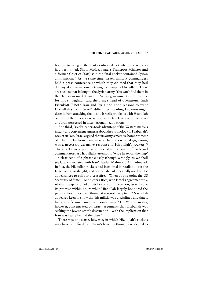bombs. Arriving at the Haifa railway depot where the workers had been killed, Shaul Mofaz, Israel's Transport Minister and a former Chief of Staff, said the fatal rocket contained Syrian ammunition.74 At the same time, Israeli military commanders held a press conference at which they claimed that they had destroyed a Syrian convoy trying to re-supply Hizbullah. 'These are rockets that belong to the Syrian army. You can't find them in the Damascus market, and the Syrian government is responsible for this smuggling', said the army's head of operations, Gadi Eisenkott.75 Both Iran and Syria had good reasons to want Hizbullah strong: Israel's difficulties invading Lebanon might deter it from attacking them; and Israel's problems with Hizbullah on the northern border were one of the few leverage points Syria and Iran possessed in international negotiations.

And third, Israel's leaders took advantage of the Western media's instant and convenient amnesia about the chronology of Hizbullah's rocket strikes. Israel argued that its army's massive bombardment of Lebanon, far from being an act of barely concealed aggression, was a necessary defensive response to Hizbullah's rockets.76 The attacks were popularly referred to by Israeli officials and commentators as Hizbullah's attempt to 'wipe Israel off the map' – a clear echo of a phrase closely (though wrongly, as we shall see later) associated with Iran's leader, Mahmoud Ahmadinejad. In fact, the Hizbullah rockets had been fired in retaliation for the Israeli aerial onslaught, and Nasrallah had repeatedly used his TV appearances to call for a ceasefire.<sup>77</sup> When at one point the US Secretary of State, Condoleezza Rice, won Israel's agreement to a 48-hour suspension of air strikes on south Lebanon, Israel broke its promise within hours while Hizbullah largely honoured the pause in hostilities, even though it was not party to it.78 Nasrallah appeared keen to show that his militia was disciplined and that it had a specific aim: namely, a prisoner swap.<sup>79</sup> The Western media, however, concentrated on Israeli arguments that Hizbullah was seeking the Jewish state's destruction – with the implication that Iran was really behind the plan.80

There was one sense, however, in which Hizbullah's rockets may have been fired for Tehran's benefit – though few seemed to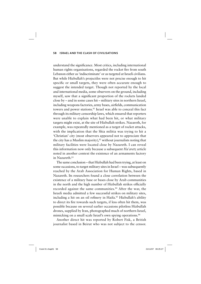understand the significance. Most critics, including international human rights organisations, regarded the rocket fire from south Lebanon either as 'indiscriminate' or as targeted at Israeli civilians. But while Hizbullah's projectiles were not precise enough to hit specific or small targets, they were often accurate enough to suggest the intended target. Though not reported by the local and international media, some observers on the ground, including myself, saw that a significant proportion of the rockets landed close by – and in some cases hit – military sites in northern Israel, including weapons factories, army bases, airfields, communication towers and power stations.<sup>81</sup> Israel was able to conceal this fact through its military censorship laws, which ensured that reporters were unable to explain what had been hit, or what military targets might exist, at the site of Hizbullah strikes. Nazareth, for example, was repeatedly mentioned as a target of rocket attacks, with the implication that the Shia militia was trying to hit a 'Christian' city (most observers appeared not to appreciate that the city has a Muslim majority), $82$  without journalists noting that military facilities were located close by Nazareth. I can reveal this information now only because a subsequent *Ha'aretz* article noted in another context the existence of an armaments factory in Nazareth.83

The same conclusion – that Hizbullah had been trying, at least on some occasions, to target military sites in Israel – was subsequently reached by the Arab Association for Human Rights, based in Nazareth. Its researchers found a close correlation between the existence of a military base or bases close by Arab communities in the north and the high number of Hizbullah strikes officially recorded against the same communities.<sup>84</sup> After the war, the Israeli media admitted a few successful strikes on military sites, including a hit on an oil refinery in Haifa.<sup>85</sup> Hizbullah's ability to direct its fire towards such targets, if less often hit them, was possible because on several earlier occasions pilotless Hizbullah drones, supplied by Iran, photographed much of northern Israel, mimicking on a small scale Israel's own spying operations.<sup>86</sup>

Another direct hit was reported by Robert Fisk, a British journalist based in Beirut who was not subject to the censor.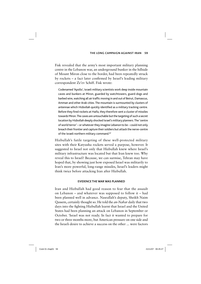Fisk revealed that the army's most important military planning centre in the Lebanon war, an underground bunker in the hillside of Mount Miron close to the border, had been repeatedly struck by rockets  $-$  a fact later confirmed by Israel's leading military correspondent Ze'ev Schiff. Fisk wrote:

Codenamed 'Apollo', Israeli military scientists work deep inside mountain caves and bunkers at Miron, guarded by watchtowers, guard-dogs and barbed wire, watching all air traffic moving in and out of Beirut, Damascus, Amman and other Arab cities. The mountain is surmounted by clusters of antennae which Hizbollah quickly identified as a military tracking centre. Before they fired rockets at Haifa, they therefore sent a cluster of missiles towards Miron. The caves are untouchable but the targeting of such a secret location by Hizbollah deeply shocked Israel's military planners. The 'centre of world terror' – or whatever they imagine Lebanon to be – could not only breach their frontier and capture their soldiers but attack the nerve-centre of the Israeli northern military command.<sup>87</sup>

Hizbullah's futile targeting of these well-protected military sites with their Katyusha rockets served a purpose, however. It suggested to Israel not only that Hizbullah knew where Israel's military infrastructure was located but that Iran knew too. Why reveal this to Israel? Because, we can surmise, Tehran may have hoped that, by showing just how exposed Israel was militarily to Iran's more powerful, long-range missiles, Israel's leaders might think twice before attacking Iran after Hizbullah.

# **EVIDENCE THE WAR WAS PLANNED**

Iran and Hizbullah had good reason to fear that the assault on Lebanon – and whatever was supposed to follow it – had been planned well in advance. Nasrallah's deputy, Sheikh Naim Qassem, certainly thought so. He told the *an-Nahar* daily that two days into the fighting Hizbullah learnt that Israel and the United States had been planning an attack on Lebanon in September or October. 'Israel was not ready. In fact it wanted to prepare for two or three months more, but American pressure on one side and the Israeli desire to achieve a success on the other ... were factors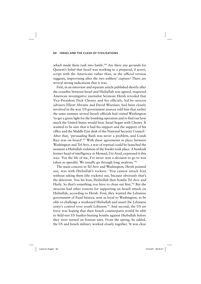which made them rush into battle.'<sup>88</sup> Are there any grounds for Qassem's belief that Israel was working to a prepared, if secret, script with the Americans rather than, as the official version suggests, improvising after the two soldiers' capture? There are several strong indications that it was.

First, in an interview and separate article published shortly after the ceasefire between Israel and Hizbullah was agreed, respected American investigative journalist Seymour Hersh revealed that Vice-President Dick Cheney and his officials, led by neocon advisers Elliott Abrams and David Wurmser, had been closely involved in the war. US government sources told him that earlier the same summer several Israeli officials had visited Washington 'to get a green light for the bombing operation and to find out how much the United States would bear. Israel began with Cheney. It wanted to be sure that it had his support and the support of his office and the Middle East desk of the National Security Council.' After that, 'persuading Bush was never a problem, and Condi Rice was on board'.89 With these agreements in place between Washington and Tel Aviv, a war of reprisal could be launched the moment a Hizbullah violation of the border took place. A hawkish former head of intelligence at Mossad, Uzi Arad, expressed it this way: 'For the life of me, I've never seen a decision to go to war taken so speedily. We usually go through long analyses.'90

The main concern in Tel Aviv and Washington, Hersh pointed out, was with Hizbullah's rockets. 'You cannot attack Iran without taking them [the rockets] out, because obviously that's the deterrent. You hit Iran, Hezbollah then bombs Tel Aviv and Haifa. So that's something you have to clean out first.'<sup>91</sup> But the neocons had other reasons for supporting an Israeli attack on Hizbullah, according to Hersh. First, they wanted the Lebanese government of Fuad Siniora, seen as loyal to Washington, to be able to challenge a weakened Hizbullah and assert the Lebanese army's control over south Lebanon.<sup>92</sup> And second, the US air force was hoping that their Israeli counterparts would be able to field-test US bunker-busting bombs against Hizbullah before they were turned on Iranian sites. From the spring, he added, the US and Israeli military worked closely together. 'It was clear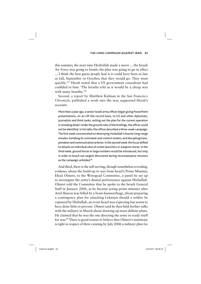this summer, the next time Hezbollah made a move ... the Israeli Air Force was going to bomb, the plan was going to go in effect ... I think the best guess people had is it could have been as late as fall, September or October, that they would go. They went quickly.'93 Hersh noted that a US government consultant had confided in him: 'The Israelis told us it would be a cheap war with many benefits.'94

Second, a report by Matthew Kalman in the *San Francisco Chronicle*, published a week into the war, supported Hersh's account:

More than a year ago, a senior Israeli army officer began giving PowerPoint presentations, on an off-the-record basis, to US and other diplomats, journalists and think tanks, setting out the plan for the current operation in revealing detail. Under the ground rules of the briefings, the officer could not be identified. In his talks, the officer described a three-week campaign: The first week concentrated on destroying Hezbollah's heavier long-range missiles, bombing its command-and-control centers, and disrupting transportation and communication arteries. In the second week, the focus shifted to attacks on individual sites of rocket launchers or weapons stores. In the third week, ground forces in large numbers would be introduced, but only in order to knock out targets discovered during reconnaissance missions as the campaign unfolded.<sup>95</sup>

And third, there is the self-serving, though nonetheless revealing, evidence about the build-up to war from Israel's Prime Minister, Ehud Olmert, to the Winograd Committee, a panel he set up to investigate the army's dismal performance against Hizbullah. Olmert told the Committee that he spoke to the Israeli General Staff in January 2006, as he became acting prime minister after Ariel Sharon was felled by a brain haemorrhage, about preparing a contingency plan for attacking Lebanon should a soldier be captured by Hizbullah, an event Israel was expecting but seems to have done little to prevent. Olmert said he then held further talks with the military in March about drawing up more definite plans. He claimed that he was the one directing the army to ready itself for war.<sup>96</sup> There is good reason to believe that Olmert's testimony is right in respect of there existing by July 2006 a military plan for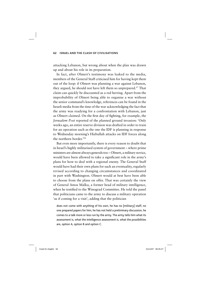attacking Lebanon, but wrong about when the plan was drawn up and about his role in its preparation.

In fact, after Olmert's testimony was leaked to the media, members of the General Staff criticised him for having kept them out of the loop: if Olmert was planning a war against Lebanon, they argued, he should not have left them so unprepared.<sup>97</sup> That claim can quickly be discounted as a red herring. Apart from the improbability of Olmert being able to organise a war without the senior command's knowledge, references can be found in the Israeli media from the time of the war acknowledging the fact that the army was readying for a confrontation with Lebanon, just as Olmert claimed. On the first day of fighting, for example, the *Jerusalem Post* reported of the planned ground invasion: 'Only weeks ago, an entire reserve division was drafted in order to train for an operation such as the one the IDF is planning in response to Wednesday morning's Hizbullah attacks on IDF forces along the northern border.<sup>'98</sup>

But even more importantly, there is every reason to doubt that in Israel's highly militarised system of government – where prime ministers are almost always generals too – Olmert, a military novice, would have been allowed to take a significant role in the army's plans for how to deal with a regional enemy. The General Staff would have had their own plans for such an eventuality, regularly revised according to changing circumstances and coordinated in part with Washington. Olmert would at best have been able to choose from the plans on offer. That was certainly the view of General Amos Malka, a former head of military intelligence, when he testified to the Winograd Committee. He told the panel that politicians came to the army to discuss a military operation 'as if coming for a visit', adding that the politician

does not come with anything of his own, he has no [military] staff, no one prepared papers for him, he has not held a preliminary discussion, he comes to a talk more or less run by the army. The army tells him what its assessment is, what the intelligence assessment is, what the possibilities are, option A, option B and option C.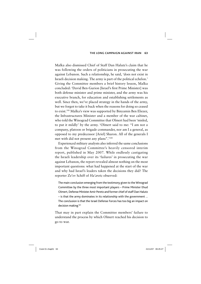Malka also dismissed Chief of Staff Dan Halutz's claim that he was following the orders of politicians in prosecuting the war against Lebanon. Such a relationship, he said, 'does not exist in Israeli decision making. The army is part of the political echelon.' Giving the Committee members a brief history lesson, Malka concluded: 'David Ben-Gurion [Israel's first Prime Minister] was both defense minister and prime minister, and the army was his executive branch, for education and establishing settlements as well. Since then, we've placed strategy in the hands of the army, but we forgot to take it back when the reasons for doing so ceased to exist.'99 Malka's view was supported by Binyamin Ben Eliezer, the Infrastructures Minister and a member of the war cabinet, who told the Winograd Committee that Olmert had been 'misled, to put it mildly' by the army. 'Olmert said to me: "I am not a company, platoon or brigade commander, nor am I a general, as opposed to my predecessor [Ariel] Sharon. All of the generals I met with did not present any plans".'100

Experienced military analysts also inferred the same conclusions from the Winograd Committee's heavily censored interim report, published in May 2007. While endlessly castigating the Israeli leadership over its 'failures' in prosecuting the war against Lebanon, the report revealed almost nothing on the most important questions: what had happened at the start of the war and why had Israel's leaders taken the decisions they did? The reporter Ze'ev Schiff of *Ha'aretz* observed:

The main conclusion emerging from the testimony given to the Winograd Committee by the three most important players – Prime Minister Ehud Olmert, Defense Minister Amir Peretz and former chief of staff Dan Halutz – is that the army dominates in its relationship with the government ... The conclusion is that the Israel Defense Forces has too big an impact on decision making.<sup>101</sup>

That may in part explain the Committee members' failure to understand the process by which Olmert reached his decision to go to war.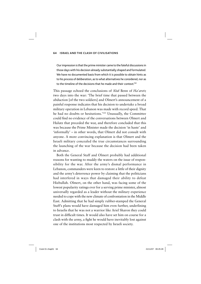Our impression is that the prime minister came to the fateful discussions in those days with his decision already substantially shaped and formulated. We have no documented basis from which it is possible to obtain hints as to his process of deliberation, as to what alternatives he considered, nor as to the timeline of the decisions that he made and their context<sup>102</sup>

This passage echoed the conclusions of Aluf Benn of *Ha'aretz* two days into the war: 'The brief time that passed between the abduction [of the two soldiers] and Olmert's announcement of a painful response indicates that his decision to undertake a broad military operation in Lebanon was made with record speed. That he had no doubts or hesitations.'103 Unusually, the Committee could find no evidence of the conversations between Olmert and Halutz that preceded the war, and therefore concluded that this was because the Prime Minister made the decision 'in haste' and 'informally' – in other words, that Olmert did not consult with anyone. A more convincing explanation is that Olmert and the Israeli military concealed the true circumstances surrounding the launching of the war because the decision had been taken in advance.

Both the General Staff and Olmert probably had additional reasons for wanting to muddy the waters on the issue of responsibility for the war. After the army's dismal performance in Lebanon, commanders were keen to restore a little of their dignity and the army's deterrence power by claiming that the politicians had interfered in ways that damaged their ability to defeat Hizbullah. Olmert, on the other hand, was facing some of the lowest popularity ratings ever for a serving prime minister, almost universally regarded as a leader without the military experience needed to cope with the new climate of confrontation in the Middle East. Admitting that he had simply rubber-stamped the General Staff's plans would have damaged him even further, underlining to Israelis that he was not a warrior like Ariel Sharon they could trust in difficult times. It would also have set him on course for a clash with the army, a fight he would have inevitably lost against one of the institutions most respected by Israeli society.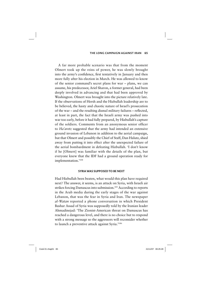A far more probable scenario was that from the moment Olmert took up the reins of power, he was slowly brought into the army's confidence, first tentatively in January and then more fully after his election in March. He was allowed to know of the senior command's secret plans for war – plans, we can assume, his predecessor, Ariel Sharon, a former general, had been deeply involved in advancing and that had been approved by Washington. Olmert was brought into the picture relatively late. If the observations of Hersh and the Hizbullah leadership are to be believed, the hasty and chaotic nature of Israel's prosecution of the war – and the resulting dismal military failures – reflected, at least in part, the fact that the Israeli army was pushed into war too early, before it had fully prepared, by Hizbullah's capture of the soldiers. Comments from an anonymous senior officer to *Ha'aretz* suggested that the army had intended an extensive ground invasion of Lebanon in addition to the aerial campaign, but that Olmert and possibly the Chief of Staff, Dan Halutz, shied away from putting it into effect after the unexpected failure of the aerial bombardment in defeating Hizbullah. 'I don't know if he [Olmert] was familiar with the details of the plan, but everyone knew that the IDF had a ground operation ready for implementation.'104

## **SYRIA WAS SUPPOSED TO BE NEXT**

Had Hizbullah been beaten, what would this plan have required next? The answer, it seems, is an attack on Syria, with Israeli air strikes forcing Damascus into submission.<sup>105</sup> According to reports in the Arab media during the early stages of the war against Lebanon, that was the fear in Syria and Iran. The newspaper *al-Watan* reported a phone conversation in which President Bashar Assad of Syria was supposedly told by the Iranian leader Ahmadinejad: 'The Zionist-American threat on Damascus has reached a dangerous level, and there is no choice but to respond with a strong message so the aggressors will reconsider whether to launch a preventive attack against Syria.'106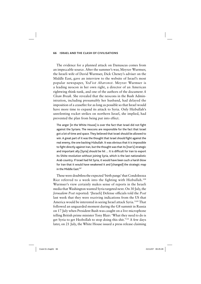### **66 ISRAEL AND THE CLASH OF CIVILISATIONS**

The evidence for a planned attack on Damascus comes from an impeccable source. After the summer's war, Meyrav Wurmser, the Israeli wife of David Wurmser, Dick Cheney's adviser on the Middle East, gave an interview to the website of Israel's most popular newspaper, *Yed'iot Aharonot*. Meyrav Wurmser is a leading neocon in her own right, a director of an American rightwing think-tank, and one of the authors of the document *A Clean Break*. She revealed that the neocons in the Bush Administration, including presumably her husband, had delayed the imposition of a ceasefire for as long as possible so that Israel would have more time to expand its attack to Syria. Only Hizbullah's unrelenting rocket strikes on northern Israel, she implied, had prevented the plan from being put into effect.

The anger [in the White House] is over the fact that Israel did not fight against the Syrians. The neocons are responsible for the fact that Israel got a lot of time and space. They believed that Israel should be allowed to win. A great part of it was the thought that Israel should fight against the real enemy, the one backing Hizbullah. It was obvious that it is impossible to fight directly against Iran, but the thought was that its [Iran's] strategic and important ally [Syria] should be hit ... It is difficult for Iran to export its Shiite revolution without joining Syria, which is the last nationalistic Arab country. If Israel had hit Syria, it would have been such a harsh blow for Iran that it would have weakened it and [changed] the strategic map in the Middle East.<sup>107</sup>

These were doubtless the expected 'birth pangs' that Condoleezza Rice referred to a week into the fighting with Hizbullah.108 Wurmser's view certainly makes sense of reports in the Israeli media that Washington wanted Syria targeted next. On 30 July, the *Jerusalem Post reported: '[Israeli] Defense officials told the Post* last week that they were receiving indications from the US that America would be interested in seeing Israel attack Syria.'109 That followed an unguarded moment during the G8 summit in Russia on 17 July when President Bush was caught on a live microphone telling British prime minister Tony Blair: 'What they need to do is get Syria to get Hezbollah to stop doing this shit.'110 A few days later, on 21 July, the White House issued a press release claiming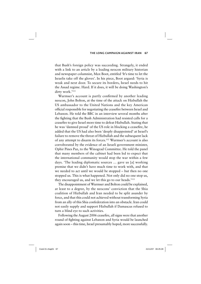that Bush's foreign policy was succeeding. Strangely, it ended with a link to an article by a leading neocon military historian and newspaper columnist, Max Boot, entitled 'It's time to let the Israelis take off the gloves'. In his piece, Boot argued: 'Syria is weak and next door. To secure its borders, Israel needs to hit the Assad regime. Hard. If it does, it will be doing Washington's dirty work.'<sup>111</sup>

Wurmser's account is partly confirmed by another leading neocon, John Bolton, at the time of the attack on Hizbullah the US ambassador to the United Nations and the key American official responsible for negotiating the ceasefire between Israel and Lebanon. He told the BBC in an interview several months after the fighting that the Bush Administration had resisted calls for a ceasefire to give Israel more time to defeat Hizbullah. Stating that he was 'damned proud' of the US role in blocking a ceasefire, he added that the US had also been 'deeply disappointed' at Israel's failure to remove the threat of Hizbullah and the subsequent lack of any attempt to disarm its forces.112 Wurmser's account is also corroborated by the evidence of an Israeli government minister, Ophir Pines Paz, to the Winograd Committee. He told the panel that many members of the cabinet had been led to expect that the international community would stop the war within a few days. 'The leading diplomatic sources … gave us [a] working premise that we didn't have much time to work with, and that we needed to act until we would be stopped – but then no one stopped us. This is what happened. Not only did no one stop us, they encouraged us, and we let this go to our heads.'113

The disappointment of Wurmser and Bolton could be explained, at least to a degree, by the neocons' conviction that the Shia coalition of Hizbullah and Iran needed to be split asunder by force, and that this could not achieved without transforming Syria from an ally of this Shia confederation into an obstacle. Iran could not easily supply and support Hizbullah if Damascus refused to turn a blind eye to such activities.

Following the August 2006 ceasefire, all signs were that another round of fighting against Lebanon and Syria would be launched again soon – this time, Israel presumably hoped, more successfully.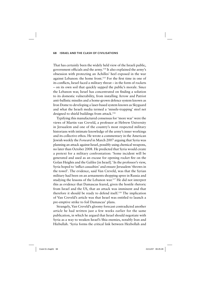That has certainly been the widely held view of the Israeli public, government officials and the army.<sup>114</sup> It also explained the army's obsession with protecting an Achilles' heel exposed in the war against Lebanon: the home front.<sup>115</sup> For the first time in one of its conflicts, Israel faced a military threat – in the form of rockets – on its own soil that quickly sapped the public's morale. Since the Lebanon war, Israel has concentrated on finding a solution to its domestic vulnerability, from installing Arrow and Patriot anti-ballistic missiles and a home-grown defence system known as Iron Dome to developing a laser-based system known as Skyguard and what the Israeli media termed a 'missile-trapping' steel net designed to shield buildings from attack.<sup>116</sup>

Typifying this manufactured consensus for 'more war' were the views of Martin van Creveld, a professor at Hebrew University in Jersualem and one of the country's most respected military historians with intimate knowledge of the army's inner workings and its collective ethos. He wrote a commentary in the American Jewish weekly the *Forward* in March 2007 arguing that Syria was planning an attack against Israel, possibly using chemical weapons, no later than October 2008. He predicted that Syria would create a pretext for a military confrontation: 'Some incident will be generated and used as an excuse for opening rocket fire on the Golan Heights and the Galilee [in Israel].' In the professor's view, Syria hoped to 'inflict casualties' and ensure Jerusalem 'throws in the towel'. The evidence, said Van Creveld, was that the Syrian military had been on an armaments shopping spree in Russia and studying the lessons of the Lebanon war.117 He did not interpret this as evidence that Damascus feared, given the hostile rhetoric from Israel and the US, that an attack was imminent and that therefore it should be ready to defend itself.118 The implication of Van Creveld's article was that Israel was entitled to launch a pre-emptive strike to foil Damascus' plans.

Strangely, Van Creveld's gloomy forecast contradicted another article he had written just a few weeks earlier for the same publication, in which he argued that Israel should negotiate with Syria as a way to weaken Israel's Shia enemies, notably Iran and Hizbullah. 'Syria forms the critical link between Hezbollah and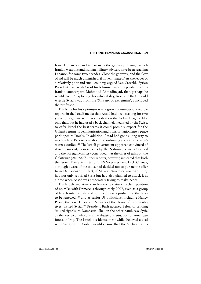Iran. The airport in Damascus is the gateway through which Iranian weapons and Iranian military advisers have been reaching Lebanon for some two decades. Close the gateway, and the flow of aid will be much diminished, if not eliminated.' As the leader of a relatively poor and small country, argued Van Creveld, 'Syrian President Bashar al-Assad finds himself more dependent on his Iranian counterpart, Mahmoud Ahmadinejad, than perhaps he would like.'119 Exploiting this vulnerability, Israel and the US could wrestle Syria away from the 'Shia arc of extremism', concluded the professor.

The basis for his optimism was a growing number of credible reports in the Israeli media that Assad had been seeking for two years to negotiate with Israel a deal on the Golan Heights. Not only that, but he had used a back channel, mediated by the Swiss, to offer Israel the best terms it could possibly expect for the Golan's return: its demilitarisation and transformation into a peace park open to Israelis. In addition, Assad had gone a long way to meeting Israel's concerns about its continuing access to the area's water supplies.<sup>120</sup> The Israeli government appeared convinced of Assad's sincerity: assessments by the National Security Council and the Foreign Ministry concluded that the offer of talks on the Golan was genuine.121 Other reports, however, indicated that both the Israeli Prime Minister and US Vice-President Dick Cheney, although aware of the talks, had decided not to pursue the offer from Damascus.122 In fact, if Meyrav Wurmser was right, they had not only rebuffed Syria but had also planned to attack it at a time when Assad was desperately trying to make peace.

The Israeli and American leaderships stuck to their position of no talks with Damascus through early 2007, even as a group of Israeli intellectuals and former officials pushed for the talks to be renewed,123 and as senior US politicians, including Nancy Pelosi, the new Democratic Speaker of the House of Representatives, visited Syria.124 President Bush accused Pelosi of sending 'mixed signals' to Damascus. She, on the other hand, saw Syria as the key to ameliorating the disastrous situation of American forces in Iraq. The Israeli dissidents, meanwhile, believed a deal with Syria on the Golan would ensure that the Shebaa Farms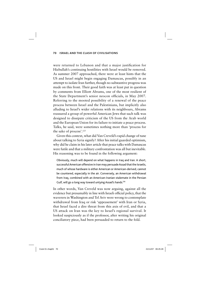were returned to Lebanon and that a major justification for Hizbullah's continuing hostilities with Israel would be removed. As summer 2007 approached, there were at least hints that the US and Israel might begin engaging Damascus, possibly in an attempt to isolate Iran further, though no substantive progress was made on this front. Their good faith was at least put in question by comments from Elliott Abrams, one of the most resilient of the State Department's senior neocon officials, in May 2007. Referring to the mooted possibility of a renewal of the peace process between Israel and the Palestinians, but implicitly also alluding to Israel's wider relations with its neighbours, Abrams reassured a group of powerful American Jews that such talk was designed to dissipate criticism of the US from the Arab world and the European Union for its failure to initiate a peace process. Talks, he said, were sometimes nothing more than 'process for the sake of process'.125

Given this context, what did Van Creveld's rapid change of tune about talking to Syria signify? After his initial guarded optimism, why did he claim in his later article that peace talks with Damascus were futile and that a military confrontation was all but inevitable. His reasoning was to be found in the following argument:

Obviously, much will depend on what happens in Iraq and Iran. A short, successful American offensive in Iran may persuade Assad that the Israelis, much of whose hardware is either American or American-derived, cannot be countered, especially in the air. Conversely, an American withdrawal from Iraq, combined with an American-Iranian stalemate in the Persian Gulf, will go a long way toward untying Assad's hands.<sup>126</sup>

In other words, Van Creveld was now arguing, against all the evidence but presumably in line with Israeli official policy, that the waverers in Washington and Tel Aviv were wrong to contemplate withdrawal from Iraq or risk 'appeasement' with Iran or Syria, that Israel faced a dire threat from this axis of evil, and that a US attack on Iran was the key to Israel's regional survival. It looked suspiciously as if the professor, after writing his original conciliatory piece, had been persuaded to return to the fold.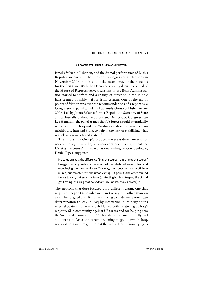## **A POWER STRUGGLE IN WASHINGTON**

Israel's failure in Lebanon, and the dismal performance of Bush's Republican party in the mid-term Congressional elections in November 2006, put in doubt the ascendancy of the neocons for the first time. With the Democrats taking decisive control of the House of Representatives, tensions in the Bush Administration started to surface and a change of direction in the Middle East seemed possible – if far from certain. One of the major points of friction was over the recommendations of a report by a Congressional panel called the Iraq Study Group published in late 2006. Led by James Baker, a former Republican Secretary of State and a close ally of the oil industry, and Democratic Congressman Lee Hamilton, the panel argued that US forces should be gradually withdrawn from Iraq and that Washington should engage its main neighbours, Iran and Syria, to help in the task of stabilising what was clearly now a failed state.<sup>127</sup>

The Iraq Study Group's proposals were a direct reversal of neocon policy. Bush's key advisers continued to argue that the US 'stay the course' in Iraq – or as one leading neocon ideologue, Daniel Pipes, suggested:

My solution splits the difference, 'Stay the course – but change the course.' I suggest pulling coalition forces out of the inhabited areas of Iraq and redeploying them to the desert. This way, the troops remain indefinitely in Iraq, but remote from the urban carnage. It permits the American-led troops to carry out essential tasks (protecting borders, keeping the oil and gas flowing, ensuring that no Saddam-like monster takes power).<sup>128</sup>

The neocons therefore focused on a different claim, one that required deeper US involvement in the region rather than an exit. They argued that Tehran was trying to undermine American determination to stay in Iraq by interfering in its neighbour's internal politics. Iran was widely blamed both for stirring up Iraq's majority Shia community against US forces and for helping arm the Sunni-led insurrection.<sup>129</sup> Although Tehran undoubtedly had an interest in American forces becoming bogged down in Iraq, not least because it might prevent the White House from trying to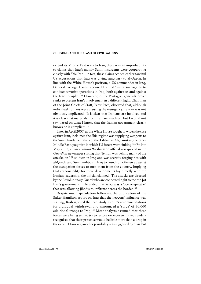extend its Middle East wars to Iran, there was an improbability to claims that Iraq's mainly Sunni insurgents were cooperating closely with Shia Iran – in fact, these claims echoed earlier fanciful US accusations that Iraq was giving sanctuary to al-Qaeda. In line with the White House's position, a US commander in Iraq, General George Casey, accused Iran of 'using surrogates to conduct terrorist operations in Iraq, both against us and against the Iraqi people'.130 However, other Pentagon generals broke ranks to present Iran's involvement in a different light. Chairman of the Joint Chiefs of Staff, Peter Pace, observed that, although individual Iranians were assisting the insurgency, Tehran was not obviously implicated. 'It is clear that Iranians are involved and it is clear that materials from Iran are involved, but I would not say, based on what I know, that the Iranian government clearly knows or is complicit.'131

Later, in April 2007, as the White House sought to widen the case against Iran, it claimed the Shia regime was supplying weapons to the Sunni fundamentalists of the Taliban in Afghanistan, the other Middle East quagmire in which US forces were sinking.132 By late May 2007, an anonymous Washington official was quoted in the *Guardian* newspaper stating that Tehran was behind many of the attacks on US soldiers in Iraq and was secretly forging ties with al-Qaeda and Sunni militias in Iraq to launch an offensive against the occupation forces to oust them from the country. Implying that responsibility for these developments lay directly with the Iranian leadership, the official claimed: 'The attacks are directed by the Revolutionary Guard who are connected right to the top [of Iran's government].' He added that Syria was a 'co-conspirator' that was allowing jihadis to infiltrate across the border.<sup>133</sup>

Despite much speculation following the publication of the Baker-Hamilton report on Iraq that the neocons' influence was waning, Bush ignored the Iraq Study Group's recommendations for a gradual withdrawal and announced a 'surge' of 30,000 additional troops to Iraq.134 Most analysts assumed that these forces were being sent to try to restore order, even if it was widely recognised that their presence would be little more than a drop in the ocean. However, another possibility was suggested by dissident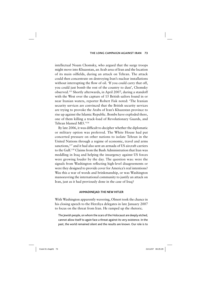intellectual Noam Chomsky, who argued that the surge troops might move into Khuzestan, an Arab area of Iran and the location of its main oilfields, during an attack on Tehran. The attack could then concentrate on destroying Iran's nuclear installations without interrupting the flow of oil. 'If you could carry that off, you could just bomb the rest of the country to dust', Chomsky observed.135 Shortly afterwards, in April 2007, during a standoff with the West over the capture of 15 British sailors found in or near Iranian waters, reporter Robert Fisk noted: 'The Iranian security services are convinced that the British security services are trying to provoke the Arabs of Iran's Khuzestan province to rise up against the Islamic Republic. Bombs have exploded there, one of them killing a truck-load of Revolutionary Guards, and Tehran blamed MI5.'136

By late 2006, it was difficult to decipher whether the diplomatic or military option was preferred. The White House had put concerted pressure on other nations to isolate Tehran in the United Nations through a regime of economic, travel and arms sanctions,<sup>137</sup> and it had also sent an armada of US aircraft carriers to the Gulf.138 Claims from the Bush Administration that Iran was meddling in Iraq and helping the insurgency against US forces were growing louder by the day. The question was: were the signals from Washington reflecting high-level disagreements or were they designed to provide cover for America's real intentions? Was this a war of words and brinkmanship, or was Washington manoeuvring the international community to justify an attack on Iran, just as it had previously done in the case of Iraq?

#### **AHMADINEJAD: THE NEW HITLER**

With Washington apparently wavering, Olmert took the chance in his closing speech to the Herzliya delegates in late January 2007 to focus on the threat from Iran. He ramped up the rhetoric.

The Jewish people, on whom the scars of the Holocaust are deeply etched, cannot allow itself to again face a threat against its very existence. In the past, the world remained silent and the results are known. Our role is to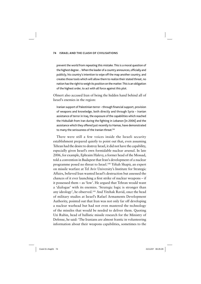#### **74 ISRAEL AND THE CLASH OF CIVILISATIONS**

prevent the world from repeating this mistake. This is a moral question of the highest degree ... When the leader of a country announces, officially and publicly, his country's intention to wipe off the map another country, and creates those tools which will allow them to realize their stated threat, no nation has the right to weigh its position on the matter. This is an obligation of the highest order, to act with all force against this plot.

Olmert also accused Iran of being the hidden hand behind all of Israel's enemies in the region:

Iranian support of Palestinian terror – through financial support, provision of weapons and knowledge, both directly and through Syria – Iranian assistance of terror in Iraq, the exposure of the capabilities which reached the Hizbullah from Iran during the fighting in Lebanon [in 2006] and the assistance which they offered just recently to Hamas, have demonstrated to many the seriousness of the Iranian threat.<sup>139</sup>

There were still a few voices inside the Israeli security establishment prepared quietly to point out that, even assuming Tehran had the desire to destroy Israel, it did not have the capability, especially given Israel's own formidable nuclear arsenal. In late 2006, for example, Ephraim Halevy, a former head of the Mossad, told a convention in Budapest that Iran's development of a nuclear programme posed no threat to Israel.140 Yiftah Shapir, an expert on missile warfare at Tel Aviv University's Institute for Strategic Affairs, believed Iran wanted Israel's destruction but assessed the chances of it ever launching a first strike of nuclear weapons  $-$  if it possessed them – as 'low'. He argued that Tehran would want a 'dialogue' with its enemies. 'Strategic logic is stronger than any ideology', he observed.141 And Yitzhak Ravid, once the head of military studies at Israel's Rafael Armaments Development Authority, pointed out that Iran was not only far off developing a nuclear warhead but had not even mastered the technology of the missiles that would be needed to deliver them. Quoting Uzi Rubin, head of ballistic missile research for the Ministry of Defense, he said: 'The Iranians are almost frantic in volunteering information about their weapons capabilities, sometimes to the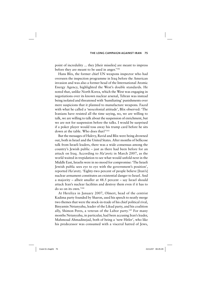point of incredulity ... they [their missiles] are meant to impress before they are meant to be used in anger.'142

Hans Blix, the former chief UN weapons inspector who had overseen the inspection programme in Iraq before the American invasion and was also a former head of the International Atomic Energy Agency, highlighted the West's double standards. He noted that, unlike North Korea, which the West was engaging in negotiations over its known nuclear arsenal, Tehran was instead being isolated and threatened with 'humiliating' punishments over mere suspicions that it planned to manufacture weapons. Faced with what he called a 'neocolonial attitude', Blix observed: 'The Iranians have resisted all the time saying, no, we are willing to talk, we are willing to talk about the suspension of enrichment, but we are not for suspension before the talks. I would be surprised if a poker player would toss away his trump card before he sits down at the table. Who does that?'143

But the messages of Halevy, Ravid and Blix were being drowned out, both in Israel and the United States. After months of bellicose talk from Israeli leaders, there was a wide consensus among the country's Jewish public – just as there had been before for an attack on Iraq. According to *Ha'aretz* in March 2007, as the world waited in trepidation to see what would unfold next in the Middle East, Israelis were in no mood for compromise: 'The Israeli Jewish public sees eye to eye with the government's position', reported *Ha'aretz*. 'Eighty-two percent of people believe [Iran's] nuclear armament constitutes an existential danger to Israel. And a majority – albeit smaller at 48.5 percent – say Israel should attack Iran's nuclear facilities and destroy them even if it has to do so on its own.'144

At Herzliya in January 2007, Olmert, head of the centrist Kadima party founded by Sharon, used his speech to neatly merge two themes that were the stock-in-trade of his chief political rival, Binyamin Netanyahu, leader of the Likud party, and his coalition ally, Shimon Peres, a veteran of the Labor party.<sup>145</sup> For many months Netanyahu, in particular, had been accusing Iran's leader, Mahmoud Ahmadinejad, both of being a 'new Hitler', who like his predecessor was consumed with a visceral hatred of Jews,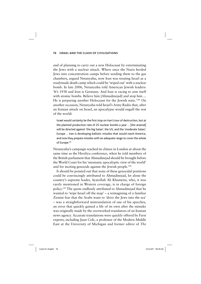and of planning to carry out a new Holocaust by exterminating the Jews with a nuclear attack. Where once the Nazis herded Jews into concentration camps before sending them to the gas chambers, argued Netanyahu, now Iran was treating Israel as a readymade death camp which could be 'wiped out' with a nuclear bomb. In late 2006, Netanyahu told American Jewish leaders: 'It's 1938 and Iran is Germany. And Iran is racing to arm itself with atomic bombs. Believe him [Ahmadinejad] and stop him ... He is preparing another Holocaust for the Jewish state.'146 On another occasion, Netanyahu told Israel's Army Radio that, after an Iranian attack on Israel, an apocalypse would engulf the rest of the world:

Israel would certainly be the first stop on Iran's tour of destruction, but at the planned production rate of 25 nuclear bombs a year ... [the arsenal] will be directed against 'the big Satan', the US, and the 'moderate Satan', Europe ... Iran is developing ballistic missiles that would reach America, and now they prepare missiles with an adequate range to cover the whole of Europe.<sup>147</sup>

Netanyahu's campaign reached its climax in London at about the same time as the Herzliya conference, when he told members of the British parliament that Ahmadinejad should be brought before the World Court for his 'messianic apocalyptic view of the world' and for inciting genocide against the Jewish people.148

It should be pointed out that none of these genocidal positions could be convincingly attributed to Ahmadinejad, let alone the country's supreme leader, Ayatollah Ali Khameini, who, it was rarely mentioned in Western coverage, is in charge of foreign policy.149 The quote endlessly attributed to Ahmadinejad that he wanted to 'wipe Israel off the map' – a reimagining of a familiar Zionist fear that the Arabs want to 'drive the Jews into the sea' – was a straightforward mistranslation of one of his speeches, an error that quickly gained a life of its own after the mistake was originally made by the overworked translators of an Iranian news agency. Accurate translations were quickly offered by Farsi experts, including Juan Cole, a professor of the Modern Middle East at the University of Michigan and former editor of *The*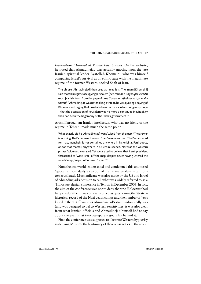*International Journal of Middle East Studies*. On his website, he noted that Ahmadinejad was actually quoting from the late Iranian spiritual leader Ayatollah Khomeini, who was himself comparing Israel's survival as an ethnic state with the illegitimate regime of the former Western-backed Shah of Iran.

The phrase [Ahmadinejad] then used as I read it is 'The Imam [Khomeini] said that this regime occupying Jerusalem (*een rezhim-e ishghalgar-e qods*) must [vanish from] from the page of time (*bayad az safheh-ye ruzgar mahv shavad*).' Ahmadinejad was not making a threat, he was quoting a saying of Khomeini and urging that pro-Palestinian activists in Iran not give up hope – that the occupation of Jerusalem was no more a continued inevitability than had been the hegemony of the Shah's government.<sup>150</sup>

Arash Narouzi, an Iranian intellectual who was no friend of the regime in Tehran, made much the same point:

What exactly did he [Ahmadinejad] want 'wiped from the map'? The answer is: nothing. That's because the word 'map' was never used. The Persian word for map, 'nagsheh' is not contained anywhere in his original Farsi quote, or, for that matter, anywhere in his entire speech. Nor was the western phrase 'wipe out' ever said. Yet we are led to believe that Iran's president threatened to 'wipe Israel off the map' despite never having uttered the words 'map', 'wipe out' or even 'Israel.'<sup>151</sup>

Nonetheless, world leaders cited and condemned this unuttered 'quote' almost daily as proof of Iran's malevolent intentions towards Israel. Much mileage was also made by the US and Israel of Ahmadinejad's decision to call what was widely referred to as a 'Holocaust denial' conference in Tehran in December 2006. In fact, the aim of the conference was not to deny that the Holocaust had happened; rather it was officially billed as questioning the Western historical record of the Nazi death camps and the number of Jews killed in them. Offensive as Ahmadinejad's stunt undoubtedly was (and was designed to be) to Western sensitivities, it was also clear from what Iranian officials and Ahmadinejad himself had to say about the event that two transparent goals lay behind it.

First, the conference was supposed to illustrate Western hypocrisy in denying Muslims the legitimacy of their sensitivities in the recent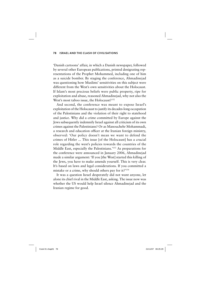'Danish cartoons' affair, in which a Danish newspaper, followed by several other European publications, printed denigrating representations of the Prophet Mohammed, including one of him as a suicide bomber. By staging the conference, Ahmadinejad was questioning how Muslims' sensitivities on this subject were different from the West's own sensitivities about the Holocaust. If Islam's most precious beliefs were public property, ripe for exploitation and abuse, reasoned Ahmadinejad, why not also the West's most taboo issue, the Holocaust?<sup>152</sup>

And second, the conference was meant to expose Israel's exploitation of the Holocaust to justify its decades-long occupation of the Palestinians and the violation of their right to statehood and justice. Why did a crime committed by Europe against the Jews subsequently indemnify Israel against all criticism of its own crimes against the Palestinians? Or as Manouchehr Mohammadi, a research and education officer at the Iranian foreign ministry, observed: 'Our policy doesn't mean we want to defend the crimes of Hitler ... This issue [of the Holocaust] has a crucial role regarding the west's policies towards the countries of the Middle East, especially the Palestinians.'153 As preparations for the conference were announced in January 2006, Ahmadinejad made a similar argument: 'If you [the West] started this killing of the Jews, you have to make amends yourself. This is very clear. It's based on laws and legal considerations. If you committed a mistake or a crime, why should others pay for it?'154

It was a question Israel desperately did not want anyone, let alone its chief rival in the Middle East, asking. The issue now was whether the US would help Israel silence Ahmadinejad and the Iranian regime for good.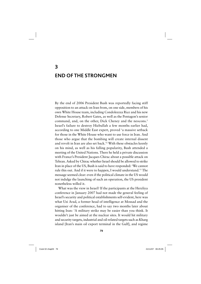# **END OF THE STRONGMEN**

By the end of 2006 President Bush was reportedly facing stiff opposition to an attack on Iran from, on one side, members of his own White House team, including Condoleezza Rice and his new Defense Secretary, Robert Gates, as well as the Pentagon's senior command, and, on the other, Dick Cheney and the neocons.<sup>1</sup> Israel's failure to destroy Hizbullah a few months earlier had, according to one Middle East expert, proved 'a massive setback for those in the White House who want to use force in Iran. And those who argue that the bombing will create internal dissent and revolt in Iran are also set back.'2 With these obstacles keenly on his mind, as well as his falling popularity, Bush attended a meeting of the United Nations. There he held a private discussion with France's President Jacques Chirac about a possible attack on Tehran. Asked by Chirac whether Israel should be allowed to strike Iran in place of the US, Bush is said to have responded: 'We cannot rule this out. And if it were to happen, I would understand.'3 The message seemed clear: even if the political climate in the US would not indulge the launching of such an operation, the US president nonetheless willed it.

What was the view in Israel? If the participants at the Herzliya conference in January 2007 had not made the general feeling of Israel's security and political establishments self-evident, here was what Uzi Arad, a former head of intelligence at Mossad and the organiser of the conference, had to say two months later about hitting Iran: 'A military strike may be easier than you think. It wouldn't just be aimed at the nuclear sites. It would hit military and security targets, industrial and oil-related targets such as Kharg island [Iran's main oil export terminal in the Gulf], and regime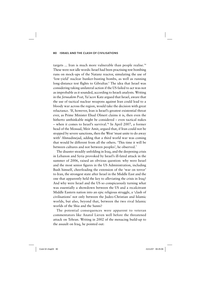targets ... Iran is much more vulnerable than people realise.'4 These were not idle words: Israel had been practising test bombing runs on mock-ups of the Natanz reactor, simulating the use of 'low-yield' nuclear bunker-busting bombs, as well as running long-distance test flights to Gibraltar.<sup>5</sup> The idea that Israel was considering taking unilateral action if the US failed to act was not as improbable as it sounded, according to Israeli analysts. Writing in the *Jerusalem Post*, Ya'acov Katz argued that Israel, aware that the use of tactical nuclear weapons against Iran could lead to a bloody war across the region, would take the decision with great reluctance. 'If, however, Iran is Israel's greatest existential threat ever, as Prime Minister Ehud Olmert claims it is, then even the hitherto unthinkable might be considered – even tactical nukes – when it comes to Israel's survival.'6 In April 2007, a former head of the Mossad, Meir Amit, argued that, if Iran could not be stopped by severe sanctions, then the West 'must unite to do away with' Ahmadinejad, adding that a third world war was coming that would be different from all the others. 'This time it will be between cultures and not between peoples', he observed.7

The disaster steadily unfolding in Iraq, and the deepening crisis in Lebanon and Syria provoked by Israel's ill-fated attack in the summer of 2006, raised an obvious question: why were Israel and the most senior figures in the US Administration, including Bush himself, cheerleading the extension of the 'war on terror' to Iran, the strongest state after Israel in the Middle East and the one that apparently held the key to alleviating the crisis in Iraq? And why were Israel and the US so conspicuously turning what was essentially a showdown between the US and a recalcitrant Middle Eastern nation into an epic religious struggle, a 'clash of civilisations' not only between the Judeo-Christian and Islamic worlds, but also, beyond that, between the two rival Islamic worlds of the Shia and the Sunni?

The potential consequences were apparent to veteran commentators like Anatol Lieven well before the threatened attack on Tehran. Writing in 2002 of the menacing build-up to the assault on Iraq, he pointed out: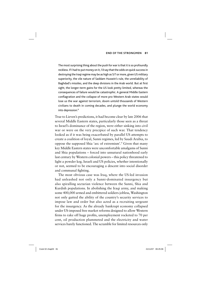The most surprising thing about the push for war is that it is so profoundly reckless. If I had to put money on it, I'd say that the odds on quick success in destroying the Iraqi regime may be as high as 5/1 or more, given US military superiority, the vile nature of Saddam Hussein's rule, the unreliability of Baghdad's missiles, and the deep divisions in the Arab world. But at first sight, the longer-term gains for the US look pretty limited, whereas the consequences of failure would be catastrophic. A general Middle Eastern conflagration and the collapse of more pro-Western Arab states would lose us the war against terrorism, doom untold thousands of Western civilians to death in coming decades, and plunge the world economy into depression.<sup>8</sup>

True to Lieven's predictions, it had become clear by late 2006 that several Middle Eastern states, particularly those seen as a threat to Israel's dominance of the region, were either sinking into civil war or were on the very precipice of such war. That tendency looked as if it was being exacerbated by parallel US attempts to create a coalition of loyal, Sunni regimes, led by Saudi Arabia, to oppose the supposed Shia 'arc of extremism'.9 Given that many key Middle Eastern states were uncomfortable amalgams of Sunni and Shia populations – forced into unnatural nationhood early last century by Western colonial powers – this policy threatened to light a powder keg. Israeli and US policies, whether intentionally or not, seemed to be encouraging a descent into social disorder and communal fighting.

The most obvious case was Iraq, where the US-led invasion had unleashed not only a Sunni-dominated insurgency but also spiralling sectarian violence between the Sunni, Shia and Kurdish populations. In abolishing the Iraqi army, and making some 400,000 armed and embittered soldiers jobless, Washington not only gutted the ability of the country's security services to impose law and order but also acted as a recruiting sergeant for the insurgency. As the already bankrupt economy collapsed under US-imposed free market reforms designed to allow Western firms to rake off huge profits, unemployment rocketed to 70 per cent, oil production plummeted and the electricity and water services barely functioned. The scramble for limited resources only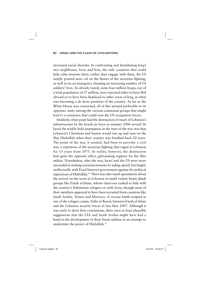increased social disorder. In confronting and humiliating Iraq's two neighbours, Syria and Iran, the only countries that could help calm tensions there, rather than engage with them, the US simply poured more oil on the flames of the sectarian fighting, as well as on an insurgency claiming an increasing number of US soldiers' lives. As already noted, some four million Iraqis, out of a total population of 27 million, were reported either to have fled abroad or to have been displaced to other areas of Iraq, in what was becoming a de facto partition of the country. As far as the White House was concerned, all of this seemed preferable to its opposite: unity among the various communal groups that might lead to a resistance that could oust the US occupation forces.

Similarly, what point had the destruction of much of Lebanon's infrastructure by the Israeli air force in summer 2006 served? In Israel the widely held assumption at the start of the war was that Lebanon's Christians and Sunnis would rise up and turn on the Shia Hizbullah when their country was bombed back 20 years. The point of the war, it seemed, had been to provoke a civil war, a repetition of the sectarian fighting that raged in Lebanon for 15 years from 1975. In reality, however, the destruction had quite the opposite effect, galvanising support for the Shia militia. Nonetheless, after the war, Israel and the US were more successful in stoking sectarian tensions by siding openly but largely ineffectually with Fuad Siniora's government against the political aspirations of Hizbullah.10 There was also much speculation about the arrival on the scene in Lebanon of small violent Sunni jihadi groups like Fatah al-Islam, whom observers rushed to link with the country's Palestinian refugees or with Syria, though most of their members appeared to have been recruited from countries like Saudi Arabia, Yemen and Morocco. A vicious battle erupted in one of the refugee camps, Nahr al-Bared, between Fatah al-Islam and the Lebanese security forces in late May 2007. Although it was early to draw firm conclusions, there were at least plausible suggestions that the CIA and Saudi Arabia might have had a hand in the development of these Sunni militias in an attempt to undermine the power of Hizbullah.<sup>11</sup>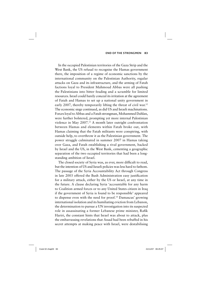In the occupied Palestinian territories of the Gaza Strip and the West Bank, the US refusal to recognise the Hamas government there, the imposition of a regime of economic sanctions by the international community on the Palestinian Authority, regular attacks on Gaza and its infrastructure, and the arming of Fatah factions loyal to President Mahmoud Abbas were all pushing the Palestinians into bitter feuding and a scramble for limited resources. Israel could barely conceal its irritation at the agreement of Fatah and Hamas to set up a national unity government in early 2007, thereby temporarily lifting the threat of civil war.<sup>12</sup> The economic siege continued, as did US and Israeli machinations. Forces loyal to Abbas and a Fatah strongman, Mohammed Dahlan, were further bolstered, prompting yet more internal Palestinian violence in May 2007.13 A month later outright confrontation between Hamas and elements within Fatah broke out, with Hamas claiming that the Fatah militants were conspiring, with outside help, to overthrow it as the Palestinian government. The power struggle culminated in summer 2007 in Hamas taking over Gaza, and Fatah establishing a rival government, backed by Israel and the US, in the West Bank, cementing a geographic separation of the two occupied territories that had been a longstanding ambition of Israel.

The closed society of Syria was, as ever, more difficult to read, but the intention of US and Israeli policies was less hard to fathom. The passage of the Syria Accountability Act through Congress in late 2003 offered the Bush Administration easy justification for a military attack, either by the US or Israel, at any time in the future. A clause declaring Syria 'accountable for any harm to Coalition armed forces or to any United States citizen in Iraq if the government of Syria is found to be responsible' appeared to dispense even with the need for proof.14 Damascus' growing international isolation and its humiliating eviction from Lebanon, the determination to pursue a UN investigation into its suspected role in assassinating a former Lebanese prime minister, Rafik Hariri, the constant hints that Israel was about to attack, plus the embarrassing revelations that Assad had been rebuffed in his secret attempts at making peace with Israel, were destabilising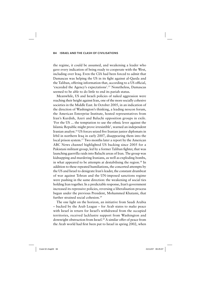the regime, it could be assumed, and weakening a leader who gave every indication of being ready to cooperate with the West, including over Iraq. Even the CIA had been forced to admit that Damascus was helping the US in its fight against al-Oaeda and the Taliban, offering information that, according to a US official, 'exceeded the Agency's expectations'.15 Nonetheless, Damascus seemed to be able to do little to end its pariah status.

Meanwhile, US and Israeli policies of naked aggression were reaching their height against Iran, one of the more socially cohesive societies in the Middle East. In October 2005, in an indication of the direction of Washington's thinking, a leading neocon forum, the American Enterprise Institute, hosted representatives from Iran's Kurdish, Azeri and Baluchi opposition groups in exile. 'For the US ... the temptation to use the ethnic lever against the Islamic Republic might prove irresistible', warned an independent Iranian analyst.<sup>16</sup> US forces seized five Iranian junior diplomats in Irbil in northern Iraq in early 2007, disappearing them into the local prison system.<sup>17</sup> Two months later a report by the American ABC News channel highlighted US backing since 2005 for a Pakistani militant group, led by a former Taliban fighter, that was launching guerrilla raids into Baluchi areas of Iran. The group was kidnapping and murdering Iranians, as well as exploding bombs, in what appeared to be attempts at destabilising the region.<sup>18</sup> In addition to these repeated humiliations, the concerted attempts by the US and Israel to denigrate Iran's leader, the constant drumbeat of war against Tehran and the UN-imposed sanctions regime were pushing in the same direction: the weakening of social ties holding Iran together. In a predictable response, Iran's government increased its repressive policies, reversing a liberalisation process begun under the previous President, Mohammed Khatami, that further strained social cohesion.19

The one light on the horizon, an initiative from Saudi Arabia – backed by the Arab League – for Arab states to make peace with Israel in return for Israel's withdrawal from the occupied territories, received lacklustre support from Washington and downright obstruction from Israel.20 A similar offer of peace from the Arab world had first been put to Israel in spring 2002, when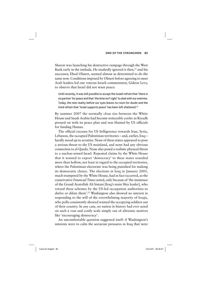Sharon was launching his destructive rampage through the West Bank early in the intifada. He studiedly ignored it then,<sup>21</sup> and his successor, Ehud Olmert, seemed almost as determined to do the same now. Conditions imposed by Olmert before agreeing to meet Arab leaders led one veteran Israeli commentator, Gideon Levy, to observe that Israel did not want peace:

Until recently, it was still possible to accept the Israeli refrain that 'there is no partner' for peace and that 'the time isn't right' to deal with our enemies. Today, the new reality before our eyes leaves no room for doubt and the tired refrain that 'Israel supports peace' has been left shattered.<sup>22</sup>

By summer 2007 the normally close ties between the White House and Saudi Arabia had become noticeably cooler as Riyadh pressed on with its peace plan and was blamed by US officials for funding Hamas.

The official excuses for US belligerence towards Iran, Syria, Lebanon, the occupied Palestinian territories – and, earlier, Iraq – hardly stood up to scrutiny. None of these states appeared to pose a serious threat to the US mainland, and none had any obvious connection to al-Qaeda. None also posed a realistic physical threat to a nuclear-armed Israel. Repeated claims by the White House that it wanted to export 'democracy' to these states sounded more than hollow, not least in regard to the occupied territories, where the Palestinian electorate was being punished for making its democratic choice. The elections in Iraq in January 2005, much trumpeted by the White House, had in fact occurred, as the conservative *Financial Times* noted, only because of 'the insistence of the Grand Ayatollah Ali Sistani [Iraq's main Shia leader], who vetoed three schemes by the US-led occupation authorities to shelve or dilute them'.23 Washington also showed no interest in responding to the will of the overwhelming majority of Iraqis, who polls consistently showed wanted the occupying soldiers out of their country. In any case, no nation in history had ever acted on such a vast and costly scale simply out of altruistic motives like 'encouraging democracy'.

An uncomfortable question suggested itself: if Washington's interests were to calm the sectarian pressures in Iraq that were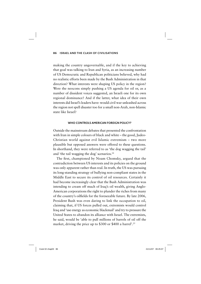making the country ungovernable, and if the key to achieving that goal was talking to Iran and Syria, as an increasing number of US Democratic and Republican politicians believed, why had no realistic efforts been made by the Bush Administration in that direction? What interests were shaping US policy in the region? Were the neocons simply pushing a US agenda for oil or, as a number of dissident voices suggested, an Israeli one for its own regional dominance? And if the latter, what idea of their own interests did Israel's leaders have: would civil war unleashed across the region not spell disaster too for a small non-Arab, non-Islamic state like Israel?

## **WHO CONTROLS AMERICAN FOREIGN POLICY?**

Outside the mainstream debates that presented the confrontation with Iran in simple colours of black and white – the good, Judeo-Christian world against evil Islamic extremism – two more plausible but opposed answers were offered to these questions. In shorthand, they were referred to as 'the dog wagging the tail' and 'the tail wagging the dog' scenarios.24

The first, championed by Noam Chomsky, argued that the contradiction between US interests and its policies on the ground was only apparent rather than real. In truth, the US was pursuing its long-standing strategy of bullying non-compliant states in the Middle East to secure its control of oil resources. Certainly it had become increasingly clear that the Bush Administration was intending to cream off much of Iraq's oil wealth, giving Anglo-American corporations the right to plunder the riches from many of the country's oilfields for the foreseeable future. By late 2006, President Bush was even daring to link the occupation to oil, claiming that, if US forces pulled out, extremists would control Iraq and 'use energy as economic blackmail' and try to pressure the United States to abandon its alliance with Israel. The extremists, he said, would be 'able to pull millions of barrels of oil off the market, driving the price up to \$300 or \$400 a barrel'.<sup>25</sup>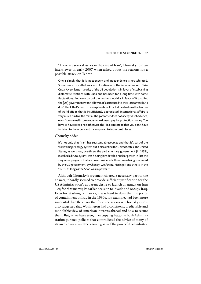'There are several issues in the case of Iran', Chomsky told an interviewer in early 2007 when asked about the reasons for a possible attack on Tehran.

One is simply that it is independent and independence is not tolerated. Sometimes it's called successful defiance in the internal record. Take Cuba. A very large majority of the US population is in favor of establishing diplomatic relations with Cuba and has been for a long time with some fluctuations. And even part of the business world is in favor of it too. But the [US] government won't allow it. It's attributed to the Florida vote but I don't think that's much of an explanation. I think it has to do with a feature of world affairs that is insufficiently appreciated. International affairs is very much run like the mafia. The godfather does not accept disobedience, even from a small storekeeper who doesn't pay his protection money. You have to have obedience otherwise the idea can spread that you don't have to listen to the orders and it can spread to important places.

## Chomsky added:

It's not only that [Iran] has substantial resources and that it's part of the world's major energy system but it also defied the United States. The United States, as we know, overthrew the parliamentary government [in 1953], installed a brutal tyrant, was helping him develop nuclear power, in fact the very same programs that are now considered a threat were being sponsored by the US government, by Cheney, Wolfowitz, Kissinger, and others, in the 1970s, as long as the Shah was in power.<sup>26</sup>

Although Chomsky's argument offered a necessary part of the answer, it hardly seemed to provide sufficient justification for the US Administration's apparent desire to launch an attack on Iran – or, for that matter, its earlier decision to invade and occupy Iraq. Even for Washington hawks, it was hard to deny that the policy of containment of Iraq in the 1990s, for example, had been more successful than the chaos that followed invasion. Chomsky's view also suggested that Washington had a consistent, predictable and monolithic view of American interests abroad and how to secure them. But, as we have seen, in occupying Iraq, the Bush Administration pursued policies that contradicted the advice of many of its own advisers and the known goals of the powerful oil industry.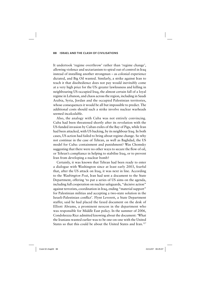It undertook 'regime overthrow' rather than 'regime change', allowing violence and sectarianism to spiral out of control in Iraq instead of installing another strongman – as colonial experience dictated, and Big Oil wanted. Similarly, a strike against Iran to teach it that disobedience does not pay would inevitably come at a very high price for the US: greater lawlessness and killing in neighbouring US-occupied Iraq, the almost certain fall of a loyal regime in Lebanon, and chaos across the region, including in Saudi Arabia, Syria, Jordan and the occupied Palestinian territories, whose consequences it would be all but impossible to predict. The additional costs should such a strike involve nuclear warheads seemed incalculable.

Also, the analogy with Cuba was not entirely convincing. Cuba had been threatened shortly after its revolution with the US-funded invasion by Cuban exiles of the Bay of Pigs, while Iran had been attacked, with US backing, by its neighbour Iraq. In both cases, US action had failed to bring about regime change. So why not continue in the case of Tehran, as well as Baghdad, the US model for Cuba: containment and punishment? Was Chomsky suggesting that there were no other ways to secure the flow of oil, or Tehran's compliance in helping to stabilise Iraq, or to prevent Iran from developing a nuclear bomb?

Certainly, it was known that Tehran had been ready to enter a dialogue with Washington since at least early 2003, fearful that, after the US attack on Iraq, it was next in line. According to the *Washington Post*, Iran had sent a document to the State Department, offering 'to put a series of US aims on the agenda, including full cooperation on nuclear safeguards, "decisive action" against terrorists, coordination in Iraq, ending "material support" for Palestinian militias and accepting a two-state solution in the Israeli-Palestinian conflict'. Flynt Leverett, a State Department staffer, said he had placed the faxed document on the desk of Elliott Abrams, a prominent neocon in the department who was responsible for Middle East policy. In the summer of 2006, Condoleezza Rice admitted knowing about the document: 'What the Iranians wanted earlier was to be one-on-one with the United States so that this could be about the United States and Iran.'27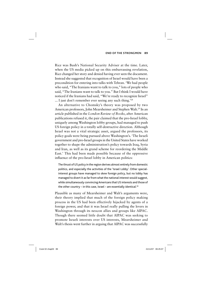Rice was Bush's National Security Adviser at the time. Later, when the US media picked up on this embarrassing revelation, Rice changed her story and denied having ever seen the document. Instead she suggested that recognition of Israel would have been a precondition for entering into talks with Tehran. 'We had people who said, "The Iranians want to talk to you," lots of people who said, "The Iranians want to talk to you." But I think I would have noticed if the Iranians had said, "We're ready to recognize Israel" ... I just don't remember ever seeing any such thing.'28

An alternative to Chomsky's theory was proposed by two American professors, John Mearsheimer and Stephen Walt.29 In an article published in the *London Review of Books*, after American publications refused it, the pair claimed that the pro-Israel lobby, uniquely among Washington lobby groups, had managed to push US foreign policy in a totally self-destructive direction. Although Israel was not a vital strategic asset, argued the professors, its policy goals were being pursued above Washington's. 'The Israeli government and pro-Israel groups in the United States have worked together to shape the administration's policy towards Iraq, Syria and Iran, as well as its grand scheme for reordering the Middle East.' This had been made possible because of the oppressive influence of the pro-Israel lobby in American politics:

The thrust of US policy in the region derives almost entirely from domestic politics, and especially the activities of the 'Israel Lobby'. Other specialinterest groups have managed to skew foreign policy, but no lobby has managed to divert it as far from what the national interest would suggest, while simultaneously convincing Americans that US interests and those of the other country – in this case, Israel – are essentially identical.<sup>30</sup>

Plausible as many of Mearsheimer and Walt's arguments were, their theory implied that much of the foreign policy making process in the US had been effectively hijacked by agents of a foreign power, and that it was Israel really pulling the levers in Washington through its neocon allies and groups like AIPAC. Though there seemed little doubt that AIPAC was seeking to promote Israeli interests over US interests, Mearsheimer and Walt's thesis went further in arguing that AIPAC was successfully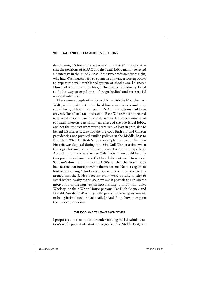determining US foreign policy – in contrast to Chomsky's view that the positions of AIPAC and the Israel lobby mainly reflected US interests in the Middle East. If the two professors were right, why had Washington been so supine in allowing a foreign power to bypass the well-established system of checks and balances? How had other powerful elites, including the oil industry, failed to find a way to expel these 'foreign bodies' and reassert US national interests?

There were a couple of major problems with the Mearsheimer-Walt position, at least in the hard-line versions expounded by some. First, although all recent US Administrations had been cravenly 'loyal' to Israel, the second Bush White House appeared to have taken that to an unprecedented level. If such commitment to Israeli interests was simply an effect of the pro-Israel lobby, and not the result of what were perceived, at least in part, also to be real US interests, why had the previous Bush Snr and Clinton presidencies not pursued similar policies in the Middle East to Bush Jnr? Why did Bush Snr, for example, not ensure Saddam Hussein was deposed during the 1991 Gulf War, at a time when the logic for such an action appeared far more compelling? According to the Mearsheimer-Walt thesis, there could be only two possible explanations: that Israel did not want to achieve Saddam's downfall in the early 1990s, or that the Israel lobby had accreted far more power in the meantime. Neither argument looked convincing.<sup>31</sup> And second, even if it could be persuasively argued that the Jewish neocons really were putting loyalty to Israel before loyalty to the US, how was it possible to explain the motivation of the non-Jewish neocons like John Bolton, James Woolsey, or their White House patrons like Dick Cheney and Donald Rumsfeld? Were they in the pay of the Israeli government, or being intimidated or blackmailed? And if not, how to explain their neoconservatism?

### **THE DOG AND TAIL WAG EACH OTHER**

I propose a different model for understanding the US Administration's wilful pursuit of catastrophic goals in the Middle East, one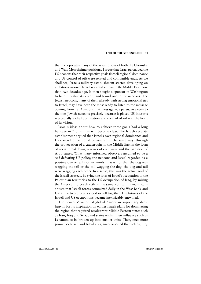that incorporates many of the assumptions of both the Chomsky and Walt-Mearsheimer positions. I argue that Israel persuaded the US neocons that their respective goals (Israeli regional dominance and US control of oil) were related and compatible ends. As we shall see, Israel's military establishment started developing an ambitious vision of Israel as a small empire in the Middle East more than two decades ago. It then sought a sponsor in Washington to help it realise its vision, and found one in the neocons. The Jewish neocons, many of them already with strong emotional ties to Israel, may have been the most ready to listen to the message coming from Tel Aviv, but that message was persuasive even to the non-Jewish neocons precisely because it placed US interests – especially global domination and control of oil – at the heart of its vision.

Israel's ideas about how to achieve these goals had a long heritage in Zionism, as will become clear. The Israeli security establishment argued that Israel's own regional dominance and US control of oil could be assured in the same way: through the provocation of a catastrophe in the Middle East in the form of social breakdown, a series of civil wars and the partition of Arab states. What many informed observers assumed to be a self-defeating US policy, the neocons and Israel regarded as a positive outcome. In other words, it was not that the dog was wagging the tail or the tail wagging the dog: the dog and tail were wagging each other. In a sense, this was the actual goal of the Israeli strategy. By tying the fates of Israel's occupation of the Palestinian territories to the US occupation of Iraq, by miring the American forces directly in the same, constant human rights abuses that Israeli forces committed daily in the West Bank and Gaza, the two projects stood or fell together. The futures of the Israeli and US occupations became inextricably entwined.

The neocons' vision of global American supremacy drew heavily for its inspiration on earlier Israeli plans for dominating the region that required recalcitrant Middle Eastern states such as Iran, Iraq and Syria, and states within their influence such as Lebanon, to be broken up into smaller units. Then, once more primal sectarian and tribal allegiances asserted themselves, they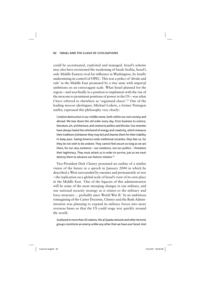could be accentuated, exploited and managed. Israel's scheme may also have envisioned the weakening of Saudi Arabia, Israel's only Middle Eastern rival for influence in Washington, by fatally undermining its control of OPEC. This was a policy of 'divide and rule' in the Middle East promoted by a tiny state with imperial ambitions on an extravagant scale. What Israel planned for the region – and was finally in a position to implement with the rise of the neocons to prominent positions of power in the US – was what I have referred to elsewhere as 'organised chaos'.32 One of the leading neocon ideologues, Michael Ledeen, a former Pentagon staffer, expressed this philosophy very clearly:

Creative destruction is our middle name, both within our own society and abroad. We tear down the old order every day, from business to science, literature, art, architecture, and cinema to politics and the law. Our enemies have always hated this whirlwind of energy and creativity, which menaces their traditions (whatever they may be) and shames them for their inability to keep pace. Seeing America undo traditional societies, they fear us, for they do not wish to be undone. They cannot feel secure so long as we are there, for our very existence – our existence, not our politics – threatens their legitimacy. They must attack us in order to survive, just as we must destroy them to advance our historic mission.<sup>33</sup>

Vice-President Dick Cheney presented an outline of a similar vision of the future in a speech in January 2004 in which he described a West surrounded by enemies and permanently at war – the replication on a global scale of Israel's view of its own place in the Middle East. 'One of the legacies of this administration will be some of the most sweeping changes in our military, and our national security strategy as it relates to the military and force structure ... probably since World War II.' In an ambitious reimagining of the Carter Doctrine, Cheney said the Bush Administration was planning to expand its military forces into more overseas bases so that the US could wage war quickly around the world.

Scattered in more than 50 nations, the al Qaeda network and other terrorist groups constitute an enemy unlike any other that we have ever faced. And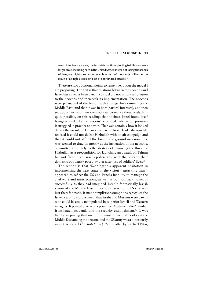as our intelligence shows, the terrorists continue plotting to kill on an everlarger scale, including here in the United States. Instead of losing thousands of lives, we might lose tens or even hundreds of thousands of lives as the result of a single attack, or a set of coordinated attacks.<sup>34</sup>

There are two additional points to remember about the model I am proposing. The first is that relations between the neocons and Israel have always been dynamic; Israel did not simply sell a vision to the neocons and then seek its implementation. The neocons were persuaded of the basic Israeli strategy for dominating the Middle East (and that it was in both parties' interests), and then set about devising their own policies to realise these goals. It is quite possible, on this reading, that at times Israel found itself being dictated to by the neocons, or pushed to deliver on promises it struggled in practice to attain. That was certainly how it looked during the assault on Lebanon, when the Israeli leadership quickly realised it could not defeat Hizbullah with an air campaign and that it could not afford the losses of a ground invasion. The war seemed to drag on mostly at the instigation of the neocons, committed absolutely to the strategy of removing the threat of Hizbullah as a precondition for launching an assault on Tehran but not faced, like Israel's politicians, with the costs to their domestic popularity posed by a greater loss of soldiers' lives.<sup>35</sup>

The second is that Washington's apparent hesitation in implementing the next stage of the vision – attacking Iran – appeared to reflect the US and Israel's inability to manage the civil wars and insurrections, as well as opinion back home, as successfully as they had imagined. Israel's fantastically lavish vision of the Middle East under joint Israeli and US rule was just that: fantastic. It made simplistic assumptions typical of the Israeli security establishment that Arabs and Muslims were pawns who could be easily manipulated by superior Israeli and Western intrigues. It posited a view of a primitive 'Arab mentality' familiar from Israeli academia and the security establishment.<sup>36</sup> It was hardly surprising that one of the most influential books on the Middle East among the neocons and the US army was a notoriously racist tract called *The Arab Mind* (1976) written by Raphael Patai,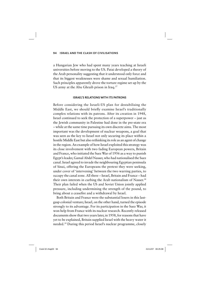a Hungarian Jew who had spent many years teaching at Israeli universities before moving to the US. Patai developed a theory of the Arab personality suggesting that it understood only force and that its biggest weaknesses were shame and sexual humiliation. Such principles apparently drove the torture regime set up by the US army at the Abu Ghraib prison in Iraq.<sup>37</sup>

## **ISRAEL'S RELATIONS WITH ITS PATRONS**

Before considering the Israeli-US plan for destabilising the Middle East, we should briefly examine Israel's traditionally complex relations with its patrons. After its creation in 1948, Israel continued to seek the protection of a superpower – just as the Jewish community in Palestine had done in the pre-state era – while at the same time pursuing its own discrete aims. The most important was the development of nuclear weapons, a goal that was seen as the key to Israel not only securing its place within a hostile Middle East but also rethinking its role as an agent of change in the region. An example of how Israel exploited this strategy was its close involvement with two fading European powers, Britain and France, who initiated the Suez War of 1956 as a way to punish Egypt's leader, Gamal Abdel Nasser, who had nationalised the Suez canal. Israel agreed to invade the neighbouring Egyptian peninsula of Sinai, offering the Europeans the pretext they were seeking, under cover of 'intervening' between the two warring parties, to occupy the canal zone. All three – Israel, Britain and France – had their own interests in curbing the Arab nationalism of Nasser.<sup>38</sup> Their plan failed when the US and Soviet Union jointly applied pressure, including undermining the strength of the pound, to bring about a ceasefire and a withdrawal by Israel.

Both Britain and France were the substantial losers in this lastgasp colonial venture; Israel, on the other hand, turned the episode strongly to its advantage. For its participation in the Suez War, it won help from France with its nuclear research. Recently released documents show that two years later, in 1958, for reasons that have yet to be explained, Britain supplied Israel with the heavy water it needed.39 During this period Israel's nuclear programme, closely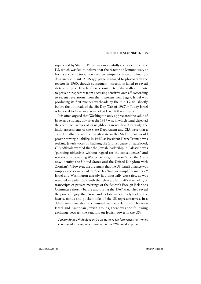supervised by Shimon Peres, was successfully concealed from the US, which was led to believe that the reactor at Dimona was, at first, a textile factory, then a water-pumping station and finally a desalination plant. A US spy plane managed to photograph the reactor in 1960, though subsequent inspections failed to reveal its true purpose. Israeli officials constructed false walls at the site to prevent inspectors from accessing sensitive areas.<sup>40</sup> According to recent revelations from the historian Tom Segev, Israel was producing its first nuclear warheads by the mid-1960s, shortly before the outbreak of the Six-Day War of 1967.<sup>41</sup> Today Israel is believed to have an arsenal of at least 200 warheads.

It is often argued that Washington only appreciated the value of Israel as a strategic ally after the 1967 war, in which Israel defeated the combined armies of its neighbours in six days. Certainly, the initial assessments of the State Department and CIA were that a close US alliance with a Jewish state in the Middle East would prove a strategic liability. In 1947, as President Harry Truman was seeking Jewish votes by backing the Zionist cause of statehood, CIA officials warned that the Jewish leadership in Palestine was 'pursuing objectives without regard for the consequences' and was thereby damaging Western strategic interests 'since the Arabs now identify the United States and the United Kingdom with Zionism'.42 However, the argument that the US-Israeli alliance was simply a consequence of the Six-Day War oversimplifies matters:<sup>43</sup> Israel and Washington already had unusually close ties, as was revealed in early 2007 with the release, after a 40-year delay, of transcripts of private meetings of the Senate's Foreign Relations Committee shortly before and during the 1967 war. They reveal the powerful grip that Israel and its lobbyists already had on the hearts, minds and pocketbooks of the US representatives. In a debate on 9 June about the unusual financial relationship between Israel and American Jewish groups, there was the following exchange between the Senators on Jewish power in the US:

*Senator Bourke Hickenlooper*: Do we not give tax forgiveness for monies contributed to Israel, which is rather unusual? We could stop that.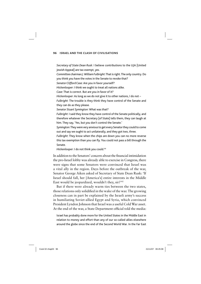*Secretary of State Dean Rusk*: I believe contributions to the UJA [United Jewish Appeal] are tax exempt, yes.

*Committee chairman J. William Fulbright*: That is right. The only country. Do you think you have the votes in the Senate to revoke that?

*Senator Clifford Case*: Are you in favor yourself?

*Hickenlooper*: I think we ought to treat all nations alike.

*Case*: That is correct. But are you in favor of it?

*Hickenlooper*: As long as we do not give it to other nations, I do not –

*Fulbright*: The trouble is they think they have control of the Senate and they can do as they please.

*Senator Stuart Symington*: What was that?

*Fulbright*: I said they know they have control of the Senate politically, and therefore whatever the Secretary [of State] tells them, they can laugh at him. They say, 'Yes, but you don't control the Senate.'

*Symington*: They were very anxious to get every Senator they could to come out and say we ought to act unilaterally, and they got two, three.

*Fulbright*: They know when the chips are down you can no more reverse this tax exemption than you can fly. You could not pass a bill through the Senate.

Hickenlooper: I do not think you could.<sup>44</sup>

In addition to the Senators' concern about the financial intimidation the pro-Israel lobby was already able to exercise in Congress, there were signs that some Senators were convinced that Israel was a vital ally in the region. Days before the outbreak of the war, Senator George Aiken asked of Secretary of State Dean Rusk: 'If Israel should fall, her [America's] entire interests in the Middle East would be jeopardized, wouldn't they, sir?'45

But if there were already warm ties between the two states, those relations only solidified in the wake of the war. The growing closeness can in part be explained by the Israeli army's success in humiliating Soviet-allied Egypt and Syria, which convinced President Lyndon Johnson that Israel was a useful Cold War asset. At the end of the war, a State Department official told the media:

Israel has probably done more for the United States in the Middle East in relation to money and effort than any of our so-called allies elsewhere around the globe since the end of the Second World War. In the Far East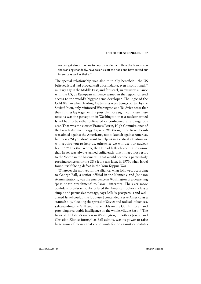we can get almost no one to help us in Vietnam. Here the Israelis won the war singlehandedly, have taken us off the hook and have served our  $interacts as well as their  $46$ .$ 

The special relationship was also mutually beneficial: the US believed Israel had proved itself a formidable, even inspirational,<sup>47</sup> military ally in the Middle East; and for Israel, an exclusive alliance with the US, as European influence waned in the region, offered access to the world's biggest arms developer. The logic of the Cold War, in which leading Arab states were being courted by the Soviet Union, only reinforced Washington and Tel Aviv's sense that their futures lay together. But possibly more significant than these reasons was the perception in Washington that a nuclear-armed Israel had to be either cultivated or confronted at a dangerous cost. That was the view of Francis Perrin, High Commissioner of the French Atomic Energy Agency: 'We thought the Israeli bomb was aimed against the Americans, not to launch against America, but to say "if you don't want to help us in a critical situation we will require you to help us, otherwise we will use our nuclear bomb".'48 In other words, the US had little choice but to ensure that Israel was always armed sufficiently that it need not resort to the 'bomb in the basement'. That would become a particularly pressing concern for the US a few years later, in 1973, when Israel found itself facing defeat in the Yom Kippur War.

Whatever the motives for the alliance, what followed, according to George Ball, a senior official in the Kennedy and Johnson Administrations, was the emergence in Washington of a deepening 'passionate attachment' to Israeli interests. The ever more confident pro-Israel lobby offered the American political class a simple and persuasive message, says Ball: 'A prosperous and wellarmed Israel could, [the lobbyists] contended, serve America as a staunch ally, blocking the spread of Soviet and radical influences, safeguarding the Gulf and the oilfields on the Gulf's littoral, and providing irrefutable intelligence on the whole Middle East.'49 The basis of the lobby's success in Washington, in both its Jewish and Christian Zionist forms,<sup>50</sup> as Ball admits, was its power to raise huge sums of money that could work for or against candidates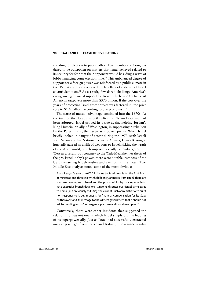standing for election to public office. Few members of Congress dared to be outspoken on matters that Israel believed related to its security for fear that their opponent would be riding a wave of lobby financing come election time.<sup>51</sup> This unbalanced degree of support for a foreign power was reinforced by a public climate in the US that readily encouraged the labelling of criticism of Israel as anti-Semitism.52 As a result, few dared challenge America's ever-growing financial support for Israel, which by 2002 had cost American taxpayers more than \$370 billion. If the cost over the years of protecting Israel from threats was factored in, the price rose to \$1.6 trillion, according to one economist.<sup>53</sup>

The sense of mutual advantage continued into the 1970s. At the turn of the decade, shortly after the Nixon Doctrine had been adopted, Israel proved its value again, helping Jordan's King Hussein, an ally of Washington, in suppressing a rebellion by the Palestinians, then seen as a Soviet proxy. When Israel briefly looked in danger of defeat during the 1973 Arab-Israeli war, Nixon and his National Security Adviser, Henry Kissinger, hurriedly agreed an airlift of weapons to Israel, risking the wrath of the Arab world, which imposed a costly oil embargo on the West as a result. But contrary to the Walt-Mearsheimer thesis of the pro-Israel lobby's power, there were notable instances of the US disregarding Israeli wishes and even punishing Israel. Two Middle East analysts noted some of the most obvious:

From Reagan's sale of AWACS planes to Saudi Arabia to the first Bush administration's threat to withhold loan guarantees from Israel, there are scattered examples of Israel and the pro-Israel lobby proving unable to veto executive branch decisions. Ongoing disputes over Israeli arms sales to China (and previously to India), the current Bush administration's quiet non-response to Israeli requests for financial compensation for its Gaza 'withdrawal' and its message to the Olmert government that it should not ask for funding for its 'convergence plan' are additional examples.<sup>54</sup>

Conversely, there were other incidents that suggested the relationship was not one in which Israel simply did the bidding of its superpower ally. Just as Israel had successfully extracted nuclear privileges from France and Britain, it now made regular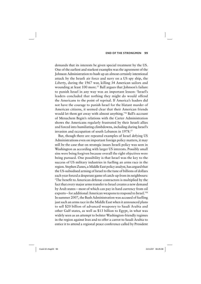demands that its interests be given special treatment by the US. One of the earliest and starkest examples was the agreement of the Johnson Administration to hush up an almost certainly intentional attack by the Israeli air force and navy on a US spy ship, the *Liberty*, during the 1967 war, killing 34 American sailors and wounding at least 100 more.<sup>55</sup> Ball argues that Johnson's failure to punish Israel in any way was an important lesson: 'Israel's leaders concluded that nothing they might do would offend the Americans to the point of reprisal. If America's leaders did not have the courage to punish Israel for the blatant murder of American citizens, it seemed clear that their American friends would let them get away with almost anything.'56 Ball's account of Menachem Begin's relations with the Carter Administration shows the Americans regularly frustrated by their Israeli allies and forced into humiliating climbdowns, including during Israel's invasion and occupation of south Lebanon in 1978.<sup>57</sup>

But, though there are repeated examples of Israel defying US Administrations even on important foreign policy matters, it may still be the case that on strategic issues Israeli policy was seen in Washington as according with larger US interests. Possibly small sins were being forgiven because overall the right objectives were being pursued. One possibility is that Israel was the key to the success of US military industries in fuelling an arms race in the region. Stephen Zunes, a Middle East policy analyst, has argued that the US-subsidised arming of Israel to the tune of billions of dollars each year forced a desperate game of catch-up from its neighbours: 'The benefit to American defense contractors is multiplied by the fact that every major arms transfer to Israel creates a new demand by Arab states – most of which can pay in hard currency from oil exports – for additional American weapons to respond to Israel.'58 In summer 2007, the Bush Administration was accused of fuelling just such an arms race in the Middle East when it announced plans to sell \$20 billion of advanced weaponry to Saudi Arabia and other Gulf states, as well as \$13 billion to Egypt, in what was widely seen as an attempt to bolster Washington-friendly regimes in the region against Iran and to offer a carrot to Saudi Arabia to entice it to attend a regional peace conference called by President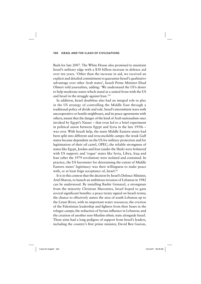Bush for late 2007. The White House also promised to maintain Israel's military edge with a \$30 billion increase in defence aid over ten years. 'Other than the increase in aid, we received an explicit and detailed commitment to guarantee Israel's qualitative advantage over other Arab states', Israeli Prime Minister Ehud Olmert told journalists, adding: 'We understand the US's desire to help moderate states which stand at a united front with the US and Israel in the struggle against Iran.'59

In addition, Israel doubtless also had an integral role to play in the US strategy of controlling the Middle East through a traditional policy of divide and rule. Israel's intermittent wars with uncooperative or hostile neighbours, and its peace agreements with others, meant that the danger of the kind of Arab nationalism once invoked by Egypt's Nasser – that even led to a brief experiment in political union between Egypt and Syria in the late 1950s – was over. With Israeli help, the main Middle Eastern states had been split into different and irreconcilable camps: the weak Gulf states became dependent on the US for military protection and for legitimation of their oil cartel, OPEC; the reliable strongmen of states like Egypt, Jordan and Iran (under the Shah) were bolstered with US support; and 'rogue' states like Syria, Libya, Iraq and Iran (after the 1979 revolution) were isolated and contained. In practice, the US barometer for determining the extent of Middle Eastern states' legitimacy was their willingness to make peace with, or at least feign acceptance of, Israel.<sup>60</sup>

It is in this context that the decision by Israel's Defence Minister, Ariel Sharon, to launch an ambitious invasion of Lebanon in 1982 can be understood. By installing Bashir Gemayel, a strongman from the minority Christian Maronites, Israel hoped to gain several significant benefits: a peace treaty signed on Israeli terms; the chance to effectively annex the area of south Lebanon up to the Litani River, with its important water resources; the eviction of the Palestinian leadership and fighters from their bases in the refugee camps; the reduction of Syrian influence in Lebanon; and the creation of another non-Muslim ethnic state alongside Israel. These aims had a long pedigree of support from Israel's leaders, including the country's first prime minister, David Ben Gurion,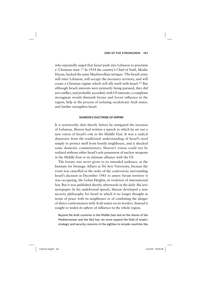who repeatedly urged that Israel push into Lebanon to proclaim a 'Christian state'.61 In 1954 the country's Chief of Staff, Moshe Dayan, backed the same Machiavellian intrigue: 'The Israeli army will enter Lebanon, will occupy the necessary territory, and will create a Christian regime which will ally itself with Israel.'62 But although Israeli interests were primarily being pursued, they did not conflict, and probably accorded, with US interests: a compliant strongman would diminish Syrian and Soviet influence in the region, help in the process of isolating recalcitrant Arab states, and further strengthen Israel.

#### **SHARON'S DOCTRINE OF EMPIRE**

It is noteworthy that shortly before he instigated the invasion of Lebanon, Sharon had written a speech in which he set out a new vision of Israel's role in the Middle East. It was a radical departure from the traditional understanding of Israel's need simply to protect itself from hostile neighbours, and it shocked some domestic commentators. Sharon's vision could not be realised without either Israel's sole possession of nuclear weapons in the Middle East or its intimate alliance with the US.

The lecture was never given to its intended audience, at the Institute for Strategic Affairs at Tel Aviv University, because the event was cancelled in the wake of the controversy surrounding Israel's decision in December 1981 to annex Syrian territory it was occupying, the Golan Heights, in violation of international law. But it was published shortly afterwards in the daily *Ma'ariv*  newspaper. In his undelivered speech, Sharon developed a new security philosophy for Israel in which it no longer thought in terms of peace with its neighbours or of combating the danger of direct confrontation with Arab states on its borders. Instead it sought to widen its sphere of influence to the whole region.

Beyond the Arab countries in the Middle East and on the shores of the Mediterranean and the Red Sea, we must expand the field of Israel's strategic and security concerns in the eighties to include countries like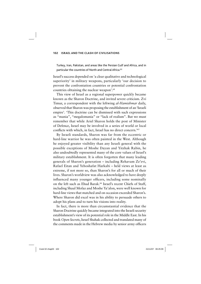Turkey, Iran, Pakistan, and areas like the Persian Gulf and Africa, and in particular the countries of North and Central Africa.<sup>63</sup>

Israel's success depended on 'a clear qualitative and technological superiority' in military weapons, particularly 'our decision to prevent the confrontation countries or potential confrontation countries obtaining the nuclear weapon'.64

This view of Israel as a regional superpower quickly became known as the Sharon Doctrine, and invited severe criticism. Zvi Timur, a correspondent with the leftwing *al-Hamishmar* daily, observed that Sharon was proposing the establishment of an 'Israeli empire'. 'This doctrine can be dismissed with such expressions as "mania", "megalomania" or "lack of realism". But we must remember that while Ariel Sharon holds the post of Minister of Defence, Israel may be involved in a series of world or local conflicts with which, in fact, Israel has no direct concern.'<sup>65</sup>

By Israeli standards, Sharon was far from the eccentric or hard-line warrior he was often painted in the West. Although he enjoyed greater visibility than any Israeli general with the possible exceptions of Moshe Dayan and Yitzhak Rabin, he also undoubtedly represented many of the core values of Israel's military establishment. It is often forgotten that many leading generals of Sharon's generation – including Rehavam Ze'evi, Rafael Eitan and Yehoshafat Harkabi – held views at least as extreme, if not more so, than Sharon's for all or much of their lives. Sharon's worldview was also acknowledged to have deeply influenced many younger officers, including some nominally on the left such as Ehud Barak.<sup>66</sup> Israel's recent Chiefs of Staff, including Shaul Mofaz and Moshe Ya'alon, were well known for hard-line views that matched and on occasion exceeded Sharon's. Where Sharon did excel was in his ability to persuade others to adopt his plans and to turn his visions into reality.

In fact, there is more than circumstantial evidence that the Sharon Doctrine quickly became integrated into the Israeli security establishment's view of its potential role in the Middle East. In his book *Open Secrets*, Israel Shahak collected and translated many of the comments made in the Hebrew media by senior army officers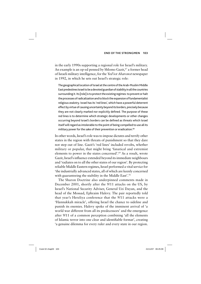in the early 1990s supporting a regional role for Israel's military. An example is an op-ed penned by Shlomo Gazit,<sup>67</sup> a former head of Israeli military intelligence, for the *Yed'iot Aharonot* newspaper in 1992, in which he sets out Israel's strategic role:

The geographical location of Israel at the centre of the Arab-Muslim Middle East predestines Israel to be a devoted guardian of stability in all the countries surrounding it. Its [role] is to protect the existing regimes: to prevent or halt the processes of radicalization and to block the expansion of fundamentalist religious zealotry. Israel has its 'red lines', which have a powerful deterrent effect by virtue of causing uncertainty beyond its borders, precisely because they are not clearly marked nor explicitly defined. The purpose of these red lines is to determine which strategic developments or other changes occurring beyond Israel's borders can be defined as threats which Israel itself will regard as intolerable to the point of being compelled to use all its military power for the sake of their prevention or eradication.<sup>68</sup>

In other words, Israel's role was to impose dictates and terrify other states in the region with threats of punishment so that they dare not step out of line. Gazit's 'red lines' included revolts, whether military or popular, that might bring 'fanatical and extremist elements to power in the states concerned'.69 As a result, wrote Gazit, Israel's influence extended beyond its immediate neighbours and 'radiates on to all the other states of our region'. By protecting reliable Middle Eastern regimes, Israel performed a vital service for 'the industrially advanced states, all of which are keenly concerned with guaranteeing the stability in the Middle East'.<sup>70</sup>

The Sharon Doctrine also underpinned comments made in December 2001, shortly after the 9/11 attacks on the US, by Israel's National Security Adviser, General Uzi Dayan, and the head of the Mossad, Ephraim Halevy. The pair reportedly told that year's Herzliya conference that the 9/11 attacks were a 'Hannukkah miracle', offering Israel the chance to sideline and punish its enemies. Halevy spoke of the imminent arrival of 'a world war different from all its predecessors' and the emergence after 9/11 of a common perception combining 'all the elements of Islamic terror into one clear and identifiable format', creating 'a genuine dilemma for every ruler and every state in our region.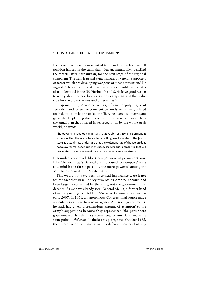Each one must reach a moment of truth and decide how he will position himself in the campaign.' Dayan, meanwhile, identified the targets, after Afghanistan, for the next stage of the regional campaign: 'The Iran, Iraq and Syria triangle, all veteran supporters of terror which are developing weapons of mass destruction.' He argued: 'They must be confronted as soon as possible, and that is also understood in the US. Hezbollah and Syria have good reason to worry about the developments in this campaign, and that's also true for the organizations and other states.'71

In spring 2007, Meron Benvenisti, a former deputy mayor of Jerusalem and long-time commentator on Israeli affairs, offered an insight into what he called the 'fiery belligerence of arrogant generals'. Explaining their aversion to peace initiatives such as the Saudi plan that offered Israel recognition by the whole Arab world, he wrote:

The governing ideology maintains that Arab hostility is a permanent situation, that the Arabs lack a basic willingness to relate to the Jewish state as a legitimate entity, and that the violent nature of the region does not allow for real peace but, in the best case scenario, a cease-fire that will be violated the very moment its enemies sense Israel's weakness.<sup>72</sup>

It sounded very much like Cheney's view of permanent war. Like Cheney, Israel's General Staff favoured 'pre-emptive' wars to diminish the threat posed by the more powerful among the Middle East's Arab and Muslim states.

This would not have been of critical importance were it not for the fact that Israeli policy towards its Arab neighbours had been largely determined by the army, not the government, for decades. As we have already seen, General Malka, a former head of military intelligence, told the Winograd Committee as much in early 2007. In 2001, an anonymous Congressional source made a similar assessment to a news agency. All Israeli governments, he said, had given 'a tremendous amount of attention' to the army's suggestions because they represented 'the permanent government'.73 Israeli military commentator Amir Oren made the same point in *Ha'aretz*: 'In the last six years, since October 1995, there were five prime ministers and six defence ministers, but only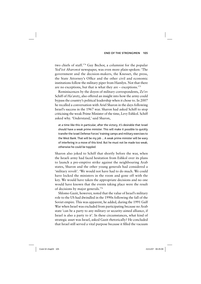two chiefs of staff.'74 Guy Bechor, a columnist for the popular *Yed'iot Aharonot* newspaper, was even more plain-spoken: 'The government and the decision-makers, the Knesset, the press, the State Attorney's Office and the other civil and economic institutions follow the military piper from Hamlyn. Not that there are no exceptions, but that is what they are  $-$  exceptions.<sup>75</sup>

Reminiscences by the doyen of military correspondents, Ze'ev Schiff of *Ha'aretz*, also offered an insight into how the army could bypass the country's political leadership when it chose to. In 2007 he recalled a conversation with Ariel Sharon in the days following Israel's success in the 1967 war. Sharon had asked Schiff to stop criticising the weak Prime Minister of the time, Levy Eshkol. Schiff asked why. 'Understand,' said Sharon,

at a time like this in particular, after the victory, it's desirable that Israel should have a weak prime minister. This will make it possible to quickly transfer the Israel Defense Forces' training camps and military exercises to the West Bank. That will be my job ... A weak prime minister will be wary of interfering in a move of this kind. But he must not be made too weak; otherwise he could be toppled.

Sharon also joked to Schiff that shortly before the war, when the Israeli army had faced hesitation from Eshkol over its plans to launch a pre-emptive strike against the neighbouring Arab states, Sharon and the other young generals had considered a 'military revolt'. 'We would not have had to do much. We could have locked the ministers in the room and gone off with the key. We would have taken the appropriate decisions and no one would have known that the events taking place were the result of decisions by major generals.'76

Shlomo Gazit, however, noted that the value of Israel's military role to the US had dwindled in the 1990s following the fall of the Soviet empire. This was apparent, he added, during the 1991 Gulf War when Israel was excluded from participating because no Arab state 'can be a party to any military or security-aimed alliance, if Israel is also a party to it'. In these circumstances, what kind of strategic asset was Israel, asked Gazit rhetorically? He concluded that Israel still served a vital purpose because it filled the vacuum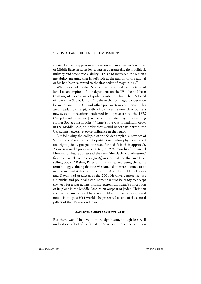created by the disappearance of the Soviet Union, when 'a number of Middle Eastern states lost a patron guaranteeing their political, military and economic viability'. This had increased the region's instability, meaning that Israel's role as the guarantor of regional order had been 'elevated to the first order of magnitude'.<sup>77</sup>

When a decade earlier Sharon had proposed his doctrine of Israel as an empire – if one dependent on the US – he had been thinking of its role in a bipolar world in which the US faced off with the Soviet Union. 'I believe that strategic cooperation between Israel, the US and other pro-Western countries in this area headed by Egypt, with which Israel is now developing a new system of relations, endorsed by a peace treaty [the 1978 Camp David agreement], is the only realistic way of preventing further Soviet conspiracies.'78 Israel's role was to maintain order in the Middle East, an order that would benefit its patron, the US, against excessive Soviet influence in the region.

But following the collapse of the Soviet empire, a new set of 'conspiracies' was needed to justify this philosophy. Israel's left and right quickly grasped the need for a shift in their approach. As we saw in the previous chapter, in 1994, months after Samuel Huntington had popularised the term 'the clash of civilizations' first in an article in the *Foreign Affairs* journal and then in a bestselling book,<sup>79</sup> Rabin, Peres and Barak started using the same terminology, claiming that the West and Islam were doomed to be in a permanent state of confrontation. And after 9/11, as Halevy and Dayan had predicted at the 2001 Herzliya conference, the US public and political establishment would be ready to accept the need for a war against Islamic extremism. Israel's conception of its place in the Middle East, as an outpost of Judeo-Christian civilisation surrounded by a sea of Muslim barbarians, could now – in the post 9/11 world – be presented as one of the central pillars of the US war on terror.

# **MAKING THE MIDDLE EAST COLLAPSE**

But there was, I believe, a more significant, though less well understood, effect of the fall of the Soviet empire on the evolution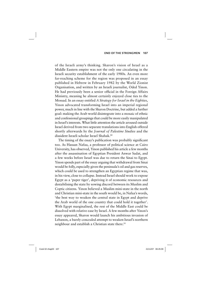of the Israeli army's thinking. Sharon's vision of Israel as a Middle Eastern empire was not the only one circulating in the Israeli security establishment of the early 1980s. An even more far-reaching scheme for the region was proposed in an essay published in Hebrew in February 1982 by the World Zionist Organisation, and written by an Israeli journalist, Oded Yinon. He had previously been a senior official in the Foreign Affairs Ministry, meaning he almost certainly enjoyed close ties to the Mossad. In an essay entitled *A Strategy for Israel in the Eighties*, Yinon advocated transforming Israel into an imperial regional power, much in line with the Sharon Doctrine, but added a further goal: making the Arab world disintegrate into a mosaic of ethnic and confessional groupings that could be more easily manipulated in Israel's interests. What little attention the article aroused outside Israel derived from two separate translations into English offered shortly afterwards by the *Journal of Palestine Studies* and the dissident Israeli scholar Israel Shahak.<sup>80</sup>

The timing of the essay's publication was probably significant too. As Hassan Nafaa, a professor of political science at Cairo University, has observed, Yinon published his article a few months after the assassination of Egyptian President Anwar Sadat, and a few weeks before Israel was due to return the Sinai to Egypt. Yinon spends part of the essay arguing that withdrawal from Sinai would be folly, especially given the peninsula's oil and gas reserves, which could be used to strengthen an Egyptian regime that was, in his view, close to collapse. Instead Israel should work to expose Egypt as a 'paper tiger', depriving it of economic resources and destabilising the state by sowing discord between its Muslim and Coptic citizens. Yinon believed a Muslim mini-state in the north and Christian mini-state in the south would be, in Nafaa's words, 'the best way to weaken the central state in Egypt and deprive the Arab world of the one country that could hold it together'. With Egypt marginalised, the rest of the Middle East could be dissolved with relative ease by Israel. A few months after Yinon's essay appeared, Sharon would launch his ambitious invasion of Lebanon, a barely concealed attempt to weaken Israel's northern neighbour and establish a Christian state there.<sup>81</sup>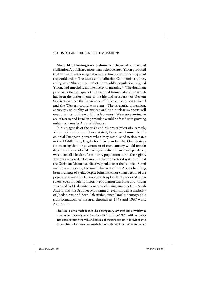#### **108 ISRAEL AND THE CLASH OF CIVILISATIONS**

Much like Huntington's fashionable thesis of a 'clash of civilisations', published more than a decade later, Yinon proposed that we were witnessing cataclysmic times and the 'collapse of the world order'. The success of totalitarian Communist regimes, ruling over 'three-quarters' of the world's population, argued Yinon, had emptied ideas like liberty of meaning.82 'The dominant process is the collapse of the rational humanistic view which has been the major theme of the life and prosperity of Western Civilization since the Renaissance.'83 The central threat to Israel and the Western world was clear: 'The strength, dimension, accuracy and quality of nuclear and non-nuclear weapons will overturn most of the world in a few years.' We were entering an era of terror, and Israel in particular would be faced with growing militancy from its Arab neighbours.

In his diagnosis of the crisis and his prescription of a remedy, Yinon pointed out, and overstated, facts well known to the colonial European powers when they established nation states in the Middle East, largely for their own benefit. One strategy for ensuring that the government of each country would remain dependent on its colonial master, even after nominal independence, was to install a leader of a minority population to run the regime. This was achieved in Lebanon, where the electoral system ensured the Christian Maronites effectively ruled over the Islamic – Sunni and Shia – majority; the small Shia sect of the Alawis had long been in charge of Syria, despite being little more than a tenth of the population; until the US invasion, Iraq had had a series of Sunni rulers, even though its majority population was Shia; and Jordan was ruled by Hashemite monarchs, claiming ancestry from Saudi Arabia and the Prophet Mohammed, even though a majority of Jordanians had been Palestinian since Israel's demographic transformations of the area through its 1948 and 1967 wars. As a result,

The Arab-Islamic world is built like a 'temporary tower of cards', which was constructed by foreigners (French and British in the 1920s) without taking into consideration the will and desires of the inhabitants. It is divided into 19 countries which are composed of combinations of minorities and which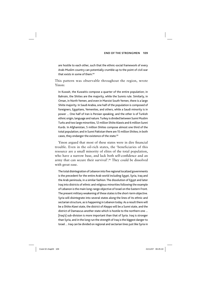are hostile to each other, such that the ethnic-social framework of every Arab-Muslim country can potentially crumble up to the point of civil war that exists in some of them  $84$ 

This pattern was observable throughout the region, wrote Yinon:

In Kuwait, the Kuwaitis compose a quarter of the entire population; in Bahrain, the Shiites are the majority, while the Sunnis rule. Similarly, in Oman, in North Yemen, and even in Marxist South Yemen, there is a large Shiite majority. In Saudi Arabia, one half of the population is composed of foreigners, Egyptians, Yemenites, and others, while a Saudi minority is in power ... One half of Iran is Persian speaking, and the other is of Turkish ethnic origin, language and nature. Turkey is divided between Sunni Muslim Turks and two large minorities, 12 million Shiite Alawis and 6 million Sunni Kurds. In Afghanistan, 5 million Shiites compose almost one third of the total population; and in Sunni Pakistan there are 15 million Shiites; in both cases, they endanger the existence of the state.<sup>85</sup>

Yinon argued that most of these states were in dire financial trouble. Even in the oil-rich states, the 'beneficiaries of this resource are a small minority of elites of the total population, who have a narrow base, and lack both self-confidence and an army that can secure their survival'.<sup>86</sup> They could be dissolved with great ease.

The total disintegration of Lebanon into five regional localized governments is the precedent for the entire Arab world including Egypt, Syria, Iraq and the Arab peninsula, in a similar fashion. The dissolution of Egypt and later Iraq into districts of ethnic and religious minorities following the example of Lebanon is the main long-range objective of Israel on the Eastern Front. The present military weakening of these states is the short-term objective. Syria will disintegrate into several states along the lines of its ethnic and sectarian structure, as is happening in Lebanon today. As a result there will be a Shiite Alawi state, the district of Aleppo will be a Sunni state, and the district of Damascus another state which is hostile to the northern one ... [Iraq's] sub-division is more important than that of Syria. Iraq is stronger than Syria, and in the long run the strength of Iraq is the biggest danger to Israel ... Iraq can be divided on regional and sectarian lines just like Syria in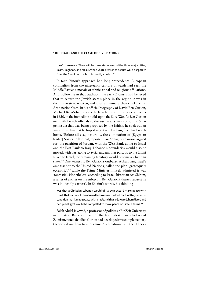the Ottoman era. There will be three states around the three major cities, Basra, Baghdad, and Mosul, while Shiite areas in the south will be separate from the Sunni north which is mostly Kurdish.<sup>87</sup>

In fact, Yinon's approach had long antecedents. European colonialists from the nineteenth century onwards had seen the Middle East as a mosaic of ethnic, tribal and religious affiliations. And, following in that tradition, the early Zionists had believed that to secure the Jewish state's place in the region it was in their interests to weaken, and ideally eliminate, their chief enemy: Arab nationalism. In his official biography of David Ben Gurion, Michael Bar-Zohar reports the Israeli prime minister's comments in 1956, in the immediate build-up to the Suez War. As Ben Gurion met with French officials to discuss Israel's invasion of the Sinai peninsula that was being proposed by the British, he spelt out an ambitious plan that he hoped might win backing from his French hosts. 'Before all else, naturally, the elimination of [Egyptian leader] Nasser.' After that, reported Bar-Zohar, Ben Gurion argued for 'the partition of Jordan, with the West Bank going to Israel and the East Bank to Iraq. Lebanon's boundaries would also be moved, with part going to Syria, and another part, up to the Litani River, to Israel; the remaining territory would become a Christian state.'88 One witness to Ben Gurion's outburst, Abba Eban, Israel's ambassador to the United Nations, called the plan 'grotesquely eccentric',<sup>89</sup> while the Prime Minister himself admitted it was 'fantastic'. Nonetheless, according to Israeli historian Avi Shlaim, a series of entries on the subject in Ben Gurion's diaries suggest he was in 'deadly earnest'. In Shlaim's words, his thinking

was that a Christian Lebanon would of its own accord make peace with Israel; that Iraq would be allowed to take over the East Bank of the Jordan on condition that it made peace with Israel; and that a defeated, humiliated and occupied Egypt would be compelled to make peace on Israel's terms.<sup>90</sup>

Saleh Abdel Jawwad, a professor of politics at Bir Zeit University in the West Bank and one of the few Palestinian scholars of Zionism, noted that Ben Gurion had developed two complementary theories about how to undermine Arab nationalism: the 'Theory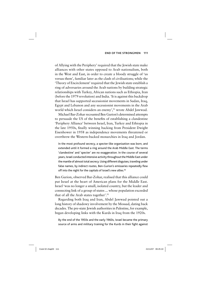of Allying with the Periphery' required that the Jewish state make alliances with other states opposed to Arab nationalism, both in the West and East, in order to create a bloody struggle of 'us versus them', familiar later as the clash of civilisations; while the 'Theory of Encirclement' required that the Jewish state establish a ring of adversaries around the Arab nations by building strategic relationships with Turkey, African nations such as Ethiopia, Iran (before the 1979 revolution) and India. 'It is against this backdrop that Israel has supported secessionist movements in Sudan, Iraq, Egypt and Lebanon and any secessionist movements in the Arab world which Israel considers an enemy',<sup>91</sup> wrote Abdel Jawwad.

Michael Bar-Zohar recounted Ben Gurion's determined attempts to persuade the US of the benefits of establishing a clandestine 'Periphery Alliance' between Israel, Iran, Turkey and Ethiopia in the late 1950s, finally winning backing from President Dwight Eisenhower in 1958 as independence movements threatened or overthrew the Western-backed monarchies in Iraq and Jordan.

In the most profound secrecy, a specter-like organization was born, and extended until it formed a ring around the Arab Middle East. The terms 'clandestine' and 'specter' are no exaggeration. In the course of several years, Israel conducted intensive activity throughout the Middle East under the mantle of almost total secrecy. Using different disguises, traveling under false names, by indirect routes, Ben-Gurion's emissaries repeatedly flew off into the night for the capitals of Israel's new allies.<sup>92</sup>

Ben Gurion, observed Bar-Zohar, realised that this alliance could put Israel at the heart of American plans for the Middle East. Israel 'was no longer a small, isolated country, but the leader and connecting link of a group of states ... whose population exceeded that of all the Arab states together'.93

Regarding both Iraq and Iran, Abdel Jawwad pointed out a long history of shadowy involvement by the Mossad, dating back decades. The pre-state Jewish authorities in Palestine, for example, began developing links with the Kurds in Iraq from the 1920s.

By the end of the 1950s and the early 1960s, Israel became the primary source of arms and military training for the Kurds in their fight against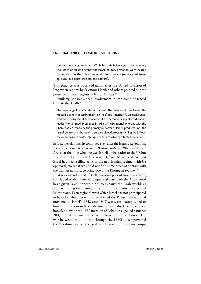the Iraqi central government. While full details have yet to be revealed, thousands of Mossad agents and Israeli military personnel were located throughout northern Iraq under different covers (military advisors, agricultural experts, trainers, and doctors).

This practice was observed again after the US-led invasion of Iraq when reports by Seymour Hersh and others pointed out the presence of Israeli agents in Kurdish areas.<sup>94</sup>

Similarly, Mossad's deep involvement in Iran could be traced back to the 1950s:<sup>95</sup>

The beginning of Israel's relationship with the Shah was formed when the Mossad, acting in accord with British (MI6) and American (CIA) intelligence, worked to bring about the collapse of the democratically elected Iranian leader [Mohammed] Mossadeq in 1953 ... The relationship forged with the Shah enabled Iran to be the primary importer of Israeli products until the rise of [Ayatollah] Khomeni. Israel also played a role in training the SAVAK, the infamous and brutal intelligence service which protected the Shah.

In fact, the relationship continued even after the Islamic Revolution, according to an interview in the *Boston Globe* in 1982 with Moshe Arens, at the time when he was Israeli ambassador to the US but would soon be promoted to Israeli Defence Minister. Arens said Israel had been selling arms to the new Iranian regime, with US approval, 'to see if we could not find some areas of contact with the Iranian military, to bring down the Khomeini regime'.<sup>96</sup>

'War as an end in and of itself, is an ever-present Israeli objective', concluded Abdel Jawwad. 'Sequential wars with the Arab world have given Israel opportunities to exhaust the Arab world, as well as tipping the demographic and political situation against Palestinians. Even regional wars which Israel has not participated in have benefited Israel and weakened the Palestinian national movement.' Israel's 1948 and 1967 wars, for example, led to hundreds of thousands of Palestinians being displaced from their homeland, while the 1982 invasion of Lebanon expelled a further 200,000 Palestinians from close by Israel's northern border. The war between Iraq and Iran through the 1980s 'disempowered the Palestinian cause: the Arab world was split into two camps,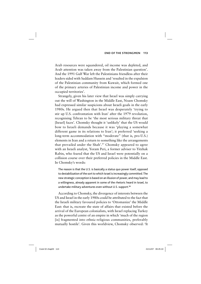Arab resources were squandered, oil income was depleted, and Arab attention was taken away from the Palestinian question'. And the 1991 Gulf War left the Palestinians friendless after their leaders sided with Saddam Hussein and 'resulted in the expulsion of the Palestinian community from Kuwait, which formed one of the primary arteries of Palestinian income and power in the occupied territories'.

Strangely, given his later view that Israel was simply carrying out the will of Washington in the Middle East, Noam Chomsky had expressed similar suspicions about Israeli goals in the early 1980s. He argued then that Israel was desperately 'trying to stir up U.S. confrontation with Iran' after the 1979 revolution, recognising Tehran to be 'the most serious military threat that [Israel] faces'. Chomsky thought it 'unlikely' that the US would bow to Israeli demands because it was 'playing a somewhat different game in its relations to Iran'; it preferred 'seeking a long-term accommodation with "moderate" (that is, pro-U.S.) elements in Iran and a return to something like the arrangements that prevailed under the Shah'.97 Chomsky appeared to agree with an Israeli analyst, Yoram Peri, a former adviser to Yitzhak Rabin, who feared that the US and Israel were potentially on a collision course over their preferred policies in the Middle East. In Chomsky's words:

The reason is that the U.S. is basically a status quo power itself, opposed to destabilization of the sort to which Israel is increasingly committed. The new strategic conception is based on an illusion of power, and may lead to a willingness, already apparent in some of the rhetoric heard in Israel, to undertake military adventures even without U.S. support.<sup>98</sup>

According to Chomsky, the divergence of interests between the US and Israel in the early 1980s could be attributed to the fact that the Israeli military favoured policies to 'Ottomanize' the Middle East: that is, recreate the state of affairs that existed before the arrival of the European colonialists, with Israel replacing Turkey as the powerful centre of an empire in which 'much of the region [is] fragmented into ethnic-religious communities, preferably mutually hostile'. Given this worldview, Chomsky observed: 'It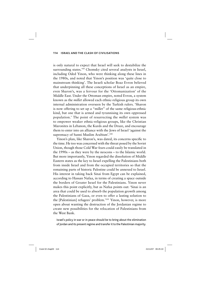is only natural to expect that Israel will seek to destabilize the surrounding states.'<sup>99</sup> Chomsky cited several analysts in Israel, including Oded Yinon, who were thinking along these lines in the 1980s, and noted that Yinon's position was 'quite close to mainstream thinking'. The Israeli scholar Boaz Evron believed that underpinning all these conceptions of Israel as an empire, even Sharon's, was a fervour for the 'Ottomanization' of the Middle East. Under the Ottoman empire, noted Evron, a system known as the *millet* allowed each ethnic-religious group its own internal administration overseen by the Turkish rulers. 'Sharon is now offering to set up a "millet" of the same religious-ethnic kind, but one that is armed and tyrannising its own oppressed population.' The point of resurrecting the *millet* system was to empower weaker ethnic-religious groups, like the Christian Maronites in Lebanon, the Kurds and the Druze, and encourage them to enter into an alliance with the Jews of Israel 'against the supremacy of Sunni Muslim Arabism'.100

Yinon's plan, like Sharon's, was dated, its concerns specific to the time. He too was concerned with the threat posed by the Soviet Union, though those Cold War fears could easily be translated in the 1990s – as they were by the neocons – to the Islamic world. But more importantly, Yinon regarded the dissolution of Middle Eastern states as the key to Israel expelling the Palestinians both from inside Israel and from the occupied territories so that the remaining parts of historic Palestine could be annexed to Israel. His interest in taking back Sinai from Egypt can be explained, according to Hassan Nafaa, in terms of creating a space outside the borders of Greater Israel for the Palestinians. Yinon never makes this point explicitly, but as Nafaa points out: 'Sinai is an area that could be used to absorb the population growth among the Palestinians of Gaza, or even to offer a lasting solution to the [Palestinian] refugees' problem.'101 Yinon, however, is more open about wanting the destruction of the Jordanian regime to create new possibilities for the relocation of Palestinians from the West Bank.

Israel's policy in war or in peace should be to bring about the elimination of Jordan and its present regime and transfer it to the Palestinian majority.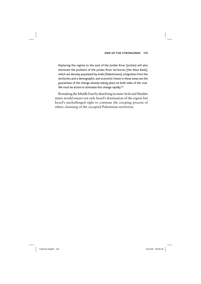Replacing the regime to the east of the Jordan River [Jordan] will also eliminate the problem of the Jordan River territories [the West Bank], which are densely populated by Arabs [Palestinians]; emigration from the territories and a demographic and economic freeze in these areas are the guarantees of the change already taking place on both sides of the river. We must be active to stimulate this change rapidly.<sup>102</sup>

Remaking the Middle East by dissolving its main Arab and Muslim states would ensure not only Israel's domination of the region but Israel's unchallenged right to continue the creeping process of ethnic cleansing of the occupied Palestinian territories.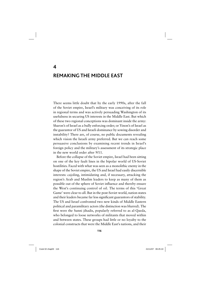# **REMAKING THE MIDDLE EAST**

There seems little doubt that by the early 1990s, after the fall of the Soviet empire, Israel's military was conceiving of its role in regional terms and was actively persuading Washington of its usefulness in securing US interests in the Middle East. But which of these two regional conceptions was dominant inside the army: Sharon's of Israel as a bully enforcing order; or Yinon's of Israel as the guarantor of US and Israeli dominance by sowing disorder and instability? There are, of course, no public documents revealing which vision the Israeli army preferred. But we can reach some persuasive conclusions by examining recent trends in Israel's foreign policy and the military's assessment of its strategic place in the new world order after 9/11.

Before the collapse of the Soviet empire, Israel had been sitting on one of the key fault lines in the bipolar world of US-Soviet hostilities. Faced with what was seen as a monolithic enemy in the shape of the Soviet empire, the US and Israel had easily discernible interests: cajoling, intimidating and, if necessary, attacking the region's Arab and Muslim leaders to keep as many of them as possible out of the sphere of Soviet influence and thereby ensure the West's continuing control of oil. The terms of this 'Great Game' were clear to all. But in the post-Soviet world, nation states and their leaders became far less significant guarantors of stability. The US and Israel confronted two new kinds of Middle Eastern political and paramilitary actors (the distinction was blurred). The first were the Sunni jihadis, popularly referred to as al-Qaeda, who belonged to loose networks of militants that moved within and between states. These groups had little or no loyalty to the colonial constructs that were the Middle East's nations, and their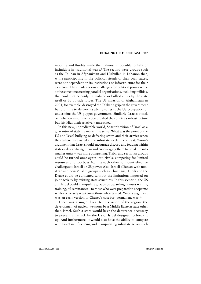mobility and fluidity made them almost impossible to fight or intimidate in traditional ways.1 The second were groups such as the Taliban in Afghanistan and Hizbullah in Lebanon that, while participating in the political rituals of their own states, were not dependent on its institutions or infrastructure for their existence. They made serious challenges for political power while at the same time creating parallel organisations, including militias, that could not be easily intimidated or bullied either by the state itself or by outside forces. The US invasion of Afghanistan in 2001, for example, destroyed the Taliban's grip on the government but did little to destroy its ability to resist the US occupation or undermine the US puppet government. Similarly Israel's attack on Lebanon in summer 2006 crushed the country's infrastructure but left Hizbullah relatively unscathed.

In this new, unpredictable world, Sharon's vision of Israel as a guarantor of stability made little sense. What was the point of the US and Israel bullying or defeating states and their armies when the real enemy existed at the sub-state level? In contrast, Yinon's argument that Israel should encourage discord and feuding within states – destabilising them and encouraging them to break up into smaller units – was more compelling. Tribal and sectarian groups could be turned once again into rivals, competing for limited resources and too busy fighting each other to mount effective challenges to Israeli or US power. Also, Israeli alliances with non-Arab and non-Muslim groups such as Christians, Kurds and the Druze could be cultivated without the limitations imposed on joint activity by existing state structures. In this scenario, the US and Israel could manipulate groups by awarding favours – arms, training, oil remittances – to those who were prepared to cooperate while conversely weakening those who resisted. Yinon's argument was an early version of Cheney's case for 'permanent war'.<sup>2</sup>

There was a single threat to this vision of the region: the development of nuclear weapons by a Middle Eastern state other than Israel. Such a state would have the deterrence necessary to prevent an attack by the US or Israel designed to break it up. And furthermore, it would also have the ability to compete with Israel in influencing and manipulating sub-state actors such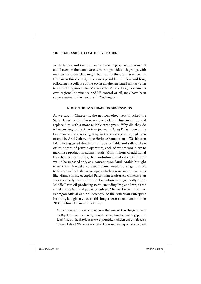as Hizbullah and the Taliban by awarding its own favours. It could even, in the worst-case scenario, provide such groups with nuclear weapons that might be used to threaten Israel or the US. Given this context, it becomes possible to understand how, following the collapse of the Soviet empire, an Israeli military plan to spread 'organised chaos' across the Middle East, to secure its own regional dominance and US control of oil, may have been so persuasive to the neocons in Washington.

## **NEOCON MOTIVES IN BACKING ISRAEL'S VISION**

As we saw in Chapter 1, the neocons effectively hijacked the State Department's plan to remove Saddam Hussein in Iraq and replace him with a more reliable strongman. Why did they do it? According to the American journalist Greg Palast, one of the key reasons for remaking Iraq, in the neocons' view, had been offered by Ariel Cohen, of the Heritage Foundation in Washington DC. He suggested dividing up Iraq's oilfields and selling them off to dozens of private operators, each of whom would try to maximise production against rivals. With millions of additional barrels produced a day, the Saudi-dominated oil cartel OPEC would be smashed and, as a consequence, Saudi Arabia brought to its knees. A weakened Saudi regime would no longer be able to finance radical Islamic groups, including resistance movements like Hamas in the occupied Palestinian territories. Cohen's plan was also likely to result in the dissolution more generally of the Middle East's oil-producing states, including Iraq and Iran, as the cartel and its financial power crumbled. Michael Ledeen, a former Pentagon official and an ideologue of the American Enterprise Institute, had given voice to this longer-term neocon ambition in 2002, before the invasion of Iraq:

First and foremost, we must bring down the terror regimes, beginning with the Big Three: Iran, Iraq, and Syria. And then we have to come to grips with Saudi Arabia ... Stability is an unworthy American mission, and a misleading concept to boot. We do not want stability in Iran, Iraq, Syria, Lebanon, and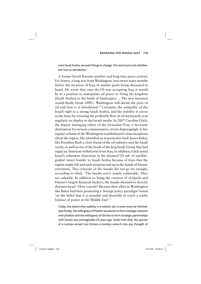even Saudi Arabia; we want things to change. The real issue is not whether, but how to destabilize<sup>3</sup>

A former Israeli Knesset member and long-time peace activist, Uri Avnery, a long way from Washington, was aware many months before the invasion of Iraq of similar goals being discussed in Israel. He wrote that once the US was occupying Iraq it would be in a position to manipulate oil prices to 'bring the kingdom [Saudi Arabia] to the brink of bankruptcy ... The new situation would finally break OPEC. Washington will decide the price of oil and how it is distributed.'4 Certainly, the antipathy of the Israeli right to a strong Saudi Arabia, and the stability it craves as the basis for ensuring the profitable flow of oil westwards, was regularly on display in the Israeli media. In 2007 Caroline Glick, the deputy managing editor of the *Jerusalem Post*, a favourite destination for neocon commentaries, wrote disparagingly in her regular column of the Washington establishment's misconceptions about the region. She identified as at particular fault James Baker, like President Bush a close friend of the oil industry and the Saudi royals, as well as one of the heads of the Iraq Study Group that had urged an American withdrawal from Iraq. In addition, Glick noted Israel's vehement objections to the planned US sale of satelliteguided 'smart bombs' to Saudi Arabia because of fears that the regime might fall and such weapons end up in the hands of Islamic extremists. This criticism of the Saudis did not go far enough, according to Glick. 'The Saudis aren't simply vulnerable. They are culpable. In addition to being the creators of al-Qaida and Hamas's largest financial backers, the Saudis themselves directly threaten Israel.' How exactly? Because their allies in Washington like Baker had been promoting a 'foreign policy paradigm' based 'on the belief that it is possible and desirable to reach a stable balance of power in the Middle East'.5

Today, the notion that stability is a realistic aim is even more far-fetched. Specifically, the willingness of Muslim secularists to form strategic relations with jihadists and the willingness of Shi'ites to form strategic partnerships with Sunnis was unimaginable 20 years ago. Aside from that, the specter of a nuclear-armed Iran throws a monkey wrench into any thought of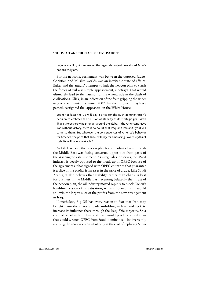#### **120 ISRAEL AND THE CLASH OF CIVILISATIONS**

regional stability. A look around the region shows just how absurd Baker's notions truly are.

For the neocons, permanent war between the opposed Judeo-Christian and Muslim worlds was an inevitable state of affairs. Baker and the Saudis' attempts to halt the neocon plan to crush the forces of evil was simple appeasement, a betrayal that would ultimately lead to the triumph of the wrong side in the clash of civilisations. Glick, in an indication of the fears gripping the wider neocon community in summer 2007 that their moment may have passed, castigated the 'appeasers' in the White House.

Sooner or later the US will pay a price for the Bush administration's decision to embrace the delusion of stability as its strategic goal. With jihadist forces growing stronger around the globe, if the Americans leave Iraq without victory, there is no doubt that Iraq (and Iran and Syria) will come to them. But whatever the consequences of America's behavior for America, the price that Israel will pay for embracing Baker's myths of stability will be unspeakable.<sup>6</sup>

As Glick sensed, the neocon plan for spreading chaos through the Middle East was facing concerted opposition from parts of the Washington establishment. As Greg Palast observes, the US oil industry is deeply opposed to the break-up of OPEC because of the agreements it has signed with OPEC countries that guarantee it a slice of the profits from rises in the price of crude. Like Saudi Arabia, it also believes that stability, rather than chaos, is best for business in the Middle East. Scenting belatedly the thrust of the neocon plan, the oil industry moved rapidly to block Cohen's hard-line version of privatisation, while ensuring that it would still win the largest slice of the profits from the new arrangement in Iraq.

Nonetheless, Big Oil has every reason to fear that Iran may benefit from the chaos already unfolding in Iraq and seek to increase its influence there through the Iraqi Shia majority. Shia control of oil in both Iran and Iraq would produce an oil titan that could wrench OPEC from Saudi dominance – inadvertently realising the neocon vision – but only at the cost of replacing Sunni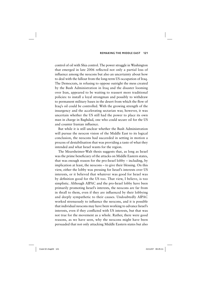control of oil with Shia control. The power struggle in Washington that emerged in late 2006 reflected not only a partial loss of influence among the neocons but also an uncertainty about how to deal with the fallout from the long-term US occupation of Iraq. The Democrats, in refusing to oppose outright the mess created by the Bush Administration in Iraq and the disaster looming over Iran, appeared to be waiting to reassert more traditional policies: to install a loyal strongman and possibly to withdraw to permanent military bases in the desert from which the flow of Iraq's oil could be controlled. With the growing strength of the insurgency and the accelerating sectarian war, however, it was uncertain whether the US still had the power to place its own man in charge in Baghdad, one who could secure oil for the US and counter Iranian influence.

But while it is still unclear whether the Bush Administration will pursue the neocon vision of the Middle East to its logical conclusion, the neocons had succeeded in setting in motion a process of destabilisation that was providing a taste of what they intended and what Israel wants for the region.

The Mearsheimer-Walt thesis suggests that, as long as Israel was the prime beneficiary of the attacks on Middle Eastern states, that was enough reason for the pro-Israel lobby – including, by implication at least, the neocons – to give their blessing. On this view, either the lobby was pressing for Israel's interests over US interests, or it believed that whatever was good for Israel was by definition good for the US too. That view, I believe, is too simplistic. Although AIPAC and the pro-Israel lobby have been primarily promoting Israel's interests, the neocons are far from in thrall to them, even if they are influenced by their lobbying and deeply sympathetic to their causes. Undoubtedly AIPAC worked strenuously to influence the neocons, and it is possible that individual neocons may have been working to advance Israel's interests, even if they conflicted with US interests, but that was not true for the movement as a whole. Rather, there were good reasons, as we have seen, why the neocons might have been persuaded that not only attacking Middle Eastern states but also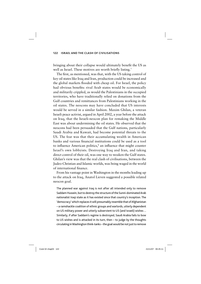bringing about their collapse would ultimately benefit the US as well as Israel. These motives are worth briefly listing.<sup>7</sup>

The first, as mentioned, was that, with the US taking control of key oil states like Iraq and Iran, production could be increased and the global markets flooded with cheap oil. For Israel, the policy had obvious benefits: rival Arab states would be economically and militarily crippled, as would the Palestinians in the occupied territories, who have traditionally relied on donations from the Gulf countries and remittances from Palestinians working in the oil states. The neocons may have concluded that US interests would be served in a similar fashion. Maxim Ghilan, a veteran Israeli peace activist, argued in April 2002, a year before the attack on Iraq, that the Israeli-neocon plan for remaking the Middle East was about undermining the oil states. He observed that the neocons had been persuaded that the Gulf nations, particularly Saudi Arabia and Kuwait, had become potential threats to the US. The fear was that their accumulating wealth in American banks and various financial institutions could be used as a tool to influence American politics,<sup>8</sup> an influence that might counter Israel's own lobbyists. Destroying Iraq and Iran, and taking direct control of their oil, was one way to weaken the Gulf states. Ghilan's view was that the real clash of civilisations, between the Judeo-Christian and Islamic worlds, was being waged in the world of international finance.

From his vantage point in Washington in the months leading up to the attack on Iraq, Anatol Lieven suggested a possible related neocon goal.

The planned war against Iraq is not after all intended only to remove Saddam Hussein, but to destroy the structure of the Sunni-dominated Arab nationalist Iraqi state as it has existed since that country's inception. The 'democracy' which replaces it will presumably resemble that of Afghanistan – a ramshackle coalition of ethnic groups and warlords, utterly dependent on US military power and utterly subservient to US (and Israeli) wishes ... Similarly, if after Saddam's regime is destroyed, Saudi Arabia fails to bow to US wishes and is attacked in its turn, then – to judge by the thoughts circulating in Washington think-tanks – the goal would be not just to remove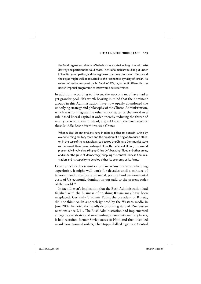the Saudi regime and eliminate Wahabism as a state ideology: it would be to destroy and partition the Saudi state. The Gulf oilfields would be put under US military occupation, and the region run by some client emir; Mecca and the Hejaz might well be returned to the Hashemite dynasty of Jordan, its rulers before the conquest by Ibn Saud in 1924; or, to put it differently, the British imperial programme of 1919 would be resurrected.

In addition, according to Lieven, the neocons may have had a yet grander goal. 'It's worth bearing in mind that the dominant groups in this Administration have now openly abandoned the underlying strategy and philosophy of the Clinton Administration, which was to integrate the other major states of the world in a rule-based liberal capitalist order, thereby reducing the threat of rivalry between them.' Instead, argued Lieven, the true target of these Middle East adventures was China:

What radical US nationalists have in mind is either to 'contain' China by overwhelming military force and the creation of a ring of American allies; or, in the case of the real radicals, to destroy the Chinese Communist state as the Soviet Union was destroyed. As with the Soviet Union, this would presumably involve breaking up China by 'liberating' Tibet and other areas, and under the guise of 'democracy', crippling the central Chinese Administration and its capacity to develop either its economy or its Army.

Lieven concluded pessimistically: 'Given America's overwhelming superiority, it might well work for decades until a mixture of terrorism and the unbearable social, political and environmental costs of US economic domination put paid to the present order of the world.'9

In fact, Lieven's implication that the Bush Administration had finished with the business of crushing Russia may have been misplaced. Certainly Vladimir Putin, the president of Russia, did not think so. In a speech ignored by the Western media in June 2007, he noted the rapidly deteriorating state of US–Russian relations since 9/11. The Bush Administration had implemented an aggressive strategy of surrounding Russia with military bases, it had recruited former Soviet states to Nato and then installed missiles on Russia's borders, it had toppled allied regimes in Central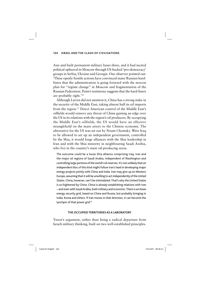Asia and built permanent military bases there, and it had incited political upheaval in Moscow through US-backed 'pro-democracy' groups in Serbia, Ukraine and Georgia. One observer pointed out: 'These openly hostile actions have convinced many Russian hardliners that the administration is going forward with the neocon plan for "regime change" in Moscow and fragmentation of the Russian Federation. Putin's testimony suggests that the hard-liners are probably right.'10

Although Lieven did not mention it, China has a strong stake in the security of the Middle East, taking almost half its oil imports from the region.<sup>11</sup> Direct American control of the Middle East's oilfields would remove any threat of China gaining an edge over the US in its relations with the region's oil producers. By occupying the Middle East's oilfields, the US would have an effective stranglehold on the main artery to the Chinese economy. The alternative for the US was set out by Noam Chomsky. Were Iraq to be allowed to set up an independent government, controlled by the Shia, it would forge alliances with the Shia leadership in Iran and with the Shia minority in neighbouring Saudi Arabia, who live in the country's main oil-producing areas.

The outcome could be a loose Shia alliance comprising Iraq, Iran and the major oil regions of Saudi Arabia, independent of Washington and controlling large portions of the world's oil reserves. It's not unlikely that an independent bloc of this kind might follow Iran's lead in developing major energy projects jointly with China and India. Iran may give up on Western Europe, assuming that it will be unwilling to act independently of the United States. China, however, can't be intimidated. That's why the United States is so frightened by China. China is already establishing relations with Iran – and even with Saudi Arabia, both military and economic. There is an Asian energy security grid, based on China and Russia, but probably bringing in India, Korea and others. If Iran moves in that direction, it can become the lynchpin of that power grid.<sup>12</sup>

# **THE OCCUPIED TERRITORIES AS A LABORATORY**

Yinon's argument, rather than being a radical departure from Israeli military thinking, built on two well-established principles.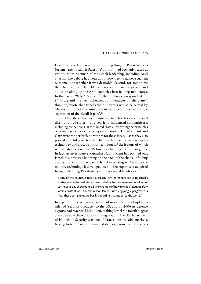First, since the 1967 war the idea of expelling the Palestinians to Jordan – the 'Jordan is Palestine' option – had been advocated at various times by much of the Israeli leadership, including Ariel Sharon. The debate had been about how best to achieve such an outcome, not whether it was desirable. Second, for some time there had been widely held discussions in the military command about breaking up the Arab countries into feuding mini-states. In the early 1980s Ze'ev Schiff, the military correspondent for *Ha'aretz* and the best informed commentator on the army's thinking, wrote that Israel's 'best' interests would be served by 'the dissolution of Iraq into a Shi'ite state, a Sunni state and the separation of the Kurdish part'.13

Israel had the chance to put into practice this theory of internal dissolution of states  $-$  and sell it to influential sympathisers, including the neocons, in the United States – by testing the principles on a small scale inside the occupied territories. The West Bank and Gaza were the perfect laboratories for these ideas, just as they also proved a useful place to test urban warfare tactics, new weapons technology and crowd control techniques,<sup>14</sup> the lessons of which would later be used by US forces in fighting Iraq's insurgents. In fact, as investigative journalist Naomi Klein has pointed out, Israeli business was booming on the back of the chaos unfolding across the Middle East, with Israel exporting to America the military technology it developed in, and the expertise it acquired from, controlling Palestinians in the occupied territories.

Many of the country's most successful entrepreneurs are using Israel's status as a fortressed state, surrounded by furious enemies, as a kind of 24-hour-a-day showroom, a living example of how to enjoy relative safety amid constant war. And the reason Israel is now enjoying supergrowth is that those companies are busily exporting that model to the world.<sup>15</sup>

In a period of seven years Israel had more than quadrupled its sales of 'security products' to the US, and by 2006 its defence exports had reached \$3.4 billion, making Israel the fourth biggest arms dealer in the world, overtaking Britain. The US Department of Homeland Security was one of Israel's most reliable markets, buying hi-tech fences, unmanned drones, biometric IDs, video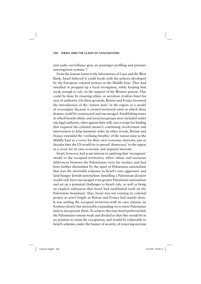and audio surveillance gear, air passenger profiling and prisoner interrogation systems.16

From the lessons learnt in the laboratories of Gaza and the West Bank, Israel believed it could break with the policies developed by the European colonial powers in the Middle East. They had installed or propped up a loyal strongman, while keeping him weak enough to rely on the support of his Western patron. This could be done by ensuring ethnic or sectarian rivalries beset his area of authority. On these grounds, Britain and France favoured the introduction of the 'nation state' in the region as a model of sovereignty because it created territorial units in which these dramas could be constructed and encouraged. Establishing states in which hostile ethnic and sectarian groups were included under one legal authority, often against their will, was a recipe for feuding that required the colonial master's continuing involvement and intervention to help maintain order. In other words, Britain and France extended the 'civilising benefits' of the nation state to the Middle East as a cover for their own economic interests, just as decades later the US would try to spread 'democracy' to the region as a cover for its own economic and imperial interests.

Israel, however, had scant interest in applying that 'strongman' model to the occupied territories, where ethnic and sectarian differences between the Palestinians were far weaker, and had been further diminished by the spurt of Palestinian nationalism that was the inevitable response to Israel's own aggressive and land-hungry Jewish nationalism. Installing a Palestinian dictator would only have encouraged even greater Palestinian nationalism and set up a potential challenger to Israeli rule, as well as being an implicit admission that Israel had established itself on the Palestinian homeland. Also, Israel was not running its colonial project at arm's length as Britain and France had mainly done. It was settling the occupied territories with its own citizens, its frontiers slowly but inexorably expanding on to more Palestinian land to incorporate them. To achieve this end, Israel preferred that the Palestinians remain weak and divided so that they would be in no position to resist the occupation, and would be vulnerable to Israel's schemes, under the banner of security, of removing sections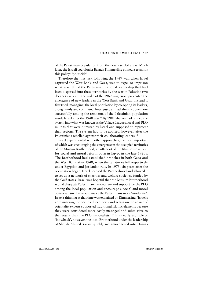of the Palestinian population from the newly settled areas. Much later, the Israeli sociologist Baruch Kimmerling coined a term for this policy: 'politicide'.

Therefore the first task following the 1967 war, when Israel captured the West Bank and Gaza, was to expel or imprison what was left of the Palestinian national leadership that had been dispersed into these territories by the war in Palestine two decades earlier. In the wake of the 1967 war, Israel prevented the emergence of new leaders in the West Bank and Gaza. Instead it first tried 'managing' the local population by co-opting its leaders, along family and communal lines, just as it had already done more successfully among the remnants of the Palestinian population inside Israel after the 1948 war.<sup>17</sup> By 1981 Sharon had refined the system into what was known as the Village Leagues, local anti-PLO militias that were nurtured by Israel and supposed to represent their regions. The system had to be aborted, however, after the Palestinians rebelled against their collaborating leaders.<sup>18</sup>

Israel experimented with other approaches, the most important of which was encouraging the emergence in the occupied territories of the Muslim Brotherhood, an offshoot of the Islamic movement for social and moral reform born in Egypt in the late 1920s. The Brotherhood had established branches in both Gaza and the West Bank after 1948, when the territories fell respectively under Egyptian and Jordanian rule. In 1973, six years after the occupation began, Israel licensed the Brotherhood and allowed it to set up a network of charities and welfare societies, funded by the Gulf states. Israel was hopeful that the Muslim Brotherhood would dissipate Palestinian nationalism and support for the PLO among the local population and encourage a social and moral conservatism that would make the Palestinians more 'moderate'. Israel's thinking at that time was explained by Kimmerling: 'Israelis administering the occupied territories and acting on the advice of orientalist experts supported traditional Islamic elements because they were considered more easily managed and submissive to the Israelis than the PLO nationalists.'19 In an early example of 'blowback', however, the local Brotherhood under the leadership of Sheikh Ahmed Yassin quickly metamorphosed into Hamas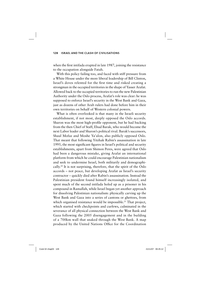when the first intifada erupted in late 1987, joining the resistance to the occupation alongside Fatah.

With this policy failing too, and faced with stiff pressure from a White House under the more liberal leadership of Bill Clinton, Israel's doves relented for the first time and risked creating a strongman in the occupied territories in the shape of Yasser Arafat. Allowed back to the occupied territories to run the new Palestinian Authority under the Oslo process, Arafat's role was clear: he was supposed to enforce Israel's security in the West Bank and Gaza, just as dozens of other Arab rulers had done before him in their own territories on behalf of Western colonial powers.

What is often overlooked is that many in the Israeli security establishment, if not most, deeply opposed the Oslo accords. Sharon was the most high-profile opponent, but he had backing from the then Chief of Staff, Ehud Barak, who would become the next Labor leader and Sharon's political rival. Barak's successors, Shaul Mofaz and Moshe Ya'alon, also publicly opposed Oslo. That meant that following Yitzhak Rabin's assassination in late 1995, the most significant figures in Israel's political and security establishments, apart from Shimon Peres, were agreed that Oslo had been a dangerous mistake, giving Arafat an international platform from which he could encourage Palestinian nationalism and seek to undermine Israel, both militarily and demographically.20 It is not surprising, therefore, that the spirit of the Oslo accords – not peace, but developing Arafat as Israel's security contractor – quickly died after Rabin's assassination. Instead the Palestinian president found himself increasingly isolated, and spent much of the second intifada holed up as a prisoner in his compound in Ramallah, while Israel began yet another approach for dissolving Palestinian nationalism: physically carving up the West Bank and Gaza into a series of cantons or ghettoes, from which organised resistance would be impossible.<sup>21</sup> That project, which started with checkpoints and curfews, culminated in the severance of all physical connection between the West Bank and Gaza following the 2005 disengagement and in the building of a 700km wall that snaked through the West Bank. A map produced by the United Nations Office for the Coordination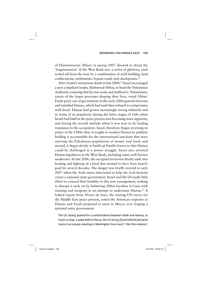of Humanitarian Affairs in spring 2007 showed in detail the 'fragmentation' of the West Bank into a series of ghettoes, each sealed off from the next by a combination of wall building, land confiscations, settlements, bypass roads and checkpoints.<sup>22</sup>

After Arafat's mysterious death in late 2004,<sup>23</sup> Israel encouraged a new compliant leader, Mahmoud Abbas, to head the Palestinian Authority, ensuring that he was weak and ineffective. Palestinians, aware of the larger processes shaping their lives, voted Abbas' Fatah party out of government in the early 2006 general elections and installed Hamas, which had until then refused to compromise with Israel. Hamas had grown increasingly strong militarily and in terms of its popularity during the latter stages of Oslo when Israeli bad faith in the peace process was becoming more apparent, and during the second intifada when it was seen to be leading resistance to the occupation. Israel, therefore, began reversing its policy of the 1980s: first, it sought to weaken Hamas by publicly holding it accountable for the international sanctions that were starving the Palestinian population of money and food; and second, it began slowly to build up Fatah's forces so that Hamas could be challenged in a power struggle. Israel also arrested Hamas legislators in the West Bank, including some well-known moderates. In late 2006, the occupied territories finally sank into feuding and fighting of a kind that seemed to have been Israel's goal for several decades. The danger was briefly averted in early 2007 when the Arab states intervened to help the rival factions create a national unity government. Israel and the US made little effort to conceal their hostility to this new arrangement, seeking to disrupt it early on by bolstering Abbas loyalists in Gaza with training and weapons in an attempt to undermine  $Hamas.<sup>24</sup> A$ leaked report from Alvaro de Soto, the retiring UN envoy for the Middle East peace process, noted the American response as Hamas and Fatah prepared to meet in Mecca over forging a national unity government:

The US clearly pushed for a confrontation between Fatah and Hamas, so much so that, a week before Mecca, the US envoy [David Welch] declared twice in an envoys meeting in Washington how much 'I like this violence',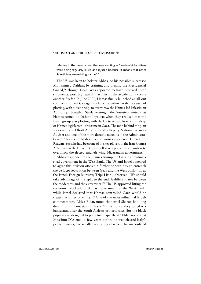referring to the near-civil war that was erupting in Gaza in which civilians were being regularly killed and injured because 'it means that other Palestinians are resisting Hamas'.25

The US was keen to bolster Abbas, or his possible successor Mohammed Dahlan, by training and arming the Presidential Guard,26 though Israel was reported to have blocked some shipments, possibly fearful that they might accidentally create another Arafat. In June 2007, Hamas finally launched an all-out confrontation in Gaza against elements within Fatah it accused of plotting, with outside help, to overthrow the Hamas-led Palestinian Authority.27 Jonathan Steele, writing in the *Guardian*, noted that Hamas turned on Dahlan loyalists when they realised that the Fatah group was plotting with the US to repeat Israel's round-up of Hamas legislators – this time in Gaza. The man behind the plan was said to be Elliott Abrams, Bush's Deputy National Security Adviser and one of the more durable neocons in the Administration.28 Abrams could draw on previous experience. During the Reagan years, he had been one of the key players in the Iran-Contra Affair, when the US secretly funnelled weapons to the Contras to overthrow the elected, and left-wing, Nicaraguan government.

Abbas responded to the Hamas triumph in Gaza by creating a rival government in the West Bank. The US and Israel appeared to agree this division offered a further opportunity to entrench the de facto separation between Gaza and the West Bank – or, as the Israeli Foreign Minister, Tzipi Livini, observed: 'We should take advantage of this split to the end. It differentiates between the moderates and the extremists.'29 The US approved lifting the economic blockade of Abbas' government in the West Bank, while Israel declared that Hamas-controlled Gaza would be treated as a 'terror entity'.<sup>30</sup> One of the most influential Israeli commentators, Akiva Eldar, noted that Ariel Sharon had long dreamt of a 'Hamastan' in Gaza: 'In his house, they called it a bantustan, after the South African protectorates [for the black population] designed to perpetuate apartheid.' Eldar noted that Massimo D'Alema, a few years before he was elected Italy's prime minister, had recalled a meeting at which Sharon confided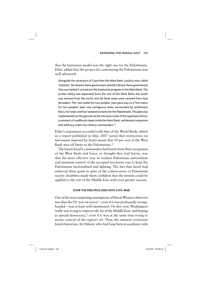that the bantustan model was the right one for the Palestinians. Eldar added that the project for cantonising the Palestinians was well advanced:

Alongside the severance of Gaza from the West Bank, a policy now called 'isolation,' the Sharon-Peres government and the Olmert-Peres government that succeeded it carried out the bantustan program in the West Bank. The Jordan Valley was separated from the rest of the West Bank; the south was severed from the north; and all three areas were severed from East Jerusalem. The 'two states for two peoples' plan gave way to a 'five states for two peoples' plan: one contiguous state, surrounded by settlement blocs, for Israel, and four isolated enclaves for the Palestinians. This plan was implemented on the ground via the intrusive route of the separation fence, a network of roadblocks deep inside the West Bank, settlement expansion and arbitrary orders by military commanders.<sup>31</sup>

Eldar's assessment accorded with that of the World Bank, which in a report published in May 2007 noted that restrictions on movement imposed by Israel meant that 50 per cent of the West Bank was off limits to the Palestinians.<sup>32</sup>

The lesson Israel's commanders had learnt from their occupation of the West Bank and Gaza, or thought they had learnt, was that the most effective way to weaken Palestinian nationalism and maintain control of the occupied territories was to keep the Palestinians factionalised and fighting. The fact that Israel had achieved these goals in spite of the cohesiveness of Palestinian society doubtless made them confident that the lessons could be applied to the rest of the Middle East with even greater success.

# **OVER THE PRECIPICE AND INTO CIVIL WAR**

One of the more surprising assumptions of liberal Western observers was that the US 'war on terror' – even if it was profoundly wrongheaded – was at least well intentioned. On this view, Washington really was trying to improve the lot of the Middle East, and hoping to spread democracy,<sup>33</sup> even if it was at the same time trying to secure control of the region's oil. Thus, the eminent revisionist Israeli historian, Avi Shlaim, who had long been in academic exile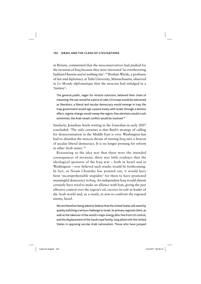in Britain, commented that the neoconservatives had pushed for the invasion of Iraq because they were interested 'in overthrowing Saddam Hussein and in nothing else'.34 Ibrahim Warde, a professor of law and diplomacy at Tufts University, Massachusetts, observed in *Le Monde diplomatique* that the neocons had indulged in a 'fantasy':

The general public, eager for miracle solutions, believed their chain of reasoning: the war would be a piece of cake; US troops would be welcomed as liberators; a liberal and secular democracy would emerge in Iraq; the Iraqi government would sign a peace treaty with Israel; through a domino effect, regime change would sweep the region; free elections would crush extremists: the Arab-Israeli conflict would be resolved.<sup>35</sup>

Similarly, Jonathan Steele writing in the *Guardian* in early 2007 concluded: 'The only certainty is that Bush's strategy of calling for democratisation in the Middle East is over. Washington has had to abandon the neocon dream of turning Iraq into a beacon of secular liberal democracy. It is no longer pressing for reform in other Arab states.'36

Reassuring as the idea was that these were the intended consequences of invasion, there was little evidence that the ideological sponsors of the Iraq war – both in Israel and in Washington – ever believed such results would be forthcoming. In fact, as Noam Chomsky has pointed out, it would have been 'incomprehensible stupidity' for them to have promoted meaningful democracy in Iraq. An independent Iraq would almost certainly have tried to make an alliance with Iran, giving the pair effective control over the region's oil, recover its role as leader of the Arab world and, as a result, re-arm to confront the regional enemy, Israel.

We are therefore being asked to believe that the United States will stand by quietly watching a serious challenge to Israel, its primary regional client, as well as the takeover of the world's major energy bloc free from US control, and the displacement of the Saudi royal family, long allied with the United States in opposing secular Arab nationalism. Those who have jumped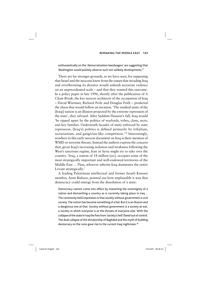enthusiastically on the 'democratization bandwagon' are suggesting that Washington would politely observe such not unlikely developments.<sup>37</sup>

There are far stronger grounds, as we have seen, for supposing that Israel and the neocons knew from the outset that invading Iraq and overthrowing its dictator would unleash sectarian violence on an unprecedented scale – and that they wanted this outcome. In a policy paper in late 1996, shortly after the publication of *A Clean Break*, the key neocon architects of the occupation of Iraq – David Wurmser, Richard Perle and Douglas Feith – predicted the chaos that would follow an invasion. 'The residual unity of the [Iraqi] nation is an illusion projected by the extreme repression of the state', they advised. After Saddam Hussein's fall, Iraq would 'be ripped apart by the politics of warlords, tribes, clans, sects, and key families. Underneath facades of unity enforced by state repression, [Iraq's] politics is defined primarily by tribalism, sectarianism, and gang/clan-like competition.'<sup>38</sup> Interestingly, nowhere in this early neocon document on Iraq is there mention of WMD or terrorist threats. Instead the authors express the concern that, given Iraq's increasing isolation and weakness following the West's sanctions regime, Iran or Syria might try to take over the country. 'Iraq, a nation of 18 million [*sic*], occupies some of the most strategically important and well-endowed territories of the Middle East ... Thus, whoever inherits Iraq dominates the entire Levant strategically.'

A leading Palestinian intellectual and former Israeli Knesset member, Azmi Bishara, pointed out how implausible it was that democracy could emerge from the dissolution of a state:

Democracy cannot come into effect by manacling the sovereignty of a nation and dismantling a country as is currently taking place in Iraq ... The commonly held impression is that society without government is civil society. The notion has become something of a fad. But it is an illusion and a dangerous one at that. Society without government is a society at war, a society in which everyone is at the throats of everyone else. With the collapse of the state in Iraq the fires from 'society's hell' flared out of control. The dual collapse of the dictatorship of Baghdad and the myth of building democracy on the ruins gave rise to the current Iraqi nightmare.<sup>39</sup>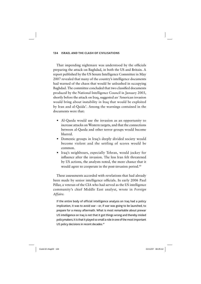# **134 ISRAEL AND THE CLASH OF CIVILISATIONS**

That impending nightmare was understood by the officials preparing the attack on Baghdad, in both the US and Britain. A report published by the US Senate Intelligence Committee in May 2007 revealed that many of the country's intelligence documents had warned of the chaos that would be unleashed in occupying Baghdad. The committee concluded that two classified documents produced by the National Intelligence Council in January 2003, shortly before the attack on Iraq, suggested an 'American invasion would bring about instability in Iraq that would be exploited by Iran and al-Qaida'. Among the warnings contained in the documents were that:

- Al-Qaeda would use the invasion as an opportunity to increase attacks on Western targets, and that the connections between al-Qaeda and other terror groups would become blurred.
- Domestic groups in Iraq's deeply divided society would become violent and the settling of scores would be common.
- Iraq's neighbours, especially Tehran, would jockey for influence after the invasion. The less Iran felt threatened by US actions, the analysts noted, the more chance that it would agree to cooperate in the post-invasion period.<sup>40</sup>

These assessments accorded with revelations that had already been made by senior intelligence officials. In early 2006 Paul Pillar, a veteran of the CIA who had served as the US intelligence community's chief Middle East analyst, wrote in *Foreign Affairs*:

If the entire body of official intelligence analysis on Iraq had a policy implication, it was to avoid war – or, if war was going to be launched, to prepare for a messy aftermath. What is most remarkable about prewar US intelligence on Iraq is not that it got things wrong and thereby misled policymakers; it is that it played so small a role in one of the most important US policy decisions in recent decades.<sup>41</sup>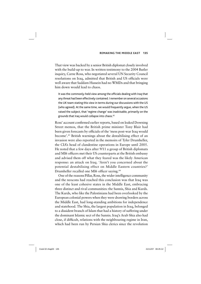That view was backed by a senior British diplomat closely involved with the build-up to war. In written testimony to the 2004 Butler inquiry, Carne Ross, who negotiated several UN Security Council resolutions on Iraq, admitted that British and US officials were well aware that Saddam Hussein had no WMDs and that bringing him down would lead to chaos.

It was the commonly-held view among the officials dealing with Iraq that any threat had been effectively contained. I remember on several occasions the UK team stating this view in terms during our discussions with the US (who agreed). At the same time, we would frequently argue, when the US raised the subject, that 'regime change' was inadvisable, primarily on the grounds that Iraq would collapse into chaos.<sup>42</sup>

Ross' account confirmed earlier reports, based on leaked Downing Street memos, that the British prime minister Tony Blair had been given forecasts by officials of the 'mess post-war Iraq would become'.43 British warnings about the destabilising effect of an invasion were also reported in the memoirs of Tyler Drumheller, the CIA's head of clandestine operations in Europe until 2005. He noted that a few days after 9/11 a group of British diplomats and MI6 officers met their US counterparts at the British embassy and advised them off what they feared was the likely American response: an attack on Iraq. 'Aren't you concerned about the potential destabilising effect on Middle Eastern countries?' Drumheller recalled one MI6 officer saying.<sup>44</sup>

One of the reasons Pillar, Ross, the wider intelligence community and the neocons had reached this conclusion was that Iraq was one of the least cohesive states in the Middle East, embracing three distinct and rival communities: the Sunnis, Shia and Kurds. The Kurds, who like the Palestinians had been overlooked by the European colonial powers when they were drawing borders across the Middle East, had long-standing ambitions for independence and statehood. The Shia, the largest population in Iraq, belonged to a dissident branch of Islam that had a history of suffering under the dominant Islamic sect of the Sunnis. Iraq's Arab Shia also had close, if difficult, relations with the neighbouring regime in Iran, which had been run by Persian Shia clerics since the revolution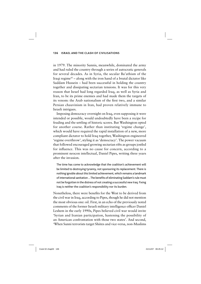in 1979. The minority Sunnis, meanwhile, dominated the army and had ruled the country through a series of autocratic generals for several decades. As in Syria, the secular Ba'athism of the Iraqi regime $45$  – along with the iron hand of a brutal dictator like Saddam Hussein – had been successful in holding the country together and dissipating sectarian tensions. It was for this very reason that Israel had long regarded Iraq, as well as Syria and Iran, to be its prime enemies and had made them the targets of its venom: the Arab nationalism of the first two, and a similar Persian chauvinism in Iran, had proven relatively immune to Israeli intrigues.

Imposing democracy overnight on Iraq, even supposing it were intended or possible, would undoubtedly have been a recipe for feuding and the settling of historic scores. But Washington opted for another course. Rather than instituting 'regime change', which would have required the rapid installation of a new, more compliant dictator to hold Iraq together, Washington engineered 'regime overthrow', styling it as 'democracy'. The power vacuum that followed encouraged growing sectarian rifts as groups jostled for influence. This was no cause for concern, according to a prominent neocon intellectual, Daniel Pipes, writing three years after the invasion.

The time has come to acknowledge that the coalition's achievement will be limited to destroying tyranny, not sponsoring its replacement. There is nothing ignoble about this limited achievement, which remains a landmark of international sanitation ... The benefits of eliminating Saddam's rule must not be forgotten in the distress of not creating a successful new Iraq. Fixing Iraq is neither the coalition's responsibility nor its burden.

Nonetheless, there were benefits for the West to be derived from the civil war in Iraq, according to Pipes, though he did not mention the most obvious one: oil. First, in an echo of the previously noted comments of the former Israeli military intelligence officer Daniel Leshem in the early 1990s, Pipes believed civil war would invite 'Syrian and Iranian participation, hastening the possibility of an American confrontation with those two states'. And second, 'When Sunni terrorists target Shiites and vice-versa, non-Muslims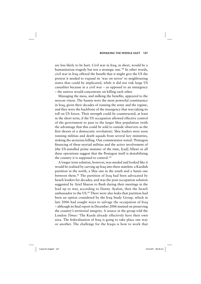are less likely to be hurt. Civil war in Iraq, in short, would be a humanitarian tragedy but not a strategic one.<sup>146</sup> In other words, civil war in Iraq offered the benefit that it might give the US the pretext it needed to expand its 'war on terror' to neighbouring states that could be implicated, while it did not risk large US casualties because in a civil war – as opposed to an insurgency – the natives would concentrate on killing each other.

Managing the mess, and milking the benefits, appeared to the neocon vision. The Sunnis were the most powerful constituency in Iraq, given their decades of running the army and the regime, and they were the backbone of the insurgency that was taking its toll on US forces. Their strength could be counteracted, at least in the short term, if the US occupation allowed effective control of the government to pass to the larger Shia population (with the advantage that this could be sold to outside observers as the first shoots of a democratic revolution). Shia leaders were soon running militias and death squads from several key ministries, stoking the sectarian killing. One commentator noted: 'Pentagon financing of these myriad militias and the active involvement of [the US-installed prime minister of the time, Iyad] Allawi in all these operations suggest that the Pentagon itself is destabilizing the country it is supposed to control.'47

A longer term solution, however, was needed and looked like it would be realised by carving up Iraq into three statelets: a Kurdish partition in the north, a Shia one in the south and a Sunni one between them.48 The partition of Iraq had been advocated by Israeli leaders for decades, and was the post-occupation solution suggested by Ariel Sharon to Bush during their meetings in the lead up to war, according to Danny Ayalon, then the Israeli ambassador to the US.49 There were also leaks that partition had been an option considered by the Iraq Study Group, which in late 2006 had sought ways to salvage the occupation of Iraq – although its final report in December 2006 insisted on preserving the country's territorial integrity. A source in the group told the London *Times:* 'The Kurds already effectively have their own area. The federalisation of Iraq is going to take place one way or another. The challenge for the Iraqis is how to work that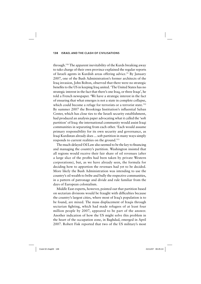through.'50 The apparent inevitability of the Kurds breaking away to take charge of their own province explained the regular reports of Israeli agents in Kurdish areas offering advice.<sup>51</sup> By January 2007, one of the Bush Administration's former architects of the Iraq invasion, John Bolton, observed that there were no strategic benefits to the US in keeping Iraq united. 'The United States has no strategic interest in the fact that there's one Iraq, or three Iraqs', he told a French newspaper. 'We have a strategic interest in the fact of ensuring that what emerges is not a state in complete collapse, which could become a refuge for terrorists or a terrorist state.'<sup>52</sup> By summer 2007 the Brookings Institution's influential Saban Center, which has close ties to the Israeli security establishment, had produced an analysis paper advocating what it called the 'soft partition' of Iraq: the international community would assist Iraqi communities in separating from each other. 'Each would assume primary responsibility for its own security and governance, as Iraqi Kurdistan already does ... soft partition in many ways simply responds to current realities on the ground.'53

The much-delayed Oil Law also seemed to be the key to financing and managing the country's partition. Washington insisted that all regions would receive their fair share of oil revenues (after a large slice of the profits had been taken by private Western corporations), but, as we have already seen, the formula for deciding how to apportion the revenues had yet to be decided. More likely the Bush Administration was intending to use the country's oil wealth to bribe and bully the respective communities, in a pattern of patronage and divide and rule familiar from the days of European colonialism.

Middle East experts, however, pointed out that partition based on sectarian divisions would be fraught with difficulties because the country's largest cities, where most of Iraq's population is to be found, are mixed. The mass displacement of Iraqis through sectarian fighting, which had made refugees of at least four million people by 2007, appeared to be part of the answer. Another indication of how the US might solve this problem in the heart of the occupation zone, in Baghdad, emerged in April 2007. Robert Fisk reported that two of the US military's most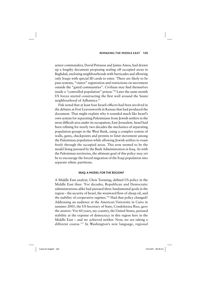senior commanders, David Petraeus and James Amos, had drawn up a lengthy document proposing sealing off occupied areas in Baghdad, enclosing neighbourhoods with barricades and allowing only Iraqis with special ID cards to enter. 'There are likely to be pass systems, "visitor" registration and restrictions on movement outside the "gated communities". Civilians may find themselves inside a "controlled population" prison.'54 Later the same month US forces started constructing the first wall around the Sunni neighbourhood of Adhamiya.55

Fisk noted that at least four Israeli officers had been involved in the debates at Fort Leavenworth in Kansas that had produced the document. That might explain why it sounded much like Israel's own system for separating Palestinians from Jewish settlers in the most difficult area under its occupation, East Jerusalem. Israel had been refining for nearly two decades the mechanics of separating population groups in the West Bank, using a complex system of walls, gates, checkpoints and permits to limit movement among the Palestinian population while allowing Jewish settlers to roam freely through the occupied areas. This now seemed to be the model being pursued by the Bush Administration in Iraq. As with the Palestinian territories, the ultimate goal of this policy may yet be to encourage the forced migration of the Iraqi population into separate ethnic partitions.

## **IRAQ: A MODEL FOR THE REGION?**

A Middle East analyst, Chris Toensing, defined US policy in the Middle East thus: 'For decades, Republican and Democratic administrations alike had pursued three fundamental goals in the region – the security of Israel, the westward flow of cheap oil, and the stability of cooperative regimes.'56 Had that policy changed? Addressing an audience at the American University in Cairo in summer 2005, the US Secretary of State, Condoleezza Rice, gave the answer: 'For 60 years, my country, the United States, pursued stability at the expense of democracy in this region here in the Middle East – and we achieved neither. Now, we are taking a different course.'57 In Washington's new language, regional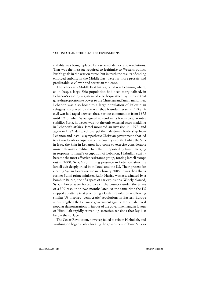stability was being replaced by a series of democratic revolutions. That was the message required to legitimise to Western publics Bush's goals in the war on terror, but in truth the results of ending enforced stability in the Middle East were far more prosaic and predictable: civil war and sectarian violence.

The other early Middle East battleground was Lebanon, where, as in Iraq, a large Shia population had been marginalised, in Lebanon's case by a system of rule bequeathed by Europe that gave disproportionate power to the Christian and Sunni minorities. Lebanon was also home to a large population of Palestinian refugees, displaced by the war that founded Israel in 1948. A civil war had raged between these various communities from 1975 until 1990, when Syria agreed to send in its forces to guarantee stability. Syria, however, was not the only external actor meddling in Lebanon's affairs. Israel mounted an invasion in 1978, and again in 1982, designed to expel the Palestinian leadership from Lebanon and install a sympathetic Christian government, that led to a two-decade occupation of the country's south. Unlike the Shia in Iraq, the Shia in Lebanon had come to exercise considerable muscle through a militia, Hizbullah, supported by Iran. Emerging in response to Israel's occupation of Lebanon, Hizbullah swiftly became the most effective resistance group, forcing Israeli troops out in 2000. Syria's continuing presence in Lebanon after the Israeli exit deeply irked both Israel and the US. Their pretext for ejecting Syrian forces arrived in February 2005. It was then that a former Sunni prime minister, Rafik Hariri, was assassinated by a bomb in Beirut, one of a spate of car explosions. Widely blamed, Syrian forces were forced to exit the country under the terms of a UN resolution two months later. At the same time the US stepped up attempts at promoting a Cedar Revolution – following similar US-inspired 'democratic' revolutions in Eastern Europe – to strengthen the Lebanese government against Hizbullah. Rival popular demonstrations in favour of the government and in favour of Hizbullah rapidly stirred up sectarian tensions that lay just below the surface.

The Cedar Revolution, however, failed to rein in Hizbullah, and Washington began visibly backing the government of Fuad Siniora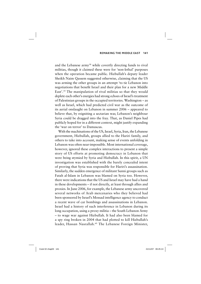and the Lebanese army<sup>58</sup> while covertly directing funds to rival militias, though it claimed these were for 'non-lethal' purposes when the operation became public. Hizbullah's deputy leader Sheikh Naim Qassem suggested otherwise, claiming that the US was arming the other groups in an attempt 'to tie Lebanon into negotiations that benefit Israel and their plan for a new Middle East'.59 The manipulation of rival militias so that they would deplete each other's energies had strong echoes of Israel's treatment of Palestinian groups in the occupied territories. Washington – as well as Israel, which had predicted civil war as the outcome of its aerial onslaught on Lebanon in summer 2006 – appeared to believe that, by reigniting a sectarian war, Lebanon's neighbour Syria could be dragged into the fray. That, as Daniel Pipes had publicly hoped for in a different context, might justify expanding the 'war on terror' to Damascus.

With the machinations of the US, Israel, Syria, Iran, the Lebanese government, Hizbullah, groups allied to the Hariri family, and others to take into account, making sense of events unfolding in Lebanon was often near-impossible. Most international coverage, however, ignored these complex interactions to present a simple story of US efforts at promoting democracy in Lebanon that were being stymied by Syria and Hizbullah. In this spirit, a UN investigation was established with the barely concealed intent of proving that Syria was responsible for Hariri's assassination. Similarly, the sudden emergence of militant Sunni groups such as Fatah al-Islam in Lebanon was blamed on Syria too. However, there were indications that the US and Israel may have had a hand in these developments – if not directly, at least through allies and proxies. In June 2006, for example, the Lebanese army uncovered several networks of Arab mercenaries who they believed had been sponsored by Israel's Mossad intelligence agency to conduct a recent wave of car bombings and assassinations in Lebanon. Israel had a history of such interference in Lebanon during its long occupation, using a proxy militia – the South Lebanon Army – to wage war against Hizbullah. It had also been blamed for a spy ring broken in 2004 that had plotted to kill Hizbullah's leader, Hassan Nasrallah.<sup>60</sup> The Lebanese Foreign Minister,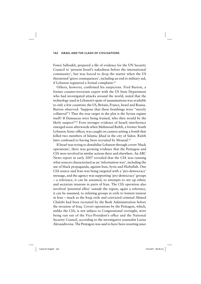Fawzi Salloukh, prepared a file of evidence for the UN Security Council to 'present Israel's nakedness before the international community', but was forced to drop the matter when the US threatened 'grave consequences', including an end to military aid, if Lebanon registered a formal complaint.<sup>61</sup>

Others, however, confirmed his suspicions. Fred Burton, a former counter-terrorism expert with the US State Department who had investigated attacks around the world, noted that the technology used in Lebanon's spate of assassinations was available to only a few countries: the US, Britain, France, Israel and Russia. Burton observed: 'Suppose that these bombings were "merely collateral"? That the true target in the plot is the Syrian regime itself? If Damascus were being framed, who then would be the likely suspect?'<sup>62</sup> Even stronger evidence of Israeli interference emerged soon afterwards when Mahmoud Rafeh, a former South Lebanon Army officer, was caught on camera setting a bomb that killed two members of Islamic Jihad in the city of Sidon. Rafeh later confessed to having been recruited by Mossad.<sup>63</sup>

If Israel was trying to destabilise Lebanon through covert 'black operations', there was growing evidence that the Pentagon and CIA were involved in similar actions there and elsewhere. An ABC News report in early 2007 revealed that the CIA was running what sources characterised as an 'information war', including the use of black propaganda, against Iran, Syria and Hizbullah. One CIA source said Iran was being targeted with a 'pro-democracy' message, and the agency was supporting 'pro-democracy' groups – a reference, it can be assumed, to attempts to stir up ethnic and sectarian tensions in parts of Iran. The CIA operation also involved 'potential allies' outside the region, again a reference, it can be assumed, to enlisting groups in exile to foment tension in Iran – much as the Iraqi exile and convicted criminal Ahmed Chalabi had been recruited by the Bush Administration before the invasion of Iraq. Covert operations by the Pentagon, which, unlike the CIA, is not subject to Congressional oversight, were being run out of the Vice-President's office and the National Security Council, according to the investigative journalist Larisa Alexandrovna. The Pentagon was said to have been resorting since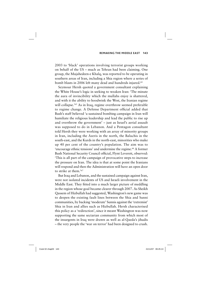2003 to 'black' operations involving terrorist groups working on behalf of the US – much as Tehran had been claiming. One group, the Mujahedeen-e Khalq, was reported to be operating in southern areas of Iran, including a Shia region where a series of bomb blasts in 2006 left many dead and hundreds injured.<sup>64</sup>

Seymour Hersh quoted a government consultant explaining the White House's logic in seeking to weaken Iran: 'The minute the aura of invincibility which the mullahs enjoy is shattered, and with it the ability to hoodwink the West, the Iranian regime will collapse.<sup>'65</sup> As in Iraq, regime overthrow seemed preferable to regime change. A Defense Department official added that Bush's staff believed 'a sustained bombing campaign in Iran will humiliate the religious leadership and lead the public to rise up and overthrow the government' – just as Israel's aerial assault was supposed to do in Lebanon. And a Pentagon consultant told Hersh they were working with an array of minority groups in Iran, including the Azeris in the north, the Baluchis in the south-east, and the Kurds in the north-east, minorities who make up 40 per cent of the country's population. The aim was to 'encourage ethnic tensions' and undermine the regime.66 A former Bush National Security Council official, Flynt Leverett, observed: 'This is all part of the campaign of provocative steps to increase the pressure on Iran. The idea is that at some point the Iranians will respond and then the Administration will have an open door to strike at them.<sup>'67</sup>

But Iraq and Lebanon, and the sustained campaign against Iran, were not isolated incidents of US and Israeli involvement in the Middle East. They fitted into a much larger picture of meddling in the region whose goal became clearer through 2007. As Sheikh Qassem of Hizbullah had suggested, Washington's new game was to deepen the existing fault lines between the Shia and Sunni communities, by backing 'moderate' Sunnis against the 'extremist' Shia in Iran and allies such as Hizbullah. Hersh characterised this policy as a 'redirection', since it meant Washington was now supporting the same sectarian community from which most of the insurgents in Iraq were drawn as well as al-Qaeda's jihadis – the very people the 'war on terror' had been designed to crush.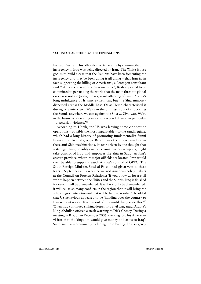Instead, Bush and his officials inverted reality by claiming that the insurgency in Iraq was being directed by Iran. 'The White House goal is to build a case that the Iranians have been fomenting the insurgency and they've been doing it all along – that Iran is, in fact, supporting the killing of Americans', a Pentagon consultant said.<sup>68</sup> After six years of the 'war on terror', Bush appeared to be committed to persuading the world that the main threat to global order was not al-Qaeda, the wayward offspring of Saudi Arabia's long indulgence of Islamic extremism, but the Shia minority dispersed across the Middle East. Or as Hersh characterised it during one interview: 'We're in the business now of supporting the Sunnis anywhere we can against the Shia ... Civil war. We're in the business of creating in some places – Lebanon in particular – a sectarian violence.'69

According to Hersh, the US was leaving some clandestine operations – possibly the most unpalatable – to the Saudi regime, which had a long history of promoting fundamentalist Sunni Islam and extremist groups. Riyadh was keen to get involved in these anti-Shia machinations, its fear driven by the thought that a stronger Iran, possibly one possessing nuclear weapons, might take control of Iraq and empower the Shia in Saudi Arabia's eastern province, where its major oilfields are located. Iran would then be able to supplant Saudi Arabia's control of OPEC. The Saudi Foreign Minister, Saud al-Faisal, had given vent to these fears in September 2005 when he warned American policy makers at the Council on Foreign Relations: 'If you allow ... for a civil war to happen between the Shiites and the Sunnis, Iraq is finished for ever. It will be dismembered. It will not only be dismembered, it will cause so many conflicts in the region that it will bring the whole region into a turmoil that will be hard to resolve.' He added that US behaviour appeared to be 'handing over the country to Iran without reason. It seems out of this world that you do this.'70 When Iraq continued sinking deeper into civil war, Saudi Arabia's King Abdullah offered a stark warning to Dick Cheney. During a meeting in Riyadh in December 2006, the king told his American visitor that the kingdom would give money and arms to Iraq's Sunni militias – presumably including those leading the insurgency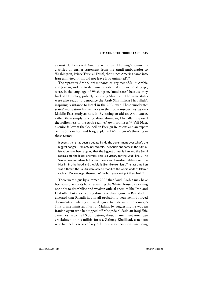against US forces – if America withdrew. The king's comments clarified an earlier statement from the Saudi ambassador to Washington, Prince Turki al-Faisal, that 'since America came into Iraq uninvited, it should not leave Iraq uninvited'.71

The repressive Arab Sunni monarchical regimes of Saudi Arabia and Jordan, and the Arab Sunni 'presidential monarchy' of Egypt, were, in the language of Washington, 'moderates' because they backed US policy, publicly opposing Shia Iran. The same states were also ready to denounce the Arab Shia militia Hizbullah's inspiring resistance to Israel in the 2006 war. These 'moderate' states' motivation had its roots in their own insecurities, as two Middle East analysts noted: 'By acting to aid an Arab cause, rather than simply talking about doing so, Hizballah exposed the hollowness of the Arab regimes' own promises.'72 Vali Nasr, a senior fellow at the Council on Foreign Relations and an expert on the Shia in Iran and Iraq, explained Washington's thinking in these terms:

It seems there has been a debate inside the government over what's the biggest danger – Iran or Sunni radicals. The Saudis and some in the Administration have been arguing that the biggest threat is Iran and the Sunni radicals are the lesser enemies. This is a victory for the Saudi line ... The Saudis have considerable financial means, and have deep relations with the Muslim Brotherhood and the Salafis [Sunni extremists]. The last time Iran was a threat, the Saudis were able to mobilize the worst kinds of Islamic radicals. Once you get them out of the box, you can't put them back.<sup>73</sup>

There were signs by summer 2007 that Saudi Arabia may have been overplaying its hand, upsetting the White House by working not only to destabilise and weaken official enemies like Iran and Hizbullah but also to bring down the Shia regime in Baghdad. It emerged that Riyadh had in all probability been behind forged documents circulating in Iraq designed to undermine the country's Shia prime minister, Nuri al-Maliki, by suggesting he was an Iranian agent who had tipped off Moqtada al-Sadr, an Iraqi Shia cleric hostile to the US occupation, about an imminent American crackdown on his militia forces. Zalmay Khalilzad, a neocon who had held a series of key Administration positions, including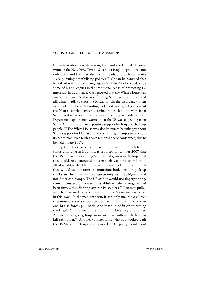US ambassador to Afghanistan, Iraq and the United Nations, wrote in the *New York Times*: 'Several of Iraq's neighbours – not only Syria and Iran but also some friends of the United States – are pursuing destabilising policies.<sup> $74$ </sup> (It can be assumed that Khalilzad was using the language of 'stability' so frowned on by some of his colleagues in the traditional sense of promoting US interests.) In addition, it was reported that the White House was angry that Saudi Arabia was funding Sunni groups in Iraq and allowing jihadis to cross the border to join the insurgency, often as suicide bombers. According to US estimates, 40 per cent of the 70 or so foreign fighters entering Iraq each month were from Saudi Arabia. Ahead of a high-level meeting in Jedda, a State Department spokesman warned that the US was expecting from Saudi Arabia 'more active, positive support for Iraq and the Iraqi people'.75 The White House was also known to be unhappy about Saudi support for Hamas and its continuing attempts to promote its peace plan over Bush's own regional peace conference, due to be held in late 2007.

In yet another twist in the White House's approach to the chaos unfolding in Iraq, it was reported in summer 2007 that the US military was arming Sunni tribal groups in the hope that they could be encouraged to turn their weapons on militants allied to al-Qaeda. The tribes were being made to promise that they would use the arms, ammunition, body armour, pick-up trucks and fuel they had been given only against al-Qaeda and not American troops. The US said it would use fingerprinting, retinal scans and other tests to establish whether insurgents had been involved in fighting against its soldiers.<sup>76</sup> The new policy was characterised by a commentator in the *Guardian* newspaper in this way: 'In the medium term, it can only fuel the civil war that most observers expect to erupt with full fury as American and British forces pull back. And that's in addition to arming the largely Shia forces of the Iraqi army. One way or another, Americans are giving Iraqis more weapons with which they can kill each other.'<sup>77</sup> Another commentator, who had worked with the US Marines in Iraq and supported the US policy, pointed out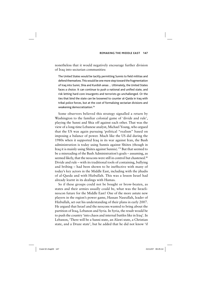nonetheless that it would negatively encourage further division of Iraq into sectarian communities:

The United States would be tacitly permitting Sunnis to field militias and defend themselves. This would be one more step toward the fragmentation of Iraq into Sunni, Shia and Kurdish areas ... Ultimately, the United States faces a choice. It can continue to push a national and unified state, and risk letting hard-core insurgents and terrorists go unchallenged. Or the ties that bind the state can be loosened to counter al-Qaida in Iraq with tribal police forces, but at the cost of formalizing sectarian divisions and weakening democratization.<sup>78</sup>

Some observers believed this strategy signalled a return by Washington to the familiar colonial game of 'divide and rule', playing the Sunni and Shia off against each other. That was the view of a long-time Lebanese analyst, Michael Young, who argued that the US was again pursuing 'political "realism" based on imposing a balance of power. Much like the US did during the 1980s when it supported Iraq in its war against Iran, the Bush administration is today using Sunnis against Shiites (though in Iraq it is mainly using Shiites against Sunnis).'79 But that seemed to be a misreading of the Bush Administration's goals – assuming, as seemed likely, that the neocons were still in control but chastened.<sup>80</sup> Divide and rule – with its traditional tools of containing, bullying and bribing – had been shown to be ineffective with many of today's key actors in the Middle East, including with the jihadis of al-Qaeda and with Hizbullah. This was a lesson Israel had already learnt in its dealings with Hamas.

So if these groups could not be bought or brow-beaten, as states and their armies usually could be, what was the Israelineocon future for the Middle East? One of the more astute new players in the region's power game, Hassan Nasrallah, leader of Hizbullah, set out his understanding of their plans in early 2007. He argued that Israel and the neocons wanted to bring about the partition of Iraq, Lebanon and Syria. In Syria, the result would be to push the country 'into chaos and internal battles like in Iraq'. In Lebanon, 'There will be a Sunni state, an Alawi state, a Christian state, and a Druze state', but he added that he did not know 'if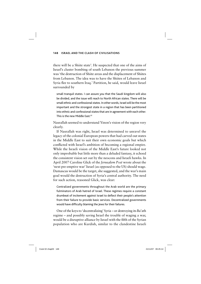there will be a Shiite state'. He suspected that one of the aims of Israel's cluster bombing of south Lebanon the previous summer was 'the destruction of Shiite areas and the displacement of Shiites from Lebanon. The idea was to have the Shiites of Lebanon and Syria flee to southern Iraq.' Partition, he said, would leave Israel surrounded by

small tranquil states. I can assure you that the Saudi kingdom will also be divided, and the issue will reach to North African states. There will be small ethnic and confessional states. In other words, Israel will be the most important and the strongest state in a region that has been partitioned into ethnic and confessional states that are in agreement with each other. This is the new Middle East.81

Nasrallah seemed to understand Yinon's vision of the region very clearly.

If Nasrallah was right, Israel was determined to unravel the legacy of the colonial European powers that had carved out states in the Middle East to suit their own economic goals but which conflicted with Israel's ambition of becoming a regional empire. While the Israeli vision of the Middle East's future looked not only improbable but little more than a deluded fantasy, it echoed the consistent vision set out by the neocons and Israeli hawks. In April 2007 Caroline Glick of the *Jerusalem Post* wrote about the 'next pre-emptive war' Israel (as opposed to the US) should wage. Damascus would be the target, she suggested, and the war's main goal would the destruction of Syria's central authority. The need for such action, reasoned Glick, was clear:

Centralized governments throughout the Arab world are the primary fulminators of Arab hatred of Israel. These regimes require a constant drumbeat of incitement against Israel to deflect their people's attention from their failure to provide basic services. Decentralized governments would have difficulty blaming the Jews for their failures.

One of the keys to 'decentralizing' Syria – or destroying its Ba'ath regime – and possibly saving Israel the trouble of waging a war, would be a disruptive alliance by Israel with the fifth of the Syrian population who are Kurdish, similar to the clandestine Israeli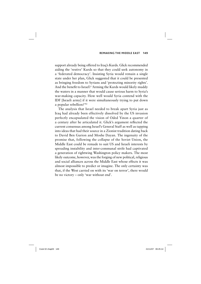support already being offered to Iraq's Kurds. Glick recommended aiding the 'restive' Kurds so that they could seek autonomy in a 'federated democracy'. Insisting Syria would remain a single state under her plan, Glick suggested that it could be presented as bringing freedom to Syrians and 'protecting minority rights'. And the benefit to Israel? 'Arming the Kurds would likely muddy the waters in a manner that would cause serious harm to Syria's war-making capacity. How well would Syria contend with the IDF [Israeli army] if it were simultaneously trying to put down a popular rebellion?'82

The analysis that Israel needed to break apart Syria just as Iraq had already been effectively dissolved by the US invasion perfectly encapsulated the vision of Oded Yinon a quarter of a century after he articulated it. Glick's argument reflected the current consensus among Israel's General Staff as well as tapping into ideas that had their source in a Zionist tradition dating back to David Ben Gurion and Moshe Dayan. The ingenuity of the promise that, following the collapse of the Soviet Union, the Middle East could be remade to suit US and Israeli interests by spreading instability and inter-communal strife had captivated a generation of rightwing Washington policy makers. The most likely outcome, however, was the forging of new political, religious and social alliances across the Middle East whose effects it was almost impossible to predict or imagine. The only certainty was that, if the West carried on with its 'war on terror', there would be no victory – only 'war without end'.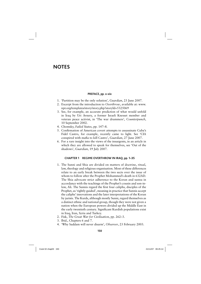# **NOTES**

#### **PREFACE, pp. x–xix**

- 1. 'Partition may be the only solution', *Guardian*, 23 June 2007.
- 2. Excerpt from the introduction to *Overthrow*, available at: www. npr.org/templates/story/story.php?storyId=5325069
- 3. See, for example, an accurate prediction of what would unfold in Iraq by Uri Avnery, a former Israeli Knesset member and veteran peace activist, in 'The war drummers', *Counterpunch*, 10 September 2002.
- 4. Chomsky, *Failed States*, pp. 147–8.
- 5. Confirmation of American covert attempts to assassinate Cuba's Fidel Castro, for example, recently came to light. See 'CIA conspired with mafia to kill Castro', *Guardian*, 27 June 2007.
- 6. For a rare insight into the views of the insurgents, in an article in which they are allowed to speak for themselves, see 'Out of the shadows', *Guardian*, 19 July 2007.

## **CHAPTER 1 REGIME OVERTHROW IN IRAQ, pp. 1–35**

- 1. The Sunni and Shia are divided on matters of doctrine, ritual, law, theology and religious organisation. Most of these differences relate to an early break between the two sects over the issue of whom to follow after the Prophet Mohammed's death in 632AD. The Shia advocate strict adherence to the Koran and sunna in accordance with the teachings of the Prophet's cousin and son-inlaw, Ali. The Sunnis regard the first four caliphs, disciples of the Prophet, as 'rightly guided', meaning in practice that Sunnis accept the caliphs' innovations and the later interpretations of the Koran by jurists. The Kurds, although mostly Sunni, regard themselves as a distinct ethnic and national group, though they were not given a nation when the European powers divided up the Middle East in the early twentieth century. Significant Kurdish populations exist in Iraq, Iran, Syria and Turkey.
- 2. Fisk, *The Great War for Civilisation*, pp. 262–3.
- 3. Ibid., Chapters 6 and 7.
- 4. 'Why Saddam will never disarm', *Observer*, 23 February 2003.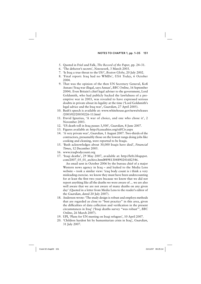- 5. Quoted in Friel and Falk, *The Record of the Paper*, pp. 24–31.
- 6. 'The defector's secrets', *Newsweek*, 3 March 2003.
- 7. 'Is Iraq a true threat to the US?', *Boston Globe*, 20 July 2002.
- 8. 'Final report: Iraq had no WMDs', *USA Today*, 6 October 2004.
- 9. That was the opinion of the then UN Secretary General, Kofi Annan ('Iraq war illegal, says Annan', *BBC Online*, 16 September 2004). Even Britain's chief legal adviser to the government, Lord Goldsmith, who had publicly backed the lawfulness of a preemptive war in 2003, was revealed to have expressed serious doubts in private about its legality at the time ('Lord Goldsmith's legal advice and the Iraq war', *Guardian*, 27 April 2005).
- 10. Bush's speech is available at: www.whitehouse.gov/news/releases /2003/02/20030226-11.html
- 11. David Ignatius, 'A war of choice, and one who chose it', 2 November 2003.
- 12. 'US death toll in Iraq passes 3,500', *Guardian*, 8 June 2007.
- 13. Figures available at: http://icasualties.org/oif/Civ.aspx
- 14. 'A very private war', *Guardian*, 1 August 2007. Two-thirds of the contractors, presumably those on the lowest rungs doing jobs like cooking and cleaning, were reported to be Iraqis.
- 15. 'Bush acknowledges about 30,000 Iraqis have died', *Financial Times*, 12 December 2005.
- 16. www.iraqbodycount.org
- 17. 'Iraqi deaths', 29 May 2007, available at: http://lefti.blogspot. com/2007\_05\_01\_archive.html#8981304890241682546.

 An email sent in October 2006 by the bureau chief of a major Western news agency in Iraq – and leaked to the Media Lens website – took a similar view: 'iraq body count is i think a very misleading exercise. we know they must have been undercounting for at least the first two years because we know that we did not report anything like all the deaths we were aware of ... we are also well aware that we are not aware of many deaths on any given day' (Quoted in a letter from Media Lens to the reader's editor of the *Guardian*, dated 20 July 2007).

- 18. Anderson wrote: 'The study design is robust and employs methods that are regarded as close to "best practice" in this area, given the difficulties of data collection and verification in the present circumstances in Iraq' ('Iraqi deaths survey "was robust"', *BBC Online*, 26 March 2007).
- 19. UPI, 'Plans for UN meeting on Iraqi refugees', 10 April 2007.
- 20. 'Children hardest hit by humanitarian crisis in Iraq', *Guardian*, 31 July 2007.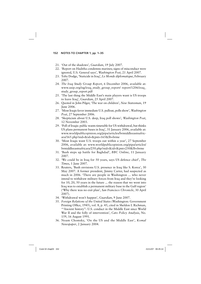## **152 NOTES TO CHAPTER 1, pp. 1–35**

- 21. 'Out of the shadows', *Guardian*, 19 July 2007.
- 22. 'Report on Haditha condemns marines; signs of misconduct were ignored, U.S. General says', *Washington Post*, 21 April 2007.
- 23. Toby Dodge, 'Staticide in Iraq', *Le Monde diplomatique*, February 2007.
- 24. *The Iraq Study Group Report*, 6 December 2006, available at: www.usip.org/isg/iraq\_study\_group\_report/ report/1206/iraq\_ study\_group\_report.pdf
- 25. 'The last thing the Middle East's main players want is US troops to leave Iraq', *Guardian*, 25 April 2007.
- 26. Quoted in John Pilger, 'The war on children', *New Statesman*, 19 June 2006.
- 27. 'Most Iraqis favor immediate U.S. pullout, polls show', *Washington Post*, 27 September 2006.
- 28. 'Skepticism about U.S. deep, Iraq poll shows', *Washington Post*, 12 November 2003.
- 29. 'Poll of Iraqis: public wants timetable for US withdrawal, but thinks US plans permanent bases in Iraq', 31 January 2006, available at: www.worldpublicopinion.org/pipa/articles/brmiddleeastnafricara/165.php?nid=&id=&pnt=165&lb=brme
- 30. 'Most Iraqis want U.S. troops out within a year', 27 September 2006, available at: www.worldpublicopinion.org/pipa/articles/ brmiddleeastnafricara/250.php?nid=&id=&pnt=250&lb=brme
- 31. 'Bush steps up battle for Baghdad', *BBC Online*, 11 January 2007.
- 32. 'We could be in Iraq for 50 years, says US defence chief', *The Times*, 1 June 2007.
- 33. Reuters, 'Bush envisions U.S. presence in Iraq like S. Korea', 30 May 2007. A former president, Jimmy Carter, had suspected as much in 2006. 'There are people in Washington ... who never intend to withdraw military forces from Iraq and they're looking for 10, 20, 50 years in the future ... the reason that we went into Iraq was to establish a permanent military base in the Gulf region' ('Why there was no exit plan', *San Francisco Chronicle*, 30 April 2007).
- 34. 'Withdrawal won't happen', *Guardian*, 9 June 2007.
- 35. *Foreign Relations of the United States* (Washington: Government Printing Office, 1945), vol. 8, p. 45, cited in Sheldon L Richman, '"Ancient history": U.S. conduct in the Middle East since World War II and the folly of intervention', *Cato Policy Analysis*, No. 159, 16 August 1991.
- 36. Noam Chomsky, 'On the US and the Middle East', *Komal Newspaper*, 2 January 2004.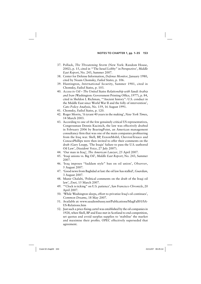- 37. Pollack, *The Threatening Storm* (New York: Random House, 2002), p. 15, cited in '"The Israel Lobby" in Perspective', *Middle East Report*, No. 243, Summer 2007.
- 38. Center for Defense Information, *Defense Monitor*, January 1980, cited by Noam Chomsky, *Failed States*, p. 106.
- 39. Huntington, *International Security*, Summer 1981, cited in Chomsky, *Failed States*, p. 103.
- 40. *Access to Oil The United States Relationship with Saudi Arabia*  and Iran (Washington: Government Printing Office, 1977), p. 84, cited in Sheldon L Richman, '"Ancient history": U.S. conduct in the Middle East since World War II and the folly of intervention', *Cato Policy Analysis*, No. 159, 16 August 1991.
- 41. Chomsky, *Failed States*, p. 120.
- 42. Roger Morris, 'A tyrant 40 years in the making', *New York Times*, 14 March 2003.
- 43. According to one of the few genuinely critical US representatives, Congressman Dennis Kucinich, the law was effectively drafted in February 2006 by BearingPoint, an American management consultancy firm that was one of the main companies profiteering from the Iraq war. Shell, BP, ExxonMobil, ChevronTexaco and ConocoPhillips were then invited to offer their comments on the draft (Gary Leupp, 'The Iraqis' failure to pass the U.S.-authored Oil Law', *Dissident Voice*, 27 July 2007).
- 44. 'Our man in Iraq', *The American Lawyer*, 25 April 2007.
- 45. 'Iraqi unions vs. Big Oil', *Middle East Report*, No. 243, Summer 2007.
- 46. 'Iraq imposes "Saddam style" ban on oil union', *Observer*, 5 August 2007.
- 47. 'Good news from Baghdad at last: the oil law has stalled', *Guardian*, 3 August 2007.
- 48. Munir Chalabi, 'Political comments on the draft of the Iraqi oil law', *Znet*, 15 March 2007.
- 49. '"Clock is ticking" on U.S. patience', *San Francisco Chronicle*, 20 April 2007.
- 50. 'While Washington sleeps, effort to privatize Iraq's oil continues', *Common Dreams*, 18 May 2007.
- 51. Available at: www.saudiembassy.net/Publications/MagFall01/SA-US-Relations.htm
- 52. Just such a price-fixing cartel was established by the oil companies in 1928, when Shell, BP and Esso met in Scotland to end competition, set quotas and avoid surplus supplies to 'stabilise' the market and maximise their profits. OPEC effectively superseded that agreement.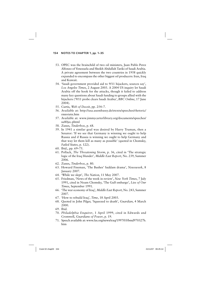- 53. OPEC was the brainchild of two oil ministers, Juan Pablo Perez Alfonzo of Venezuela and Sheikh Abdullah Tariki of Saudi Arabia. A private agreement between the two countries in 1958 quickly expanded to encompass the other biggest oil producers: Iran, Iraq and Kuwait.
- 54. 'Saudi government provided aid to 9/11 hijackers, sources say', *Los Angeles Times*, 2 August 2003. A 2004 US inquiry let Saudi Arabia off the hook for the attacks, though it failed to address many key questions about Saudi funding to groups allied with the hijackers ('9/11 probe clears Saudi Arabia', *BBC Online*, 17 June 2004).
- 55. Curtis, *Web of Deceit*, pp. 254–7.
- 56. Available at: http://usa.usembassy.de/etexts/speeches/rhetoric/ rmnvietn.htm
- 57. Available at: www.jimmycarterlibrary.org/documents/speeches/ su80jec.phtml
- 58. Zunes, *Tinderbox*, p. 68.
- 59. In 1941 a similar goal was desired by Harry Truman, then a Senator: 'If we see that Germany is winning we ought to help Russia and if Russia is winning we ought to help Germany and that way let them kill as many as possible' (quoted in Chomsky, *Failed States*, p. 122).
- 60. Ibid., pp. 69–75.
- 61. Pollack, *The Threatening Storm*, p. 36, cited in 'The strategic logic of the Iraq blunder', *Middle East Report*, No. 239, Summer 2006.
- 62. Zunes, *Tinderbox*, p. 80.
- 63. Howard Fineman, 'The Bushes' Saddam drama', *Newsweek*, 8 January 2007.
- 64. 'While we slept', *The Nation*, 11 May 2007.
- 65. Friedman, 'News of the week in review', *New York Times*, 7 July 1991, cited in Noam Chomsky, 'The Gulf embargo', *Lies of Our Times*, September 1991.
- 66. 'The war economy of Iraq', *Middle East Report*, No. 243, Summer 2007.
- 67. 'How to rebuild Iraq', *Time*, 18 April 2003.
- 68. Quoted in John Pilger, 'Squeezed to death', *Guardian*, 4 March 2000.
- 69. Ibid.
- 70. *Philadelphia Enquirer*, 1 April 1999, cited in Edwards and Cromwell, *Guardians of Power*, p. 19.
- 71. Speech available at: www.fas.org/news/iraq/1997/03/bmd970327b. htm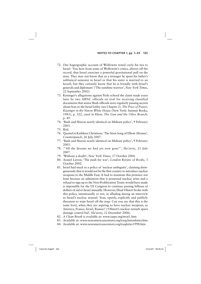- 72. One hagiographic account of Wolfowitz noted coyly his ties to Israel: 'You hear from some of Wolfowitz's critics, always off the record, that Israel exercises a powerful gravitational pull on the man. They may not know that as a teenager he spent his father's sabbatical semester in Israel or that his sister is married to an Israeli, but they certainly know that he is friendly with Israel's generals and diplomats' ('The sunshine warrior', *New York Times*, 22 September 2002).
- 73. Kissinger's allegations against Perle echoed the claim made years later by two AIPAC officials on trial for receiving classified documents that senior Bush officials were regularly passing secrets about Iran to the Israel lobby (see Chapter 2). *The Price of Power: Kissinger in the Nixon White House* (New York: Summit Books, 1983), p. 322, cited in Hirst, *The Gun and the Olive Branch*, p. 49.
- 74. 'Bush and Sharon nearly identical on Mideast policy', 9 February 2003.
- 75. Ibid.
- 76. Quoted in Kathleen Christison, 'The Siren Song of Elliott Abrams', *Counterpunch*, 26 July 2007.
- 77. 'Bush and Sharon nearly identical on Mideast policy', 9 February 2003.
- 78. '"All the dreams we had are now gone"', *Ha'aretz*, 21 July 2007.
- 79. 'Without a doubt', *New York Times*, 17 October 2004.
- 80. Anatol Lieven, 'The push for war', *London Review of Books*, 3 October 2002.
- 81. Israel had stuck to a policy of 'nuclear ambiguity', claiming disingenuously that it would not be the first country to introduce nuclear weapons to the Middle East. It had to maintain this pretence not least because an admission that it possessed nuclear arms and a refusal to sign up to the Non-Proliferation Treaty would have made it impossible for the US Congress to continue passing billions of dollars of aid to Israel annually. However, Ehud Olmert broke with this policy, intentionally or not, in alluding during an interview to Israel's nuclear arsenal: 'Iran, openly, explicitly and publicly threatens to wipe Israel off the map. Can you say that this is the same level, when they are aspiring to have nuclear weapons, as America, France, Israel, Russia?' ('Olmert's nuclear remark spurs damage control bid', *Ha'aretz*, 12 December 2006).
- 82. *A Clean Break* is available at: www.iasps.org/strat1.htm
- 83. Available at: www.newamericancentury.org/iraqclintonletter.htm
- 84. Available at: www.newamericancentury.org/iraqletter1998.htm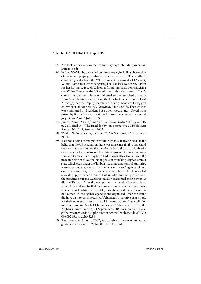## **156 NOTES TO CHAPTER 1, pp. 1–35**

- 85. Available at: www.newamericancentury.org/RebuildingAmericas-Defenses.pdf
- 86. In June 2007 Libby was jailed on four charges, including obstruction of justice and perjury, in what became known as the 'Plame affair', concerning leaks from the White House that named a CIA agent, Valerie Plame, thereby endangering her. The leak was in retaliation for her husband, Joseph Wilson, a former ambassador, criticising the White House in the US media and his refutation of Bush's claims that Saddam Hussein had tried to buy enriched uranium from Niger. It later emerged that the leak had come from Richard Armitage, then the Deputy Secretary of State ('"Scooter" Libby gets 2½ years in jail for perjury', *Guardian*, 6 June 2007). The sentence was commuted by President Bush a few weeks later ('Saved from prison by Bush's favour: the White House aide who lied to a grand jury', *Guardian*, 3 July 2007).
- 87. James Mann, *Rise of the Vulcans* (New York: Viking, 2004), p. 211, cited in '"The Israel lobby" in perspective', *Middle East Report*, No. 243, Summer 2007.
- 88. 'Bush: "We're smoking them out"', *CNN Online*, 26 November 2001.
- 89. This book does not analyse events in Afghanistan in any detail in the belief that the US occupation there was more marginal to Israel and the neocons' plans to remake the Middle East, though undoubtedly the creation of a permanent US military base next to resource-rich Iran and Central Asia may have had its own attractions. From the neocon point of view, the main goals in attacking Afghanistan, a state which even under the Taliban had almost no central authority, were to provide legitimacy for the 'war on terror' against Islamic extremism and a dry run for the invasion of Iraq. The US installed a weak puppet leader, Hamid Karzai, who nominally ruled over the provinces but the warlords quickly reasserted their power, as did the Taliban. After the occupation, the production of opium, which financed and fuelled the competition between the warlords, reached new heights. It is possible, though beyond the scope of this book, that US intelligence agencies and organised American crime did have an interest in securing Afghanistan's lucrative drugs trade for their own ends, just as the oil industry wanted Iraq's oil. For more on this, see Michel Chossudovsky, 'Who benefits from the Afghan Opium Trade?', 21 September 2006, available at: www. globalresearch.ca/index.php?context=viewArticle&code=CHO2 0060921&articleId=3294
- 90. The speech, in January 2002, is available at: www.whitehouse. gov/news/releases/2002/01/20020129-11.html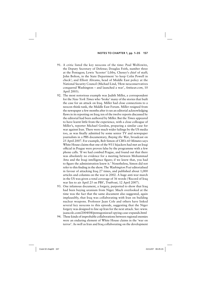- 91. A critic listed the key neocons of the time: Paul Wolfowitz, the Deputy Secretary of Defense; Douglas Feith, number three at the Pentagon; Lewis 'Scooter' Libby, Cheney's chief of staff; John Bolton, in the State Department 'to keep Colin Powell in check'; and Elliott Abrams, head of Middle East policy at the National Security Council (Michael Lind, 'How neoconservatives conquered Washington – and launched a war', *Antiwar.com*, 10 April 2003).
- 92. The most notorious example was Judith Miller, a correspondent for the *New York Times* who 'broke' many of the stories that built the case for an attack on Iraq. Miller had close connections to a neocon think-tank, the Middle East Forum. Miller resigned from the newspaper a few months after it ran an editorial acknowledging flaws in its reporting on Iraq; ten of the twelve reports discussed by the editorial had been authored by Miller. But the *Times* appeared to have learnt little from the experience, with a close colleague of Miller's, reporter Michael Gordon, preparing a similar case for war against Iran. There were much wider failings by the US media too, as was finally admitted by some senior TV and newspaper journalists in a PBS documentary, *Buying the War*, broadcast on 25 April 2007. For example, Bob Simon of CBS's *60 Minutes* says White House claims that one of the 9/11 hijackers had met an Iraqi official in Prague were proven false by the programme with a few phone calls. 'If we had combed Prague, and found out that there was absolutely no evidence for a meeting between Mohammad Atta and the Iraqi intelligence figure; if we knew that, you had to figure the administration knew it.' Nonetheless, Simon did not refer to this finding in the show. The *Washington Post* editorialised in favour of attacking Iraq 27 times, and published about 1,000 articles and columns on the war in 2002. A huge anti-war march in the US was given a total coverage of 36 words ('Record of Iraq war lies to air April 25 on PBS', *Truthout*, 12 April 2007).
- 93. One infamous document, a forgery, purported to show that Iraq had been buying uranium from Niger. Much overlooked at the time was the fact that the same document also suggested, again implausibly, that Iraq was collaborating with Iran on building nuclear weapons. Professor Juan Cole and others have linked several key neocons to this episode, suggesting that the Niger forgery was designed to line up Iran for the next attack. See: www. juancole.com/2004/08/pentagonisrael-spying-case-expands.html
- 94. These kinds of improbable collaborations between regional enemies were an enduring element of White House claims in the 'war on terror'. As well as Iran and Iraq collaborating on the development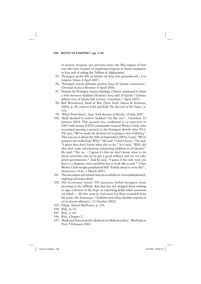of nuclear weapons (see previous note), the Shia regime of Iran was also later accused of supplying weapons to Sunni insurgents in Iraq and of aiding the Taliban in Afghanistan.

- 95. 'Pentagon probe fills in blanks on Iraq war groundwork', Los *Angeles Times*, 6 April 2007.
- 96. 'Pentagon report debunks prewar Iraq–Al Qaeda connection', *Christian Science Monitor*, 6 April 2006.
- 97. Despite the Pentagon inquiry findings, Cheney continued to claim a link between Saddam Hussein's Iraq and al-Qaeda ('Cheney defiant over al-Qaida link to Iraq', *Guardian*, 7 April 2007).
- 98. Bob Woodward, *Bush at War* (New York: Simon & Schuster, 2002), p. 49, cited in Friel and Falk *The Record of the Paper*, p. 116.
- 99. 'What Tenet knew', *New York Review of Books*, 19 July 2007.
- 100. 'Bush decided to remove Saddam "on day one"', *Guardian*, 12 January 2004. This account was confirmed in an interview in 2007 with former NATO commander General Wesley Clark, who recounted meeting a general in the Pentagon shortly after 9/11: 'He says, "We've made the decision we're going to war with Iraq." This was on or about the 20th of September [2001]. I said, "We're going to war with Iraq? Why?" He said, "I don't know." He said, "I guess they don't know what else to do." So I said, "Well, did they find some information connecting Saddam to al-Qaeda?" He said, "No, no ... I guess it's like we don't know what to do about terrorists, but we've got a good military and we can take down governments." And he said, "I guess if the only tool you have is a hammer, every problem has to look like a nail."' ('Gen Wesley Clark weighs presidential bid: "I think about it every day"', *Democracy Now*, 2 March 2007).
- 101. This document and related ones are available at: www.judicialwatch. org/iraqi-oil-maps.shtml
- 102. *The Economist* noted: 'UN sanctions forbid foreigners from investing in the oilfields. But that has not stopped firms rushing to sign contracts in the hope of exploiting fields when sanctions are lifted … All this must be bad news for those excluded from the party: the Americans' ('Saddam more than doubles exports of oil in charm offensive', 15 October 2002).
- 103. Palast, *Armed Madhouse*, p. 121.
- 104. Ibid., p. 53.
- 105. Ibid., p. 60.
- 106. Ibid., Chapter 2.
- 107. 'Bush and Sharon nearly identical on Mideast policy', *Washington Post*, 9 February 2003.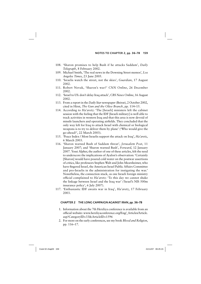- 108. 'Sharon promises to help Bush if he attacks Saddam', *Daily Telegraph*, 8 February 2002.
- 109. Michael Smith, 'The real news in the Downing Street memos', *Los Angeles Times*, 23 June 2005.
- 110. 'Israelis watch the street, not the skies', *Guardian*, 17 August 2002.
- 111. Robert Novak, 'Sharon's war?' *CNN Online*, 26 December 2002.
- 112. 'Israel to US: don't delay Iraq attack', *CBS News Online*, 16 August 2002.
- 113. From a report in the *Daily Star* newspaper (Beirut), 2 October 2002, cited in Hirst, *The Gun and the Olive Branch*, pp. 114–15.
- 114. According to *Ha'aretz*: 'The [Israeli] ministers left the cabinet session with the feeling that the IDF [Israeli military] is well able to track activities in western Iraq and that this area is now devoid of missile launchers and operating airfields. They concluded that the only way left for Iraq to attack Israel with chemical or biological weapons is to try to deliver them by plane' ('Who would give the go-ahead?', 22 March 2003).
- 115. 'Peace Index / Most Israelis support the attack on Iraq', *Ha'aretz*, 6 March 2003.
- 116. 'Sharon warned Bush of Saddam threat', *Jerusalem Post*, 11 January 2007; and 'Sharon warned Bush', *Forward*, 12 January 2007. Yossi Alpher, the author of one of these articles, felt the need to underscore the implications of Ayalon's observation: 'Certainly [Sharon] would have poured cold water on the postwar assertions of critics, like professors Stephen Walt and John Mearsheimer, who have fingered Israel, the American Israel Public Affairs Committee and pro-Israelis in the administration for instigating the war.' Nonetheless, the connection stuck, as one Israeli foreign ministry official complained to *Ha'aretz*: 'To this day we cannot shake the linkage between Israel and the Iraq war' ('Israel's NIS 500m insurance policy', 6 July 2007).
- 117. 'Enthusiastic IDF awaits war in Iraq', *Ha'aretz*, 17 February 2003.

## **CHAPTER 2 THE LONG CAMPAIGN AGAINST IRAN, pp. 36–78**

- 1. Information about the 7th Herzliya conference is available from an official website: www.herzliyaconference.org/Eng/\_Articles/Article. asp?CategoryID=33&ArticleID=1596
- 2. For more on the early conferences, see my book *Blood and Religion*, pp. 116–17.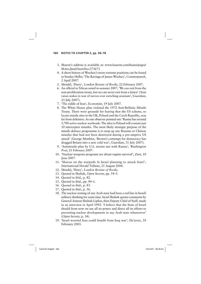- 3. Sharon's address is available at: www.haaretz.com/hasen/pages/ ShArt.jhtml?itemNo=373673
- 4. A short history of Woolsey's more extreme positions can be found in Stanley Heller, 'The Ravings of James Woolsey', *Counterpunch*, 2 April 2007.
- 5. Mendel, 'Diary', *London Review of Books*, 22 February 2007.
- 6. An official in Tehran noted in summer 2007, 'We can exit from the non-proliferation treaty, but we can never exit from a fatwa' ('Iran raises stakes in war of nerves over enriching uranium', *Guardian*, 25 July 2007).
- 7. 'The riddle of Iran', *Economist*, 19 July 2007.
- 8. The White House plan violated the 1972 Anti-Ballistic Missile Treaty. There were grounds for fearing that the US scheme, to locate missile sites in the UK, Poland and the Czech Republic, was far from defensive. As one observer pointed out: 'Russia has around 5,700 active nuclear warheads. The silos in Poland will contain just 10 interceptor missiles. The most likely strategic purpose of the missile defence programme is to mop up any Russian or Chinese missiles that had not been destroyed during a pre-emptive US attack' (George Monbiot, 'Brown's contempt for democracy has dragged Britain into a new cold war', *Guardian*, 31 July 2007).
- 9. 'Antimissile plan by U.S. strains ties with Russia', *Washington Post*, 21 February 2007.
- 10. 'Nuclear weapons programs are about regime survival', *Znet*, 10 June 2007.
- 11. 'Sharon on the warpath: Is Israel planning to attack Iran?', *International Herald Tribune*, 21 August 2004.
- 12. Mendel, 'Diary', *London Review of Books*.
- 13. Quoted in Shahak, *Open Secrets*, pp. 54–5.
- 14. Quoted in ibid., p. 82.
- 15. Quoted in ibid., pp. 90–1.
- 16. Quoted in ibid., p. 83.
- 17. Quoted in ibid., p. 36.
- 18. The nuclear arming of any Arab state had been a red line in Israeli military thinking for some time. Israel Shahak quotes comments by General Amnon Shahak-Lipkin, then Deputy Chief of Staff, made in an interview in April 1992: 'I believe that the State of Israel should from now on use all its power and direct all its efforts to preventing nuclear developments in any Arab state whatsoever' (*Open Secrets*, p. 34).
- 19. 'Israel worried Iran could benefit from Iraq war', *Ha'aretz*, 18 February 2003.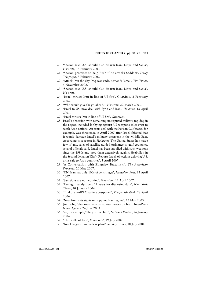- 20. 'Sharon says U.S. should also disarm Iran, Libya and Syria', *Ha'aretz*, 18 February 2003.
- 21. 'Sharon promises to help Bush if he attacks Saddam', *Daily Telegraph*, 8 February 2002.
- 22. 'Attack Iran the day Iraq war ends, demands Israel', *The Times*, 5 November 2002.
- 23. 'Sharon says U.S. should also disarm Iran, Libya and Syria', *Ha'aretz*.
- 24. 'Israel thrusts Iran in line of US fire', *Guardian*, 2 February 2002.
- 25. 'Who would give the go-ahead?', *Ha'aretz*, 22 March 2003.
- 26. 'Israel to US: now deal with Syria and Iran', *Ha'aretz*, 13 April 2003.
- 27. 'Israel thrusts Iran in line of US fire', *Guardian*.
- 28. Israel's obsession with remaining undisputed military top dog in the region included lobbying against US weapons sales even to weak Arab nations. An arms deal with the Persian Gulf states, for example, was threatened in April 2007 after Israel objected that it would damage Israel's military deterrent in the Middle East. According to a report in *Ha'aretz*: 'The United States has made few, if any, sales of satellite-guided ordnance to gulf countries, several officials said. Israel has been supplied with such weapons since the 1990s and used them extensively against Hezbollah in the Second Lebanon War' ('Report: Israeli objections delaying U.S. arms sale to Arab countries', 5 April 2007).
- 29. 'A Conversation with Zbigniew Brzezinski', *The American Prospect*, 20 May 2007.
- 30. 'UN: Iran has only 100s of centrifuges', *Jerusalem Post*, 13 April 2007.
- 31. 'Sanctions are not working', *Guardian*, 11 April 2007.
- 32. 'Pentagon analyst gets 12 years for disclosing data', *New York Times*, 20 January 2006.
- 33. 'Trial of ex-AIPAC staffers postponed', *The Jewish Week*, 28 April 2006.
- 34. 'New front sets sights on toppling Iran regime', 16 May 2003.
- 35. Jim Lobe, 'Shadowy neo-con adviser moves on Iran', Inter-Press News Agency, 24 June 2003.
- 36. See, for example, 'The jihad on Iraq', *National Review*, 26 January 2004.
- 37. 'The riddle of Iran', *Economist*, 19 July 2007.
- 38. 'Israel targets Iran nuclear plant', *Sunday Times*, 18 July 2004.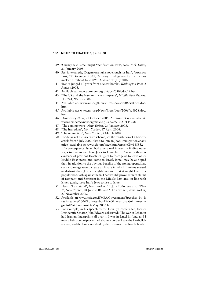- 39. 'Cheney says Israel might "act first" on Iran', *New York Times*, 21 January 2005.
- 40. See, for example, 'Dagan: one nuke not enough for Iran', *Jerusalem Post*, 27 December 2005; 'Military Intelligence: Iran will cross nuclear threshold by 2009', *Ha'aretz*, 11 July 2007.
- 41. 'Iran is judged 10 years from nuclear bomb', *Washington Post*, 2 August 2005.
- 42. Available at: www.acronym.org.uk/docs/0509/doc14.htm
- 43. 'The US and the Iranian nuclear impasse', *Middle East Report*, No. 241, Winter 2006.
- 44. Available at: www.un.org/News/Press/docs/2006/sc8792.doc. htm
- 45. Available at: www.un.org/News/Press/docs/2006/sc8928.doc. htm
- 46. *Democracy Now*, 21 October 2005. A transcript is available at: www.democracynow.org/article.pl?sid=05/10/21/144258
- 47. 'The coming wars', *New Yorker*, 24 January 2005.
- 48. 'The Iran plans', *New Yorker*, 17 April 2006.
- 49. 'The redirection', *New Yorker*, 5 March 2007.
- 50. For details of the incentive scheme, see the translation of a *Ma'ariv* article from 8 July 2007, 'Israel to Iranian Jews: immigration at any price', available at: www.cjp.org/page.html?ArticleID=148952

In consequence, Israel had a very real interest in finding other ways to encourage these Jews to leave Iran. Certainly there is evidence of previous Israeli intrigues to force Jews to leave other Middle East states and come to Israel. Israel may have hoped that, in addition to the obvious benefits of the spying operations, such espionage would create a climate in which Iranians started to distrust their Jewish neighbours and that it might lead to a popular backlash against them. That would 'prove' Israel's claims of rampant anti-Semitism in the Middle East and, in line with Israeli goals, force Iran's Jews to flee to Israel.

- 51. Hersh, 'Last stand', *New Yorker*, 10 July 2006. See also: 'Plan B', *New Yorker*, 28 June 2004; and 'The next act', *New Yorker*, 27 November 2006.
- 52. Available at: www.mfa.gov.il/MFA/Government/Speeches+by+Is raeli+leaders/2006/Address+by+PM+Olmert+to+a+joint+meetin g+of+US+Congress+24-May-2006.htm
- 53. For example, in his speech to the Herzliya conference, former Democratic Senator John Edwards observed: 'The war in Lebanon had Iranian fingerprints all over it. I was in Israel in June, and I took a helicopter trip over the Lebanese border. I saw the Hezbollah rockets, and the havoc wreaked by the extremism on Israel's border.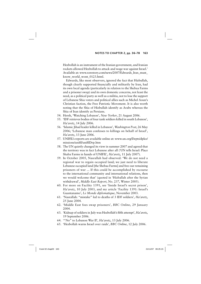Hezbollah is an instrument of the Iranian government, and Iranian rockets allowed Hezbollah to attack and wage war against Israel.' Available at: www.rawstory.com/news/2007/Edwards\_Iran\_must\_ know world wont 0123.html.

 Edwards, like most observers, ignored the fact that Hizbullah, though clearly supported financially and militarily by Iran, had its own local agenda (particularly in relation to the Shebaa Farms and a prisoner swap) and its own domestic concerns, not least the need, as a political party as well as a militia, not to lose the support of Lebanese Shia voters and political allies such as Michel Aoun's Christian faction, the Free Patriotic Movement. It is also worth noting that the Shia of Hizbullah identify as Arabs whereas the Shia of Iran identify as Persians.

- 54. Hersh, 'Watching Lebanon', *New Yorker*, 21 August 2006.
- 55. 'IDF retrieves bodies of four tank soldiers killed in south Lebanon', *Ha'aretz*, 14 July 2006.
- 56. 'Islamic Jihad leader killed in Lebanon', *Washington Post*, 26 May 2006; 'Lebanese man confesses to killings on behalf of Israel', *Ha'aretz*, 13 June 2006.
- 57. UNIFIL's reports are available online at: www.un.org/Depts/dpko/ missions/unifil/unifilDrp.htm
- 58. The UN quietly changed its view in summer 2007 and agreed that the territory was in fact Lebanese after all ('UN tells Israel: Place Shaba Farms in hands of UNIFIL', *Ha'aretz*, 11 July 2007).
- 59. In October 2005, Nasrallah had observed: 'We do not need a regional war to regain occupied land; we just need to liberate Lebanese occupied land [the Shebaa Farms] and free our remaining prisoners of war ... If this could be accomplished by recourse to the international community and international relations, then we would welcome that' (quoted in 'Hizballah after the Syrian withdrawal', *Middle East Report*, No. 237, Winter 2005).
- 60. For more on Facility 1391, see 'Inside Israel's secret prison', *Ha'aretz*, 10 July 2003, and my article 'Facility 1391: Israel's Guantanamo', *Le Monde diplomatique*, November 2003.
- 61. 'Nasrallah: "mistake" led to deaths of 3 IDF soldiers', *Ha'aretz*, 25 June 2004.
- 62. 'Middle East foes swap prisoners', *BBC Online*, 29 January 2004.
- 63. 'Kidnap of soldiers in July was Hezbollah's fi fth attempt', *Ha'aretz*, 19 September 2006.
- 64. '"No" to Lebanon War II', *Ha'aretz*, 13 July 2006.
- 65. 'Hezbollah warns Israel over raids', *BBC Online*, 12 July 2006.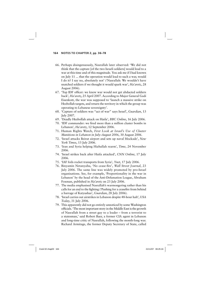- 66. Perhaps disingenuously, Nasrallah later observed: 'We did not think that the capture [of the two Israeli soldiers] would lead to a war at this time and of this magnitude. You ask me if I had known on July 11 ... that the operation would lead to such a war, would I do it? I say no, absolutely not' ('Nasrallah: We wouldn't have snatched soldiers if we thought it would spark war', *Ha'aretz*, 28 August 2006).
- 67. 'Top IDF officer: we knew war would not get abducted soldiers back', *Ha'aretz*, 25 April 2007. According to Major General Gadi Eisenkott, the war was supposed to 'launch a massive strike on Hezbollah targets, and return the territory in which the group was operating to Lebanese sovereignty'.
- 68. 'Capture of soldiers was "act of war" says Israel', *Guardian*, 13 July 2007.
- 69. 'Deadly Hezbollah attack on Haifa', *BBC Online*, 16 July 2006.
- 70. 'IDF commander: we fired more than a million cluster bombs in Lebanon', *Ha'aretz*, 12 September 2006.
- 71. Human Rights Watch, *First Look at Israel's Use of Cluster Munitions in Lebanon in July–August 2006*, 30 August 2006.
- 72. 'Israel attacks Beirut airport and sets up naval blockade', *New York Times*, 13 July 2006.
- 73. 'Iran and Syria helping Hizballah rearm', *Time*, 24 November 2006.
- 74. 'Israel strikes back after Haifa attacked', *CNN Online*, 17 July 2006.
- 75. 'IAF foils rocket transports from Syria', *Ynet*, 17 July 2006.
- 76. Binyamin Netanyahu, 'No cease-fire', *Wall Street Journal*, 23 July 2006. The same line was widely promoted by pro-Israel organisations. See, for example, 'Proportionality in the war in Lebanon' by the head of the Anti-Defamation League, Abraham Foxman, published in *Ha'aretz* on 23 July 2006.
- 77. The media emphasised Nasrallah's warmongering rather than his calls for an end to the fighting ('Pushing for a ceasefire from behind a barrage of Katyushas', *Guardian*, 28 July 2006).
- 78. 'Israel carries out airstrikes in Lebanon despite 48-hour halt', *USA Today*, 31 July 2006.
- 79. This apparently did not go entirely unnoticed by some Washington officials. 'The most important story in the Middle East is the growth of Nasrallah from a street guy to a leader – from a terrorist to a statesman,' said Robert Baer, a former CIA agent in Lebanon and long-time critic of Nasrallah, following the month-long war. Richard Armitage, the former Deputy Secretary of State, called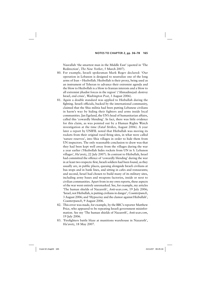Nasrallah 'the smartest man in the Middle East' (quoted in 'The Redirection', *The New Yorker*, 5 March 2007).

- 80. For example, Israeli spokesman Mark Regev declared: 'Our operation in Lebanon is designed to neutralize one of the long arms of Iran – Hezbollah. Hezbollah is their proxy, being used as an instrument of Teheran to advance their extremist agenda and the blow to Hezbollah is a blow to Iranian interests and a blow to all extremist jihadist forces in the region' ('Ahmadinejad: destroy Israel, end crisis', *Washington Post*, 3 August 2006).
- 81. Again a double standard was applied to Hizbullah during the fighting. Israeli officials, backed by the international community, claimed that the Shia militia had been putting Lebanese civilians in harm's way by hiding their fighters and arms inside local communities. Jan Egeland, the UN's head of humanitarian affairs, called this 'cowardly blending'. In fact, there was little evidence for this claim, as was pointed out by a Human Rights Watch investigation at the time (*Fatal Strikes*, August 2006). A year later a report by UNIFIL noted that Hizbullah was moving its rockets from their original rural firing sites, in what were called 'nature reserves', into Shia villages in order to hide them from UN inspectors. The only reasonable conclusion to draw was that they had been kept well away from the villages during the war a year earlier ('Hezbollah hides rockets from UN in S. Lebanon villages', *Ha'aretz*, 22 July 2007). In contrast to Hizbullah, Israel had committed the offence of 'cowardly blending' during the war in at least two respects: first, Israeli soldiers had been found, as they usually are, in public places, queuing alongside Israeli civilians at bus stops and in bank lines, and sitting in cafes and restaurants; and second, Israel had chosen to build many of its military sites, including army bases and weapons factories, inside or next to civilian communities. Apart from in my own reports, these aspects of the war went entirely unremarked. See, for example, my articles 'The human shields of Nazareth', *Anti-war.com*, 19 July 2006; 'Israel, not Hizbullah, is putting civilians in danger', *Counterpunch*, 3 August 2006; and 'Hypocrisy and the clamor against Hizbullah', *Counterpunch*, 9 August 2006.
- 82. This error was made, for example, by the BBC's reporter Matthew Price, who appeared to be repeating Israeli government misinformation. See my 'The human shields of Nazareth', *Anti-war.com*, 19 July 2006.
- 83. 'Firefighters battle blaze at munitions warehouse in Nazareth', *Ha'aretz*, 18 May 2007.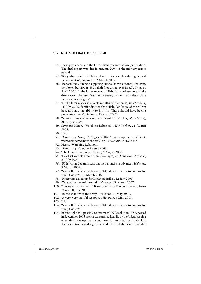- 84. I was given access to the HRA's field research before publication. The final report was due in autumn 2007, if the military censor passed it.
- 85. 'Katyusha rocket hit Haifa oil refineries complex during Second Lebanon War', *Ha'aretz*, 22 March 2007.
- 86. 'Report: Iran admits to supplying Hezbollah with drones', *Ha'aretz*, 10 November 2004; 'Hizbullah flies drone over Israel', *Ynet*, 11 April 2005. In the latter report, a Hizbullah spokesman said the drone would be used 'each time enemy [Israeli] aircrafts violate Lebanese sovereignty'.
- 87. 'Hizbollah's response reveals months of planning', *Independent*, 16 July, 2006. Schiff admitted that Hizbullah knew of the Miron base and had the ability to hit it in 'There should have been a preventive strike', *Ha'aretz*, 13 April 2007.
- 88. 'Siniora admits weakness of state's authority', *Daily Star* (Beirut), 28 August 2006.
- 89. Seymour Hersh, 'Watching Lebanon', *New Yorker*, 21 August 2006.
- 90. Ibid.
- 91. *Democracy Now*, 14 August 2006. A transcript is available at: www.democracynow.org/article.pl?sid=06/08/14/1358255
- 92. Hersh, 'Watching Lebanon'.
- 93. *Democracy Now*, 14 August 2006.
- 94. 'The Gray Zone', *New Yorker*, 6 August 2006.
- 95. 'Israel set war plan more than a year ago', *San Francisco Chronicle*, 21 July 2006.
- 96. 'PM: war in Lebanon was planned months in advance', *Ha'aretz*, 9 March 2007.
- 97. 'Senior IDF officer to Haaretz: PM did not order us to prepare for war', *Ha'aretz*, 12 March 2007.
- 98. 'Reservists called up for Lebanon strike', 12 July 2006.
- 99. 'Wagged by the military tail', *Ha'aretz*, 29 March 2007.
- 100. '"Army misled Olmert," Ben-Eliezer tells Winograd panel', *Israel News*, 18 June 2007.
- 101. 'In the shadow of the army', *Ha'aretz*, 11 May 2007.
- 102. 'A very, very painful response', *Ha'aretz*, 4 May 2007.
- 103. Ibid.
- 104. 'Senior IDF officer to Haaretz: PM did not order us to prepare for war', *Ha'aretz*.
- 105. In hindsight, it is possible to interpret UN Resolution 1559, passed in September 2005 after it was pushed heavily by the US, as seeking to establish the optimum conditions for an attack on Hizbullah. The resolution was designed to make Hizbullah more vulnerable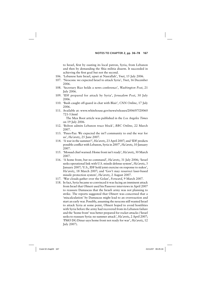to Israel, first by ousting its local patron, Syria, from Lebanon and then by demanding the Shia militia disarm. It succeeded in achieving the first goal but not the second.

- 106. 'Lebanese hate Israel, upset at Nasrallah', *Ynet*, 15 July 2006.
- 107. 'Neocons: we expected Israel to attack Syria', *Ynet*, 16 December 2006.
- 108. 'Secretary Rice holds a news conference', *Washington Post*, 21 July 2006.
- 109. 'IDF prepared for attack by Syria', *Jerusalem Post*, 30 July 2006.
- 110. 'Bush caught off-guard in chat with Blair', *CNN Online*, 17 July 2006.
- 111. Available at: www.whitehouse.gov/news/releases/2006/07/20060 721-5.html The Max Boot article was published in the *Los Angeles Times*

on 19 July 2006.

- 112. 'Bolton admits Lebanon truce block', *BBC Online*, 22 March 2007.
- 113. 'Pines-Paz: We expected the int'l community to end the war for us', *Ha'aretz*, 25 June 2007.
- 114. 'A war in the summer?', *Ha'aretz*, 23 April 2007; and 'IDF predicts possible conflict with Lebanon, Syria in 2007', *Ha'aretz*, 10 January 2007.
- 115. 'Mossad chief warned: Home front isn't ready', *Ha'aretz*, 30 March 2007.
- 116. 'A home front, but no command', *Ha'aretz*, 31 July 2006; 'Israel seeks operational link with U.S. missile defense system', *Ha'aretz*, 3 January 2007; 'U.S., IDF hold joint exercise on response to nukes', *Ha'aretz*, 18 March 2007; and 'Gov't may resurrect laser-based missile protection system', *Ha'aretz*, 2 August 2007.
- 117. 'War clouds gather over the Golan', *Forward*, 9 March 2007.
- 118. In fact, Syria became so convinced it was facing an imminent attack from Israel that Olmert used his Passover interviews in April 2007 to reassure Damascus that the Israeli army was not planning to strike. The reports suggested that Olmert was concerned that a 'miscalculation' by Damascus might lead to an overreaction and start an early war. Possibly, assuming the neocons still wanted Israel to attack Syria at some point, Olmert hoped to avoid hostilities with Syria before the army had recovered from its Lebanon failure and the 'home front' was better prepared for rocket attacks ('Israel seeks to reassure Syria: no summer attack', *Ha'aretz*, 2 April 2007; 'PMO DG Dinur says home front not ready for war', *Ha'aretz*, 12 July 2007).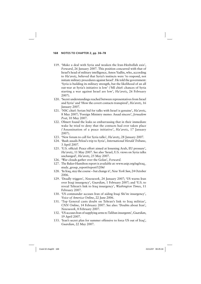- 119. 'Make a deal with Syria and weaken the Iran-Hezbollah axis', *Forward*, 26 January 2007. This position concurred with that of Israel's head of military intelligence, Amos Yadlin, who, according to *Ha'aretz*, believed that Syria's instincts were 'to respond, not initiate military procedures against Israel'. He told the government: 'Syria is building its military strength, but the likelihood of an all out-war at Syria's initiative is low' ('MI chief: chances of Syria starting a war against Israel are low', *Ha'aretz*, 26 February 2007).
- 120. 'Secret understandings reached between representatives from Israel and Syria' and 'How the covert contacts transpired', *Ha'aretz*, 16 January 2007.
- 121. 'NSC chief: Syrian bid for talks with Israel is genuine', *Ha'aretz*, 8 May 2007; 'Foreign Ministry memo: Assad sincere', *Jerusalem Post*, 10 May 2007.
- 122. Olmert found the leaks so embarrassing that in their immediate wake he tried to deny that the contacts had ever taken place ('Assassination of a peace initiative', *Ha'aretz*, 17 January 2007).
- 123. 'New forum to call for Syria talks', *Ha'aretz*, 28 January 2007.
- 124. 'Bush assails Pelosi's trip to Syria', *International Herald Tribune*, 3 April 2007.
- 125. 'U.S. official: Peace effort aimed at lessening Arab, EU pressure', *Ha'aretz*, 11 May 2007. See also 'Israel, U.S. views on Syria talks unchanged', *Ha'aretz*, 25 May 2007.
- 126. 'War clouds gather over the Golan', *Forward*.
- 127. The Baker-Hamilton report is available at: www.usip.org/isg/iraq\_ study\_group\_report/report/1206/
- 128. 'In Iraq, stay the course but change it', *New York Sun*, 24 October 2006.
- 129. 'Deadly triggers', *Newsweek*, 24 January 2007; 'US warns Iran over Iraqi insurgency', *Guardian*, 1 February 2007; and 'U.S. to reveal Tehran's link to Iraq insurgency', *Washington Times*, 11 February 2007.
- 130. 'US commander accuses Iran of aiding Iraqi Shi'ite insurgency', *Voice of America Online*, 22 June 2006.
- 131. 'Top General casts doubt on Tehran's link to Iraq militias', *CNN Online*, 14 February 2007. See also: 'Doubts about Iran', *Newsweek*, 8 February 2007.
- 132. 'US accuses Iran of supplying arms to Taliban insurgents', *Guardian*, 19 April 2007.
- 133. 'Iran's secret plan for summer offensive to force US out of Iraq', *Guardian*, 22 May 2007.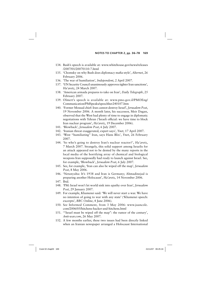- 134. Bush's speech is available at: www.whitehouse.gov/news/releases /2007/01/20070110-7.html
- 135. 'Chomsky on why Bush does diplomacy mafia-style', *Alternet*, 26 February 2006.
- 136. 'The war of humiliation', *Independent*, 2 April 2007.
- 137. 'UN Security Council unanimously approves tighter Iran sanctions', *Ha'aretz*, 24 March 2007.
- 138. 'American armada prepares to take on Iran', *Daily Telegraph*, 25 February 2007.
- 139. Olmert's speech is available at: www.pmo.gov.il/PMOEng/ Communication/PMSpeaks/speechher240107.htm
- 140. 'Former Mossad chief: Iran cannot destroy Israel', *Jerusalem Post*, 19 November 2006. A month later, his successor, Meir Dagan, observed that the West had plenty of time to engage in diplomatic negotiations with Tehran ('Israeli official: we have time to block Iran nuclear program', *Ha'aretz*, 19 December 2006).
- 141. 'Blowback', *Jerusalem Post*, 6 July 2007.
- 142. 'Iranian threat exaggerated, expert says', *Ynet*, 17 April 2007.
- 143. 'West "humiliating" Iran, says Hans Blix', *Ynet*, 26 February 2007.
- 144. 'So who's going to destroy Iran's nuclear reactor?', *Ha'aretz*, 7 March 2007. Strangely, this solid support among Israelis for an attack appeared not to be dented by the many reports in the local media of the horrifying array of chemical and biological weapons Iran supposedly had ready to launch against Israel. See, for example, 'Blowback', *Jerusalem Post*, 6 July 2007.
- 145. See, for example, 'Iran can also be wiped off the map', *Jerusalem Post*, 8 May 2006.
- 146. 'Netanyahu: It's 1938 and Iran is Germany; Ahmadinejad is preparing another Holocaust', *Ha'aretz*, 14 November 2006.
- 147. Ibid.
- 148. 'PM: Israel won't let world sink into apathy over Iran', *Jerusalem Post*, 29 January 2007.
- 149. For example, Khamenei said: 'We will never start a war. We have no intention of going to war with any state' ('Khamenei speech: excerpts', *BBC Online*, 4 June 2006).
- 150. See Informed Comment, from 3 May 2006: www.juancole. com/2006/05/hitchens-hacker-and-hitchens.html
- 151. '"Israel must be wiped off the map": the rumor of the century', *Anti-war.com*, 26 May 2007.
- 152. A few months earlier, these two issues had been directly linked when an Iranian newspaper arranged a Holocaust International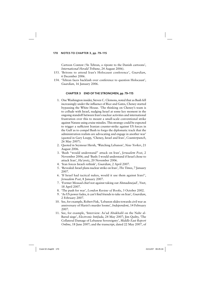Cartoon Contest ('In Tehran, a riposte to the Danish cartoons', *International Herald Tribune*, 24 August 2006).

- 153. 'Britons to attend Iran's Holocaust conference', *Guardian*, 6 December 2006.
- 154. 'Tehran faces backlash over conference to question Holocaust', *Guardian*, 16 January 2006.

#### **CHAPTER 3 END OF THE STRONGMEN, pp. 79–115**

- 1. One Washington insider, Steven C. Clemons, noted that as Bush fell increasingly under the influence of Rice and Gates, Cheney started bypassing the White House. 'The thinking on Cheney's team is to collude with Israel, nudging Israel at some key moment in the ongoing standoff between Iran's nuclear activities and international frustration over this to mount a small-scale conventional strike against Natanz using cruise missiles. This strategy could be expected to trigger a sufficient Iranian counter-strike against US forces in the Gulf as to compel Bush to forgo the diplomatic track that the administration realists are advocating and engage in another war' (quoted in Gary Leupp, 'Cheney, Israel and Iran', *Counterpunch*, 26 May 2007).
- 2. Quoted in Seymour Hersh, 'Watching Lebanon', *New Yorker*, 21 August 2006.
- 3. 'Bush "would understand" attack on Iran', *Jerusalem Post*, 2 November 2006; and 'Bush: I would understand if Israel chose to attack Iran', *Ha'aretz*, 20 November 2006.
- 4. 'Iran forces Israeli rethink', *Guardian*, 2 April 2007.
- 5. 'Revealed: Israel plans nuclear strike on Iran', *The Times*, 7 January 2007.
- 6. 'If Israel had tactical nukes, would it use them against Iran?', *Jerusalem Post*, 8 January 2007.
- 7. 'Former Mossad chief not against taking out Ahmadinejad', *Ynet*, 18 April 2007.
- 8. 'The push for war', *London Review of Books*, 3 October 2002.
- 9. 'As US power fades, it can't find friends to take on Iran', *Guardian*, 2 February 2007.
- 10. See, for example, Robert Fisk, 'Lebanon slides towards civil war as anniversary of Hariri's murder looms', *Independent*, 14 February 2007.
- 11. See, for example, 'Interview: As'ad Abukhalil on the Nahr al-Bared siege', *Electronic Intifada*, 24 May 2007; Jim Quilty, 'The Collateral Damage of Lebanese Sovereignty', *Middle East Report Online*, 18 June 2007; and the transcript, dated 22 May 2007, of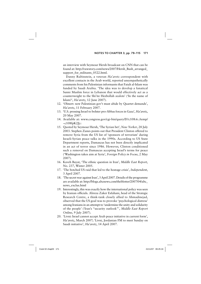an interview with Seymour Hersh broadcast on CNN that can be found at: http://rawstory.com/news/2007/Hersh\_Bush\_arranged\_ support\_for\_militants\_0522.html.

 Danny Rubinstein, a veteran *Ha'aretz* correspondent with excellent contacts in the Arab world, reported unsympathetically comments from his Palestinian informants that Fatah al-Islam was funded by Saudi Arabia. 'The idea was to develop a fanatical Sunni Muslim force in Lebanon that would effectively act as a counterweight to the Shi'ite Hezbollah zealots' ('In the name of Islam?', *Ha'aretz*, 12 June 2007).

- 12. 'Olmert: new Palestinian gov't must abide by Quartet demands', *Ha'aretz*, 11 February 2007.
- 13. 'U.S. pressing Israel to bolster pro-Abbas forces in Gaza', *Ha'aretz*, 20 May 2007.
- 14. Available at: www.congress.gov/cgi-bin/query/D?c108:6:./temp/  $~\sim$ c $108$ fpK2Jj::
- 15. Quoted by Seymour Hersh, 'The Syrian bet', *New Yorker*, 28 July 2003. Stephen Zunes points out that President Clinton offered to remove Syria from the US list of 'sponsors of terrorism' during Israeli-Syrian peace talks in the 1990s. According to US State Department reports, Damascus has not been directly implicated in an act of terror since 1986. However, Clinton conditioned such a removal on Damascus accepting Israel's terms for peace ('Washington takes aim at Syria', *Foreign Policy in Focus*, 2 May 2007).
- 16. Kaveh Bayat, 'The ethnic question in Iran', *Middle East Report*, No. 237, Winter 2005.
- 17. 'The botched US raid that led to the hostage crisis', *Independent*, 3 April 2007.
- 18. 'The secret war against Iran', 3 April 2007. Details of the programme are available at: http://blogs.abcnews.com/theblotter/2007/04/abc\_ news\_exclus.html
- 19. Interestingly, this was exactly how the international policy was seen by Iranian officials. Alireza Zaker Esfahani, head of the Strategic Research Centre, a think-tank closely allied to Ahmadinejad, observed that the US goal was to provoke 'psychological distress' among Iranians in an attempt to 'undermine the unity and solidarity of the people' ('Iran's "security outlook"', *Middle East Report Online*, 9 July 2007).
- 20. 'Livni: Israel cannot accept Arab peace initiative in current form', *Ha'aretz*, March 2007; 'Livni, Jordanian FM to meet Sunday on Saudi initiative', *Ha'aretz*, 14 April 2007.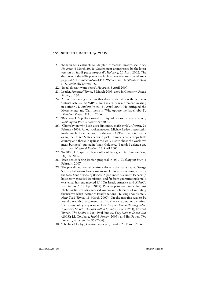### **172 NOTES TO CHAPTER 3, pp. 79–115**

- 21. 'Sharon tells cabinet: Saudi plan threatens Israel's security', *Ha'aretz*, 4 March 2002; 'Government unimpressed by the latest version of Saudi peace proposal', *Ha'aretz*, 20 April 2002. The draft text of the 2002 plan is available at: www.haaretz.com/hasen/ pages/ShArt.jhtml?itemNo=145479&contrassID=3&subContras sID=0&sbSubContrassID=0
- 22. 'Israel doesn't want peace', *Ha'aretz*, 8 April 2007.
- 23. Leader, *Financial Times*, 5 March 2005, cited in Chomsky, *Failed States*, p. 160.
- 24. A lone dissenting voice in this divisive debate on the left was Gabriel Ash. See his 'AIPAC and the anti-war movement: missing in action?', *Dissident Voice*, 21 April 2007. He critiqued the Mearsheimer and Walt thesis in 'Why oppose the Israel lobby?', *Dissident Voice*, 18 April 2006.
- 25. 'Bush says U.S. pullout would let Iraq radicals use oil as a weapon', *Washington Post*, 5 November 2006.
- 26. 'Chomsky on why Bush does diplomacy mafia-style', *Alternet*, 26 February 2006. An outspoken neocon, Michael Ledeen, reportedly made much the same point in the early 1990s: 'Every ten years or so, the United States needs to pick up some small crappy little country and throw it against the wall, just to show the world we mean business' (quoted in Jonah Goldberg, 'Baghdad delenda est, part two', *National Review*, 23 April 2002).
- 27. 'In 2003, U.S. spurned Iran's offer of dialogue', *Washington Post*, 18 June 2006.
- 28. 'Rice denies seeing Iranian proposal in '03', *Washington Post*, 8 February 2007.
- 29. The pair did not remain entirely alone in the mainstream. George Soros, a billionaire businessman and Holocaust survivor, wrote in the *New York Review of Books*: 'Aipac under its current leadership has clearly exceeded its mission, and far from guaranteeing Israel's existence, has endangered it' ('On Israel, America and AIPAC', vol. 54, no. 6, 12 April 2007). Pulitzer prize-winning columnist Nicholas Kristof also accused American politicians of muzzling themselves when it came to Israel's actions ('Talking about Israel', *New York Times*, 18 March 2007). On the margins was to be found a wealth of argument that Israel was shaping, or dictating, US foreign policy. Key texts include: Stephen Green, *Talking Sides: America's Secret Relations with a Militant Israel* (1984); Edward Tivnan, *The Lobby* (1988); Paul Findley, *They Dare to Speak Out*  (2003); J.J. Goldberg, *Jewish Power* (2005); and Jim Petras, *The Power of Israel in the US* (2006).
- 30. 'The Israel lobby', *London Review of Books*, 23 March 2006.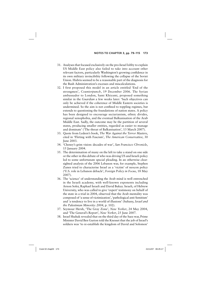- 31. Analyses that focused exclusively on the pro-Israel lobby to explain US Middle East policy also failed to take into account other relevant factors, particularly Washington's growing confidence in its own military invincibility following the collapse of the Soviet Union. Hubris seemed to be a reasonable part of the diagnosis for the Bush Administration's excesses and miscalculations.
- 32. I first proposed this model in an article entitled 'End of the strongmen', *Counterpunch*, 19 December 2006. The Syrian ambassador to London, Sami Khiyami, proposed something similar in the *Guardian* a few weeks later: 'Such objectives can only be achieved if the coherence of Middle Eastern societies is undermined. So the aim is not confined to toppling regimes, but extends to questioning the foundations of nation states. A policy has been designed to encourage sectarianism, ethnic divides, regional xenophobia, and the eventual Balkanisation of the Arab Middle East. Sadly, the outcome may be the partition of several states, producing smaller entities, regarded as easier to manage and dominate' ('The threat of Balkanisation', 13 March 2007).
- 33. Quote from Ledeen's book, *The War Against the Terror Masters*, cited in 'Flirting with Fascism', *The American Conservative*, 30 June 2003.
- 34. 'Cheney's grim vision: decades of war', *San Francisco Chronicle*, 15 January 2004.
- 35. The determination of many on the left to take a stand on one side or the other in this debate of who was driving US and Israeli policy led to some unfortunate special pleading. In an otherwise clearsighted analysis of the 2006 Lebanon war, for example, Stephen Zunes tried to characterise Israel as a 'victim' of neocon policy ('U.S. role in Lebanon debacle', *Foreign Policy in Focus*, 18 May 2007).
- 36. The 'science' of understanding the Arab mind is well entrenched in the Israeli academy, with well-known exponents including Arnon Sofer, Raphael Israeli and David Bukay. Israeli, of Hebrew University, who was called to give 'expert' testimony on behalf of the state in a trial in 2004, observed that the Arab mentality was composed of 'a sense of victimization', 'pathological anti-Semitism' and 'a tendency to live in a world of illusions' (Sultany, *Israel and the Palestinian Minority: 2004*, p. 102).
- 37. Seymour Hersh, 'The Gray Zone', *New Yorker*, 24 May 2004, and 'The General's Report', *New Yorker*, 25 June 2007.
- 38. Israel Shahak revealed that on the third day of the Suez war, Prime Minister David Ben Gurion told the Knesset that the job of Israel's soldiers was 'to re-establish the kingdom of David and Solomon'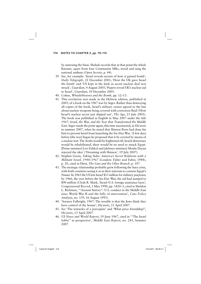by annexing the Sinai. Shahak records that at that point the whole Knesset, apart from four Communist MKs, stood and sang the national anthem (*Open Secrets*, p. 44).

- 39. See, for example: 'Israel reveals secrets of how it gained bomb', *Daily Telegraph*, 22 December 2001; 'How the UK gave Israel the bomb' and 'US kept in the dark as secret nuclear deal was struck', *Guardian*, 4 August 2005; 'Papers reveal UK's nuclear aid to Israel', *Guardian*, 10 December 2005.
- 40. Cohen, *Whistleblowers and the Bomb*, pp. 12–13.
- 41. This revelation was made in the Hebrew edition, published in 2005, of a book on the 1967 war by Segev. Rather than destroying all copies of the book, Israel's military censor agreed to the line about nuclear weapons being covered with correction fluid ('How Israel's nuclear secret just slipped out', *The Age*, 23 July 2005). The book was published in English in May 2007 under the title *1967: Israel, the War, and the Year that Transformed the Middle East*. Segev made the point again, this time uncensored, in *Ha'aretz* in summer 2007, when he noted that Shimon Peres had done his best to prevent Israel from launching the Six-Day War. 'A few days before [the war] began he proposed that it be averted by means of a nuclear test: The Arabs would be frightened off, Israeli deterrence would be rehabilitated, there would be no need to attack Egypt. [Prime minister] Levi Eshkol and [defence minister] Moshe Dayan rejected the idea' ('Dreaming with Shimon', 19 July 2007).
- 42. Stephen Green, *Taking Sides: America's Secret Relations with a Militant Israel, 1948–1967* (London: Faber and Faber, 1984), p. 20, cited in Hirst, *The Gun and the Olive Branch*, p. 107.
- 43. The strategic relationship probably grew following the Suez crisis, with both countries seeing it as in their interests to contain Egypt's Nasser. In 1965 the US lent Israel \$13 million for military purposes; by 1966, the year before the Six-Day War, the aid had jumped to \$90 million (Clyde R. Mark, 'Israel–U.S. foreign assistance facts', *Congressional Record*, 1 May 1990, pp. 5420–3, cited in Sheldon L. Richman, '"Ancient history": U.S. conduct in the Middle East since World War II and the folly of intervention', *Cato Policy Analysis*, no. 159, 16 August 1991).
- 44. 'Senator Fulbright, 1967: The trouble is that the Jews think they have control of the Senate', *Ha'aretz*, 11 April 2007.
- 45. See 'The tentacles of a porcupine' and 'What price friendship?', *Ha'aretz*, 13 April 2007.
- 46. *US News and World Report*, 19 June 1967, cited in '"The Israel lobby" in perspective', *Middle East Report*, no. 243, Summer 2007.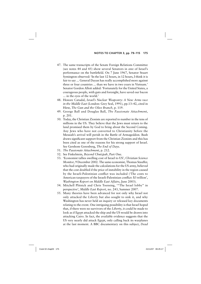- 47. The same transcripts of the Senate Foreign Relations Committee (see notes 44 and 45) show several Senators in awe of Israel's performance on the battlefield. On 7 June 1967, Senator Stuart Symington observed: 'In the last 12 hours, in 12 hours, I think it is fair to say ... General Dayan has really accomplished more against three or four countries ... than we have in two years in Vietnam.' Senator Gordon Allott added: 'Fortunately for the United States, a courageous people, with guts and foresight, have saved our bacon ... in the eyes of the world.'
- 48. Honore Catudal, *Israel's Nuclear Weaponry: A New Arms race in the Middle East* (London: Grey Seal, 1991), pp.13–42, cited in Hirst, *The Gun and the Olive Branch*, p. 119.
- 49. George Ball and Douglas Ball, *The Passionate Attachment*, p. 201.
- 50. Today, the Christian Zionists are reported to number in the tens of millions in the US. They believe that the Jews must return to the land promised them by God to bring about the Second Coming. Any Jews who have not converted to Christianity before the Messiah's arrival will perish in the Battle of Armageddon. Bush draws significant support from the Christian Zionists and this has been cited as one of the reasons for his strong support of Israel. See Gershom Gorenberg, *The End of Days*.
- 51. *The Passionate Attachment*, p. 212.
- 52. See Finkelstein, *Beyond Chutzpah*, Part One.
- 53. 'Economist tallies swelling cost of Israel to US', *Christian Science Monitor*, 9 December 2002. The same economist, Thomas Stauffer, who had originally made the calculations for the US army, believed that the cost doubled if the price of instability in the region caused by the Israeli-Palestinian conflict was included ('The costs to American taxpayers of the Israeli-Palestinian conflict: \$3 trillion', *Washington Report on Middle East Affairs*, June 2003).
- 54. Mitchell Plitnick and Chris Toensing, '"The Israel lobby" in perspective', *Middle East Report*, no. 243, Summer 2007.
- 55. Many theories have been advanced for not only why Israel not only attacked the *Liberty* but also sought to sink it, and why Washington has never held an inquiry or released key documents relating to the event. One intriguing possibility is that Israel hoped that, if there were no survivors of the *Liberty*, it could be made to look as if Egypt attacked the ship and the US would be drawn into attacking Cairo. In fact, the available evidence suggests that the US very nearly did attack Egypt, only calling back its warplanes at the last moment. A BBC documentary on this subject, *Dead*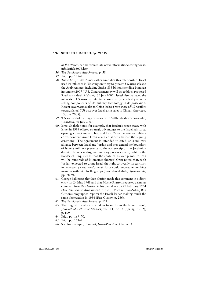*in the Water*, can be viewed at: www.informationclearinghouse. info/article5073.htm

- 56. *The Passionate Attachment*, p. 58.
- 57. Ibid., pp. 105–7.
- 58. *Tinderbox*, p. 40. Zunes rather simplifies this relationship. Israel used its influence in Washington to try to prevent US arms sales to the Arab regimes, including Bush's \$33 billion spending bonanza in summer 2007 ('U.S. Congressmen say will try to block proposed Saudi arms deal', *Ha'aretz*, 30 July 2007). Israel also damaged the interests of US arms manufacturers over many decades by secretly selling components of US military technology in its possession. Recent covert arms sales to China led to a rare show of US hostility towards Israel ('US acts over Israeli arms sales to China', *Guardian*, 13 June 2005).
- 59. 'US accused of fuelling arms race with \$20bn Arab weapons sale', *Guardian*, 30 July 2007.
- 60. Israel Shahak notes, for example, that Jordan's peace treaty with Israel in 1994 offered strategic advantages to the Israeli air force, opening a direct route to Iraq and Iran. Or as the veteran military correspondent Amir Oren revealed shortly before the signing ceremony: 'The agreement is intended to establish a military alliance between Israel and Jordan and thus extend the boundary of Israel's military presence to the eastern tip of the Jordanian desert ... Israel's undisguised military presence there, right on the border of Iraq, means that the route of its war planes to Iran will be hundreds of kilometres shorter.' Oren noted that, with Jordan expected to grant Israel the right to overfly its territory in 'emergency situations', the air force could undertake bombing missions without refuelling stops (quoted in Shahak, *Open Secrets*, pp. 78–9).
- 61. George Ball notes that Ben Gurion made this comment in a diary entry for 24 May 1948 and that Moshe Sharrett reported a similar comment from Ben Gurion in his own diary on 27 February 1954 (*The Passionate Attachment*, p. 120). Michael Bar-Zohar, Ben Gurion's biographer, reports the Israeli leader making much the same observation in 1956 (*Ben-Gurion*, p. 236).
- 62. *The Passionate Attachment*, p. 121.
- 63. The English translation is taken from 'From the Israeli press', *Journal of Palestine Studies*, vol. 11, no. 3 (Spring, 1982), p. 169.
- 64. Ibid., pp. 169–70.
- 65. Ibid., pp. 171–2.
- 66. See, for example, Reinhart, *Israel/Palestine*, Chapter 4.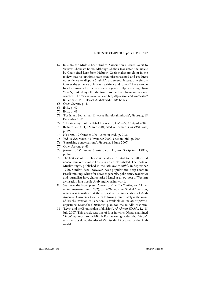- 67. In 2002 the Middle East Studies Association allowed Gazit to 'review' Shahak's book. Although Shahak translated the article by Gazit cited here from Hebrew, Gazit makes no claim in the review that his opinions have been misrepresented and produces no evidence to dispute Shahak's argument. Instead, he simply ignores the evidence of his own writings and states: 'I have known Israel intimately for the past seventy years ... Upon reading *Open Secrets*, I asked myself if the two of us had been living in the same country.' The review is available at: http://fp.arizona.edu/mesassoc/ Bulletin/36-1/36-1Israel-ArabWorld.htm#Shahak
- 68. *Open Secrets*, p. 41.
- 69. Ibid., p. 42.
- 70. Ibid., p. 43.
- 71. 'For Israel, September 11 was a Hanukkah miracle', *Ha'aretz*, 18 December 2001.
- 72. 'The stale myth of battlefield bravado', *Ha'aretz*, 13 April 2007.
- 73. Richard Sale, UPI, 1 March 2001, cited in Reinhart, *Israel/Palestine*, p. 199.
- 74. *Ha'aretz*, 19 October 2001, cited in ibid., p. 202.
- 75. *Yed'iot Aharonot*, 7 November 2000, cited in ibid., p. 200.
- 76. 'Surprising conversations', *Ha'aretz*, 1 June 2007.
- 77. *Open Secrets*, p. 43.
- 78. *Journal of Palestine Studies*, vol. 11, no. 3 (Spring, 1982), p. 168.
- 79. The first use of this phrase is usually attributed to the influential neocon thinker Bernard Lewis in an article entitled 'The roots of Muslim rage', published in the *Atlantic Monthly* in September 1990. Similar ideas, however, have popular and deep roots in Israeli thinking, where for decades generals, politicians, academics and journalists have characterised Israel as an outpost of Western civilisation in a hostile Arab and Muslim world.
- 80. See 'From the Israeli press', *Journal of Palestine Studies*, vol. 11, no. 4 (Summer–Autumn, 1982), pp. 209–14; Israel Shahak's version, which was translated at the request of the Association of Arab American University Graduates following immediately in the wake of Israel's invasion of Lebanon, is available online at: http://theunjustmedia.com/the%20zionist\_plan\_for\_the\_middle\_east.htm
- 81. 'Egypt and the Zionist plan of division', *Al-Ahram Weekly*, 12–18 July 2007. This article was one of four in which Nafaa examined Yinon's approach to the Middle East, warning readers that Yinon's essay encapsulated decades of Zionist thinking towards the Arab world.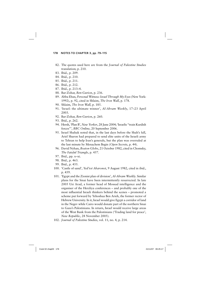- 82. The quotes used here are from the *Journal of Palestine Studies*  translation; p. 210.
- 83. Ibid., p. 209.
- 84. Ibid., p. 210.
- 85. Ibid., p. 211.
- 86. Ibid., p. 212.
- 87. Ibid., p. 213–4.
- 88. Bar-Zohar, *Ben-Gurion*, p. 236.
- 89. Abba Eban, *Personal Witness: Israel Through My Eyes* (New York: 1992), p. 92, cited in Shlaim, *The Iron Wall*, p. 178.
- 90. Shlaim, *The Iron Wall*, p. 185.
- 91. 'Israel: the ultimate winner', *Al-Ahram Weekly*, 17–23 April 2003.
- 92. Bar-Zohar, *Ben-Gurion*, p. 260.
- 93. Ibid., p. 262.
- 94. Hersh, 'Plan B', *New Yorker*, 28 June 2004; 'Israelis "train Kurdish forces"', *BBC Online*, 20 September 2006.
- 95. Israel Shahak noted that, in the last days before the Shah's fall, Ariel Sharon had prepared to send elite units of the Israeli army to Tehran to help Iran's generals, but the plan was overruled at the last minute by Menachem Begin (*Open Secrets*, p. 44).
- 96. David Nyhan, *Boston Globe*, 21 October 1982, cited in Chomsky, *The Fateful Triangle*, p. 457.
- 97. Ibid., pp. x–xi.
- 98. Ibid., p. 463.
- 99. Ibid., p. 455.
- 100. 'Castle of sand', *Yed'iot Aharonot*, 9 August 1982, cited in ibid., p. 459.
- 101. 'Egypt and the Zionist plan of division', *Al-Ahram Weekly*. Similar plans for the Sinai have been intermittently resurrected. In late 2005 Uzi Arad, a former head of Mossad intelligence and the organiser of the Herzliya conferences – and probably one of the most influential Israeli thinkers behind the scenes – promoted a scheme put forward by Yehoshua Ben Arieh, the former rector of Hebrew University. In it, Israel would give Egypt a corridor of land in the Negev while Cairo would donate part of the northern Sinai to Gaza's Palestinians. In return, Israel would receive large areas of the West Bank from the Palestinians ('Trading land for peace', *New Republic*, 28 November 2005).
- 102. *Journal of Palestine Studies*, vol. 11, no. 4, p. 214.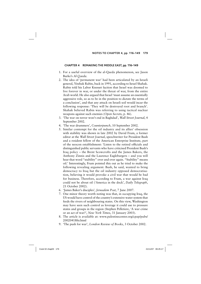#### **CHAPTER 4 REMAKING THE MIDDLE EAST, pp. 116–149**

- 1. For a useful overview of the al-Qaeda phenomenon, see Jason Burke's *Al-Qaeda*.
- 2. The idea of 'permanent war' had been articulated by an Israeli general, Yitzhak Rabin, back in 1991, according to Israel Shahak. Rabin told his Labor Knesset faction that Israel was doomed to live forever in war, or under the threat of war, from the entire Arab world. He also argued that Israel 'must assume an essentially aggressive role, so as to be in the position to dictate the terms of a conclusion', and that any attack on Israeli soil would incur the following response: 'They will be destroyed root and branch'. Shahak believed Rabin was referring to using tactical nuclear weapons against such enemies (*Open Secrets*, p. 46).
- 3. 'The war on terror won't end in Baghdad', *Wall Street Journal*, 4 September 2002.
- 4. 'The war drummers', *Counterpunch*, 10 September 2002.
- 5. Similar contempt for the oil industry and its allies' obsession with stability was shown in late 2002 by David Frum, a former editor at the *Wall Street Journal*, speechwriter for President Bush and a resident fellow of the American Enterprise Institute, part of the neocon establishment: 'Listen to the retired officials and distinguished public servants who have criticised President Bush's Iraq policy – the Brent Scowcrofts and the James Bakers, the Anthony Zinnis and the Laurence Eagleburgers – and you will hear that word "stability" over and over again. "Stability" means oil.' Interestingly, Frum pointed this out as he tried to make the following revealing argument: Bush, he said, wanted to bring democracy to Iraq but the oil industry opposed democratisation, believing it would provoke a civil war that would be bad for business. Therefore, according to Frum, a war against Iraq could not be about oil ('America in the dock', *Daily Telegraph*, 21 October 2002).
- 6. 'James Baker's disciples', *Jerusalem Post*, 7 June 2007.
- 7. One minor theory worth noting was that, in occupying Iraq, the US would have control of the country's extensive water system that feeds the rivers of neighbouring states. On this view, Washington may have seen such control as leverage it could use to pressure states and groups in the region (Stephen Pelletiere, 'A war crime or an act of war?', *New York Times*, 31 January 2003).
- 8. The article is available at: www.palestinecenter.org/cpap/pubs/ 20020418ftr.html
- 9. 'The push for war', *London Review of Books*, 3 October 2002.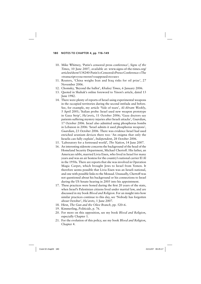- 10. Mike Whitney, 'Putin's censored press conference', *Signs of the Times*, 10 June 2007, available at: www.signs-of-the-times.org/ articles/show/134240-Putin's+Censored+Press+Conference:+The +transcript+you+weren't+supposed+to+see+
- 11. Reuters, 'China weighs Iran and Iraq risks for oil prize', 27 November 2006.
- 12. Chomsky, 'Beyond the ballot', *Khaleej Times*, 6 January 2006.
- 13. Quoted in Shahak's online foreword to Yinon's article, dated 13 June 1982.
- 14. There were plenty of reports of Israel using experimental weapons in the occupied territories during the second intifada and before. See, for example, my article 'Vale of tears', *Al-Ahram Weekly*, 5 April 2001; 'Italian probe: Israel used new weapon prototype in Gaza Strip', *Ha'aretz*, 11 October 2006; 'Gaza doctors say patients suffering mystery injuries after Israeli attacks', *Guardian*, 17 October 2006. Israel also admitted using phosphorus bombs in Lebanon in 2006: 'Israel admits it used phosphorus weapons', *Guardian*, 23 October 2006. There was evidence Israel had used enriched uranium devices there too: 'An enigma that only the Israelis can fully explain', *Independent*, 28 October 2006.
- 15. 'Laboratory for a fortressed world', *The Nation*, 14 June 2007.
- 16. An interesting sidenote concerns the background of the head of the Homeland Security Department, Michael Chertoff. His father, an American rabbi, married Livia Eisen, who lived in Israel for many years and was an air hostess for the country's national carrier El Al in the 1950s. There are reports that she was involved in Operation Magic Carpet, which brought Jews to Israel from Yemen. It therefore seems possible that Livia Eisen was an Israeli national, and one with possible links to the Mossad. Unusually, Chertoff was not questioned about his background or his connections to Israel during the US Senate hearing in 2005 into his appointment.
- 17. These practices were honed during the first 20 years of the state, when Israel's Palestinian citizens lived under martial law, and are discussed in my book *Blood and Religion*. For an insight into how similar practices continue to this day, see 'Nobody has forgotten about October', *Ha'aretz*, 1 June 2007.
- 18. Hirst, *The Gun and the Olive Branch*, pp. 520–6.
- 19. Kimmerling, *Politicide*, p. 76.
- 20. For more on this opposition, see my book *Blood and Religion*, especially Chapter 1.
- 21. For the evolution of this policy, see my book *Blood and Religion*, Chapter 4.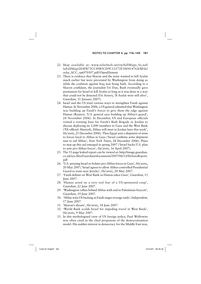- 22. Map available at: www.reliefweb.int/rw/fullMaps\_Sa.nsf/ luFullMap/2E4FB73CC49B3CD9C12572F30041476A/\$File/ ocha\_ACC\_opt070507.pdf?OpenElement
- 23. There is evidence that Sharon and the army wanted to kill Arafat much earlier but were prevented by Washington from doing so while the coalition against Iraq was being built. According to a Sharon confidant, the journalist Uri Dan, Bush eventually gave permission for Israel to kill Arafat so long as it was done in a way that could not be detected (Uri Avnery, 'If Arafat were still alive', *Guardian*, 31 January 2007).
- 24. Israel and the US tried various ways to strengthen Fatah against Hamas. In November 2006, a US general admitted that Washington was building up Fatah's forces to give them the edge against Hamas (Reuters, 'U.S. general says building up Abbas's guard', 24 November 2006). In December, US and European officials visited a training base for Fatah's Badr Brigade in Jordan to discuss deploying its 1,000 members in Gaza and the West Bank ('PA official: Haniyeh, Abbas will meet in Jordan later this week', *Ha'aretz*, 25 December 2006). Then Egypt sent a shipment of arms to forces loyal to Abbas in Gaza ('Israel confirms arms shipment sent to aid Abbas', *New York Times*, 28 December 2006). Plans to step up this aid emerged in spring 2007 ('Israel backs U.S. plan to arm pro-Abbas forces', *Ha'aretz*, 16 April 2007).
- 25. The 53-page leaked report can be viewed at: http://image.guardian. co.uk/sys-files/Guardian/documents/2007/06/12/DeSotoReport. pdf
- 26. 'U.S. pressing Israel to bolster pro-Abbas forces in Gaza', *Ha'aretz*, 20 May 2007; 'Israel agrees to allow Abbas-controlled Presidential Guard to train near Jericho', *Ha'aretz*, 24 May 2007.
- 27. 'Fatah defiant on West Bank as Hamas takes Gaza', *Guardian*, 15 June 2007.
- 28. 'Hamas acted on a very real fear of a US-sponsored coup', *Guardian*, 22 June 2007.
- 29. 'Washington rallies behind Abbas with end to Palestinian boycott', *Guardian*, 19 June 2007.
- 30. 'Abbas wins US backing as Fatah stages revenge raids', *Independent*, 17 June 2007.
- 31. 'Sharon's dream', *Ha'aretz*, 18 June 2007.
- 32. 'World Bank scolds Israel for impeding travel in West Bank', *Ha'aretz*, 9 May 2007.
- 33. In this mythologised view of US foreign policy, Paul Wolfowitz was often cited as the chief proponent of the democratisation model. His sudden interest in democracy for the Middle East was,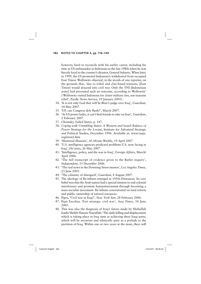however, hard to reconcile with his earlier career, including his time as US ambassador to Indonesia in the late 1980s when he was fiercely loyal to the country's dictator, General Suharto. When later, in 1999, the US promoted Indonesia's withdrawal from occupied East Timor, Wolfowitz objected, in the words of one reporter, on the grounds that, 'due to tribal and clan-based tensions, [East Timor] would descend into civil war. Only the TNI [Indonesian army] had prevented such an outcome, according to Wolfowitz' ('Wolfowitz visited Indonesia for closer military ties, not tsunami relief', Pacific News Service, 19 January 2005).

- 34. 'It is not only God that will be Blair's judge over Iraq', *Guardian*, 14 May 2007.
- 35. 'US: can Congress defy Bush?', March 2007.
- 36. 'As US power fades, it can't find friends to take on Iran', *Guardian*, 2 February 2007.
- 37. Chomsky, *Failed States*, p. 147.
- 38. *Coping with Crumbling States: A Western and Israeli Balance of Power Strategy for the Levant*, Institute for Advanced Strategic and Political Studies, December 1996. Available at: www.iasps. org/strat2.htm
- 39. 'Shattered illusions', *Al-Ahram Weekly*, 19 April 2007.
- 40. 'U.S. intelligence agencies predicted problems U.S. now facing in Iraq', *Ha'aretz*, 26 May 2007.
- 41. 'Intelligence, policy, and the war in Iraq', *Foreign Affairs*, March/ April 2006.
- 42. 'The full transcript of evidence given to the Butler inquiry', *Independent*, 15 December 2006.
- 43. 'The real news in the Downing Street memos', *Los Angeles Times*, 23 June 2005.
- 44. 'The calamity of disregard', *Guardian*, 4 August 2007.
- 45. The ideology of Ba'athism emerged in 1950s Damascus. Its core belief was that the Arab nation had a special mission to end colonial interference and promote humanitarianism through becoming a mass socialist movement. Ba'athism concentrated on land reform and public ownership of natural resources.
- 46. Pipes, 'Civil war in Iraq?', *New York Sun*, 28 February 2006.
- 47. Pepe Escobar, 'Exit strategy: civil war', *Asia Times*, 10 June 2005.
- 48. This was also the diagnosis of Iraq's future made by Hizbullah leader Sheikh Hassan Nasrallah: 'The daily killing and displacement which is taking place in Iraq aims at achieving three Iraqi parts, which will be sectarian and ethnically pure as a prelude to the partition of Iraq. Within one or two years at the most, there will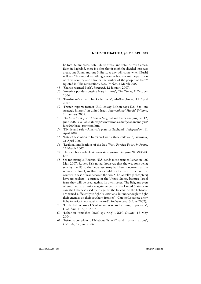be total Sunni areas, total Shiite areas, and total Kurdish areas. Even in Baghdad, there is a fear that it might be divided into two areas, one Sunni and one Shiite ... A day will come when [Bush] will say, "I cannot do anything, since the Iraqis want the partition of their country and I honor the wishes of the people of Iraq"' (quoted in 'The redirection', *New Yorker*, 5 March 2007).

- 49. 'Sharon warned Bush', *Forward*, 12 January 2007.
- 50. 'America ponders cutting Iraq in three', *The Times*, 8 October 2006.
- 51. 'Kurdistan's covert back-channels', *Mother Jones*, 11 April 2007.
- 52. 'French report: former U.N. envoy Bolton says U.S. has "no strategic interest" in united Iraq', *International Herald Tribune*, 29 January 2007.
- 53. *The Case for Soft Partition in Iraq*, Saban Center analysis, no. 12, June 2007, available at: http://www.brook.edu/fp/saban/analysis/ june2007iraq\_partition.htm
- 54. 'Divide and rule America's plan for Baghdad', *Independent*, 11 April 2007.
- 55. 'Latest US solution to Iraq's civil war: a three-mile wall', *Guardian*, 21 April 2007.
- 56. 'Regional implications of the Iraq War', *Foreign Policy in Focus*, 27 March 2007.
- 57. The speech is available at: www.state.gov/secretary/rm/2005/48328. htm
- 58. See for example, Reuters, 'U.S. sends more arms to Lebanon', 26 May 2007. Robert Fisk noted, however, that the weapons being sent by the US to the Lebanese army had been doctored, at the request of Israel, so that they could not be used to defend the country in case of war between the two. 'The Gazelles [helicopters] have no rockets – courtesy of the United States, because Israel fears they will be used against its own forces. The Belgians even offered Leopard tanks – again vetoed by the United States – in case the Lebanese used them against the Israelis. So the Lebanese are armed sufficiently to fight Palestinians, but not enough to fight their enemies on their southern frontier' ('Can the Lebanese army fight America's war against terror?', *Independent*, 3 June 2007).
- 59. 'Hizbullah accuses US of secret war and arming opponents', *Guardian*, 11 April 2007.
- 60. 'Lebanon "smashes Israel spy ring"', *BBC Online*, 18 May 2004.
- 61. 'Beirut to complain to UN about "Israeli" hand in assassinations', *Ha'aretz*, 17 June 2006.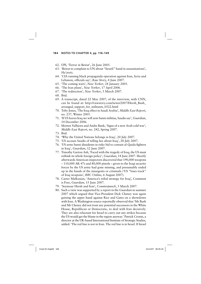- 62. UPI, 'Terror in Beirut', 26 June 2005.
- 63. 'Beirut to complain to UN about "Israeli" hand in assassinations', *Ha'aretz.*
- 64. 'CIA running black propaganda operation against Iran, Syria and Lebanon, officials say', *Raw Story*, 4 June 2007.
- 65. 'The coming wars', *New Yorker*, 24 January 2005.
- 66. 'The Iran plans', *New Yorker*, 17 April 2006.
- 67. 'The redirection', *New Yorker*, 5 March 2007.
- 68. Ibid.
- 69. A transcript, dated 22 May 2007, of the interview, with CNN, can be found at: http://rawstory.com/news/2007/Hersh\_Bush\_ arranged support for militants 0522.html
- 70. Toby Jones, 'The Iraq effect in Saudi Arabia', *Middle East Report*, no. 237, Winter 2005.
- 71. 'If US leaves Iraq we will arm Sunni militias, Saudis say', *Guardian*, 14 December 2006.
- 72. Morten Valbjorn and Andre Bank, 'Signs of a new Arab cold war', *Middle East Report*, no. 242, Spring 2007.
- 73. Ibid.
- 74. 'Why the United Nations belongs in Iraq', 20 July 2007.
- 75. 'US accuses Saudis of telling lies about Iraq', 28 July 2007.
- 76. 'US arms Sunni dissidents in risky bid to contain al-Qaida fighters in Iraq', *Guardian*, 12 June 2007.
- 77. Timothy Garton Ash, 'Faced with the tragedy of Iraq, the US must rethink its whole foreign policy', *Guardian*, 14 June 2007. Shortly afterwards American inspectors discovered that 190,000 weapons – 110,000 AK-47s and 80,000 pistols – given to the Iraqi security forces by the US army had gone missing, and presumably ended up in the hands of the insurgents or criminals ('US "loses track" of Iraq weapons', *BBC Online*, 6 August 2007).
- 78. Carter Malkasian, 'America's tribal strategy for Iraq', Comment is Free, *Guardian*, 15 June 2007.
- 79. 'Seymour Hersh and Iran', *Counterpunch*, 5 March 2007.
- 80. Such a view was supported by a report in the *Guardian* in summer 2007 which argued that Vice-President Dick Cheney was again gaining the upper hand against Rice and Gates on a showdown with Iran. A Washington source reportedly observed that 'Mr Bush and Mr Cheney did not trust any potential successors in the White House, Republican or Democratic, to deal with Iran decisively. They are also reluctant for Israel to carry out any strikes because the US would get the blame in the region anyway.' Patrick Cronin, a director at the UK-based International Institute of Strategic Studies, added: 'The red line is not in Iran. The red line is in Israel. If Israel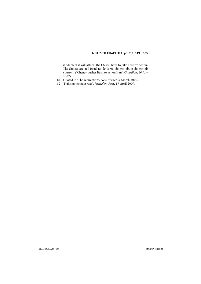is adamant it will attack, the US will have to take decisive action. The choices are: tell Israel no, let Israel do the job, or do the job yourself' ('Cheney pushes Bush to act on Iran', *Guardian*, 16 July 2007).

- 81. Quoted in 'The redirection', *New Yorker*, 5 March 2007.
- 82. 'Fighting the next war', *Jerusalem Post*, 19 April 2007.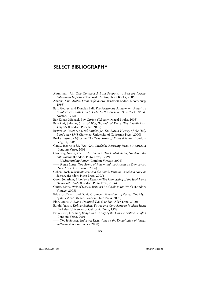## **SELECT BIBLIOGRAPHY**

- Abunimah, Ali, *One Country: A Bold Proposal to End the Israeli-Palestinian Impasse* (New York: Metropolitan Books, 2006)
- Aburish, Said, *Arafat: From Defender to Dictator* (London: Bloomsbury, 1998)
- Ball, George, and Douglas Ball, *The Passionate Attachment: America's Involvement with Israel, 1947 to the Present* (New York: W. W. Norton, 1992)
- Bar-Zohar, Michael, *Ben-Gurion* (Tel Aviv: Magal Books, 2003)
- Ben-Ami, Shlomo, *Scars of War, Wounds of Peace: The Israeli–Arab Tragedy* (London: Phoenix, 2006)
- Benvenisti, Meron, *Sacred Landscape: The Buried History of the Holy Land since 1948* (Berkeley: University of California Press, 2000)
- Burke, Jason, *Al-Qaeda: The True Story of Radical Islam* (London: Penguin, 2004)
- Carey, Roane (ed.), *The New Intifada: Resisting Israel's Apartheid*  (London: Verso, 2001)
- Chomsky, Noam, *The Fateful Triangle: The United States, Israel and the Palestinians* (London: Pluto Press, 1999)
- –––– *Understanding Power* (London: Vintage, 2003)
- –––– *Failed States: The Abuse of Power and the Assault on Democracy*  (New York: Owl Books, 2006)
- Cohen, Yoel, *Whistleblowers and the Bomb: Vanunu, Israel and Nuclear Secrecy* (London: Pluto Press, 2005)
- Cook, Jonathan, *Blood and Religion: The Unmasking of the Jewish and Democratic State* (London: Pluto Press, 2006)
- Curtis, Mark, *Web of Deceit: Britain's Real Role in the World* (London: Vintage, 2003)
- Edwards, David, and David Cromwell, *Guardians of Power: The Myth of the Liberal Media* (London: Pluto Press, 2006)
- Elon, Amos, *A Blood-Dimmed Tide* (London: Allen Lane, 2000)
- Ezrahi, Yaron, *Rubber Bullets: Power and Conscience in Modern Israel*  (Berkeley: University of California Press, 1998)
- Finkelstein, Norman, *Image and Reality of the Israel-Palestine Conflict* (London: Verso, 2001)
	- –––– *The Holocaust Industry: Refl ections on the Exploitation of Jewish Suffering* (London: Verso, 2000)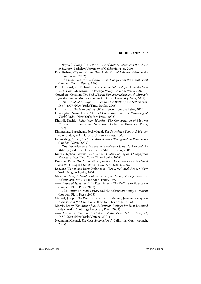–––– *Beyond Chutzpah: On the Misuse of Anti-Semitism and the Abuse of History* (Berkeley: University of California Press, 2005)

Fisk, Robert, *Pity the Nation: The Abduction of Lebanon* (New York: Nation Books, 2002)

–––– *The Great War for Civilisation: The Conquest of the Middle East*  (London: Fourth Estate, 2005)

- Friel, Howard, and Richard Falk, *The Record of the Paper: How the New York Times Misreports US Foreign Policy* (London: Verso, 2007)
- Gorenberg, Gershom, *The End of Days: Fundamentalism and the Struggle for the Temple Mount* (New York: Oxford University Press, 2002)
	- –––– *The Accidental Empire: Israel and the Birth of the Settlements, 1967–1977* (New York: Times Books, 2006)

Hirst, David, *The Gun and the Olive Branch* (London: Faber, 2003)

Huntington, Samuel, *The Clash of Civilizations and the Remaking of World Order* (New York: Free Press, 2002)

Khalidi, Rashid, *Palestinian Identity: The Construction of Modern National Consciousness* (New York: Columbia University Press, 1997)

- Kimmerling, Baruch, and Joel Migdal, *The Palestinian People: A History*  (Cambridge, MA: Harvard University Press, 2003)
- Kimmerling, Baruch, *Politicide: Ariel Sharon's War against the Palestinians*  (London: Verso, 2003)
- –––– *The Invention and Decline of Israeliness: State, Society and the Military* (Berkeley: University of California Press, 2005)
- Kinzer, Stephen, *Overthrow: America's Century of Regime Change from Hawaii to Iraq* (New York: Times Books, 2006).
- Kretzmer, David, *The Occupation of Justice: The Supreme Court of Israel and the Occupied Territories* (New York: SUNY, 2002)
- Laqueur, Walter, and Barry Rubin (eds), *The Israel–Arab Reader* (New York: Penguin Books, 2001)
- Masalha, Nur, *A Land Without a People: Israel, Transfer and the Palestinians, 1949–96* (London: Faber, 1997)
- –––– *Imperial Israel and the Palestinians: The Politics of Expulsion*  (London: Pluto Press, 2000)
- –––– *The Politics of Denial: Israel and the Palestinian Refugee Problem*  (London: Pluto Press, 2003)
- Massad, Joseph, *The Persistence of the Palestinian Question: Essays on Zionism and the Palestinians* (London: Routledge, 2006)
- Morris, Benny, *The Birth of the Palestinian Refugee Problem Revisited*  (New York: Cambridge University Press, 2004)
- –––– *Righteous Victims: A History of the Zionist–Arab Conflict, 1881–2001* (New York: Vintage, 2001)
- Neumann, Michael, *The Case Against Israel* (California: Counterpunch, 2005)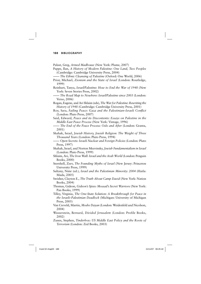- Palast, Greg, *Armed Madhouse* (New York: Plume, 2007)
- Pappe, Ilan, *A History of Modern Palestine: One Land, Two Peoples*  (Cambridge: Cambridge University Press, 2004)
- –––– *The Ethnic Cleansing of Palestine* (Oxford: One World, 2006)
- Prior, Michael, *Zionism and the State of Israel* (London: Routledge, 1999)
- Reinhart, Tanya, *Israel/Palestine: How to End the War of 1948* (New York: Seven Stories Press, 2002)
- –––– *The Road Map to Nowhere: Israel/Palestine since 2003* (London: Verso, 2006)
- Rogan, Eugene, and Avi Shlaim (eds), *The War for Palestine: Rewriting the History of 1948* (Cambridge: Cambridge University Press, 2001)
- Roy, Sara, *Failing Peace: Gaza and the Palestinian*–*Israeli Confl ict*  (London: Pluto Press, 2007)
- Said, Edward, *Peace and its Discontents: Essays on Palestine in the Middle East Peace Process* (New York: Vintage, 1996)
- –––– *The End of the Peace Process: Oslo and After* (London: Granta, 2001)
- Shahak, Israel, *Jewish History, Jewish Religion: The Weight of Three Thousand Years* (London: Pluto Press, 1994)
- –––– *Open Secrets: Israeli Nuclear and Foreign Policies* (London: Pluto Press, 1997)
- Shahak, Israel, and Norton Mezvinsky, *Jewish Fundamentalism in Israel*  (London: Pluto Press, 1999)
- Shlaim, Avi, *The Iron Wall: Israel and the Arab World* (London: Penguin Books, 2000)
- Sternhell, Zeev, *The Founding Myths of Israel* (New Jersey: Princeton University Press, 1999)
- Sultany, Nimr (ed.), *Israel and the Palestinian Minority: 2004* (Haifa: Mada, 2005)
- Swisher, Clayton E., *The Truth About Camp David* (New York: Nation Books, 2004)
- Thomas, Gideon, *Gideon's Spies: Mossad's Secret Warriors* (New York: Pan Books, 1999)
- Tilley, Virginia, *The One-State Solution: A Breakthrough for Peace in the Israeli*–*Palestinian Deadlock* (Michigan: University of Michigan Press, 2005)
- Van Creveld, Martin, *Moshe Dayan* (London: Weidenfeld and Nicolson, 2004)
- Wasserstein, Bernard, *Divided Jerusalem* (London: Profile Books, 2002)
- Zunes, Stephen, *Tinderbox: US Middle East Policy and the Roots of Terrorism* (London: Zed Books, 2003)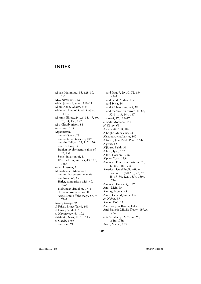# **INDEX**

Abbas, Mahmoud, 83, 129–30, 181n ABC News, 84, 142 Abdel Jawwad, Saleh, 110–12 Abdul Ahad, Ghaith, x–xi Abdullah, king of Saudi Arabia, 144–5 Abrams, Elliott, 24, 26, 31, 47, 60, 70, 88, 130, 157n Abu Ghraib prison, 94 Adhamiya, 139 Afghanistan, and al-Qaeda, 28 and sectarian tensions, 109 and the Taliban, 17, 117, 156n as a US base, 39 Iranian involvement, claims of, 72, 158n Soviet invasion of, 18 US attack on, xii, xvii, 43, 117, 156n Agha, Hussein, 7 Ahmadinejad, Mahmoud and nuclear programme, 46 and Syria, 65, 69 Hitler, comparison with, 40, 75–6 Holocaust, denial of, 77–8 threat of assassination, 80 'wipe Israel off the map', 57, 74, 75–7 Aiken, George, 96 al-Faisal, Prince Turki, 145 al-Faisal, Saud, 144 *al-Hamishmar*, 41, 102 al-Maliki, Nuri, 12, 13, 145 al-Qaeda, 179n and Iran, 72

 and Iraq, 7, 29–30, 72, 134, 146–7 and Saudi Arabia, 119 and Syria, 84 and Afghanistan, xvii, 28 and the 'war on terror', 40, 85, 92–3, 143, 144, 147 rise of, 17, 116–17 al-Sadr, Moqtada, 145 *al-Watan*, 65 Alawis, 44, 108, 109 Albright, Madeleine, 23 Alexandrovna, Larisa, 142 Alfonzo, Juan Pablo Perez, 154n Algeria, 12 Aljibury, Falah, 31 Allawi, Iyad, 137 Allott, Gordon, 175n Alpher, Yossi, 159n American Enterprise Institute, 23, 47, 84, 118, 179n American Israel Public Affairs Committee (AIPAC), 23, 47, 48, 89–90, 121, 155n, 159n, 172n American University, 139 Amit, Meir, 80 Amitay, Morris, 48 Amos, General James, 139 *an-Nahar*, 59 Annan, Kofi, 151n Anderson, Sir Roy, 5, 151n Anti-Ballistic Missile Treaty (1972), 160n anti-Semitism, 32, 35, 52, 98, 162n, 173n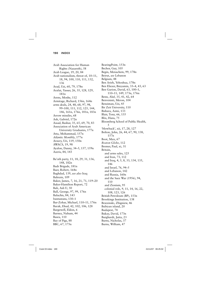Arab Association for Human Rights (Nazareth), 58 Arab League, 19, 20, 84 Arab nationalism, threat of, 10–11, 18, 94, 100, 110, 111, 132, 136 Arad, Uzi, 60, 79, 178n Arafat, Yasser, 26, 35, 128, 129, 181n Arens, Moshe, 112 Armitage, Richard, 156n, 164n arms deals, 24, 48, 68, 97, 98, 99–100, 111, 112, 125, 144, 146, 161n, 176n, 181n, 183n Arrow missiles, 68 Ash, Gabriel, 172n Assad, Bashar, 35, 65, 69, 70, 83 Association of Arab American University Graduates, 177n Atta, Mohammad, 157n *Atlantic Monthly*, 177n Avnery, Uri, 119, 150n AWACS, 19, 98 Ayalon, Danny, 34–5, 137, 159n Azeris, 84, 143 Ba'ath party, 11, 18, 29, 31, 136, 148, 182n Badr Brigade, 181n Baer, Robert, 164n Baghdad, 139, *see also* Iraq Bahrain, 109 Baker, James, 7, 16, 21, 71, 119–20 Baker-Hamilton Report, 72 Bali, Asli U, 50 Ball, George, 97, 99, 176n Baluchis, 84, 143 bantustans, 130–1 Bar-Zohar, Michael, 110–11, 176n Barak, Ehud, 42, 102, 106, 128 Bargewell, Eldon, 6 Barnea, Nahum, 44 Basra, 110 Bay of Pigs, 88 BBC, 67, 175n

BearingPoint, 153n Bechor, Guy, 105 Begin, Menachem, 99, 178n Beirut, *see* Lebanon Belgium, 48 Ben Arieh, Yehoshua, 178n Ben Eliezer, Binyamin, 33–4, 43, 63 Ben Gurion, David, 63, 100–1, 110–11, 149, 173n, 176n Benn, Aluf, 35, 41, 42, 64 Benvenisti, Meron, 104 Benziman, Uzi, 45 Bir Zeit University, 110 Bishara, Azmi, 133 Blair, Tony, 66, 135 Blix, Hans, 75 Bloomberg School of Public Health, 5 'blowback', xii, 17, 28, 127 Bolton, John, 26, 44, 67, 90, 138, 157n Boot, Max, 67 *Boston Globe*, 112 Bremer, Paul, xi, 31 Britain, and arms sales, 125 and Iran, 73, 112 and Iraq, 4, 5, 8, 33, 134, 135, 146 and Israel, 76, 94–5 and Lebanon, 142 and Russia, 160n and the Suez War (1956), 94, 110 and Zionism, 95 colonial role, 9, 11, 14, 16, 22, 108, 123, 126 British Petroleum (BP), 153n Brookings Institution, 138 Brzezinski, Zbigniew, 46 Bubiyan island, 20 Budapest, 74 Bukay, David, 173n Burghardt, Jutta, 23 Burns, Nicholas, 37 Burns, William, 47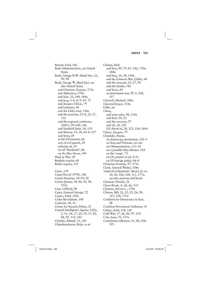Burton, Fred, 142 Bush Administration, *see* United States Bush, George H.W. (Bush Snr), 21, 90, 98 Bush, George W. (Bush Jnr), *see also* United States and Christian Zionists, 175n and diplomacy, 170n and Iran, 52, 144, 184n and Iraq, 3–4, 8, 9, 45, 72 and Jacques Chirac, 79 and Lebanon, 60 and the Libby trial, 156n and the neocons, 23–4, 25, 27, 132 and the regional conference (2007), 99–100, 146 and Saudi/oil links, 16, 119 and Sharon, 33, 34, 43–4, 137 and Syria, 69 at the G8 summit, 66 axis of evil speech, 28 criticism of, 14 on oil 'blackmail', 86 on the Shia threat, 144 *Bush at War*, 29 Bushehr reactor, 49 Butler inquiry, 135 Cairo, 139 Camp David (1978), 106 Carter Doctrine, 18–19, 92 Carter, Jimmy, 18, 46, 92, 99, 152n Case, Clifford, 96 Casey, General George, 72 Castro, Fidel, 150n Cedar Revolution, 140 Centcom, 18, 51 Center for Security Policy, 23 Central Intelligence Agency (CIA), 2, 11, 14, 17, 20, 29, 37, 82, 84, 95, 112, 142 Chalabi, Ahmed, 31, 142 Chandrasekaran, Rajiv, x–xi

Cheney, Dick and Iran, 49, 79, 87, 142, 170n, 184n and Iraq, 14, 30, 158n and the Lebanon War (2006), 60 and the neocons, 25, 27, 90 and the Saudis, 144 and Syria, 69 on permanent war, 92–3, 104, 117 Chertoff, Michael, 180n ChevronTexaco, 153n Chile, xii China, and arms sales, 98, 176n and Iran, 50, 52 and the neocons, 27 and oil, 30, 124 US, threat to, 28, 123, 124, 160n Chirac, Jacques, 79 Chomsky, Noam, on democracy promotion, 132–3 on Iraq and Vietnam, xii–xiii on Ottomanisation, 113–14 on a possible Shia alliance, 124 on the 'surge', 73 on US control of oil, 9–11 on US foreign policy, 86–8 Christian Zionism, 97, 175n Clark, General Wesley, 158n 'clash of civilisations', theory of, xv, 10, 26, 106, 108, 111, 177n, *see also* neocons *and* Israel Clawson, Patrick, 52 *Clean Break*, *A*, 26, 66, 133 Clemens, Steven C., 170n Clinton, Bill, 21, 23, 25, 26, 90, 123, 128, 171n Coalition for Democracy in Iran, 48 Coalition Provisional Authority, 31 Cohen, Ariel, 118, 120 Cold War, 17, 26, 96, 97, 114 Cole, Juan, 76, 157n Communist influence, 11, 40, 108, 123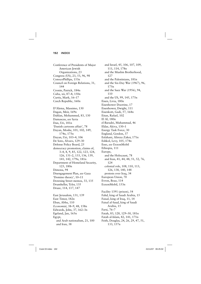Conference of Presidents of Major American Jewish Organizations, 23 Congress (US), 23, 53, 96, 98 ConocoPhillips, 153n Council on Foreign Relations, 31, 144 Cronin, Patrick, 184n Cuba, xii, 87–8, 150n Curtis, Mark, 16–17 Czech Republic, 160n D'Alema, Massimo, 130 Dagan, Meir, 169n Dahlan, Mohammed, 83, 130 Damascus, *see* Syria Dan, Uri, 181n 'Danish cartoons affair', 78 Dayan, Moshe, 101, 102, 149, 174n, 175n Dayan, Uzi, 103–4, 106 De Soto, Alvaro, 129–30 Defense Policy Board, 25 democracy promotion, claims of, 3–4, 8, 9, 85, 122, 123, 124, 126, 131–2, 133, 136, 139, 141, 142, 179n, 181n Department of Homeland Security, 125, 180n Dimona, 94 Disengagement Plan, *see* Gaza 'Domino theory', 10–11 Downing Street memos, 33, 135 Drumheller, Tyler, 135 Druze, 114, 117, 147 East Jerusalem, 131, 139 East Timor, 182n Eban, Abba, 110 *Economist*, 38–9, 48, 158n Edwards, John, 37, 162–3n Egeland, Jan, 165n Egypt, and Arab nationalism, 21, 100 and Iran, 38

 and Israel, 45, 106, 107, 109, 111, 114, 178n and the Muslim Brotherhood, 127 and the Palestinians, 181n and the Six-Day War (1967), 96, 175n and the Suez War (1956), 94, 110 and the US, 99, 145, 175n Eisen, Livia, 180n Eisenhower Doctrine, 17 Eisenhower, Dwight, 111 Eisenkott, Gadi, 57, 164n Eitan, Rafael, 102 El Al, 180n el-Baradei, Muhammad, 46 Eldar, Akiva, 130–1 Energy Task Force, 30 England, Gordon, 37 Esfahani, Alireza Zaker, 171n Eshkol, Levy, 105, 174n Esso, *see* ExxonMobil Ethiopia, 111 Europe, and the Holocaust, 78 and Iran, 41, 44, 48, 51, 52, 76, 124 colonial role, 108, 110, 113, 126, 138, 140, 148 protests over Iraq, 34 European Union, 70 Evron, Boaz, 114 ExxonMobil, 153n Facility 1391 (prison), 54 Fahd, king of Saudi Arabia, 15 Faisal, king of Iraq, 11, 14 Faisal al-Saud, king of Saudi Arabia, 15 Farsi, 76–7 Fatah, 83, 128, 129–30, 181n Fatah al-Islam, 82, 141, 171n

Feith, Douglas, 24, 26, 29, 47, 51, 133, 157n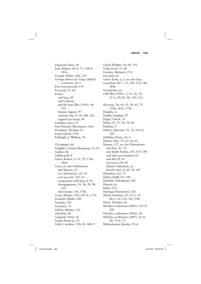*Financial Times*, 85 Fisk, Robert, 58–9, 73, 138–9, 183n *Foreign Affairs*, 106, 134 *Foreign Suitors for Iraqi Oilfield Contracts*, 30–1 Fort Leavenworth, 139 *Forward*, 47, 68 France and Iraq, 20 and Lebanon and the Suez War (1956), 94, 110 Atomic Agency, 97 colonial role, 9, 14, 108, 126 support for Israel, 94 Franklin, Larry, 47 Free Patriotic Movement, 163n Friedman, Thomas, 21 Frum, David, 179n Fulbright, J. William, 96 G8 summit, 66 Gaddafi, Colonel Muammar, 35, 43 Galilee, 68 Gallup poll, 8 Gates, Robert, 9, 13, 79, 170n, 184n Gaza, *see also* Palestinians and Sharon, 33 as a laboratory, 125–31 civil war, 83, 129–31 comparison with Iraq, 8, 91 disengagement, 24, 36, 50, 98, 128 land swaps, 114, 178n Gazit, Shlomo, 103, 105–6, 177n Gemayel, Bashir, 100 Georgia, 124 Germany, 76 Ghilan, Maxim, 122 Gibraltar, 80 Gingrich, Newt, 26 Gissin, Rana'an, 33 Glick, Caroline, 119–20, 148–9

Golan Heights, 54, 69, 101 Gold, Dore, 37, 40 Gordan, Michael, 157n Grenada, xii Green Zone, x, 5, *see also* Iraq *Guardian*, 46–7, 72, 130, 132, 146, 184n Guatemala, xii Gulf War (1991), 2, 13, 16, 19, 21–2, 40, 43, 90, 105, 113 *Ha'aretz*, 34, 43, 55, 58, 65, 75, 159n, 161n, 174n Haditha, 6 Hadley, Stephen, 47 Hagel, Chuck, 33 Haifa, 55, 57, 58, 59, 60 Halabja, 1 Halevy, Ephraim, 35, 74, 103–4, 106 Halliday, Denis, 22–3 Halutz, Dan, 55, 63, 64, 65 Hamas, 127, *see also* Palestinians and Iran, 41, 74 and Saudi Arabia, 118, 119, 146 and unity government, 83 and the US, 85 civil war, 129–30 Islamic radicalism, xv Israel's view of, 44, 56, 147 Hamilton, Lee, 71 Hariri, Rafik, 83, 140 Harkabi, Yehoshafat, 102 Hawaii, xii Hejaz, 123 Heritage Foundation, 118 Hersh, Seymour, 23, 51–2, 53, 60–1, 65, 112, 143, 144 Herzl, Theodor, 36 Herzliya conference (2001), 103–4, 106 Herzliya conference (2003), 36 Herzliya conference (2007), 36–8, 40, 73–4, 75 Hickenlooper, Bourke, 95–6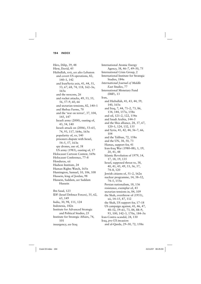Hiro, Dilip, 39, 48 Hirst, David, 45 Hizbullah, xvii, *see also* Lebanon and covert US operations, 82, 140–1, 142 and Iran/Syria axis, 41, 44, 51, 53, 67, 68, 74, 118, 162–3n, 165n and the neocons, 26 and rocket attacks, 49, 53, 55, 56, 57–9, 60, 66 and sectarian tensions, 82, 140–1 and Shebaa Farms, 70 and the 'war on terror', 37, 104, 145, 147 Israeli army (2000), ousting of, 43, 54, 140 Israeli attack on (2006), 53–65, 74, 93, 117, 164n, 165n popularity of, xv, 140 prisoners dispute with Israel, 54–5, 57, 163n spy drones, use of, 58 US army (1983), ousting of, 17 Holocaust Cartoon Contest, 169n Holocaust Conference, 77–8 Honduras, xii Hudson Institute, 24 Human Rights Watch, 165n Huntington, Samuel, 10, 106, 108 Hussein, king of Jordan, 98 Hussein, Saddam, *see* Saddam Hussein Ibn Saud, 123 IDF (Israel Defence Forces), 35, 62, 65, 149 India, 30, 98, 111, 124 Indonesia, 182n Institute for Advanced Strategic and Political Studies, 25 Institute for Strategic Affairs, 74, 101 insurgency, *see* Iraq

International Atomic Energy Agency, 38, 46–7, 49–50, 75 International Crisis Group, 2 International Institute for Strategic Studies, 184n *International Journal of Middle East Studies*, 77 International Monetary Fund (IMF), 13 Iran, and Hizbullah, 41, 43, 44, 59, 140, 165n and Iraq, 7, 44, 71–2, 73, 86, 134, 144, 157n, 158n and oil, 121–2, 122, 154n and Saudi Arabia, 144–5 and the Shia alliance, 28, 37, 67, 120–1, 124, 132, 135 and Syria, 41, 42, 44, 56–7, 66, 104 and the Taliban, 72, 158n and the UN, 38, 50, 73 Hamas, support for, 41 Iran-Iraq War (1980–88), 1, 19, 20, 41, 48 Islamic Revolution of 1979, 14, 17, 18, 19, 135 Israel, supposed threat to, 38, 40, 41, 45, 49, 53, 56, 57, 74–8, 120 Jewish citizens of, 51–2, 162n nuclear programme, 14, 38–52, 74–5, 155n Persian nationalism, 18, 136 resistance, exemplar of, 43 sectarian tensions in, 84, 109 the Shah, overthrow of (1953), xii, 14–15, 87, 112 the Shah, US support for, 17–18 US campaign against, 41, 46, 47, 48–52, 59–61, 73, 84, 88–9, 93, 100, 142–3, 170n, 184–5n Iran-Contra scandal, 24, 130 Iraq, *pre-US invasion:* and al-Qaeda, 29–30, 72, 158n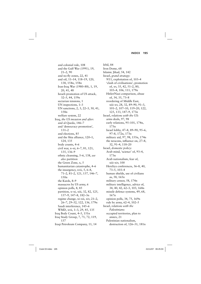and colonial rule, 108 and the Gulf War (1991), 19, 21–2, 90 and no-fly zones, 22, 41 and oil, 11–14, 118–19, 120, 138, 154n, 158n Iran-Iraq War (1980–88), 1, 19, 20, 41, 48 Israeli promotion of US attack, 32–5, 44, 159n sectarian tensions, 1 UN inspections, 1–3 UN sanctions, 2, 3, 22–3, 30, 41, 158n welfare system, 22 Iraq, *the US invasion and after:* and al-Qaeda, 146–7 and 'democracy promotion', 131–2 and elections, 85 and the Shia alliance, 120–1, 124, 135 body counts, 4–6 civil war, x–xi, 6–7, 81, 121, 135, 136–9 ethnic cleansing, 5–6, 138, *see also* partition the Green Zone, x, 5 humanitarian catastrophe, 4–6 the insurgency, xvii, 5, 6–8, 71–2, 81–2, 121, 137, 146–7, 150n the Kurds, 8–9 massacres by US army, 6 opinion polls, 8, 85 partition, x–xi, xiii, 32, 82, 125, 137–9, 147–8, 182–3n regime change, xi–xii, xiv, 21–2, 26–7, 29–32, 122, 136, 179n Saudi interference, 145–6 WMD, xvii, 1–3, 29, 45, 135 Iraq Body Count, 4–5, 151n Iraq Study Group, 7, 71, 72, 119, 137 Iraqi Petroleum Company, 11, 14

Irbil, 84 Iron Dome, 68 Islamic Jihad, 54, 142 Israel, *grand strategy:* 9/11, exploitation of, 103–4 'clash of civilisations', promotion of, xv, 35, 42, 51–2, 80, 103–4, 106, 111, 179n Hitler/Nazi comparison, abuse of, 34, 35, 73–8 reordering of Middle East, xiii–xv, 28, 32, 89–90, 91–3, 101–2, 107–10, 119–20, 122, 125, 133, 147–9, 173n Israel, *relations with the US:* arms deals, 97, 98 early relations, 95–101, 174n, 175n Israel lobby, 47–8, 89–90, 95–6, 97–8, 172n, 173n military aid, 97, 98, 155n, 174n the neocons, influence on,  $27-8$ , 32, 91–4, 118–20 Israel, *domestic policy:* Arab mind, 'science' of, 93–4, 173n Arab nationalism, fear of, xiii–xiv, 100 Herzliya conferences, 36–8, 40, 73–5, 103–4 human shields, use of civilians as, 58, 165n military censor, 58, 174n military intelligence, advice of, 34, 40, 42, 62–3, 103, 168n missile defence systems, 49, 68, 167n opinion polls, 34, 75, 169n rule by army, 62–4, 102–5 Israel, *relations with the Palestinians:* occupied territories, plan to annex, 21 Palestinian nationalism, destruction of, 126–31, 181n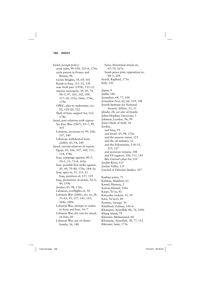Israel, *foreign policy:* arms sales, 99–100, 125–6, 176n early patron in France and Britain, 94 Golan Heights, 54, 69, 101 Kurds in Iraq, 111–12, 138 non-Arab pact (1958), 111–12 nuclear monopoly, 39, 45, 74, 94–5, 97, 101, 102, 109, 117–18, 155n, 160n, 174n, 179n OPEC, plan to undermine, xiv, 92, 118–20, 122 Shah of Iran, support for, 112, 178n Israel, *past relations with region:* Six-Day War (1967), 95–7, 99, 105 Lebanon, invasions of, 99, 100, 107, 140 Lebanon, withdrawal from (2000), 43, 54, 140 Israel, *current relations in region:* Egypt, 45, 106, 107, 109, 111, 114, 178n Iran, campaign against, 40–5, 50–1, 53, 73–8, 162n Iran, possible first strike against, 45, 49, 79–80, 170n, 184–5n Iran, spies in, 51, 111–12 Iraq, partition of, 137, 139 Iraq, promotion of attack, 32–5, 44, 159n Jordan, 45, 98, 176n Lebanon, overflights of, 54 Lebanon War (2006), xiv, xv, 28, 53–65, 93, 117, 141, 143, 164n, 180n Lebanon War, attempt to widen to Syria and Iran, 56–7 Lebanon War, dry-run for attack on Iran, 60 Lebanon War, use of cluster bombs, 56, 148

 Syria, threatened attack on, 65–70, 167n Saudi peace plan, opposition to, 84–5, 104 Israeli, Raphael, 173n Italy, 130 Japan, 9 Jedda, 146 Jerusalem, 68, 77, 104 *Jerusalem Post*, 62, 66, 119, 148 Jewish Institute for National Security Affairs, 23, 33 jihadis, 28, *see also* al-Qaeda Johns Hopkins University, 5 Johnson, Lyndon, 96, 99 Joint Chiefs of Staff, 10 Jordan, and Iraq, 19 and Israel, 45, 98, 176n and the neocon vision, 123 and the oil industry, 12 and the Palestinians, 114–15, 125, 127 and sectarian tension, 108 and US support, 100, 111, 145 Ben Gurion's plan for, 110 Jordan River, 115 Jordan Valley, 131 *Journal of Palestine Studies*, 107

Kadima party, 75 Kalman, Matthew, 61 Kamel, Hussein, 2 Karzai, Hamid, 156n Kaspi, Yo'av, 41 Katyusha rockets, 53, 59 Katz, Ya'acov, 80 Kennan, George, 10 Khalilzad, Zalmay, 145–6 Khameini, Ayatollah Ali, 76, 169n Kharg island, 79 Khatami, Mohammed, 84 Khomeini, Ayatollah, 38, 77, 112 Khiyami, Sami, 173n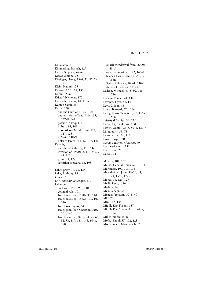Khuzestan, 73 Kimmerling, Baruch, 127 Kinzer, Stephen, xi–xii Kiryat Shmona, 55 Kissinger, Henry, 23–4, 31, 87, 98, 155n Klein, Naomi, 125 Knesset, 105, 119, 133 Koran, 150n Kristof, Nicholas, 172n Kucinich, Dennis, 14, 153n Kuntar, Samir, 55 Kurds, 150n and the Gulf War (1991), 21 and partition of Iraq, 8–9, 135, 137–8, 147 gassing in Iraq, 1–2 in Iran, 84, 143 in reordered Middle East, 114, 117, 125 in Syria, 148–9 links to Israel, 111–12, 138, 149 Kuwait, and the oil industry, 11, 154n invasion of (1990), 2, 13, 19–20, 41, 113 power of, 122 sectarian pressures on, 109 Labor party, 34, 75, 128 Lake, Anthony, 19 *Lancet*, 5 *Le Monde diplomatique*, 132 Lebanon, civil war (1975–90), 140 colonial rule, 108 Israeli invasion (1978), 99, 140 Israeli invasion (1982), 100, 107, 140 Israeli overflights, 54 Israeli plan for a Christian state, 101, 140 Israeli war on (2006), 28, 53–65, 82, 93, 117, 141, 148, 164n, 180n

 Israeli withdrawal from (2000), 43, 54 sectarian tension in, 82, 140–2 Shebaa Farms row, 54, 69–70, 163n Syrian influence, 100–1, 140–1 threat of partition, 147–8 Ledeen, Michael, 47–8, 92, 118, 172n Leshem, Daniel, 41, 136 Leverett, Flynt, 88, 143 Levy, Gideon, 85 Lewis, Bernard, 37, 177n Libby, Lewis "Scooter", 27, 156n, 157n *Liberty* (US ship), 99, 175n Libya, 19, 35, 43, 44, 100 Lieven, Anatol, 24–5, 80–1, 122–4 Likud party, 33, 75 Litani River, 100, 110 Livini, Tzipi, 130 *London Review of Books*, 89 Lord Goldsmith, 151n Lott, Trent, 26 Lukoil, 31

*Ma'ariv*, 101, 162n Malka, General Amos, 62–3, 104 Maronites, 100, 108, 114 Mearsheimer, John, 89–90, 98, 121, 159n, 172n Mecca, 16, 123, 129 Media Lens, 151n Medina, 16 Meir, Gideon, 56 Mendel, Yonatan, 37–8, 40 MI5, 73 MI6, 112, 135 Middle East Forum, 157n Middle East Studies Association, 177n Miller, Judith, 157n Mofaz, Shaul, 57, 102, 128 Mohammadi, Manouchehr, 78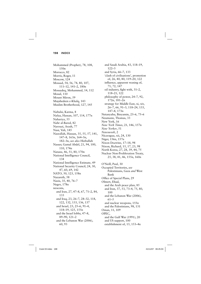Mohammed (Prophet), 78, 108, 150n Morocco, 82 Morris, Roger, 11 Moscow, 124 Mossad, 54, 56, 74, 80, 107, 111–12, 141–2, 180n Mossadeq, Mohammed, 14, 112 Mosul, 110 Mount Miron, 59 Mujahedeen e-Khalq, 143 Muslim Brotherhood, 127, 145 Nabulsi, Karma, 8 Nafaa, Hassan, 107, 114, 177n Nahariya, 55 Nahr al-Bared, 82 Narouzi, Arash, 77 Nasr, Vali, 145 Nasrallah, Hassan, 35, 55, 57, 141, 147–8, 163n, 164–5n, 182–3n, *see also* Hizbullah Nasser, Gamal Abdel, 21, 94, 100, 110, 174n Natanz, 46, 51, 80, 170n National Intelligence Council, 134 National Intelligence Estimate, 49 National Security Council, 24, 30, 47, 60, 69, 142 NATO, 50, 123, 158n Nazareth, 58 Nazis, 35, 40, 76–7 Negev, 178n neocons, and Iran, 27, 47–8, 67, 71–2, 84, 133 and Iraq, 23, 26–7, 28–32, 118, 122, 132, 133, 136, 137 and Israel, 23, 25–6, 91–4, 118–19, 125, 155n and the Israel lobby, 47–8, 89–90, 121–2 and the Lebanon War (2006), 60, 93

 and Saudi Arabia, 43, 118–19, 122–3 and Syria, 66–7, 133 'clash of civilisations', promotion of, 26, 40, 80, 119–20, 122 influence, apparent waning of, 71, 72, 147 oil industry, fight with, 31-2, 118–21, 122 philosophy of power, 24–7, 92, 172n, 181–2n strategy for Middle East, xi, xiv, 26–7, 66, 91–3, 118–24, 133, 147–8, 173n Netanyahu, Binyamin, 25–6, 75–6 Neumann, Thomas, 33 New York, 16 *New York Times*, 21, 146, 157n *New Yorker*, 51 *Newsweek*, 2 Nicaragua, xii, 24, 130 Niger, 156n, 157n Nixon Doctrine, 17–18, 98 Nixon, Richard, 15, 17, 23, 98 North Korea, 27, 28, 39, 44, 75 Nuclear Non-Proliferation Treaty, 25, 38, 41, 46, 155n, 160n O'Neill, Paul, 30 Occupied Territories, *see*  Palestinians, Gaza *and* West Bank Office of Special Plans, 29 Olmert, Ehud, and the Arab peace plan, 85 and Iran, 37, 53, 73–4, 75, 80, 100 and the Lebanon War (2006), 61–5 and nuclear weapons, 155n and the Palestinians, 98, 131 Oman, 11, 109 OPEC, and the Gulf War (1991), 20 and US support, 100 establishment of, 15, 153–4n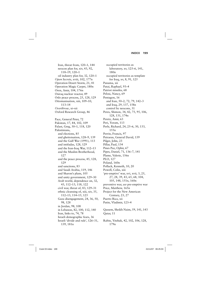Iran, threat from, 120–1, 144 neocon plan for, xiv, 43, 92, 118–19, 120–1 oil industry plan for, 32, 120–1 *Open Secrets*, xviii, 102, 177n Operation Desert Storm, 21, 41 Operation Magic Carpet, 180n Oren, Amir, 104, 176n Osiraq nuclear reactor, 49 Oslo peace process, 25, 128, 129 Ottomanisation, xiii, 109–10, 113–14 *Overthrow*, xi–xii Oxford Research Group, 46 Pace, General Peter, 72 Pakistan, 17, 84, 102, 109 Palast, Greg, 30–1, 118, 120 Palestinians, and elections, 85 and ghettoisation, 128–9, 139 and the Gulf War (1991), 113 and intifadas, 128, 129 and the Iran-Iraq War, 112–13 and the Muslim Brotherhood, 127 and the peace process, 45, 128, 129 and sanctions, 83 and Saudi Arabia, 119, 146 and Sharon's plans, 105 and unity government, 129–30 Arab world, dependence on, 32, 43, 112–13, 118, 122 civil war, threat of, 83, 129–31 ethnic cleansing of, xiii, xiv, 35, 112–13, 114–15, 125 Gaza disengagement, 24, 36, 50, 98, 128 in Jordan, 98, 108 in Lebanon, 82, 100, 112, 140 Iran, links to, 74, 78 Israeli demographic fears, 36 Israeli 'divide and rule', 126–31, 139, 181n

 occupied territories as laboratory, xv, 125–6, 141, 180n occupied territories as template for Iraq, xv, 8, 91, 125 Panama, xii Patai, Raphael, 93–4 Patriot missiles, 68 Pelosi, Nancy, 69 Pentagon, 16 and Iran, 50–2, 72, 79, 142–3 and Iraq, 29, 137, 158n control by neocons, 31 Peres, Shimon, 34, 42, 75, 95, 106, 128, 131, 174n Peretz, Amir, 63 Peri, Yoram, 113 Perle, Richard, 24, 25–6, 30, 133, 155n Perrin, Francis, 97 Petraeus, General David, 139 Pilger, John, 23 Pillar, Paul, 134 Pines Paz, Ophir, 67 Pipes, Daniel, 71, 136–7, 141 Plame, Valerie, 156n PLO, 127 Poland, 160n Pollack, Kenneth, 10, 20 Powell, Colin, xiii 'pre-emptive' war, xvi, xvii, 3, 25, 27, 28, 39, 43, 65, 68, 104, 105, 148, 151n, 160n preventive war, *see* pre-emptive war Price, Matthew, 165n Project for the New American Century, 23, 27 Puerto Rica, xii Putin, Vladimir, 123–4 Qassem, Sheikh Naim, 59, 141, 143 Qatar, 11 Rabin, Yitzhak, 42, 102, 106, 128, 179n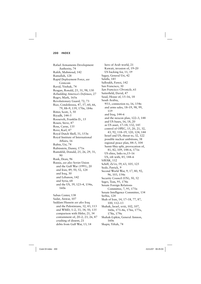Rafael Armaments Development Authority, 74 Rafeh, Mahmoud, 142 Ramallah, 128 Rapid Deployment Force, *see*  Centcom Ravid, Yitzhak, 74 Reagan, Ronald, 25, 31, 98, 130 *Rebuilding America's Defenses*, 27 Regev, Mark, 165n Revolutionary Guard, 72, 73 Rice, Condoleezza, 47, 57, 60, 66, 79, 88–9, 139, 170n, 184n Ritter, Scott, 3, 50 Riyadh, 144–5 Roosevelt, Franklin D., 15 Rosen, Steve, 47 Ross, Carne, 135 Rove, Karl, 47 Royal Dutch Shell, 31, 153n Royal Institute of International Affairs, 16 Rubin, Uzi, 74 Rubinstein, Danny, 171n Rumsfeld, Donald, 25, 26, 29, 31, 90 Rusk, Dean, 96 Russia, *see also* Soviet Union and the Gulf War (1991), 20 and Iran, 49, 50, 52, 124 and Iraq, 30 and Lebanon, 142 and Syria, 68 and the US, 39, 123–4, 154n, 160n Saban Center, 138 Sadat, Anwar, 107 Saddam Hussein *see also* Iraq and the Palestinians, 32, 43, 113 and WMD, 1–2, 33, 34, 50, 135 comparison with Hitler, 21, 34 containment of, 20–2, 23, 26, 87 crushing of dissent, 21 debts from Gulf War, 13, 14

 hero of Arab world, 21 Kuwait, invasion of, 19–20 US backing for, 11, 19 Saguy, General Uri, 42 Salafis, 145 Salloukh, Fawzi, 142 San Francisco, 30 *San Francisco Chronicle*, 61 Satterfield, David, 47 Saud, House of, 15–16, 18 Saudi Arabia, 9/11, connection to, 16, 154n and arms sales, 18–19, 98, 99, 119 and Iraq, 144–6 and the neocon plan, 122–3, 148 and US bases, 16, 18, 20 as US asset, 17–18, 132, 145 control of OPEC, 15, 20, 21, 32, 43, 92, 118–19, 120, 124, 144 Israel and US, threat to, 32, 122 possible nuclear ambitions, 38 regional peace plan, 84–5, 104 Sunni-Shia split, provocation of, 81, 82, 109, 144–6, 171n US elites, links to,15–16 US, rift with, 85, 144–6 SAVAK, 112 Schiff, Ze'ev, 59, 63, 105, 125 Seale, Patrick, 9 Second World War, 9, 17, 80, 92, 96, 103, 154n Security Council (UN), 50, 52 Segev, Tom, 95, 174n Senate Foreign Relations Committee, 7, 95, 175n Senate Intelligence Committee, 134 Serbia, 124 Shah of Iran, 14, 17–18, 77, 87, 100, 112–13 Shahak, Israel, xviii, 102, 107, 160n, 173–4n, 176n, 177n, 178n, 179n Shahak-Lipkin, General Amnon, 160n Shapir, Yiftah, 74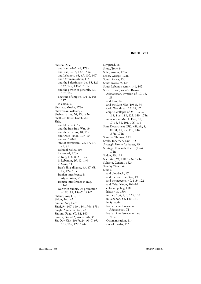Sharon, Ariel and Iran, 42–5, 49, 178n and Iraq, 32–5, 137, 159n and Lebanon, 64, 65, 100, 107 and Ottomanisation, 114 and the Palestinians, 36, 85, 125, 127, 128, 130–1, 181n and the power of generals, 63, 102, 105 doctrine of empire, 101–2, 106, 117 in coma, 61 Sharrett, Moshe, 176n Shawcross, William, 2 Shebaa Farms, 54, 69, 163n Shell, *see* Royal Dutch Shell Shia, and blowback, 17 and the Iran-Iraq War, 19 and the neocons, 40, 119 and Oded Yinon, 109–10 and oil, 120–1 'arc of extremism', 28, 37, 67, 69, 81 colonial policy, 108 history of, 150n in Iraq, 1, 6, 8, 21, 125 in Lebanon, 26, 82, 140 in Syria, 44 Iran's Shia alliance, 43, 67, 68, 69, 124, 135 Iranian interference in Afghanistan, 72 Iranian interference in Iraq, 71–2 war with Sunnis, US promotion of, 80, 81, 136–7, 143–7 Shlaim, Avi, 110, 131 Sidon, 54, 142 Simon, Bob, 157n Sinai, 94, 107, 110, 114, 174n, 178n Singh, Anupama Rao, 22 Siniora, Fuad, 60, 82, 140 Sistani, Grand Ayatollah Ali, 85 Six-Day War (1967), 24, 95–7, 99, 105, 108, 127, 174n

Skyguard, 68 Snow, Tony, 9 Sofer, Arnon, 173n Soros, George, 172n South Africa, 130 South Korea, 9, 124 South Lebanon Army, 141, 142 Soviet Union, *see also* Russia Afghanistan, invasion of, 17, 18, 28 and Iran, 14 and the Suez War (1956), 94 Cold War threat, 25, 96, 97 empire, collapse of 24, 105–6, 114, 116, 118, 123, 149, 173n influence in Middle East, 10, 17–18, 98, 101, 106, 116 State Department (US), xiii, xiv, 8, 30, 31, 88, 95, 118, 146, 157n, 171n Stauffer, Thomas, 175n Steele, Jonathan, 130, 132 *Strategic Future for Israel*, 49 Strategic Research Centre (Iran), 171n Sudan, 19, 111 Suez War, 94, 110, 173n, 174n Suharto, General, 182n *Sunday Times*, 49 Sunnis, and blowback, 17 and the Iran-Iraq War, 19 and the neocons, 40, 119, 122 and Oded Yinon, 109–10 colonial policy, 108 history of, 150n in Iraq, 1, 6, 7, 8, 125, 136 in Lebanon, 82, 140, 141 in Syria, 44 Iranian interference in Afghanistan, 72 Iranian interference in Iraq, 71–2 Ottomanisation, 114 rise of jihadis, 116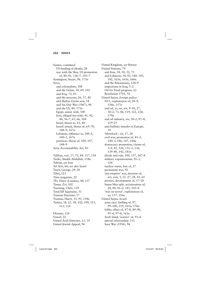Sunnis, *continued* US funding of jihadis, 28 war with the Shia, US promotion of, 80, 81, 136–7, 143–7 Symington, Stuart, 96, 175n Syria, and colonialism, 108 and the Golan, 54, 69, 101 and Iraq, 72, 83 and the neocons, 26, 37, 40 and Shebaa Farms row, 54 and Six-Day War (1967), 96 and the US, 84, 171n Egypt, union with, 100 Iran, alleged ties with, 41, 42, 44, 56–7, 65, 66, 104 Israel, threat to, 43, 44 Israeli attack, threat of, 65–70, 148–9, 167n Lebanon, influence in, 100-1, 140–1, 167n partition, threat of, 109, 147, 148–9 Syria Accountability Act, 83 Taliban, xvii, 17, 72, 84, 117, 118 Tariki, Sheikh Abdullah, 154n Tehran, *see* Iran Tel Aviv, 60, *see also* Israel Tenet, George, 29–30 Tibet, 123 *Time* magazine, 22 *The Times* (London), 44, 137 Timur, Zvi, 102 Toensing, Chris, 139 Total Elf Aquitaine, 31 Truman Doctrine, 17 Truman, Harry, 33, 95, 154n Turkey, 18, 21, 38, 102, 109, 111, 113, 114 Ukraine, 124

Unicef, 22 United Arab Emirates, 11, 19 United Jewish Appeal, 96

United Kingdom, *see* Britain United Nations, 79 and Iran, 38, 50, 52, 73 and Lebanon, 54, 83, 140, 141, 142, 163n, 165n, 166n and the Palestinians, 128–9 inspections in Iraq, 1–2 Oil for Food program, 22 Resolution 1701, 56 United States, *foreign policy:* 9/11, exploitation of, 28–9, 154n, 157n and oil, xi, xii, xiv, 9–10, 27, 30–2, 73, 86, 119, 122, 124, 179n and oil industry, xiv, 30–2, 87–8, 119–21 anti-ballistic missiles in Europe, 39 'blowback', xii, 17, 28 civil war, promotion of, 81–5, 140–3, 146, 147, 184n democracy promotion, claims of, 3–4, 85, 126, 131–3, 136, 139–40, 142, 181n divide and rule, 100, 137, 147–8 military expansionism, 92–3, 124 nuclear states, fear of, 27 permanent war, 92 'pre-emptive' war, doctrine of, xvi, xvii, 3, 25, 27, 28, 43, 65 proxies, development of, 17–18 Sunni-Shia split, accentuation of, 28, 80, 81–2, 141, 143–8 'war on terror', exploitation of, xv, 137, 156n United States, *Israel:*  arms race, fuelling of, 97, 99–100, 119, 161n, 176n lobby, effect of, 47–8, 89–90, 95–6, 97–8, 161n Arab mind, 'science' of, 93–4 special relationship, 111 Suez War (1956), 94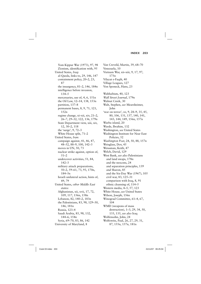Yom Kippur War (1973), 97, 98 Zionism, identification with, 95 United States, *Iraq:* al-Qaeda, links to, 29, 146, 147 containment policy, 20–2, 23, 87 the insurgency, 81–2, 146, 184n intelligence before invasion, 134–5 mercenaries, use of, 4, 6, 151n the Oil Law, 12–14, 138, 153n partition, 137–8 permanent bases, 8, 9, 71, 121, 152n regime change, xi–xii, xiv, 21–2, 26–7, 29–32, 122, 136, 179n State Department view, xiii, xiv, 12, 30–2, 118 the 'surge', 9, 72–3 White House split, 71–2 United States, *Iran:* campaign against, 41, 46, 47, 48–52, 88–9, 100, 142–3 moves in UN, 50, 73 nuclear strike against, option of, 51–2 undercover activities, 51, 84, 142–3 military attack preparations, 50–2, 59–61, 73, 93, 170n, 184–5n Israeli unilateral action, hints of, 49, 79 United States, *other Middle East states:* Afghanistan, xii, xvii, 17, 72, 109, 117, 156n, 158n Lebanon, 82, 140–2, 183n the Palestinians, 83, 98, 129–30, 146, 181n Russia, 123–4 Saudi Arabia, 85, 98, 132, 144–6, 154n Syria, 69–70, 83, 86, 142 University of Maryland, 8

Van Creveld, Martin, 39, 68–70 Venezuela, 10 Vietnam War, xii–xiii, 9, 17, 97, 175n Vilayat e-Faqih, 40 Village Leagues, 127 Von Sponeck, Hans, 23 Wahhabism, 40, 123 *Wall Street Journal*, 179n Walnut Creek, 30 Walt, Stephen, *see* Mearsheimer, John 'war on terror', xv, 9, 28–9, 35, 45, 80, 106, 131, 137, 140, 141, 143, 144, 149, 156n, 157n Warba island, 20 Warde, Ibrahim, 132 Washington, *see* United States Washington Institute for Near East Policies, 52 *Washington Post*, 24, 50, 88, 157n Weisglass, Dov, 45 Weissman, Keith, 47 Welch, David, 129 West Bank, *see also* Palestinians and land swaps, 178n and the neocons, 24 and separation principles, 139 and Sharon, 85 and the Six-Day War (1967), 105 civil war, 83, 125–31 comparison with Iraq, 8, 91 ethnic cleansing of, 114–5 Western media, 4–5, 57, 123 White House, *see* United States Wilson, Joseph, 156n Winograd Committee, 61–4, 67, 104 WMD (weapons of mass destruction), 1–3, 29, 34, 50, 133, 135, *see also* Iraq Wolfensohn, John, 24 Wolfowitz, Paul, 26, 27, 29, 31, 87, 155n, 157n, 181n